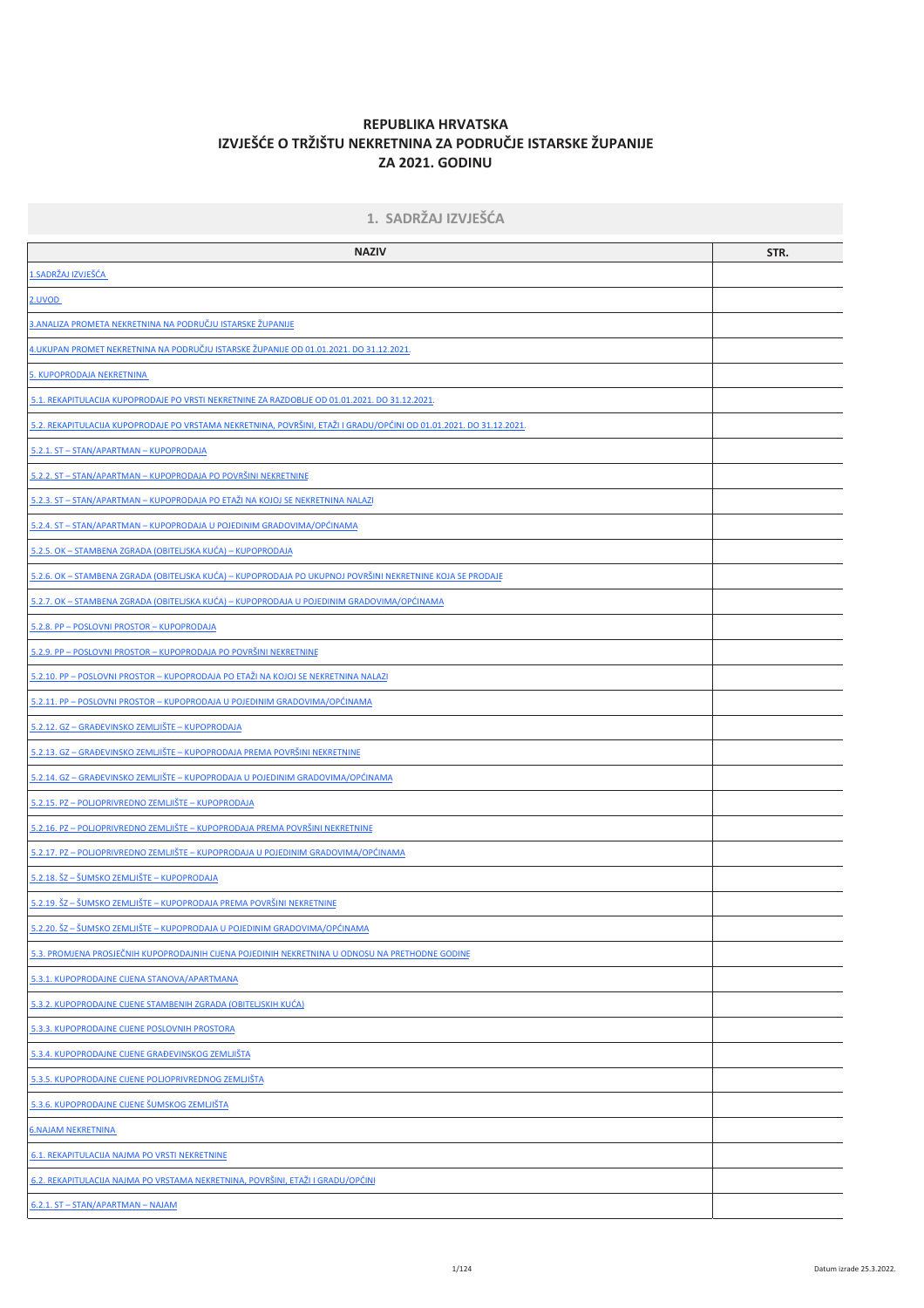# REPUBLIKA HRVATSKA IZVJEŠĆE O TRŽIŠTU NEKRETNINA ZA PODRUČJE ISTARSKE ŽUPANIJE **ZA 2021. GODINU**

| 1. SADRŽAJ IZVJEŠĆA                                                                                                 |      |  |  |  |  |  |
|---------------------------------------------------------------------------------------------------------------------|------|--|--|--|--|--|
| <b>NAZIV</b>                                                                                                        | STR. |  |  |  |  |  |
| <u>1.SADRŽAJ IZVJEŠĆA.</u>                                                                                          |      |  |  |  |  |  |
| <u>2.UVOD</u>                                                                                                       |      |  |  |  |  |  |
| <u>3.ANALIZA PROMETA NEKRETNINA NA PODRUČJU ISTARSKE ŽUPANIJE</u>                                                   |      |  |  |  |  |  |
| <u>4.UKUPAN PROMET NEKRETNINA NA PODRUČJU ISTARSKE ŽUPANIJE OD 01.01.2021. DO 31.12.2021.</u>                       |      |  |  |  |  |  |
| 5. KUPOPRODAJA NEKRETNINA                                                                                           |      |  |  |  |  |  |
| 5.1. REKAPITULACIJA KUPOPRODAJE PO VRSTI NEKRETNINE ZA RAZDOBLJE OD 01.01.2021. DO 31.12.2021.                      |      |  |  |  |  |  |
| 5.2. REKAPITULACIJA KUPOPRODAJE PO VRSTAMA NEKRETNINA, POVRŠINI, ETAŽI I GRADU/OPĆINI OD 01.01.2021. DO 31.12.2021. |      |  |  |  |  |  |
| 5.2.1. ST - STAN/APARTMAN - KUPOPRODAJA                                                                             |      |  |  |  |  |  |
| 5.2.2. ST - STAN/APARTMAN - KUPOPRODAJA PO POVRŠINI NEKRETNINE                                                      |      |  |  |  |  |  |
| 5.2.3. ST - STAN/APARTMAN - KUPOPRODAJA PO ETAŽI NA KOJOJ SE NEKRETNINA NALAZI                                      |      |  |  |  |  |  |
| 5.2.4. ST - STAN/APARTMAN - KUPOPRODAJA U POJEDINIM GRADOVIMA/OPĆINAMA                                              |      |  |  |  |  |  |
| 5.2.5. OK – STAMBENA ZGRADA (OBITELJSKA KUĆA) – KUPOPRODAJA                                                         |      |  |  |  |  |  |
| <u>5.2.6. OK – STAMBENA ZGRADA (OBITELJSKA KUĆA) – KUPOPRODAJA PO UKUPNOJ POVRŠINI NEKRETNINE KOJA SE PRODAJE</u>   |      |  |  |  |  |  |
| <u>5.2.7. OK – STAMBENA ZGRADA (OBITELJSKA KUĆA) – KUPOPRODAJA U POJEDINIM GRADOVIMA/OPĆINAMA</u>                   |      |  |  |  |  |  |
| 5.2.8. PP - POSLOVNI PROSTOR - KUPOPRODAJA                                                                          |      |  |  |  |  |  |
| 5.2.9. PP - POSLOVNI PROSTOR - KUPOPRODAJA PO POVRŠINI NEKRETNINE                                                   |      |  |  |  |  |  |
| 5.2.10. PP - POSLOVNI PROSTOR - KUPOPRODAJA PO ETAŽI NA KOJOJ SE NEKRETNINA NALAZI                                  |      |  |  |  |  |  |
| 5.2.11. PP - POSLOVNI PROSTOR - KUPOPRODAJA U POJEDINIM GRADOVIMA/OPĆINAMA                                          |      |  |  |  |  |  |
| 5.2.12. GZ - GRAĐEVINSKO ZEMLJIŠTE - KUPOPRODAJA                                                                    |      |  |  |  |  |  |
| 5.2.13. GZ - GRAĐEVINSKO ZEMLJIŠTE - KUPOPRODAJA PREMA POVRŠINI NEKRETNINE                                          |      |  |  |  |  |  |
| <u> 5.2.14. GZ – GRAĐEVINSKO ZEMLJIŠTE – KUPOPRODAJA U POJEDINIM GRADOVIMA/OPĆINAMA</u>                             |      |  |  |  |  |  |
| 5.2.15. PZ - POLJOPRIVREDNO ZEMLJIŠTE - KUPOPRODAJA                                                                 |      |  |  |  |  |  |
| 5.2.16. PZ - POLJOPRIVREDNO ZEMLJIŠTE - KUPOPRODAJA PREMA POVRŠINI NEKRETNINE                                       |      |  |  |  |  |  |
| 5.2.17. PZ - POLJOPRIVREDNO ZEMLJIŠTE - KUPOPRODAJA U POJEDINIM GRADOVIMA/OPĆINAMA                                  |      |  |  |  |  |  |
| 5.2.18. ŠZ – ŠUMSKO ZEMLJIŠTE – KUPOPRODAJA                                                                         |      |  |  |  |  |  |
| <u> 5.2.19. ŠZ – ŠUMSKO ZEMLJIŠTE – KUPOPRODAJA PREMA POVRŠINI NEKRETNINE</u>                                       |      |  |  |  |  |  |
| 5.2.20. ŠZ – ŠUMSKO ZEMLJIŠTE – KUPOPRODAJA U POJEDINIM GRADOVIMA/OPĆINAMA                                          |      |  |  |  |  |  |
| 5.3. PROMJENA PROSJEČNIH KUPOPRODAJNIH CIJENA POJEDINIH NEKRETNINA U ODNOSU NA PRETHODNE GODINE                     |      |  |  |  |  |  |
| 5.3.1. KUPOPRODAJNE CIJENA STANOVA/APARTMANA                                                                        |      |  |  |  |  |  |
| 5.3.2. KUPOPRODAJNE CIJENE STAMBENIH ZGRADA (OBITELJSKIH KUĆA)                                                      |      |  |  |  |  |  |
| 5.3.3. KUPOPRODAJNE CIJENE POSLOVNIH PROSTORA                                                                       |      |  |  |  |  |  |
| 5.3.4. KUPOPRODAJNE CIJENE GRAĐEVINSKOG ZEMLJIŠTA                                                                   |      |  |  |  |  |  |
| 5.3.5. KUPOPRODAJNE CIJENE POLJOPRIVREDNOG ZEMLJIŠTA                                                                |      |  |  |  |  |  |
| 5.3.6. KUPOPRODAJNE CIJENE ŠUMSKOG ZEMLJIŠTA                                                                        |      |  |  |  |  |  |
| <b>6. NAJAM NEKRETNINA</b>                                                                                          |      |  |  |  |  |  |
| 6.1. REKAPITULACIJA NAJMA PO VRSTI NEKRETNINE                                                                       |      |  |  |  |  |  |
| 6.2. REKAPITULACIJA NAJMA PO VRSTAMA NEKRETNINA, POVRŠINI, ETAŽI I GRADU/OPĆINI                                     |      |  |  |  |  |  |
| 6.2.1. ST - STAN/APARTMAN - NAJAM                                                                                   |      |  |  |  |  |  |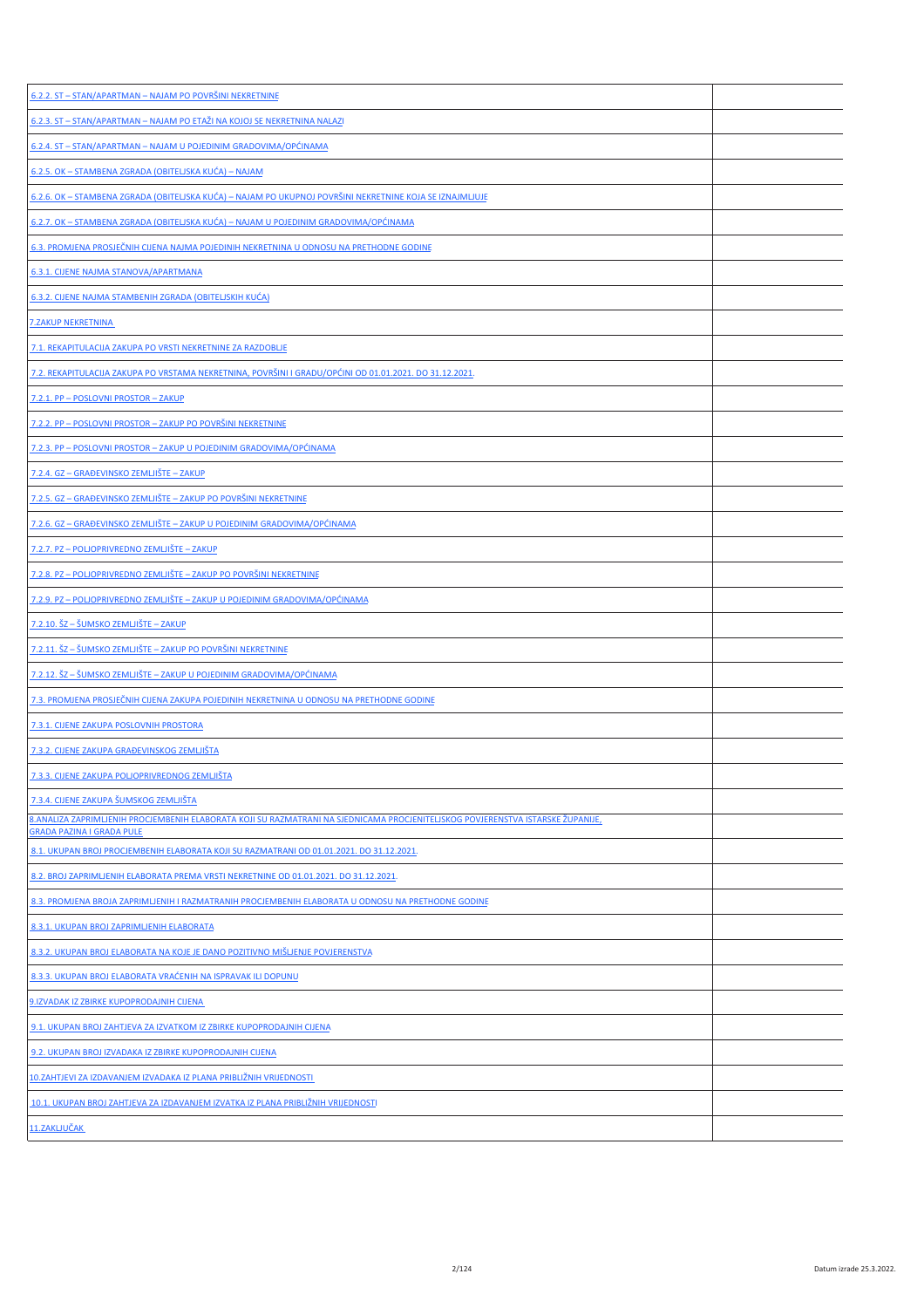| 6.2.2. ST - STAN/APARTMAN - NAJAM PO POVRŠINI NEKRETNINE                                                                                                            |  |
|---------------------------------------------------------------------------------------------------------------------------------------------------------------------|--|
| 6.2.3. ST - STAN/APARTMAN - NAJAM PO ETAŽI NA KOJOJ SE NEKRETNINA NALAZI                                                                                            |  |
| 6.2.4. ST - STAN/APARTMAN - NAJAM U POJEDINIM GRADOVIMA/OPĆINAMA                                                                                                    |  |
| 6.2.5. OK - STAMBENA ZGRADA (OBITELJSKA KUĆA) - NAJAM                                                                                                               |  |
| 6.2.6. OK - STAMBENA ZGRADA (OBITELJSKA KUĆA) - NAJAM PO UKUPNOJ POVRŠINI NEKRETNINE KOJA SE IZNAJMLJUJE                                                            |  |
| 6.2.7. OK - STAMBENA ZGRADA (OBITELJSKA KUĆA) - NAJAM U POJEDINIM GRADOVIMA/OPĆINAMA                                                                                |  |
| 6.3. PROMJENA PROSJEČNIH CIJENA NAJMA POJEDINIH NEKRETNINA U ODNOSU NA PRETHODNE GODINE                                                                             |  |
| 6.3.1. CIJENE NAJMA STANOVA/APARTMANA                                                                                                                               |  |
| 6.3.2. CIJENE NAJMA STAMBENIH ZGRADA (OBITELJSKIH KUĆA)                                                                                                             |  |
| <b>7.ZAKUP NEKRETNINA</b>                                                                                                                                           |  |
| 7.1. REKAPITULACIJA ZAKUPA PO VRSTI NEKRETNINE ZA RAZDOBLJE                                                                                                         |  |
| 7.2. REKAPITULACIJA ZAKUPA PO VRSTAMA NEKRETNINA, POVRŠINI I GRADU/OPĆINI OD 01.01.2021. DO 31.12.2021.                                                             |  |
| 7.2.1. PP - POSLOVNI PROSTOR - ZAKUP                                                                                                                                |  |
| 7.2.2. PP - POSLOVNI PROSTOR - ZAKUP PO POVRŠINI NEKRETNINE                                                                                                         |  |
| <u>7.2.3. PP – POSLOVNI PROSTOR – ZAKUP U POJEDINIM GRADOVIMA/OPĆINAMA</u>                                                                                          |  |
| <u> 7.2.4. GZ – GRAĐEVINSKO ZEMLJIŠTE – ZAKUP</u>                                                                                                                   |  |
| 7.2.5. GZ - GRAĐEVINSKO ZEMLJIŠTE - ZAKUP PO POVRŠINI NEKRETNINE                                                                                                    |  |
| 7.2.6. GZ - GRAĐEVINSKO ZEMLJIŠTE - ZAKUP U POJEDINIM GRADOVIMA/OPĆINAMA                                                                                            |  |
| 7.2.7. PZ - POLJOPRIVREDNO ZEMLJIŠTE - ZAKUP                                                                                                                        |  |
| 7.2.8. PZ - POLJOPRIVREDNO ZEMLJIŠTE - ZAKUP PO POVRŠINI NEKRETNINE                                                                                                 |  |
| <u>7.2.9. PZ – POLJOPRIVREDNO ZEMLJIŠTE – ZAKUP U POJEDINIM GRADOVIMA/OPĆINAMA</u>                                                                                  |  |
| 7.2.10. ŠZ – ŠUMSKO ZEMLJIŠTE – ZAKUP                                                                                                                               |  |
| 7.2.11. ŠZ – ŠUMSKO ZEMLJIŠTE – ZAKUP PO POVRŠINI NEKRETNINE                                                                                                        |  |
| 7.2.12. ŠZ – ŠUMSKO ZEMLJIŠTE – ZAKUP U POJEDINIM GRADOVIMA/OPĆINAMA                                                                                                |  |
| 7.3. PROMJENA PROSJEČNIH CIJENA ZAKUPA POJEDINIH NEKRETNINA U ODNOSU NA PRETHODNE GODINE                                                                            |  |
| 7.3.1. CIJENE ZAKUPA POSLOVNIH PROSTORA                                                                                                                             |  |
| 7.3.2. CIJENE ZAKUPA GRAĐEVINSKOG ZEMLJIŠTA                                                                                                                         |  |
| 7.3.3. CIJENE ZAKUPA POLJOPRIVREDNOG ZEMLJIŠTA                                                                                                                      |  |
| 7.3.4. CIJENE ZAKUPA ŠUMSKOG ZEMLJIŠTA                                                                                                                              |  |
| 8.ANALIZA ZAPRIMLJENIH PROCJEMBENIH ELABORATA KOJI SU RAZMATRANI NA SJEDNICAMA PROCJENITELJSKOG POVJERENSTVA ISTARSKE ŽUPANIJE,<br><b>GRADA PAZINA I GRADA PULE</b> |  |
| 8.1. UKUPAN BROJ PROCJEMBENIH ELABORATA KOJI SU RAZMATRANI OD 01.01.2021. DO 31.12.2021.                                                                            |  |
| 8.2. BROJ ZAPRIMLJENIH ELABORATA PREMA VRSTI NEKRETNINE OD 01.01.2021. DO 31.12.2021.                                                                               |  |
| 8.3. PROMJENA BROJA ZAPRIMLJENIH I RAZMATRANIH PROCJEMBENIH ELABORATA U ODNOSU NA PRETHODNE GODINE                                                                  |  |
| 8.3.1. UKUPAN BROJ ZAPRIMLJENIH ELABORATA                                                                                                                           |  |
| 8.3.2. UKUPAN BROJ ELABORATA NA KOJE JE DANO POZITIVNO MIŠLJENJE POVJERENSTVA                                                                                       |  |
| 8.3.3. UKUPAN BROJ ELABORATA VRAĆENIH NA ISPRAVAK ILI DOPUNU                                                                                                        |  |
| 9. IZVADAK IZ ZBIRKE KUPOPRODAJNIH CIJENA                                                                                                                           |  |
| 9.1. UKUPAN BROJ ZAHTJEVA ZA IZVATKOM IZ ZBIRKE KUPOPRODAJNIH CIJENA                                                                                                |  |
| 9.2. UKUPAN BROJ IZVADAKA IZ ZBIRKE KUPOPRODAJNIH CIJENA                                                                                                            |  |
| 10.ZAHTJEVI ZA IZDAVANJEM IZVADAKA IZ PLANA PRIBLIŽNIH VRIJEDNOSTI                                                                                                  |  |
| 10.1. UKUPAN BROJ ZAHTJEVA ZA IZDAVANJEM IZVATKA IZ PLANA PRIBLIŽNIH VRIJEDNOSTI                                                                                    |  |
| 11.ZAKLJUČAK                                                                                                                                                        |  |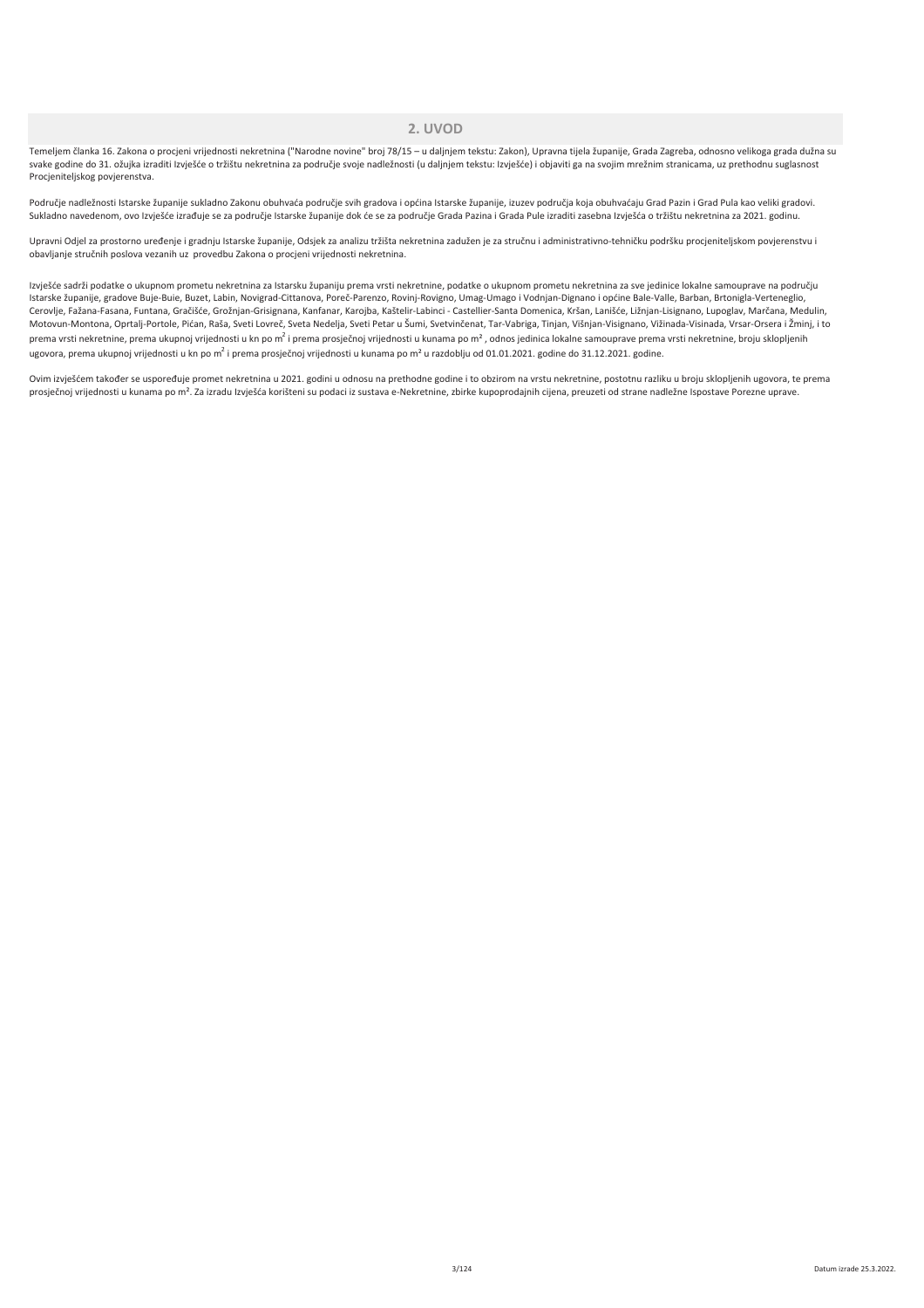### 2. LIVOD

Temeljem članka 16. Zakona o procjeni vrijednosti nekretnina ("Narodne novine" broj 78/15 - u daljnjem tekstu: Zakon), Upravna tijela županije, Grada Zagreba, odnosno velikoga grada dužna su svake godine do 31. ožujka izraditi Izvješće o tržištu nekretnina za područje svoje nadležnosti (u daljnjem tekstu: Izvješće) i objaviti ga na svojim mrežnim stranicama, uz prethodnu suglasnost Procjeniteljskog povjerenstva.

Područje nadležnosti Istarske županije sukladno Zakonu obuhvaća područje svih gradova i općina Istarske županije, izuzev područja koja obuhvaćaju Grad Pazin i Grad Pula kao veliki gradovi. Sukladno navedenom, ovo Izvješće izrađuje se za područje Istarske županije dok će se za područje Grada Pazina i Grada Pule izraditi zasebna Izvješća o tržištu nekretnina za 2021. godinu.

Upravni Odjel za prostorno uređenje i gradnju Istarske županije, Odsjek za analizu tržišta nekretnina zadužen je za stručnu i administrativno-tehničku podršku procjeniteljskom povjerenstvu i obavljanje stručnih poslova vezanih uz provedbu Zakona o procjeni vrijednosti nekretnina.

Izvješće sadrži podatke o ukupnom prometu nekretnina za Istarsku županiju prema vrsti nekretnine, podatke o ukupnom prometu nekretnina za sve jedinice lokalne samouprave na području Istarske županije, gradove Buje-Buie, Buzet, Labin, Novigrad-Cittanova, Poreč-Parenzo, Rovinj-Rovigno, Umag-Umago i Vodnjan-Dignano i općine Bale-Valle, Barban, Brtonigla-Verteneglio, Cerovlje, Fažana-Fasana, Funtana, Gračišće, Grožnjan-Grisignana, Kanfanar, Karojba, Kaštelir-Labinci - Castellier-Santa Domenica, Kršan, Lanišće, Ližnjan-Lisignano, Lupoglav, Marčana, Medulin, Motovun-Montona, Oprtalj-Portole, Pićan, Raša, Sveti Lovreč, Sveta Nedelja, Sveti Petar u Šumi, Svetvinčenat, Tar-Vabriga, Tinjan, Višnjan-Visignano, Vižinada-Visinada, Vrsar-Orsera i Žminj, i to prema vrsti nekretnine, prema ukupnoj vrijednosti u kn po m<sup>2</sup> i prema prosječnoj vrijednosti u kunama po m<sup>2</sup>, odnos jedinica lokalne samouprave prema vrsti nekretnine, broju sklopljenih ugovora, prema ukupnoj vrijednosti u kn po m<sup>2</sup> i prema prosječnoj vrijednosti u kunama po m<sup>2</sup> u razdoblju od 01.01.2021. godine do 31.12.2021. godine.

Ovim izvješćem također se uspoređuje promet nekretnina u 2021. godini u odnosu na prethodne godine i to obzirom na vrstu nekretnine, postotnu razliku u broju sklopljenih ugovora, te prema prosječnoj vrijednosti u kunama po m<sup>2</sup>. Za izradu Izvješća korišteni su podaci iz sustava e-Nekretnine, zbirke kupoprodajnih cijena, preuzeti od strane nadležne Ispostave Porezne uprave.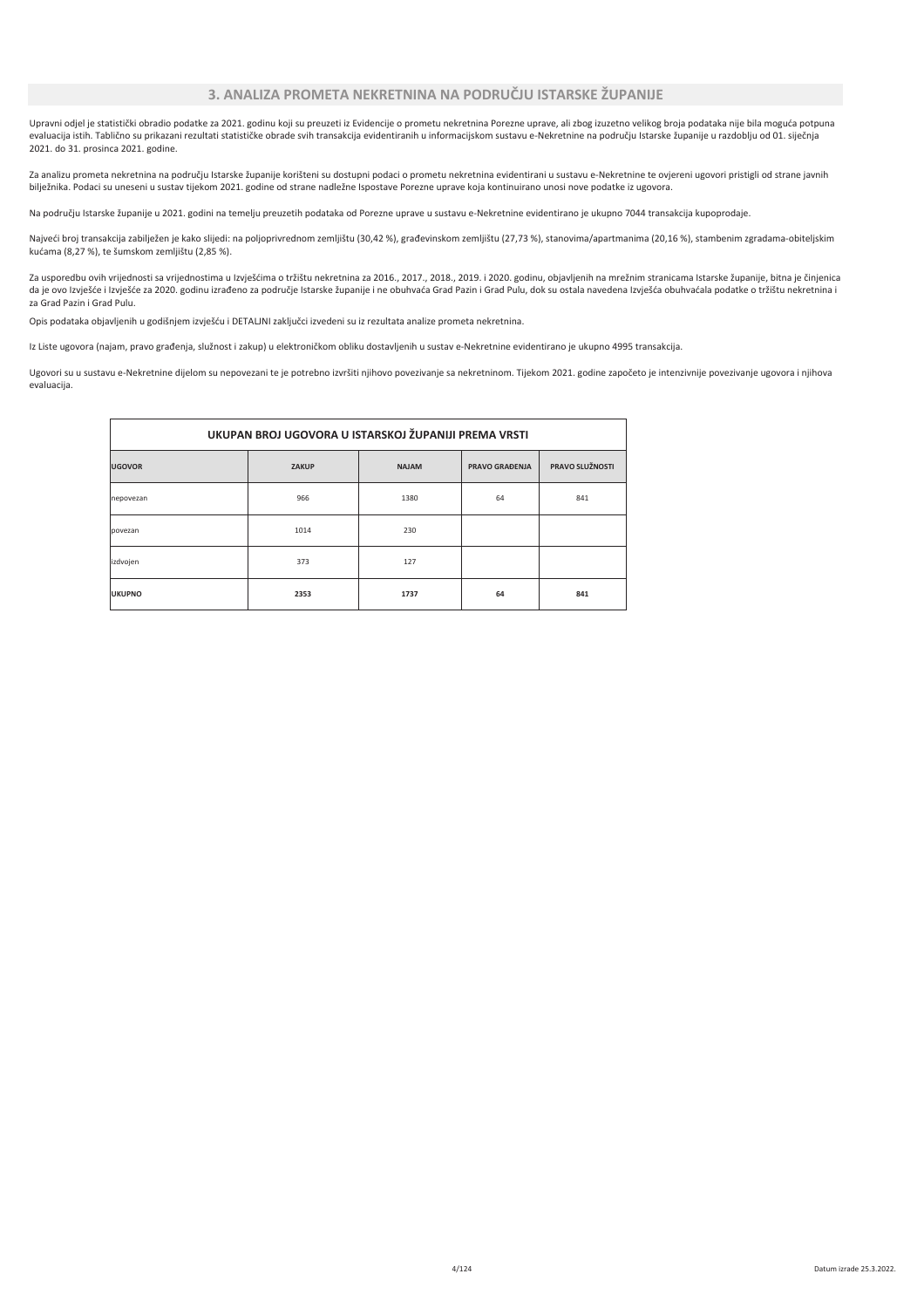Upravni odjel je statistički obradio podatke za 2021. godinu koji su preuzeti iz Evidencije o prometu nekretnina Porezne uprave, ali zbog izuzetno velikog broja podataka nije bila moguća potpuna evaluacija istih. Tablično su prikazani rezultati statističke obrade svih transakcija evidentiranih u informacijskom sustavu e-Nekretnine na području Istarske županije u razdoblju od 01. siječnja 2021. do 31. prosinca 2021. godine.

Za analizu prometa nekretnina na području Istarske županije korišteni su dostupni podaci o prometu nekretnina evidentirani u sustavu e-Nekretnine te ovjereni ugovori pristigli od strane javnih bilježnika. Podaci su uneseni u sustav tijekom 2021. godine od strane nadležne Ispostave Porezne uprave koja kontinuirano unosi nove podatke iz ugovora.

Na području Istarske županije u 2021. godini na temelju preuzetih podataka od Porezne uprave u sustavu e-Nekretnine evidentirano je ukupno 7044 transakcija kupoprodaje.

Najveći broj transakcija zabilježen je kako slijedi: na poljoprivrednom zemljištu (30,42 %), građevinskom zemljištu (27,73 %), stanovima/apartmanima (20,16 %), stambenim zgradama-obiteljskim kućama (8,27 %), te šumskom zemljištu (2,85 %).

Za usporedbu ovih vrijednosti sa vrijednostima u Izvješćima o tržištu nekretnina za 2016., 2017., 2018., 2019. i 2020. godinu, objavljenih na mrežnim stranicama Istarske županije, bitna je činjenica da je ovo Izvješće i Izvješće za 2020. godinu izrađeno za područje Istarske županije i ne obuhvaća Grad Pazin i Grad Pulu, dok su ostala navedena Izvješća obuhvaćala podatke o tržištu nekretnina i ر<br>Ta Grad Pazin i Grad Pulu

Opis podataka objavljenih u godišnjem izvješću i DETALJNI zaključci izvedeni su iz rezultata analize prometa nekretnina.

Iz Liste ugovora (najam, pravo građenja, služnost i zakup) u elektroničkom obliku dostavljenih u sustav e-Nekretnine evidentirano je ukupno 4995 transakcija.

Ugovori su u sustavu e-Nekretnine dijelom su nepovezani te je potrebno izvršiti njihovo povezivanje sa nekretninom. Tijekom 2021. godine započeto je intenzivnije povezivanje ugovora i njihova evaluacija.

| UKUPAN BROJ UGOVORA U ISTARSKOJ ŽUPANIJI PREMA VRSTI |              |              |                       |                 |  |  |  |  |  |
|------------------------------------------------------|--------------|--------------|-----------------------|-----------------|--|--|--|--|--|
| <b>JGOVOR</b>                                        | <b>ZAKUP</b> | <b>NAJAM</b> | <b>PRAVO GRAĐENJA</b> | PRAVO SLUŽNOSTI |  |  |  |  |  |
| hepovezan                                            | 966          | 1380         | 64                    | 841             |  |  |  |  |  |
| povezan                                              | 1014         | 230          |                       |                 |  |  |  |  |  |
| zdvojen                                              | 373          | 127          |                       |                 |  |  |  |  |  |
| <b>JKUPNO</b>                                        | 2353         | 1737         | 64                    | 841             |  |  |  |  |  |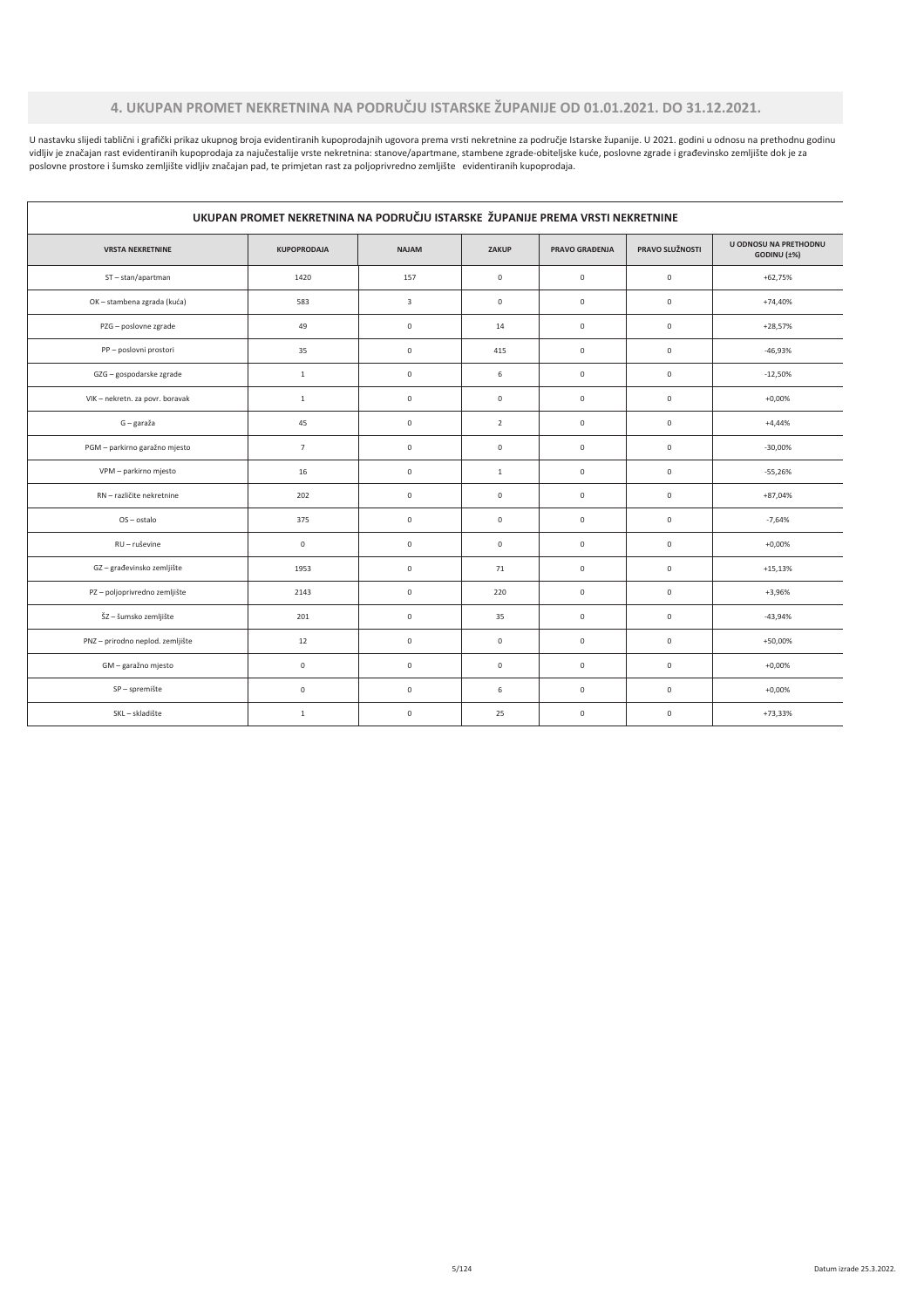# 4. UKUPAN PROMET NEKRETNINA NA PODRUČJU ISTARSKE ŽUPANIJE OD 01.01.2021. DO 31.12.2021.

U nastavku slijedi tablični i grafički prikaz ukupnog broja evidentiranih kupoprodajnih ugovora prema vrsti nekretnine za područje Istarske županije. U 2021. godini u odnosu na prethodnu godinu o income a constant in the product of the product of the product of the product of the product of the product of the product of the product of the product of the product of the product of the product of the product of the

 $\mathbf{r}$ 

| UKUPAN PROMET NEKRETNINA NA PODRUČJU ISTARSKE ŽUPANIJE PREMA VRSTI NEKRETNINE |                     |                     |                     |                       |                 |                                      |  |
|-------------------------------------------------------------------------------|---------------------|---------------------|---------------------|-----------------------|-----------------|--------------------------------------|--|
| <b>VRSTA NEKRETNINE</b>                                                       | <b>KUPOPRODAJA</b>  | <b>NAJAM</b>        | ZAKUP               | <b>PRAVO GRAĐENJA</b> | PRAVO SLUŽNOSTI | U ODNOSU NA PRETHODNU<br>GODINU (±%) |  |
| ST-stan/apartman                                                              | 1420                | 157                 | $\mathbf 0$         | $\circ$               | $\mathsf 0$     | $+62,75%$                            |  |
| OK - stambena zgrada (kuća)                                                   | 583                 | 3                   | $\mathsf{O}\xspace$ | $\mathbf 0$           | $\mathbb O$     | $+74,40%$                            |  |
| PZG - poslovne zgrade                                                         | 49                  | $\mathsf 0$         | 14                  | $\mathsf 0$           | $\mathsf 0$     | $+28,57%$                            |  |
| PP - poslovni prostori                                                        | 35                  | 0                   | 415                 | $\mathsf 0$           | $\mathbb O$     | $-46,93%$                            |  |
| GZG - gospodarske zgrade                                                      | $\mathbf{1}$        | $\mathsf 0$         | 6                   | $\mathsf 0$           | $\mathsf 0$     | $-12,50%$                            |  |
| VIK - nekretn. za povr. boravak                                               | $\mathbf{1}$        | 0                   | $\mathsf{O}\xspace$ | $\mathsf{O}\xspace$   | $\mathbb O$     | $+0,00%$                             |  |
| G - garaža                                                                    | 45                  | $\mathsf{O}\xspace$ | $\overline{2}$      | $\mathbb O$           | $\mathbb O$     | $+4,44%$                             |  |
| PGM - parkirno garažno mjesto                                                 | $\overline{7}$      | 0                   | $\mathsf{O}\xspace$ | $\mathsf{O}\xspace$   | $\mathbb O$     | $-30,00%$                            |  |
| VPM - parkirno mjesto                                                         | 16                  | $\mathsf 0$         | $\mathbf{1}$        | $\mathsf 0$           | $\mathsf 0$     | $-55,26%$                            |  |
| RN - različite nekretnine                                                     | 202                 | $\mathsf{O}\xspace$ | $\mathsf{O}\xspace$ | $\mathbb O$           | $\mathsf 0$     | $+87,04%$                            |  |
| OS-ostalo                                                                     | 375                 | $\mathsf{O}\xspace$ | $\mathsf{O}\xspace$ | $\mathsf{O}\xspace$   | $\mathbb O$     | $-7,64%$                             |  |
| RU - ruševine                                                                 | $\mathsf{O}\xspace$ | $\mathsf 0$         | $\mathsf{O}\xspace$ | $\mathbb O$           | $\mathbb O$     | $+0,00%$                             |  |
| GZ-građevinsko zemljište                                                      | 1953                | $\mathsf 0$         | 71                  | $\mathsf 0$           | $\mathbb O$     | $+15,13%$                            |  |
| PZ - poljoprivredno zemljište                                                 | 2143                | $\mathsf 0$         | 220                 | $\mathbb O$           | $\mathbb O$     | $+3,96%$                             |  |
| ŠZ - šumsko zemljište                                                         | 201                 | 0                   | 35                  | $\mathsf{O}\xspace$   | $\mathbb O$     | $-43,94%$                            |  |
| PNZ - prirodno neplod. zemljište                                              | 12                  | $\mathsf 0$         | $\mathsf{O}\xspace$ | $\mathbb O$           | $\mathbb O$     | $+50,00%$                            |  |
| GM - garažno mjesto                                                           | $\mathsf{O}\xspace$ | $\mathsf 0$         | $\mathsf{O}\xspace$ | $\mathbb O$           | $\mathsf 0$     | $+0,00%$                             |  |
| SP-spremište                                                                  | $\mathsf{O}\xspace$ | 0                   | 6                   | $\mathbb O$           | $\mathsf 0$     | $+0,00%$                             |  |
| SKL-skladište                                                                 | $\mathbf{1}$        | $\mathsf 0$         | 25                  | $\mathsf{O}\xspace$   | $\mathbb O$     | $+73,33%$                            |  |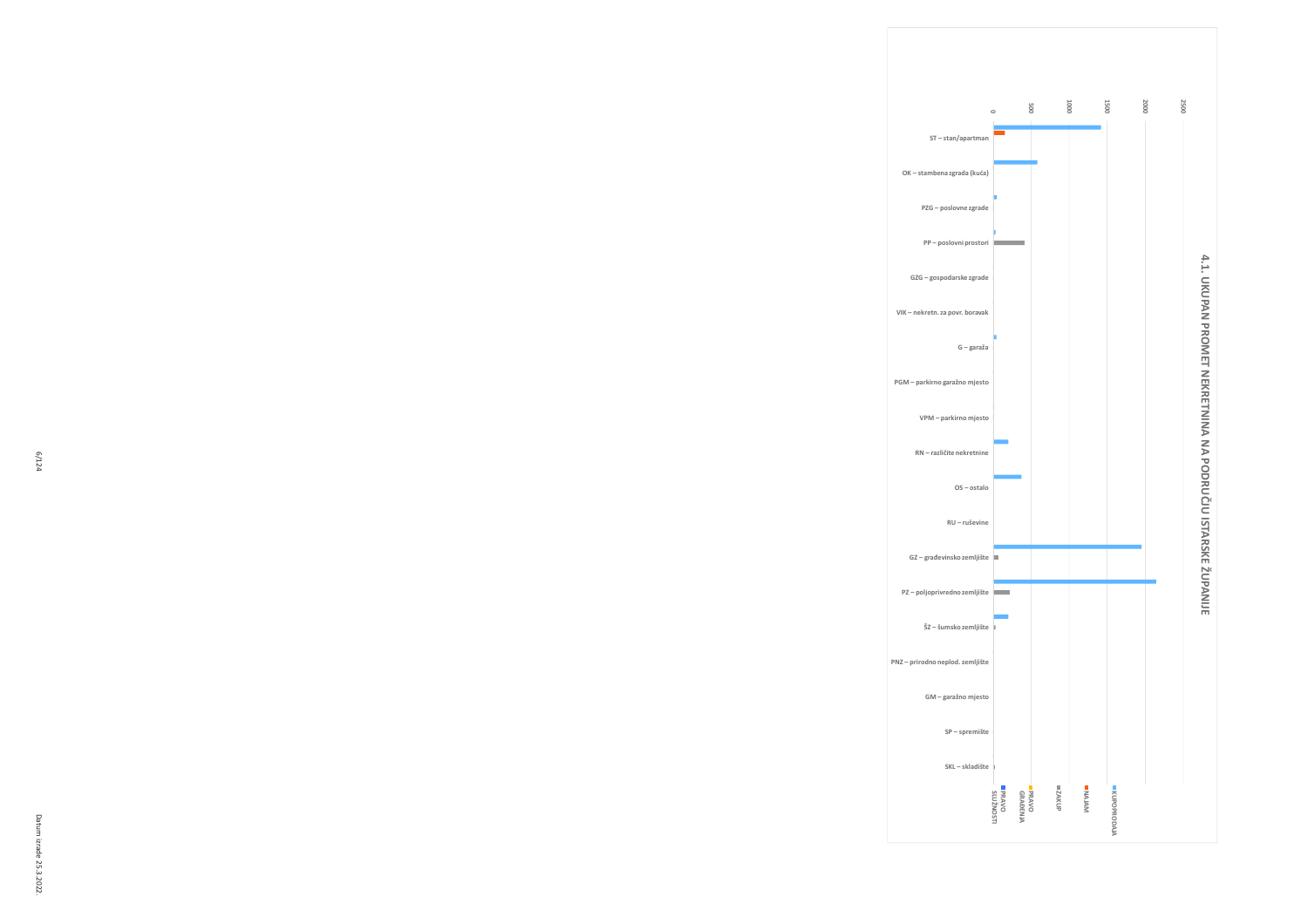





 $\begin{picture}(180,170) \put(0,0){\line(1,0){10}} \put(10,0){\line(1,0){10}} \put(10,0){\line(1,0){10}} \put(10,0){\line(1,0){10}} \put(10,0){\line(1,0){10}} \put(10,0){\line(1,0){10}} \put(10,0){\line(1,0){10}} \put(10,0){\line(1,0){10}} \put(10,0){\line(1,0){10}} \put(10,0){\line(1,0){10}} \put(10,0){\line(1,0){10}} \put(10,0){\line$ 

ST-stan/apartman

OK - stambena zgrada (kuća)

PZG - poslovne zgrade

GZG - gospodarske zgrade

RN - različite nekretnine

OS-ostalo

RU-ruševine

 $GZ - gradevinsko zemljište$ 

PZ - poljoprivredno zemljište

ŠZ – šumsko zemljište

GM - garažno mjesto

SP-spremište

SKL – skladište

**BRAVO**<br>- SLUŽNOSTI **E PRAVO<br>GRAĐENJA**  HONAZ III **NAJAM** MLPOPRODAJA

PNZ - prirodno neplod. zemljište

PP - poslovni prostori

 $G - garaža$ 

**2500** 

4.1. UKUPAN PROMET NEKRETNINA NA PODRUČJU ISTARSKE ŽUPANIJE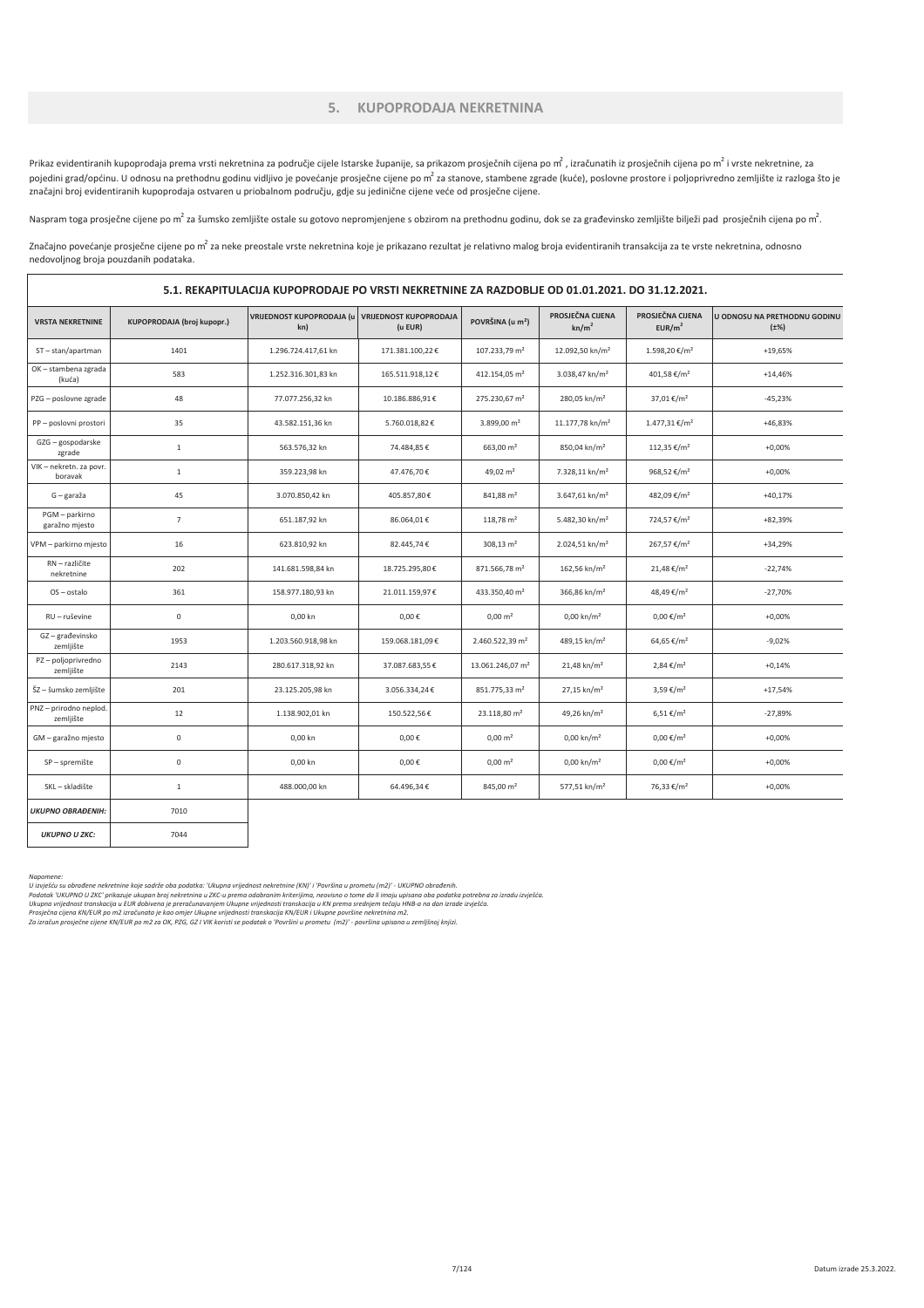#### 5. KUPOPRODAJA NEKRETNINA

Prikaz evidentiranih kupoprodaja prema vrsti nekretnina za područje cijele Istarske županije, sa prikazom prosječnih cijena po m<sup>2</sup> vrste nekretnine, za posječnih cijena po m<sup>2</sup> i vrste nekretnine, za pojedini grad/općinu. U odnosu na prethodnu godinu vidljivo je povećanje prosječne cijene po m<sup>2</sup> za stanove, stambene zgrade (kuće), poslovne prostore i poljoprivredno zemljište iz razloga što je značajni broj evidentiranih kupoprodaja ostvaren u priobalnom području, gdje su jedinične cijene veće od prosječne cijene.

Naspram toga prosječne cijene po m $^2$  za šumsko zemljište ostale su gotovo nepromjenjene s obzirom na prethodnu godinu, dok se za građevinsko zemljište bilježi pad prosječnih cijena po m $^2$ .

Značajno povećanje prosječne cijene po m<sup>2</sup> za neke preostale vrste nekretnina koje je prikazano rezultat je relativno malog broja evidentiranih transakcija za te vrste nekretnina, odnosno nedovoljnog broja pouzdanih podataka.

|                                     | 5.1. REKAPITULACIJA KUPOPRODAJE PO VRSTI NEKRETNINE ZA RAZDOBLJE OD 01.01.2021. DO 31.12.2021. |                                         |                                          |                              |                                       |                                        |                                           |  |  |
|-------------------------------------|------------------------------------------------------------------------------------------------|-----------------------------------------|------------------------------------------|------------------------------|---------------------------------------|----------------------------------------|-------------------------------------------|--|--|
| <b>VRSTA NEKRETNINE</b>             | <b>KUPOPRODAJA (broj kupopr.)</b>                                                              | <b>VRIJEDNOST KUPOPRODAJA (u</b><br>kn) | <b>VRIJEDNOST KUPOPRODAJA</b><br>(u EUR) | POVRŠINA (u m <sup>2</sup> ) | PROSJEČNA CIJENA<br>kn/m <sup>2</sup> | PROSJEČNA CIJENA<br>EUR/m <sup>2</sup> | U ODNOSU NA PRETHODNU GODINU<br>$(\pm\%)$ |  |  |
| ST-stan/apartman                    | 1401                                                                                           | 1.296.724.417,61 kn                     | 171.381.100,22€                          | 107.233,79 m <sup>2</sup>    | 12.092,50 kn/m <sup>2</sup>           | 1.598,20 €/m <sup>2</sup>              | +19,65%                                   |  |  |
| OK - stambena zgrada<br>(kuća)      | 583                                                                                            | 1.252.316.301.83 kn                     | 165.511.918.12€                          | 412.154.05 m <sup>2</sup>    | 3.038.47 kn/m <sup>2</sup>            | 401.58 €/m <sup>2</sup>                | $+14,46%$                                 |  |  |
| PZG - poslovne zgrade               | 48                                                                                             | 77.077.256,32 kn                        | 10.186.886,91€                           | 275.230,67 m <sup>2</sup>    | 280,05 kn/m <sup>2</sup>              | 37,01 €/m <sup>2</sup>                 | $-45,23%$                                 |  |  |
| PP - poslovni prostori              | 35                                                                                             | 43.582.151,36 kn                        | 5.760.018,82€                            | 3.899,00 m <sup>2</sup>      | 11.177,78 kn/m <sup>2</sup>           | $1.477,31 \notin /m^2$                 | +46,83%                                   |  |  |
| GZG - gospodarske<br>zgrade         | $\,1\,$                                                                                        | 563.576,32 kn                           | 74.484,85€                               | 663,00 m <sup>2</sup>        | 850,04 kn/m <sup>2</sup>              | 112,35 €/m <sup>2</sup>                | $+0,00%$                                  |  |  |
| VIK - nekretn. za povr.<br>boravak  | $\mathbf{1}$                                                                                   | 359.223,98 kn                           | 47.476,70€                               | 49,02 m <sup>2</sup>         | 7.328,11 kn/m <sup>2</sup>            | 968,52 €/m <sup>2</sup>                | $+0,00%$                                  |  |  |
| G - garaža                          | 45                                                                                             | 3.070.850,42 kn                         | 405.857,80€                              | 841,88 m <sup>2</sup>        | $3.647,61$ kn/m <sup>2</sup>          | 482,09 €/m <sup>2</sup>                | $+40,17%$                                 |  |  |
| PGM - parkirno<br>garažno mjesto    | $\overline{7}$                                                                                 | 651.187,92 kn                           | 86.064,01€                               | $118,78 \text{ m}^2$         | 5.482,30 kn/m <sup>2</sup>            | 724,57 €/m <sup>2</sup>                | +82,39%                                   |  |  |
| VPM - parkirno mjesto               | 16                                                                                             | 623.810,92 kn                           | 82.445,74€                               | $308,13 \text{ m}^2$         | 2.024,51 kn/m <sup>2</sup>            | 267,57 €/m <sup>2</sup>                | +34,29%                                   |  |  |
| RN - različite<br>nekretnine        | 202                                                                                            | 141.681.598,84 kn                       | 18.725.295,80€                           | 871.566,78 m <sup>2</sup>    | 162,56 kn/m <sup>2</sup>              | 21,48 €/m <sup>2</sup>                 | $-22,74%$                                 |  |  |
| OS-ostalo                           | 361                                                                                            | 158.977.180,93 kn                       | 21.011.159,97€                           | 433.350,40 m <sup>2</sup>    | 366,86 kn/m <sup>2</sup>              | 48,49 €/m <sup>2</sup>                 | $-27,70%$                                 |  |  |
| RU - ruševine                       | $\mathsf 0$                                                                                    | 0,00 kn                                 | $0,00 \in$                               | $0,00 \, \text{m}^2$         | $0,00 \text{ km/m}^2$                 | $0,00 \in /m^2$                        | $+0,00%$                                  |  |  |
| GZ-građevinsko<br>zemljište         | 1953                                                                                           | 1.203.560.918,98 kn                     | 159.068.181,09€                          | 2.460.522,39 m <sup>2</sup>  | 489,15 kn/m <sup>2</sup>              | 64,65 €/m <sup>2</sup>                 | $-9,02%$                                  |  |  |
| PZ-poljoprivredno<br>zemljište      | 2143                                                                                           | 280.617.318,92 kn                       | 37.087.683,55€                           | 13.061.246,07 m <sup>2</sup> | $21,48$ kn/m <sup>2</sup>             | $2,84 \in /m^2$                        | $+0,14%$                                  |  |  |
| ŠZ - šumsko zemljište               | 201                                                                                            | 23.125.205,98 kn                        | 3.056.334,24€                            | 851.775,33 m <sup>2</sup>    | 27,15 kn/m <sup>2</sup>               | 3,59 €/m <sup>2</sup>                  | $+17,54%$                                 |  |  |
| PNZ - prirodno neplod.<br>zemljište | 12                                                                                             | 1.138.902,01 kn                         | 150.522,56€                              | 23.118,80 m <sup>2</sup>     | 49,26 kn/m <sup>2</sup>               | $6,51 \in /m^2$                        | $-27,89%$                                 |  |  |
| GM - garažno mjesto                 | $\mathsf 0$                                                                                    | 0,00 kn                                 | $0,00 \in$                               | $0,00 \; \text{m}^2$         | $0,00 \text{ km/m}^2$                 | $0,00 \in /m^2$                        | $+0,00%$                                  |  |  |
| SP - spremište                      | $\mathsf{O}\xspace$                                                                            | 0,00 kn                                 | $0,00 \in$                               | $0,00 \, \text{m}^2$         | $0,00 \text{ km/m}^2$                 | $0,00 \in /m^2$                        | $+0,00%$                                  |  |  |
| SKL - skladište                     | $\mathbf{1}$                                                                                   | 488.000,00 kn                           | 64.496,34€                               | 845,00 m <sup>2</sup>        | 577,51 kn/m <sup>2</sup>              | 76,33 €/m <sup>2</sup>                 | $+0,00%$                                  |  |  |
| <b>UKUPNO OBRAĐENIH:</b>            | 7010                                                                                           |                                         |                                          |                              |                                       |                                        |                                           |  |  |

 $\overline{\phantom{a}}$ 

UKUPNO U ZK

Napomene:<br>U izvješu su obrađene nekretnine koje sadrže oba podatka: "Ukupna vrijednost nekretnine (KN)" i "Površina u prometu (m2)" - UKUPNO obrađenih.<br>Podatak "UKUPNO U ZKC" prikazuje ukupan broj nekretnina u ZKC-u prema

7044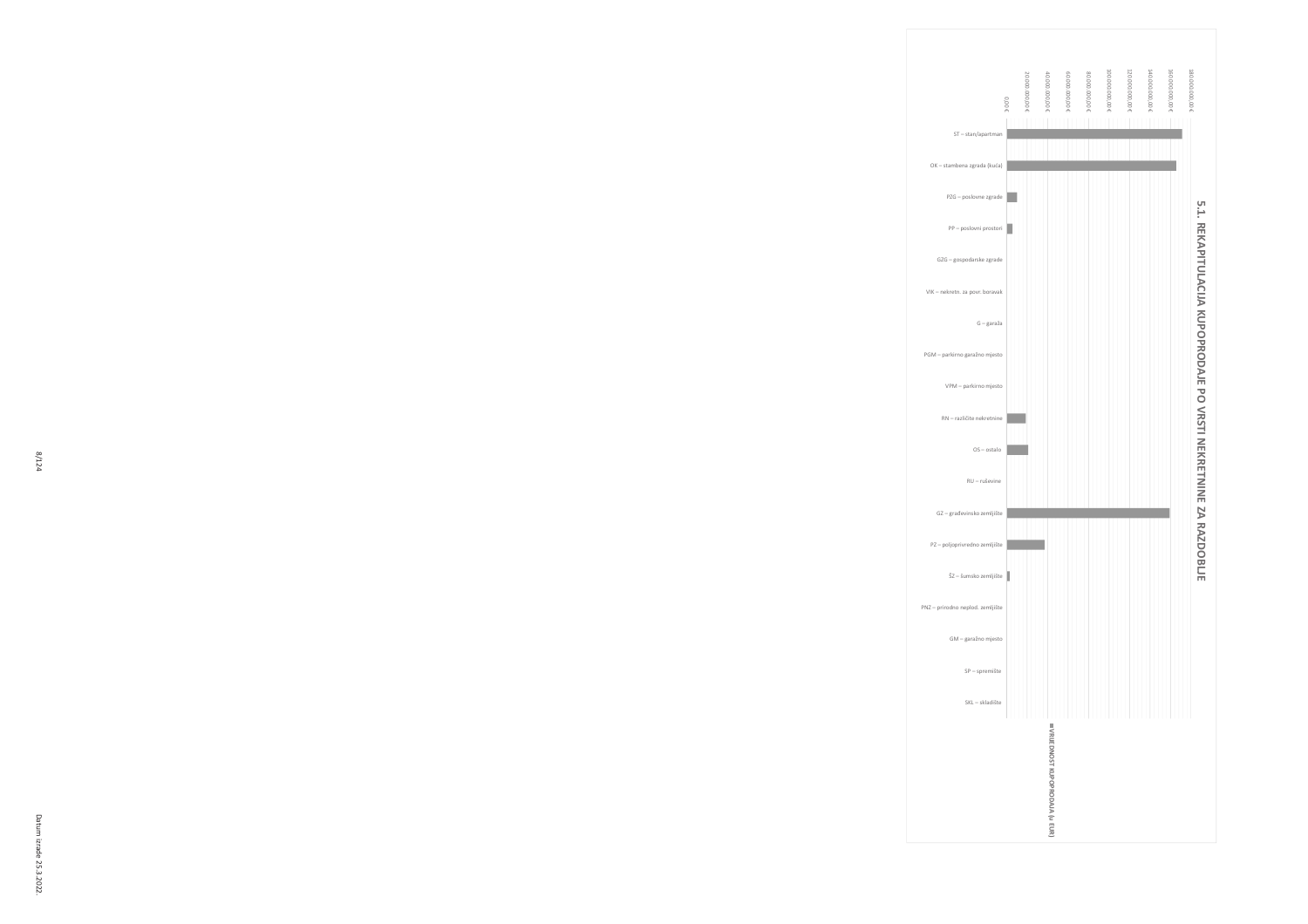

VPM - parkirno mjesto RN – različite nekretnine

# OK – stambena zgrada (kuća) PZG - poslovne zgrade  $PP - postovni prostori$ GZG – gospodarske zerade VIK - nekretn. za povr. boravak  $G-garaža$ PGM - parkirno garažno mjesto OS - ostalo RU – ruševine G2 – građevinsko zemljište PZ - poljoprivredno zemljište  $\overline{S}Z$  – šumsko zemljište PNZ – prirodno neplod. zemljište GM - garažno mjesto SP - spremište  $SKL-skladište$ 5.1. REKAPITULACI **IA KUPOPRODAJE PO VRST I NEKRETNI NE ZA RAZDOBLJE VRIJEDNOST** KUPOPRODAJA (u EUR)

160.000.000,00 180.000.000,00

0,00 € )))))))#))N )))))))#))N 00.000.000.00 ')))))))#))N 100.000.000.006 120.000.000,00 € 140.000.000,006 160.000.000,000 € 180.000.000,00 €

ST – stan/apartman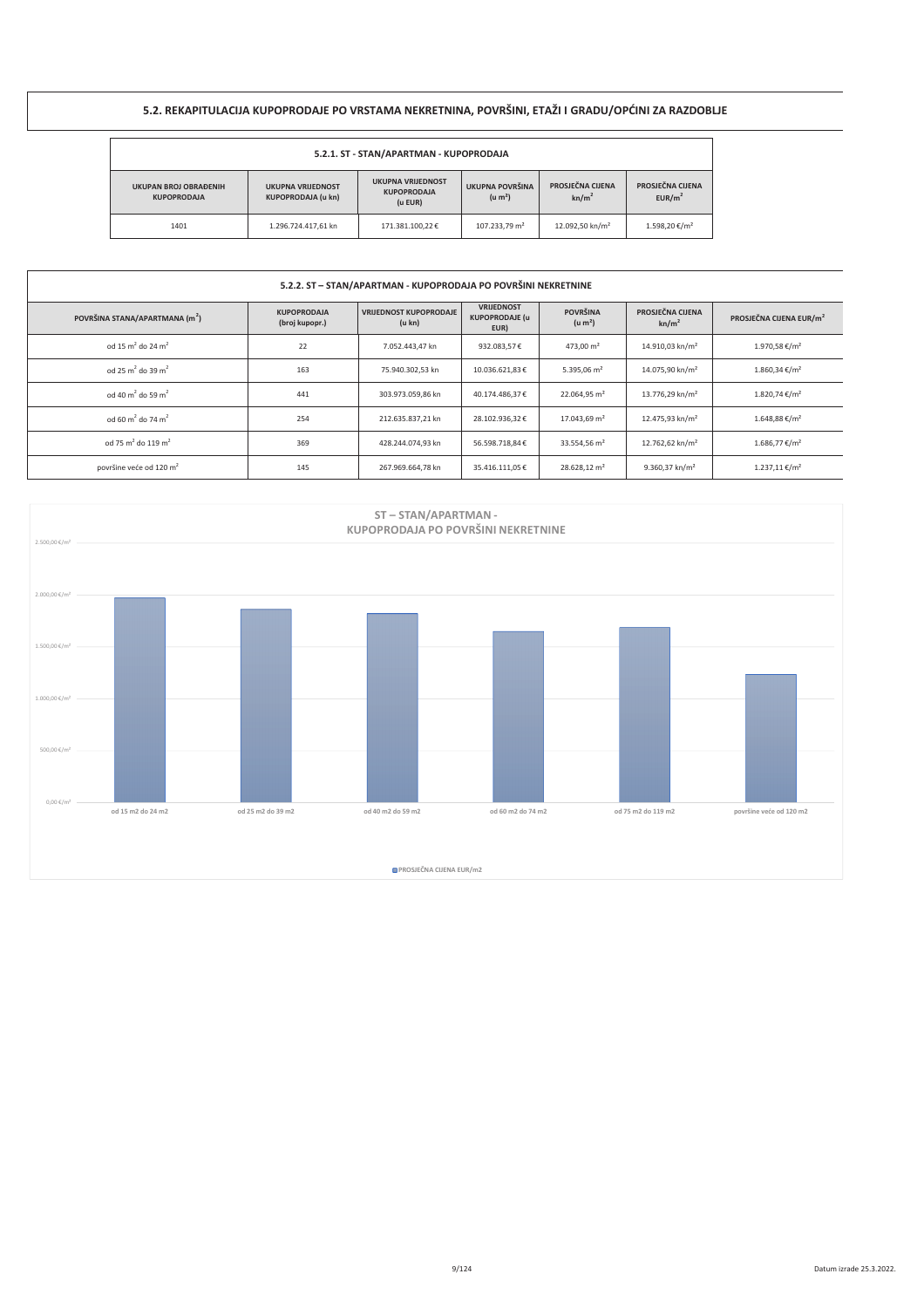# 5.2. REKAPITULACIJA KUPOPRODAJE PO VRSTAMA NEKRETNINA, POVRŠINI, ETAŽI I GRADU/OPĆINI ZA RAZDOBLJE

| 5.2.1. ST - STAN/APARTMAN - KUPOPRODAJA                                                                                                                                  |                     |                 |                                        |                                       |                                        |  |  |
|--------------------------------------------------------------------------------------------------------------------------------------------------------------------------|---------------------|-----------------|----------------------------------------|---------------------------------------|----------------------------------------|--|--|
| <b>UKUPNA VRIJEDNOST</b><br><b>UKUPAN BROJ OBRAĐENIH</b><br><b>UKUPNA VRIJEDNOST</b><br><b>KUPOPRODAJA</b><br><b>KUPOPRODAJA (u kn)</b><br><b>KUPOPRODAJA</b><br>(u EUR) |                     |                 | UKUPNA POVRŠINA<br>(u m <sup>2</sup> ) | PROSJEČNA CIJENA<br>kn/m <sup>2</sup> | PROSJEČNA CIJENA<br>EUR/m <sup>2</sup> |  |  |
| 1401                                                                                                                                                                     | 1.296.724.417,61 kn | 171.381.100.22€ | 107.233.79 m <sup>2</sup>              | 12.092.50 kn/m <sup>2</sup>           | 1.598.20 €/m <sup>2</sup>              |  |  |

### 5.2.2. ST - STAN/APARTMAN - KUPOPRODAJA PO POVRŠINI NEKRETNINE

| POVRŠINA STANA/APARTMANA (m <sup>2</sup> ) | <b>KUPOPRODAJA</b><br>(broj kupopr.) | <b>VRIJEDNOST KUPOPRODAJE</b><br>(u kn) | <b>VRIJEDNOST</b><br><b>KUPOPRODAJE (u</b><br>EUR) | <b>POVRŠINA</b><br>(u m <sup>2</sup> ) | PROSJEČNA CIJENA<br>kn/m <sup>2</sup> | PROSJEČNA CIJENA EUR/m <sup>2</sup> |
|--------------------------------------------|--------------------------------------|-----------------------------------------|----------------------------------------------------|----------------------------------------|---------------------------------------|-------------------------------------|
| od 15 m <sup>2</sup> do 24 m <sup>2</sup>  | 22                                   | 7.052.443.47 kn                         | 932.083,57€                                        | 473.00 $m2$                            | 14.910.03 kn/m <sup>2</sup>           | 1.970.58 €/m <sup>2</sup>           |
| od 25 m <sup>2</sup> do 39 m <sup>2</sup>  | 163                                  | 75.940.302.53 kn                        | 10.036.621.83€                                     | 5.395.06 $m2$                          | 14.075.90 kn/m <sup>2</sup>           | $1.860.34 \text{€/m}^2$             |
| od 40 m <sup>2</sup> do 59 m <sup>2</sup>  | 441                                  | 303.973.059.86 kn                       | 40.174.486.37€                                     | 22.064.95 m <sup>2</sup>               | 13.776.29 kn/m <sup>2</sup>           | $1.820.74 \text{€/m}^2$             |
| od 60 m <sup>2</sup> do 74 m <sup>2</sup>  | 254                                  | 212.635.837.21 kn                       | 28.102.936.32€                                     | 17.043.69 m <sup>2</sup>               | 12.475.93 kn/m <sup>2</sup>           | $1.648.88 \text{€/m}^2$             |
| od 75 m <sup>2</sup> do 119 m <sup>2</sup> | 369                                  | 428.244.074.93 kn                       | 56.598.718.84€                                     | 33.554.56 m <sup>2</sup>               | 12.762.62 kn/m <sup>2</sup>           | $1.686.77$ €/m <sup>2</sup>         |
| površine veće od 120 m <sup>2</sup>        | 145                                  | 267.969.664.78 kn                       | 35.416.111.05€                                     | 28.628.12 m <sup>2</sup>               | $9.360.37$ kn/m <sup>2</sup>          | 1.237.11 €/m <sup>2</sup>           |

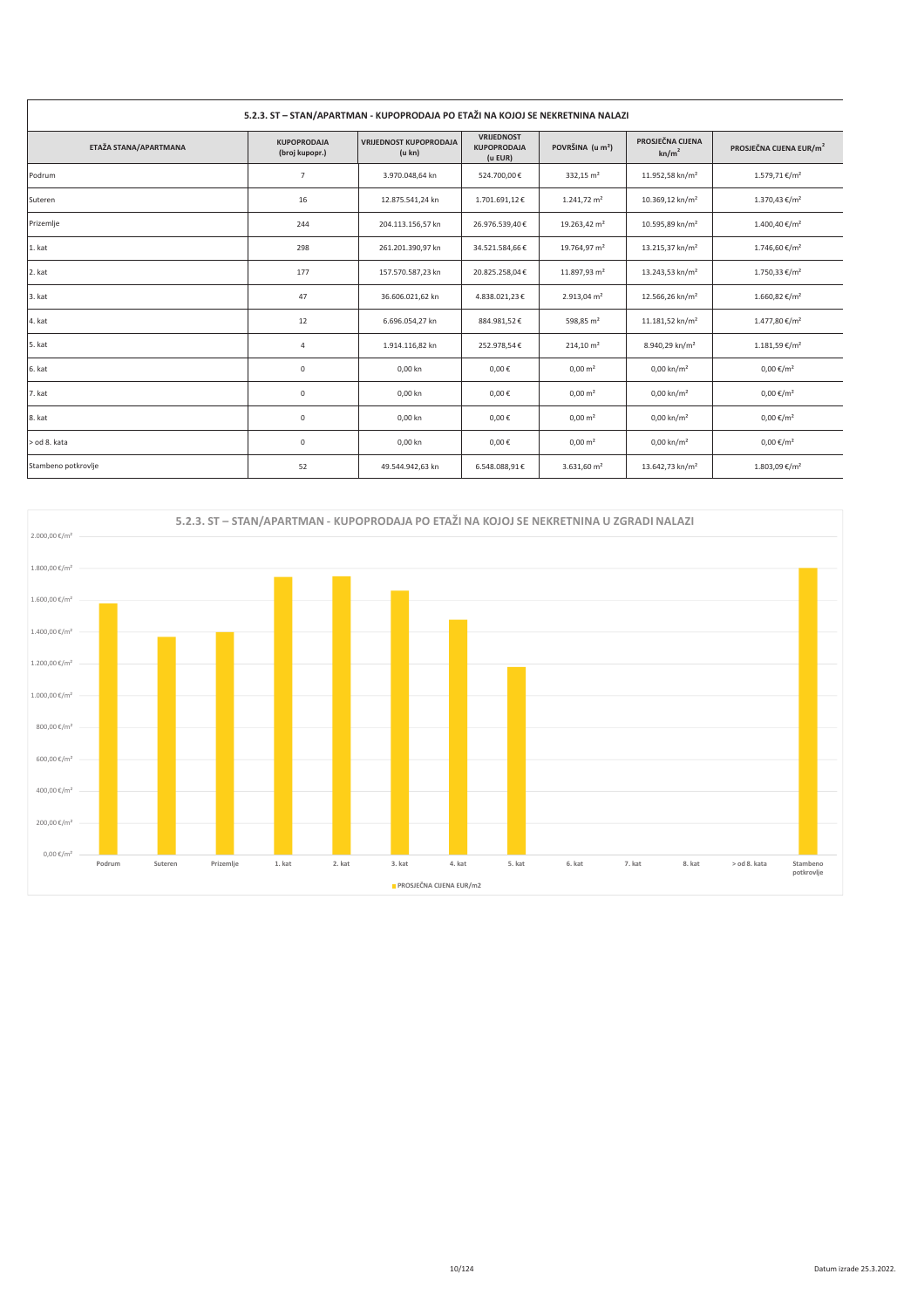| 5.2.3. ST - STAN/APARTMAN - KUPOPRODAJA PO ETAŽI NA KOJOJ SE NEKRETNINA NALAZI |                                      |                                         |                                             |                              |                                       |                                     |  |
|--------------------------------------------------------------------------------|--------------------------------------|-----------------------------------------|---------------------------------------------|------------------------------|---------------------------------------|-------------------------------------|--|
| ETAŽA STANA/APARTMANA                                                          | <b>KUPOPRODAJA</b><br>(broj kupopr.) | <b>VRIJEDNOST KUPOPRODAJA</b><br>(u kn) | VRIJEDNOST<br><b>KUPOPRODAJA</b><br>(u EUR) | POVRŠINA (u m <sup>2</sup> ) | PROSJEČNA CIJENA<br>kn/m <sup>2</sup> | PROSJEČNA CIJENA EUR/m <sup>2</sup> |  |
| Podrum                                                                         | 7                                    | 3.970.048,64 kn                         | 524.700,00€                                 | 332,15 m <sup>2</sup>        | 11.952,58 kn/m <sup>2</sup>           | 1.579,71 €/m <sup>2</sup>           |  |
| Suteren                                                                        | 16                                   | 12.875.541,24 kn                        | 1.701.691,12€                               | $1.241,72 \text{ m}^2$       | 10.369,12 kn/m <sup>2</sup>           | $1.370,43 \notin /m^2$              |  |
| Prizemlje                                                                      | 244                                  | 204.113.156,57 kn                       | 26.976.539,40€                              | 19.263,42 m <sup>2</sup>     | 10.595,89 kn/m <sup>2</sup>           | 1.400,40 €/m <sup>2</sup>           |  |
| 1. kat                                                                         | 298                                  | 261.201.390,97 kn                       | 34.521.584,66€                              | 19.764,97 m <sup>2</sup>     | 13.215,37 kn/m <sup>2</sup>           | 1.746,60 €/m <sup>2</sup>           |  |
| 2. kat                                                                         | 177                                  | 157.570.587,23 kn                       | 20.825.258,04€                              | 11.897,93 m <sup>2</sup>     | 13.243,53 kn/m <sup>2</sup>           | 1.750,33 €/m <sup>2</sup>           |  |
| 3. kat                                                                         | 47                                   | 36.606.021,62 kn                        | 4.838.021,23€                               | $2.913,04 \text{ m}^2$       | 12.566,26 kn/m <sup>2</sup>           | $1.660,82 \notin /m^2$              |  |
| 4. kat                                                                         | 12                                   | 6.696.054,27 kn                         | 884.981,52€                                 | 598,85 m <sup>2</sup>        | 11.181,52 kn/m <sup>2</sup>           | 1.477,80 €/m <sup>2</sup>           |  |
| 5. kat                                                                         | 4                                    | 1.914.116,82 kn                         | 252.978,54€                                 | $214,10 \text{ m}^2$         | 8.940,29 kn/m <sup>2</sup>            | $1.181,59 \in /m^2$                 |  |
| 6. kat                                                                         | $\mathsf 0$                          | 0,00 kn                                 | $0,00 \in$                                  | $0,00 \text{ m}^2$           | $0,00 \text{ km/m}^2$                 | $0,00 \in /m^2$                     |  |
| 7. kat                                                                         | $\mathsf{O}\xspace$                  | 0,00 kn                                 | $0,00 \in$                                  | $0,00 \text{ m}^2$           | $0,00 \text{ km/m}^2$                 | $0,00 \in /m^2$                     |  |
| 8. kat                                                                         | 0                                    | 0,00 kn                                 | $0,00 \in$                                  | $0,00 \text{ m}^2$           | $0,00 \text{ km/m}^2$                 | $0,00 \in /m^2$                     |  |
| > od 8. kata                                                                   | 0                                    | 0,00 kn                                 | $0,00 \in$                                  | $0,00 \text{ m}^2$           | $0,00 \text{ km/m}^2$                 | $0,00 \in /m^2$                     |  |
| Stambeno potkrovlje                                                            | 52                                   | 49.544.942,63 kn                        | 6.548.088,91€                               | 3.631,60 $m2$                | 13.642,73 kn/m <sup>2</sup>           | 1.803,09 €/m <sup>2</sup>           |  |

 $\overline{\phantom{a}}$ 

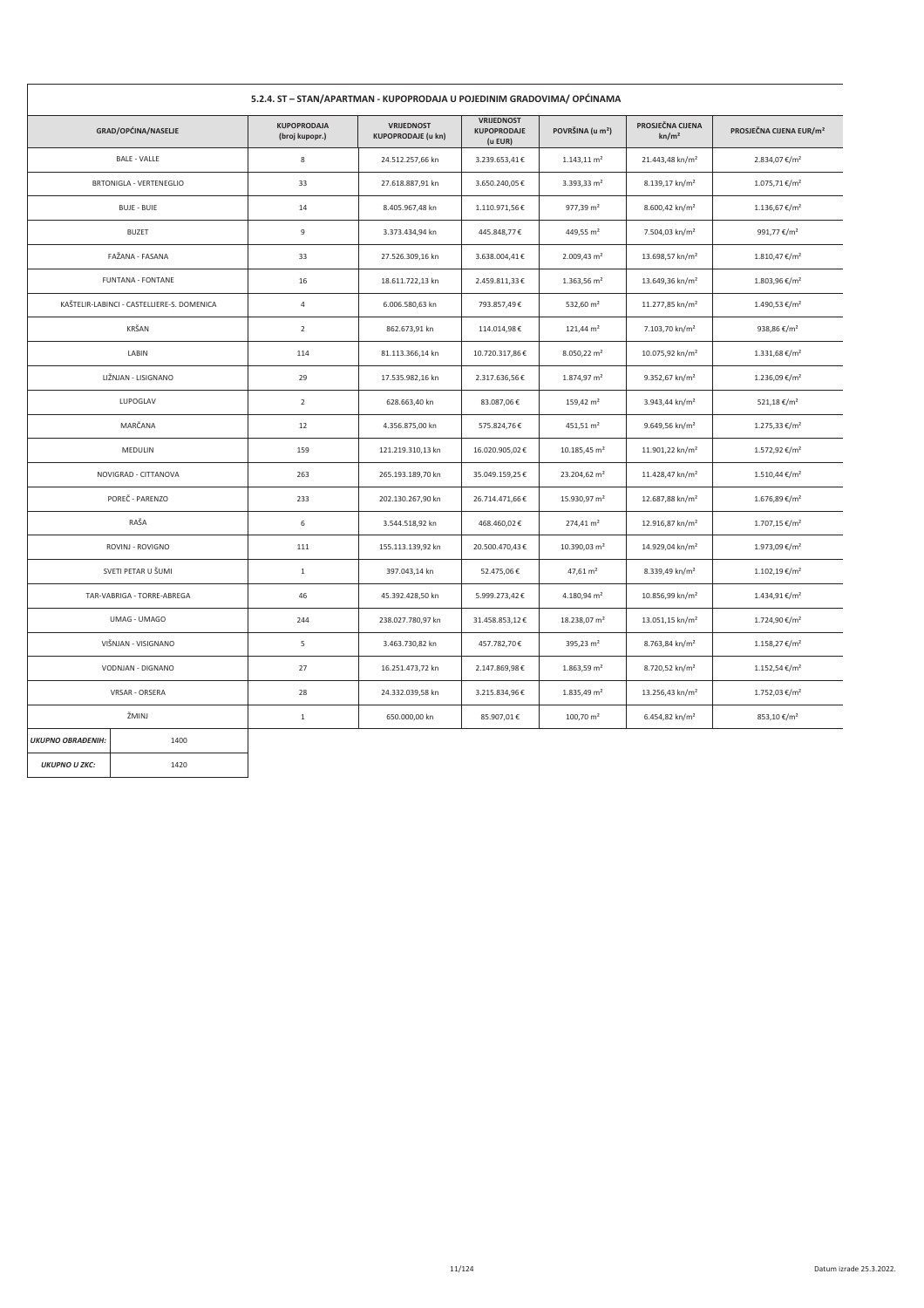| 5.2.4. ST - STAN/APARTMAN - KUPOPRODAJA U POJEDINIM GRADOVIMA/ OPCINAMA |                                            |                                      |                                                |                                             |                              |                                       |                                     |  |
|-------------------------------------------------------------------------|--------------------------------------------|--------------------------------------|------------------------------------------------|---------------------------------------------|------------------------------|---------------------------------------|-------------------------------------|--|
|                                                                         | GRAD/OPĆINA/NASELJE                        | <b>KUPOPRODAJA</b><br>(broj kupopr.) | <b>VRIJEDNOST</b><br><b>KUPOPRODAJE (u kn)</b> | <b>VRIJEDNOST</b><br>KUPOPRODAJE<br>(u EUR) | POVRŠINA (u m <sup>2</sup> ) | PROSJEČNA CIJENA<br>kn/m <sup>2</sup> | PROSJEČNA CIJENA EUR/m <sup>2</sup> |  |
|                                                                         | <b>BALE - VALLE</b>                        | 8                                    | 24.512.257,66 kn                               | 3.239.653,41€                               | $1.143, 11 \text{ m}^2$      | 21.443,48 kn/m <sup>2</sup>           | 2.834,07 €/m <sup>2</sup>           |  |
|                                                                         | BRTONIGLA - VERTENEGLIO                    | 33                                   | 27.618.887,91 kn                               | 3.650.240,05€                               | 3.393,33 m <sup>2</sup>      | 8.139,17 kn/m <sup>2</sup>            | $1.075,71 \notin /m^2$              |  |
|                                                                         | <b>BUJE - BUIE</b>                         | $14\,$                               | 8.405.967,48 kn                                | 1.110.971,56€                               | 977,39 m <sup>2</sup>        | 8.600,42 kn/m <sup>2</sup>            | $1.136,67$ €/m <sup>2</sup>         |  |
|                                                                         | <b>BUZET</b>                               | 9                                    | 3.373.434,94 kn                                | 445.848,77€                                 | 449,55 m <sup>2</sup>        | 7.504,03 kn/m <sup>2</sup>            | 991,77 €/m <sup>2</sup>             |  |
|                                                                         | FAŽANA - FASANA                            | 33                                   | 27.526.309,16 kn                               | 3.638.004,41€                               | 2.009,43 m <sup>2</sup>      | 13.698,57 kn/m <sup>2</sup>           | $1.810,47$ €/m <sup>2</sup>         |  |
|                                                                         | <b>FUNTANA - FONTANE</b>                   | 16                                   | 18.611.722,13 kn                               | 2.459.811,33€                               | $1.363,56$ m <sup>2</sup>    | 13.649,36 kn/m <sup>2</sup>           | 1.803,96 €/m <sup>2</sup>           |  |
|                                                                         | KAŠTELIR-LABINCI - CASTELLIERE-S. DOMENICA | $\overline{4}$                       | 6.006.580,63 kn                                | 793.857,49€                                 | 532,60 m <sup>2</sup>        | 11.277,85 kn/m <sup>2</sup>           | 1.490,53 €/m <sup>2</sup>           |  |
|                                                                         | KRŠAN                                      | $\overline{2}$                       | 862.673,91 kn                                  | 114.014,98€                                 | $121,44 \text{ m}^2$         | 7.103,70 kn/m <sup>2</sup>            | 938,86 €/m <sup>2</sup>             |  |
|                                                                         | LABIN                                      | 114                                  | 81.113.366,14 kn                               | 10.720.317,86€                              | 8.050,22 m <sup>2</sup>      | 10.075,92 kn/m <sup>2</sup>           | $1.331,68 \text{€}/m^2$             |  |
|                                                                         | LIŽNJAN - LISIGNANO                        | 29                                   | 17.535.982,16 kn                               | 2.317.636,56€                               | 1.874,97 m <sup>2</sup>      | 9.352,67 kn/m <sup>2</sup>            | 1.236,09 €/m <sup>2</sup>           |  |
|                                                                         | LUPOGLAV                                   | 2                                    | 628.663,40 kn                                  | 83.087,06€                                  | $159,42 \text{ m}^2$         | 3.943,44 kn/m <sup>2</sup>            | 521,18 €/m <sup>2</sup>             |  |
|                                                                         | MARČANA                                    | 12                                   | 4.356.875,00 kn                                | 575.824,76€                                 | 451,51 m <sup>2</sup>        | 9.649,56 kn/m <sup>2</sup>            | 1.275,33 €/m <sup>2</sup>           |  |
|                                                                         | MEDULIN                                    | 159                                  | 121.219.310,13 kn                              | 16.020.905,02€                              | 10.185,45 m <sup>2</sup>     | 11.901,22 kn/m <sup>2</sup>           | 1.572,92 €/m <sup>2</sup>           |  |
|                                                                         | NOVIGRAD - CITTANOVA                       | 263                                  | 265.193.189,70 kn                              | 35.049.159,25€                              | 23.204,62 m <sup>2</sup>     | 11.428,47 kn/m <sup>2</sup>           | $1.510,44 \notin /m^2$              |  |
|                                                                         | POREČ - PARENZO                            | 233                                  | 202.130.267,90 kn                              | 26.714.471,66€                              | 15.930,97 m <sup>2</sup>     | 12.687,88 kn/m <sup>2</sup>           | 1.676,89 €/m <sup>2</sup>           |  |
|                                                                         | RAŠA                                       | 6                                    | 3.544.518,92 kn                                | 468.460,02€                                 | $274,41 \text{ m}^2$         | 12.916,87 kn/m <sup>2</sup>           | 1.707,15 €/m <sup>2</sup>           |  |
|                                                                         | ROVINJ - ROVIGNO                           | 111                                  | 155.113.139,92 kn                              | 20.500.470,43€                              | 10.390,03 m <sup>2</sup>     | 14.929,04 kn/m <sup>2</sup>           | 1.973,09 €/m <sup>2</sup>           |  |
|                                                                         | SVETI PETAR U ŠUMI                         | $\mathbf{1}$                         | 397.043,14 kn                                  | 52.475,06€                                  | $47,61 \text{ m}^2$          | 8.339,49 kn/m <sup>2</sup>            | $1.102,19 \text{€/m}^2$             |  |
|                                                                         | TAR-VABRIGA - TORRE-ABREGA                 | 46                                   | 45.392.428,50 kn                               | 5.999.273,42€                               | 4.180,94 m <sup>2</sup>      | 10.856,99 kn/m <sup>2</sup>           | 1.434,91 €/m <sup>2</sup>           |  |
|                                                                         | UMAG - UMAGO                               | 244                                  | 238.027.780,97 kn                              | 31.458.853,12€                              | 18.238,07 m <sup>2</sup>     | 13.051,15 kn/m <sup>2</sup>           | 1.724,90 €/m <sup>2</sup>           |  |
|                                                                         | VIŠNJAN - VISIGNANO                        | 5                                    | 3.463.730,82 kn                                | 457.782,70€                                 | 395,23 $m2$                  | 8.763,84 kn/m <sup>2</sup>            | 1.158,27 €/m <sup>2</sup>           |  |
|                                                                         | VODNJAN - DIGNANO                          | 27                                   | 16.251.473,72 kn                               | 2.147.869,98€                               | $1.863,59$ m <sup>2</sup>    | 8.720,52 kn/m <sup>2</sup>            | $1.152,54 \text{€}/m^2$             |  |
|                                                                         | <b>VRSAR - ORSERA</b>                      | 28                                   | 24.332.039,58 kn                               | 3.215.834,96€                               | 1.835,49 m <sup>2</sup>      | 13.256,43 kn/m <sup>2</sup>           | 1.752,03 €/m <sup>2</sup>           |  |
|                                                                         | ŽMINJ                                      | $\mathbf{1}$                         | 650.000,00 kn                                  | 85.907,01€                                  | $100,70 \text{ m}^2$         | 6.454,82 kn/m <sup>2</sup>            | 853,10 €/m <sup>2</sup>             |  |
| <b>UKUPNO OBRAĐENIH:</b>                                                | 1400                                       |                                      |                                                |                                             |                              |                                       |                                     |  |
| <b>UKUPNO U ZKC:</b>                                                    | 1420                                       |                                      |                                                |                                             |                              |                                       |                                     |  |

# $\overline{1}$

ı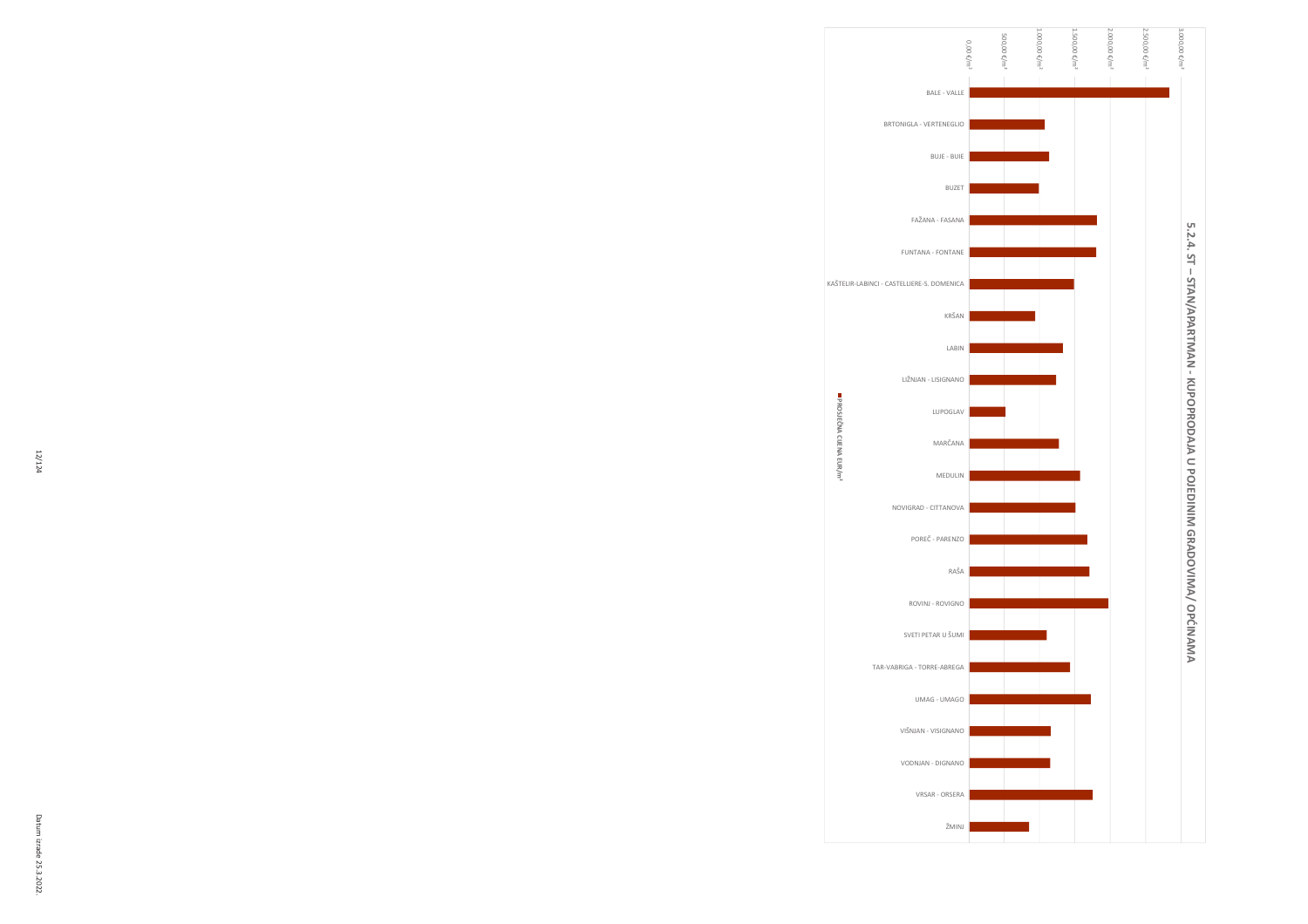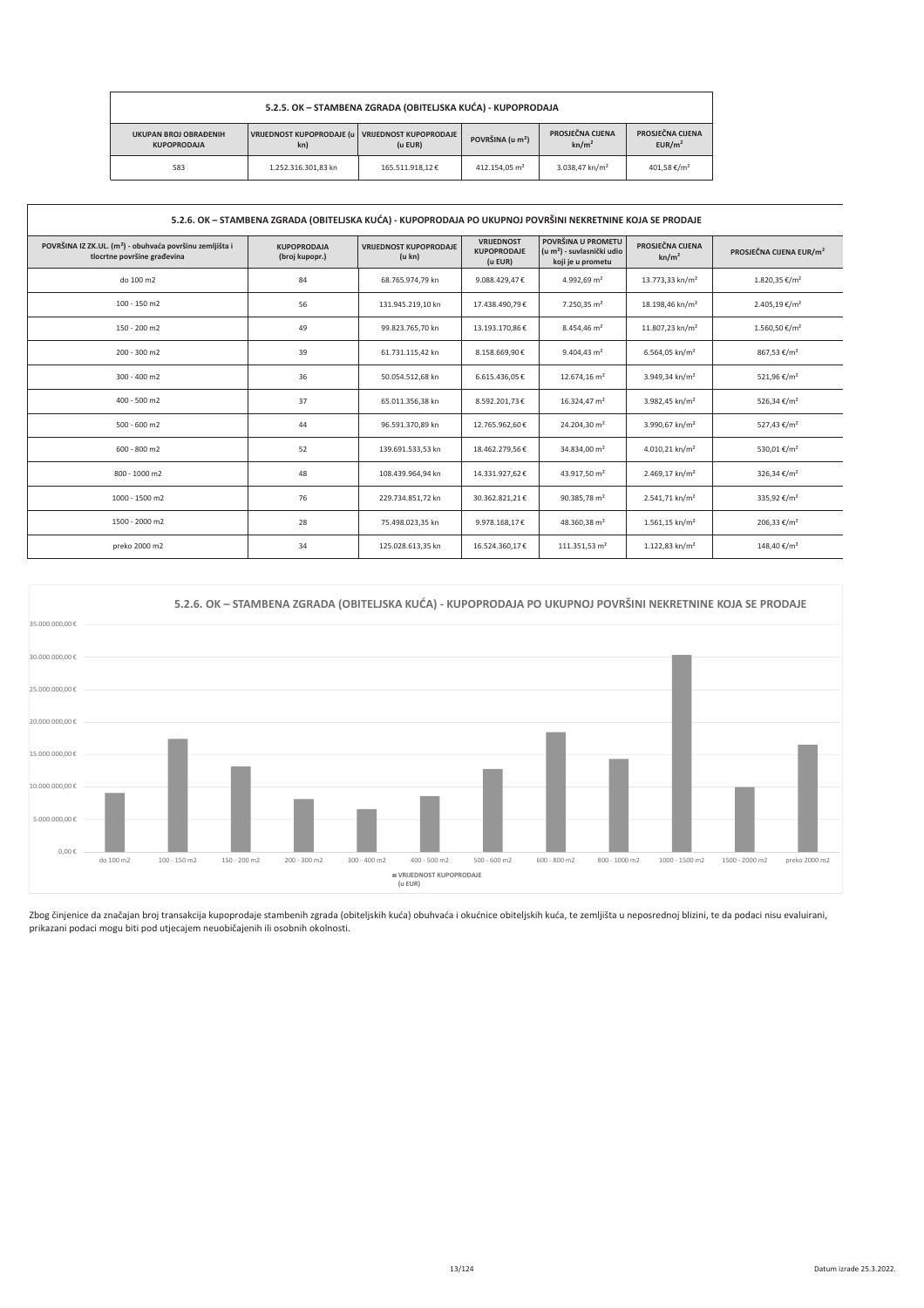| 5.2.5. OK - STAMBENA ZGRADA (OBITELJSKA KUĆA) - KUPOPRODAJA |                                                                    |                 |                           |                                       |                                        |  |
|-------------------------------------------------------------|--------------------------------------------------------------------|-----------------|---------------------------|---------------------------------------|----------------------------------------|--|
| <b>UKUPAN BROJ OBRAĐENIH</b><br><b>KUPOPRODAJA</b>          | VRIJEDNOST KUPOPRODAJE (u VRIJEDNOST KUPOPRODAJE<br>(u EUR)<br>kn) |                 |                           | PROSJEČNA CIJENA<br>kn/m <sup>2</sup> | PROSJEČNA CIJENA<br>EUR/m <sup>2</sup> |  |
| 583                                                         | 1.252.316.301.83 kn                                                | 165.511.918.12€ | 412.154.05 m <sup>2</sup> | 3.038.47 kn/m <sup>2</sup>            | 401.58 €/m <sup>2</sup>                |  |

| 5.2.6. OK - STAMBENA ZGRADA (OBITELJSKA KUĆA) - KUPOPRODAJA PO UKUPNOJ POVRŠINI NEKRETNINE KOJA SE PRODAJE |                                      |                                         |                                                    |                                                                                   |                                       |                                     |
|------------------------------------------------------------------------------------------------------------|--------------------------------------|-----------------------------------------|----------------------------------------------------|-----------------------------------------------------------------------------------|---------------------------------------|-------------------------------------|
| POVRŠINA IZ ZK.UL. (m <sup>2</sup> ) - obuhvaća površinu zemljišta i<br>tlocrtne površine građevina        | <b>KUPOPRODAJA</b><br>(broj kupopr.) | <b>VRIJEDNOST KUPOPRODAJE</b><br>(u kn) | <b>VRIJEDNOST</b><br><b>KUPOPRODAJE</b><br>(u EUR) | POVRŠINA U PROMETU<br>(u m <sup>2</sup> ) - suvlasnički udio<br>koji je u prometu | PROSJEČNA CIJENA<br>kn/m <sup>2</sup> | PROSJEČNA CIJENA EUR/m <sup>2</sup> |
| do 100 m2                                                                                                  | 84                                   | 68.765.974,79 kn                        | 9.088.429.47€                                      | 4.992.69 $m2$                                                                     | 13.773,33 kn/m <sup>2</sup>           | 1.820,35 €/m <sup>2</sup>           |
| 100 - 150 m2                                                                                               | 56                                   | 131.945.219,10 kn                       | 17.438.490,79€                                     | 7.250,35 m <sup>2</sup>                                                           | 18.198,46 kn/m <sup>2</sup>           | 2.405,19 €/m <sup>2</sup>           |
| 150 - 200 m2                                                                                               | 49                                   | 99.823.765,70 kn                        | 13.193.170,86€                                     | 8.454,46 m <sup>2</sup>                                                           | 11.807,23 kn/m <sup>2</sup>           | 1.560,50 €/m <sup>2</sup>           |
| 200 - 300 m2                                                                                               | 39                                   | 61.731.115,42 kn                        | 8.158.669,90€                                      | $9.404,43 \text{ m}^2$                                                            | 6.564,05 kn/m <sup>2</sup>            | 867,53 €/m <sup>2</sup>             |
| 300 - 400 m2                                                                                               | 36                                   | 50.054.512,68 kn                        | 6.615.436,05€                                      | 12.674,16 m <sup>2</sup>                                                          | 3.949,34 kn/m <sup>2</sup>            | 521,96 €/m <sup>2</sup>             |
| 400 - 500 m2                                                                                               | 37                                   | 65.011.356,38 kn                        | 8.592.201,73€                                      | 16.324,47 m <sup>2</sup>                                                          | 3.982,45 kn/m <sup>2</sup>            | 526,34 €/m <sup>2</sup>             |
| $500 - 600$ m2                                                                                             | 44                                   | 96.591.370.89 kn                        | 12.765.962.60€                                     | 24.204.30 m <sup>2</sup>                                                          | 3.990.67 kn/m <sup>2</sup>            | 527,43 €/m <sup>2</sup>             |
| $600 - 800$ m2                                                                                             | 52                                   | 139.691.533,53 kn                       | 18.462.279,56€                                     | 34.834,00 m <sup>2</sup>                                                          | 4.010,21 kn/m <sup>2</sup>            | 530,01 €/m <sup>2</sup>             |
| 800 - 1000 m2                                                                                              | 48                                   | 108.439.964,94 kn                       | 14.331.927,62€                                     | 43.917,50 m <sup>2</sup>                                                          | 2.469,17 kn/m <sup>2</sup>            | 326,34 €/m <sup>2</sup>             |
| 1000 - 1500 m2                                                                                             | 76                                   | 229.734.851,72 kn                       | 30.362.821,21€                                     | 90.385,78 m <sup>2</sup>                                                          | 2.541,71 kn/m <sup>2</sup>            | 335,92 €/m <sup>2</sup>             |
| 1500 - 2000 m2                                                                                             | 28                                   | 75.498.023,35 kn                        | 9.978.168,17€                                      | 48.360,38 m <sup>2</sup>                                                          | $1.561,15$ kn/m <sup>2</sup>          | 206,33 €/m <sup>2</sup>             |
| preko 2000 m2                                                                                              | 34                                   | 125.028.613,35 kn                       | 16.524.360,17€                                     | 111.351,53 m <sup>2</sup>                                                         | 1.122,83 kn/m <sup>2</sup>            | 148,40 €/m <sup>2</sup>             |



Zbog činjenice da značajan broj transakcija kupoprodaje stambenih zgrada (obiteljskih kuća i okućnice obiteljskih kuća, te zemljišta u neposrednoj blizini, te da podaci nisu evaluirani,<br>prikazani podaci mogu biti pod utjec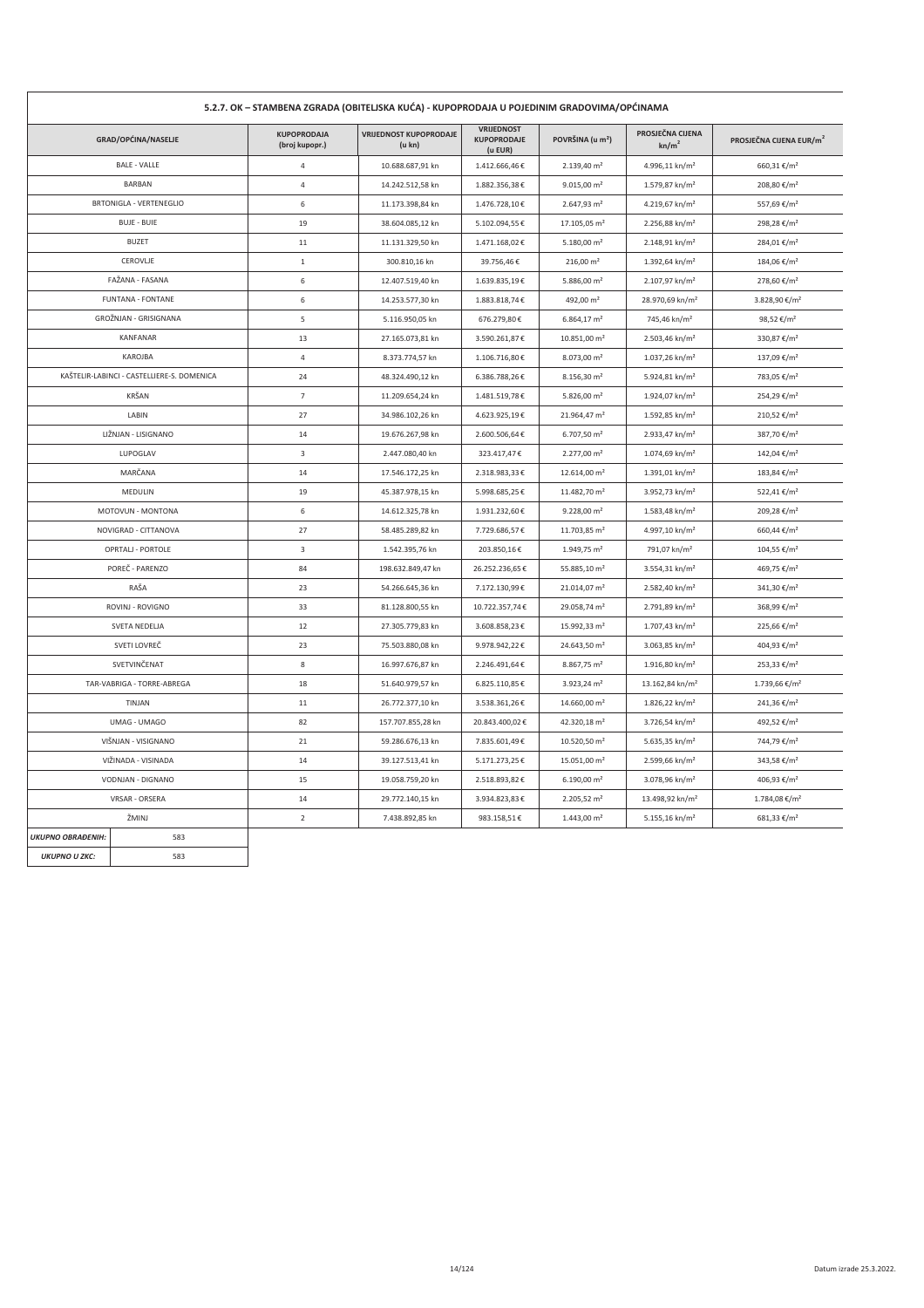| 5.2.7. OK - STAMBENA ZGRADA (OBITELJSKA KUĆA) - KUPOPRODAJA U POJEDINIM GRADOVIMA/OPĆINAMA |                                            |                                      |                                         |                                                    |                              |                                       |                                     |  |  |
|--------------------------------------------------------------------------------------------|--------------------------------------------|--------------------------------------|-----------------------------------------|----------------------------------------------------|------------------------------|---------------------------------------|-------------------------------------|--|--|
|                                                                                            | GRAD/OPĆINA/NASELJE                        | <b>KUPOPRODAJA</b><br>(broj kupopr.) | <b>VRIJEDNOST KUPOPRODAJE</b><br>(u kn) | <b>VRIJEDNOST</b><br><b>KUPOPRODAJE</b><br>(u EUR) | POVRŠINA (u m <sup>2</sup> ) | PROSJEČNA CIJENA<br>kn/m <sup>2</sup> | PROSJEČNA CIJENA EUR/m <sup>2</sup> |  |  |
|                                                                                            | <b>BALE - VALLE</b>                        | $\sqrt{4}$                           | 10.688.687,91 kn                        | 1.412.666,46€                                      | 2.139,40 m <sup>2</sup>      | 4.996,11 kn/m <sup>2</sup>            | 660,31€/m <sup>2</sup>              |  |  |
|                                                                                            | <b>BARBAN</b>                              | $\overline{4}$                       | 14.242.512,58 kn                        | 1.882.356,38€                                      | $9.015,00$ m <sup>2</sup>    | 1.579,87 kn/m <sup>2</sup>            | 208,80 €/m <sup>2</sup>             |  |  |
|                                                                                            | <b>BRTONIGLA - VERTENEGLIO</b>             | 6                                    | 11.173.398,84 kn                        | 1.476.728,10€                                      | 2.647,93 m <sup>2</sup>      | 4.219,67 kn/m <sup>2</sup>            | 557,69 €/m <sup>2</sup>             |  |  |
|                                                                                            | <b>BUJE - BUIE</b>                         | 19                                   | 38.604.085,12 kn                        | 5.102.094,55€                                      | 17.105,05 m <sup>2</sup>     | $2.256,88$ kn/m <sup>2</sup>          | 298,28 €/m <sup>2</sup>             |  |  |
|                                                                                            | <b>BUZET</b>                               | 11                                   | 11.131.329,50 kn                        | 1.471.168,02€                                      | 5.180,00 $\,$ m <sup>2</sup> | 2.148,91 kn/m <sup>2</sup>            | 284,01 €/m <sup>2</sup>             |  |  |
|                                                                                            | CEROVLJE                                   | $\mathbf{1}$                         | 300.810,16 kn                           | 39.756,46€                                         | $216,00 \text{ m}^2$         | 1.392,64 kn/m <sup>2</sup>            | 184,06 €/m <sup>2</sup>             |  |  |
|                                                                                            | FAŽANA - FASANA                            | 6                                    | 12.407.519,40 kn                        | 1.639.835,19€                                      | 5.886,00 m <sup>2</sup>      | 2.107,97 kn/m <sup>2</sup>            | 278,60 €/m <sup>2</sup>             |  |  |
|                                                                                            | <b>FUNTANA - FONTANE</b>                   | 6                                    | 14.253.577,30 kn                        | 1.883.818,74€                                      | 492,00 m <sup>2</sup>        | 28.970,69 kn/m <sup>2</sup>           | 3.828,90 €/m <sup>2</sup>           |  |  |
|                                                                                            | GROŽNJAN - GRISIGNANA                      | 5                                    | 5.116.950,05 kn                         | 676.279,80€                                        | 6.864,17 m <sup>2</sup>      | 745,46 kn/m <sup>2</sup>              | 98,52 €/m <sup>2</sup>              |  |  |
|                                                                                            | <b>KANFANAR</b>                            | 13                                   | 27.165.073,81 kn                        | 3.590.261,87€                                      | 10.851,00 m <sup>2</sup>     | 2.503,46 kn/m <sup>2</sup>            | 330,87 €/m <sup>2</sup>             |  |  |
|                                                                                            | KAROJBA                                    | $\overline{4}$                       | 8.373.774,57 kn                         | 1.106.716,80€                                      | 8.073,00 m <sup>2</sup>      | 1.037,26 kn/m <sup>2</sup>            | 137,09 €/m <sup>2</sup>             |  |  |
|                                                                                            | KAŠTELIR-LABINCI - CASTELLIERE-S. DOMENICA | 24                                   | 48.324.490,12 kn                        | 6.386.788,26€                                      | 8.156,30 m <sup>2</sup>      | 5.924,81 kn/m <sup>2</sup>            | 783,05 €/m <sup>2</sup>             |  |  |
|                                                                                            | KRŠAN                                      | $\overline{7}$                       | 11.209.654,24 kn                        | 1.481.519,78€                                      | 5.826,00 $m2$                | 1.924,07 kn/m <sup>2</sup>            | 254,29 €/m <sup>2</sup>             |  |  |
|                                                                                            | LABIN                                      | 27                                   | 34.986.102,26 kn                        | 4.623.925,19€                                      | 21.964,47 m <sup>2</sup>     | 1.592,85 kn/m <sup>2</sup>            | 210,52 €/m <sup>2</sup>             |  |  |
|                                                                                            | LIŽNJAN - LISIGNANO                        | 14                                   | 19.676.267,98 kn                        | 2.600.506,64€                                      | 6.707,50 m <sup>2</sup>      | 2.933,47 kn/m <sup>2</sup>            | 387,70 €/m <sup>2</sup>             |  |  |
|                                                                                            | LUPOGLAV                                   | $\overline{3}$                       | 2.447.080,40 kn                         | 323.417,47€                                        | 2.277,00 m <sup>2</sup>      | 1.074,69 kn/m <sup>2</sup>            | 142,04 €/m <sup>2</sup>             |  |  |
|                                                                                            | MARČANA                                    | 14                                   | 17.546.172,25 kn                        | 2.318.983,33€                                      | 12.614,00 m <sup>2</sup>     | 1.391,01 kn/m <sup>2</sup>            | 183,84 €/m <sup>2</sup>             |  |  |
|                                                                                            | MEDULIN                                    | 19                                   | 45.387.978,15 kn                        | 5.998.685,25€                                      | 11.482,70 m <sup>2</sup>     | 3.952,73 kn/m <sup>2</sup>            | 522,41 €/m <sup>2</sup>             |  |  |
|                                                                                            | MOTOVUN - MONTONA                          | 6                                    | 14.612.325,78 kn                        | 1.931.232,60€                                      | $9.228,00 \text{ m}^2$       | 1.583,48 kn/m <sup>2</sup>            | 209,28 €/m <sup>2</sup>             |  |  |
|                                                                                            | NOVIGRAD - CITTANOVA                       | 27                                   | 58.485.289,82 kn                        | 7.729.686,57€                                      | 11.703,85 m <sup>2</sup>     | 4.997,10 kn/m <sup>2</sup>            | 660,44 €/m <sup>2</sup>             |  |  |
|                                                                                            | OPRTALJ - PORTOLE                          | 3                                    | 1.542.395,76 kn                         | 203.850,16€                                        | 1.949,75 m <sup>2</sup>      | 791,07 kn/m <sup>2</sup>              | 104,55 €/m <sup>2</sup>             |  |  |
|                                                                                            | POREČ - PARENZO                            | 84                                   | 198.632.849,47 kn                       | 26.252.236,65€                                     | 55.885,10 m <sup>2</sup>     | $3.554,31$ kn/m <sup>2</sup>          | 469,75 €/m <sup>2</sup>             |  |  |
|                                                                                            | RAŠA                                       | 23                                   | 54.266.645,36 kn                        | 7.172.130,99€                                      | 21.014,07 m <sup>2</sup>     | 2.582,40 kn/m <sup>2</sup>            | 341,30 €/m <sup>2</sup>             |  |  |
|                                                                                            | ROVINJ - ROVIGNO                           | 33                                   | 81.128.800,55 kn                        | 10.722.357,74€                                     | 29.058,74 m <sup>2</sup>     | 2.791,89 kn/m <sup>2</sup>            | 368,99 €/m <sup>2</sup>             |  |  |
|                                                                                            | SVETA NEDELJA                              | 12                                   | 27.305.779,83 kn                        | 3.608.858,23€                                      | 15.992,33 m <sup>2</sup>     | 1.707,43 kn/m <sup>2</sup>            | 225,66 €/m <sup>2</sup>             |  |  |
|                                                                                            | SVETI LOVREČ                               | 23                                   | 75.503.880,08 kn                        | 9.978.942,22€                                      | 24.643,50 m <sup>2</sup>     | 3.063,85 kn/m <sup>2</sup>            | 404,93 €/m <sup>2</sup>             |  |  |
|                                                                                            | SVETVINČENAT                               | 8                                    | 16.997.676,87 kn                        | 2.246.491,64€                                      | 8.867,75 m <sup>2</sup>      | 1.916,80 kn/m <sup>2</sup>            | 253,33 €/m <sup>2</sup>             |  |  |
|                                                                                            | TAR-VABRIGA - TORRE-ABREGA                 | 18                                   | 51.640.979,57 kn                        | 6.825.110,85€                                      | 3.923,24 m <sup>2</sup>      | 13.162,84 kn/m <sup>2</sup>           | 1.739,66 €/m <sup>2</sup>           |  |  |
|                                                                                            | TINJAN                                     | 11                                   | 26.772.377,10 kn                        | 3.538.361,26€                                      | 14.660,00 m <sup>2</sup>     | 1.826,22 kn/m <sup>2</sup>            | 241,36 €/m <sup>2</sup>             |  |  |
|                                                                                            | UMAG - UMAGO                               | 82                                   | 157.707.855,28 kn                       | 20.843.400,02€                                     | 42.320,18 m <sup>2</sup>     | 3.726,54 kn/m <sup>2</sup>            | 492,52 €/m <sup>2</sup>             |  |  |
|                                                                                            | VIŠNJAN - VISIGNANO                        | 21                                   | 59.286.676,13 kn                        | 7.835.601,49€                                      | 10.520,50 m <sup>2</sup>     | 5.635,35 kn/m <sup>2</sup>            | 744,79 €/m <sup>2</sup>             |  |  |
|                                                                                            | VIŽINADA - VISINADA                        | 14                                   | 39.127.513,41 kn                        | 5.171.273,25€                                      | 15.051,00 m <sup>2</sup>     | 2.599,66 kn/m <sup>2</sup>            | 343,58 €/m <sup>2</sup>             |  |  |
|                                                                                            | VODNJAN - DIGNANO                          | 15                                   | 19.058.759,20 kn                        | 2.518.893,82€                                      | $6.190,00 \text{ m}^2$       | 3.078,96 kn/m <sup>2</sup>            | 406,93 €/m <sup>2</sup>             |  |  |
|                                                                                            | VRSAR - ORSERA                             | 14                                   | 29.772.140,15 kn                        | 3.934.823,83€                                      | 2.205,52 m <sup>2</sup>      | 13.498,92 kn/m <sup>2</sup>           | 1.784,08 €/m <sup>2</sup>           |  |  |
|                                                                                            | ŽMINJ                                      | $\overline{2}$                       | 7.438.892,85 kn                         | 983.158,51€                                        | $1.443,00 \text{ m}^2$       | 5.155,16 kn/m <sup>2</sup>            | $681,33 \notin / m^2$               |  |  |
| <b>UKUPNO OBRAĐENIH:</b>                                                                   | 583                                        |                                      |                                         |                                                    |                              |                                       |                                     |  |  |
| <b>UKUPNO U ZKC:</b>                                                                       | 583                                        |                                      |                                         |                                                    |                              |                                       |                                     |  |  |

 $\mathbf{r}$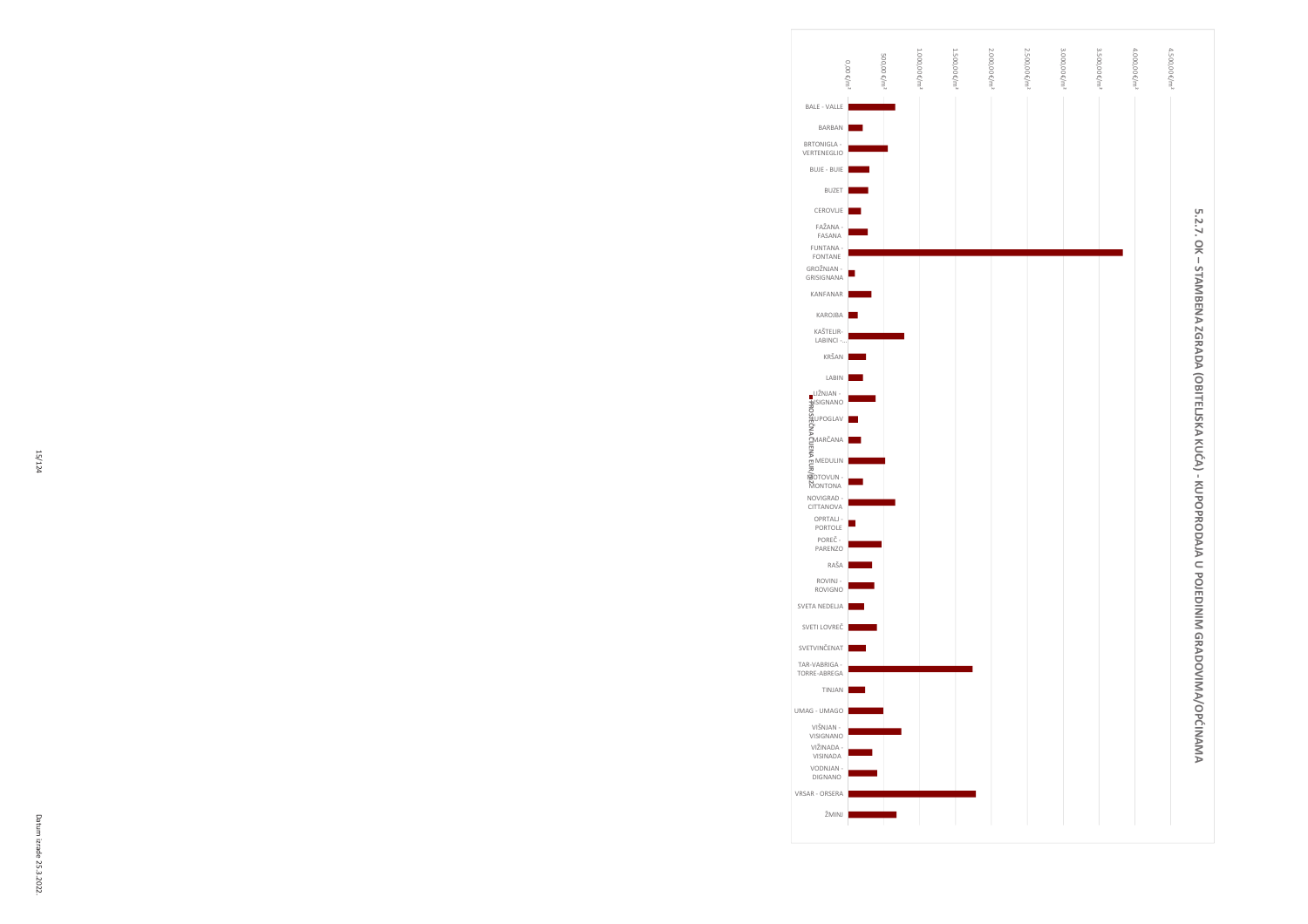

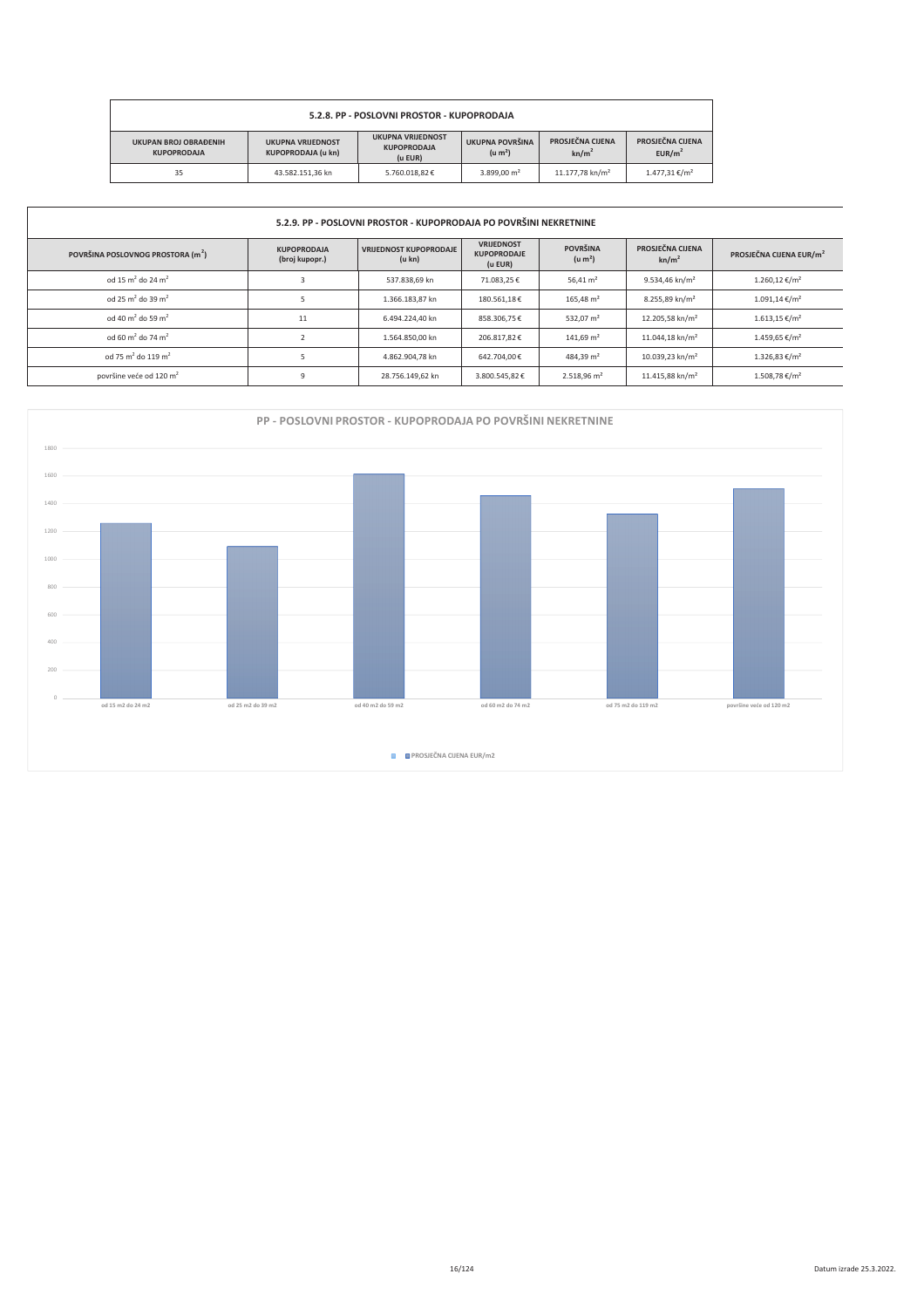| 5.2.8. PP - POSLOVNI PROSTOR - KUPOPRODAJA         |                                        |                                       |                                        |                             |                         |  |  |  |
|----------------------------------------------------|----------------------------------------|---------------------------------------|----------------------------------------|-----------------------------|-------------------------|--|--|--|
| <b>UKUPAN BROJ OBRAĐENIH</b><br><b>KUPOPRODAJA</b> | UKUPNA POVRŠINA<br>(u m <sup>2</sup> ) | PROSJEČNA CIJENA<br>kn/m <sup>2</sup> | PROSJEČNA CIJENA<br>EUR/m <sup>2</sup> |                             |                         |  |  |  |
| 35                                                 | 43.582.151.36 kn                       | 5.760.018.82€                         | 3.899.00 m <sup>2</sup>                | 11.177.78 kn/m <sup>2</sup> | $1.477.31 \text{€/m}^2$ |  |  |  |

| 5.2.9. PP - POSLOVNI PROSTOR - KUPOPRODAJA PO POVRŠINI NEKRETNINE |                                      |                                         |                                                    |                                        |                                       |                                     |  |  |  |
|-------------------------------------------------------------------|--------------------------------------|-----------------------------------------|----------------------------------------------------|----------------------------------------|---------------------------------------|-------------------------------------|--|--|--|
| POVRŠINA POSLOVNOG PROSTORA (m <sup>2</sup> )                     | <b>KUPOPRODAJA</b><br>(broj kupopr.) | <b>VRIJEDNOST KUPOPRODAJE</b><br>(u kn) | <b>VRIJEDNOST</b><br><b>KUPOPRODAJE</b><br>(u EUR) | <b>POVRŠINA</b><br>(u m <sup>2</sup> ) | PROSJEČNA CIJENA<br>kn/m <sup>2</sup> | PROSJEČNA CIJENA EUR/m <sup>2</sup> |  |  |  |
| od 15 m <sup>2</sup> do 24 m <sup>2</sup>                         |                                      | 537.838.69 kn                           | 71.083,25€                                         | 56,41 $m2$                             | $9.534,46$ kn/m <sup>2</sup>          | 1.260,12 €/m <sup>2</sup>           |  |  |  |
| od 25 m <sup>2</sup> do 39 m <sup>2</sup>                         |                                      | 1.366.183.87 kn                         | 180.561,18€                                        | $165.48 \text{ m}^2$                   | 8.255,89 kn/m <sup>2</sup>            | $1.091,14 \notin /m^2$              |  |  |  |
| od 40 m <sup>2</sup> do 59 m <sup>2</sup>                         | 11                                   | 6.494.224.40 kn                         | 858.306,75€                                        | 532.07 m <sup>2</sup>                  | 12.205,58 kn/m <sup>2</sup>           | $1.613,15 \notin /m^2$              |  |  |  |
| od 60 m <sup>2</sup> do 74 m <sup>2</sup>                         |                                      | 1.564.850.00 kn                         | 206.817.82€                                        | $141.69$ m <sup>2</sup>                | 11.044.18 kn/m <sup>2</sup>           | $1.459.65 \text{€/m}^2$             |  |  |  |
| od 75 m <sup>2</sup> do 119 m <sup>2</sup>                        |                                      | 4.862.904,78 kn                         | 642.704,00€                                        | 484,39 m <sup>2</sup>                  | 10.039,23 kn/m <sup>2</sup>           | $1.326,83 \notin /m^2$              |  |  |  |
| površine veće od 120 m <sup>2</sup>                               |                                      | 28.756.149.62 kn                        | 3.800.545,82€                                      | $2.518,96$ m <sup>2</sup>              | 11.415,88 kn/m <sup>2</sup>           | 1.508,78 €/m <sup>2</sup>           |  |  |  |

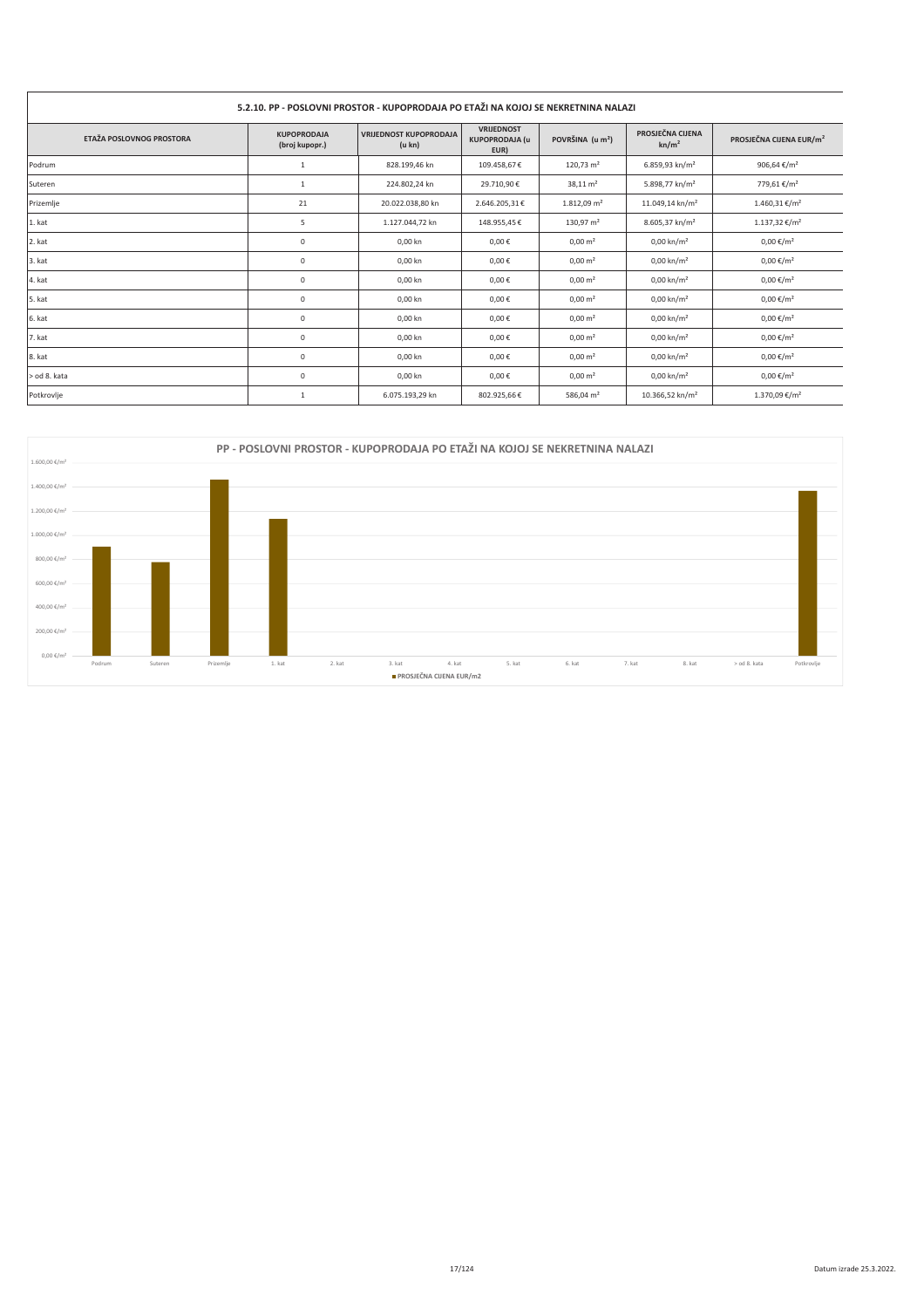#### 5.2.10. PP - POSLOVNI PROSTOR - KUPOPRODAJA PO ETAŽI NA KOJOJ SE NEKRETNINA NALAZI VRIJEDNOST<br>KUPOPRODAJA (u PROSJEČNA CIJENA VRIJEDNOST KUPOPRODAJA<br>(u kn) **KUPOPRODAJA** ETAŽA POSLOVNOG PROSTORA POVRŠINA (u m<sup>2</sup>) PROSJEČNA CIJENA EUR/m<sup>2</sup>  $kn/m<sup>2</sup>$ (broj kupopr.) EUR) **Podrum**  $\,1\,$ 828.199,46 kn 109.458,67€  $120,73 \text{ m}^2$ 6.859,93 kn/m<sup>2</sup> 906.64 €/m<sup>2</sup> .<br>Suteren 224.802,24 kn  $38,11 \text{ m}^2$ 5.898,77 kn/m<sup>2</sup> 779,61 €/m<sup>2</sup>  $\overline{1}$ 29,710.90€ 20.022.038.80 kn 2.646.205.31€  $1.812.09$  m<sup>2</sup>  $11.049.14 \text{ kn/m}^2$ 1.460.31 €/m<sup>2</sup> Prizemlie  $21$ 1. kat  $\sf S$ 1.127.044,72 kn 148.955,45€ 130,97 m<sup>2</sup> 8.605,37 kn/m<sup>2</sup> 1.137,32 €/m<sup>2</sup> 2. kat  $\overline{0}$ 0,00 kn  $0,00 \in$  $0,00 \, \text{m}^2$  $0,00 \text{ km/m}^2$  $0,00 \in /m^2$ 3. kat  $\mathfrak o$ 0.00 kn  $0.00 \in$  $0.00 \text{ m}^2$  $0.00$  kn/m<sup>2</sup>  $0,00 \in /m^2$ 4. kat  $\overline{0}$  $0,00$  kn  $0,00 \in$  $0,00 \text{ m}^2$  $0,00 \text{ km/m}^2$  $0,00 \in /m^2$  $0,00 \text{ km/m}^2$ s. kat  $0.00 \text{ km}$  $0.00 f$  $0.00$  €/m<sup>2</sup>  $\Omega$  $0.00 \text{ m}^2$ 6. kat  $\mathfrak o$ 0,00 kn  $0,00 \in$  $0,00 \; \text{m}^2$  $0,00 \text{ km/m}^2$  $0,00 \in /m^2$  $7.$  kat  $\overline{0}$  $0.00 km$  $0.00 \in$  $0.00 \text{ m}^2$  $0.00 \text{ km/m}^2$  $0.00 \text{€/m}^2$ 8. kat  $\mathfrak o$ 0,00 kn  $0,00$ €  $0,00 \; \text{m}^2$  $0,00 \text{ km/m}^2$  $0,00\;\mathbb{E}/\mathsf{m}^2$ od 8. kata  $0,00$  kn  $0,00 \in$  $0,00 \text{ km/m}^2$  $0,00 \in /m^2$  $\mathfrak o$  $0,00 \text{ m}^2$ 6.075.193,29 kn 802.925,66€ 586,04 $m<sup>2</sup>$ 10.366,52 kn/m<sup>2</sup> 1.370,09 €/ $m<sup>2</sup>$ Potkrovlje  $\,$  1



#### Datum izrade 25.3.2022.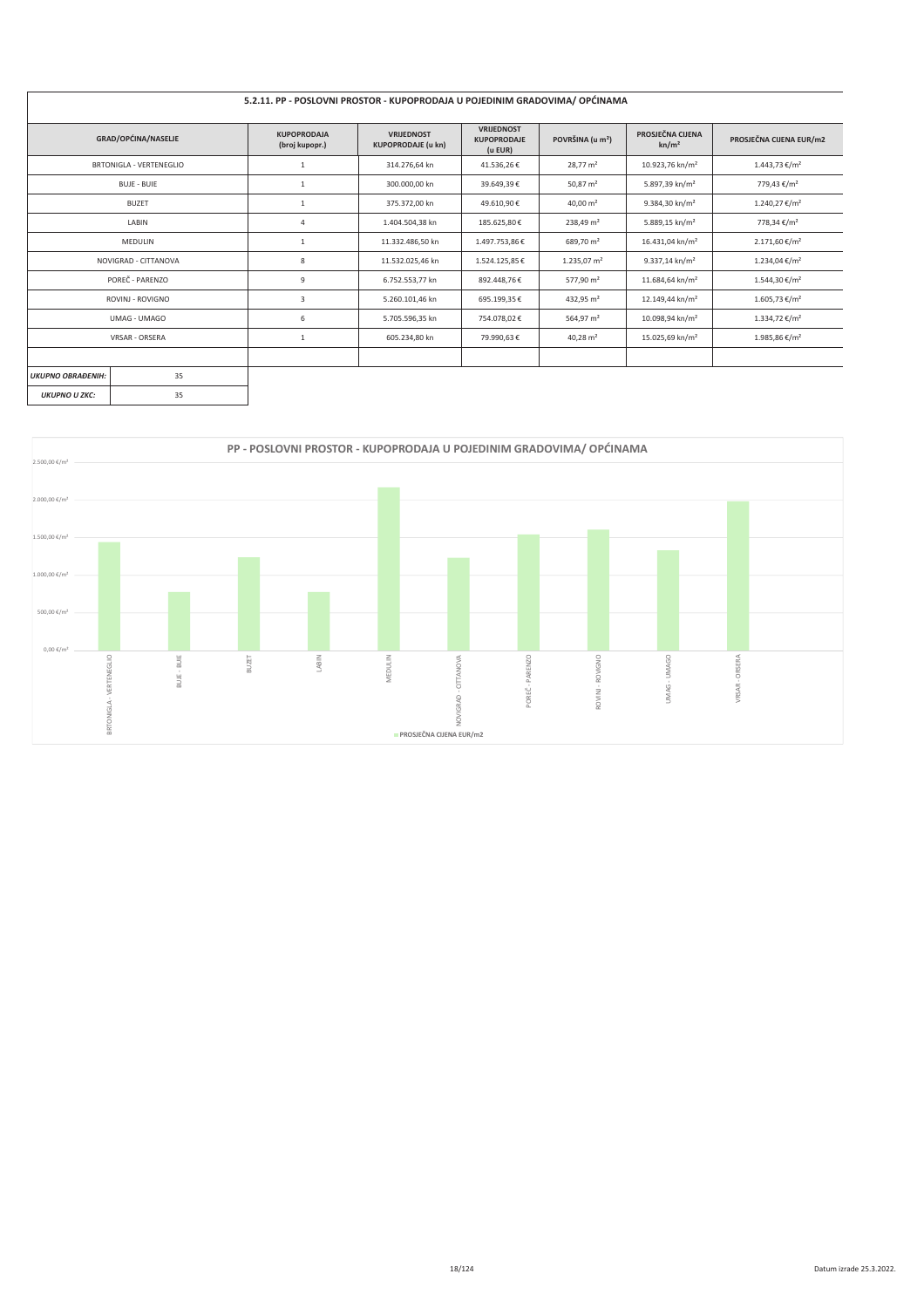#### 5.2.11. PP - POSLOVNI PROSTOR - KUPOPRODAJA U POJEDINIM GRADOVIMA/ OPĆINAMA

| GRAD/OPĆINA/NASELJE            | <b>KUPOPRODAJA</b><br>(broj kupopr.) | <b>VRUEDNOST</b><br><b>KUPOPRODAJE (u kn)</b> | <b>VRIJEDNOST</b><br><b>KUPOPRODAJE</b><br>(u EUR) | POVRŠINA (u m <sup>2</sup> ) | PROSJEČNA CIJENA<br>kn/m <sup>2</sup> | PROSJEČNA CIJENA EUR/m2   |
|--------------------------------|--------------------------------------|-----------------------------------------------|----------------------------------------------------|------------------------------|---------------------------------------|---------------------------|
| <b>BRTONIGLA - VERTENEGLIO</b> |                                      | 314.276.64 kn                                 | 41.536,26€                                         | $28.77 \text{ m}^2$          | 10.923,76 kn/m <sup>2</sup>           | $1.443,73 \notin /m^2$    |
| <b>BUJE - BUIE</b>             | 1                                    | 300.000,00 kn                                 | 39.649,39€                                         | 50,87 $m2$                   | 5.897,39 kn/m <sup>2</sup>            | 779,43 €/m <sup>2</sup>   |
| <b>BUZET</b>                   | $\mathbf{1}$                         | 375.372,00 kn                                 | 49.610,90€                                         | $40.00 \text{ m}^2$          | 9.384,30 kn/m <sup>2</sup>            | 1.240,27 €/m <sup>2</sup> |
| LABIN                          | $\overline{4}$                       | 1.404.504,38 kn                               | 185.625,80€                                        | 238,49 m <sup>2</sup>        | 5.889,15 kn/m <sup>2</sup>            | 778,34 €/m <sup>2</sup>   |
| MEDULIN                        | 1                                    | 11.332.486,50 kn                              | 1.497.753,86€                                      | 689,70 m <sup>2</sup>        | 16.431,04 kn/m <sup>2</sup>           | $2.171,60 \in /m^2$       |
| NOVIGRAD - CITTANOVA           | 8                                    | 11.532.025,46 kn                              | 1.524.125,85€                                      | 1.235,07 $m2$                | $9.337,14$ kn/m <sup>2</sup>          | 1.234,04 €/m <sup>2</sup> |
| POREČ - PARENZO                | 9                                    | 6.752.553,77 kn                               | 892.448,76€                                        | 577,90 m <sup>2</sup>        | 11.684,64 kn/m <sup>2</sup>           | 1.544,30 €/m <sup>2</sup> |
| ROVINJ - ROVIGNO               | 3                                    | 5.260.101,46 kn                               | 695.199,35€                                        | 432,95 m <sup>2</sup>        | 12.149,44 kn/m <sup>2</sup>           | 1.605,73 €/m <sup>2</sup> |
| UMAG - UMAGO                   | 6                                    | 5.705.596,35 kn                               | 754.078,02€                                        | 564,97 m <sup>2</sup>        | 10.098,94 kn/m <sup>2</sup>           | 1.334,72 €/m <sup>2</sup> |
| <b>VRSAR - ORSERA</b>          |                                      | 605.234,80 kn                                 | 79.990,63€                                         | $40,28 \text{ m}^2$          | 15.025,69 kn/m <sup>2</sup>           | 1.985,86 €/m <sup>2</sup> |
|                                |                                      |                                               |                                                    |                              |                                       |                           |
| 35<br><b>UKUPNO OBRAĐENIH:</b> |                                      |                                               |                                                    |                              |                                       |                           |
| 35<br><b>UKUPNO U ZKC:</b>     |                                      |                                               |                                                    |                              |                                       |                           |

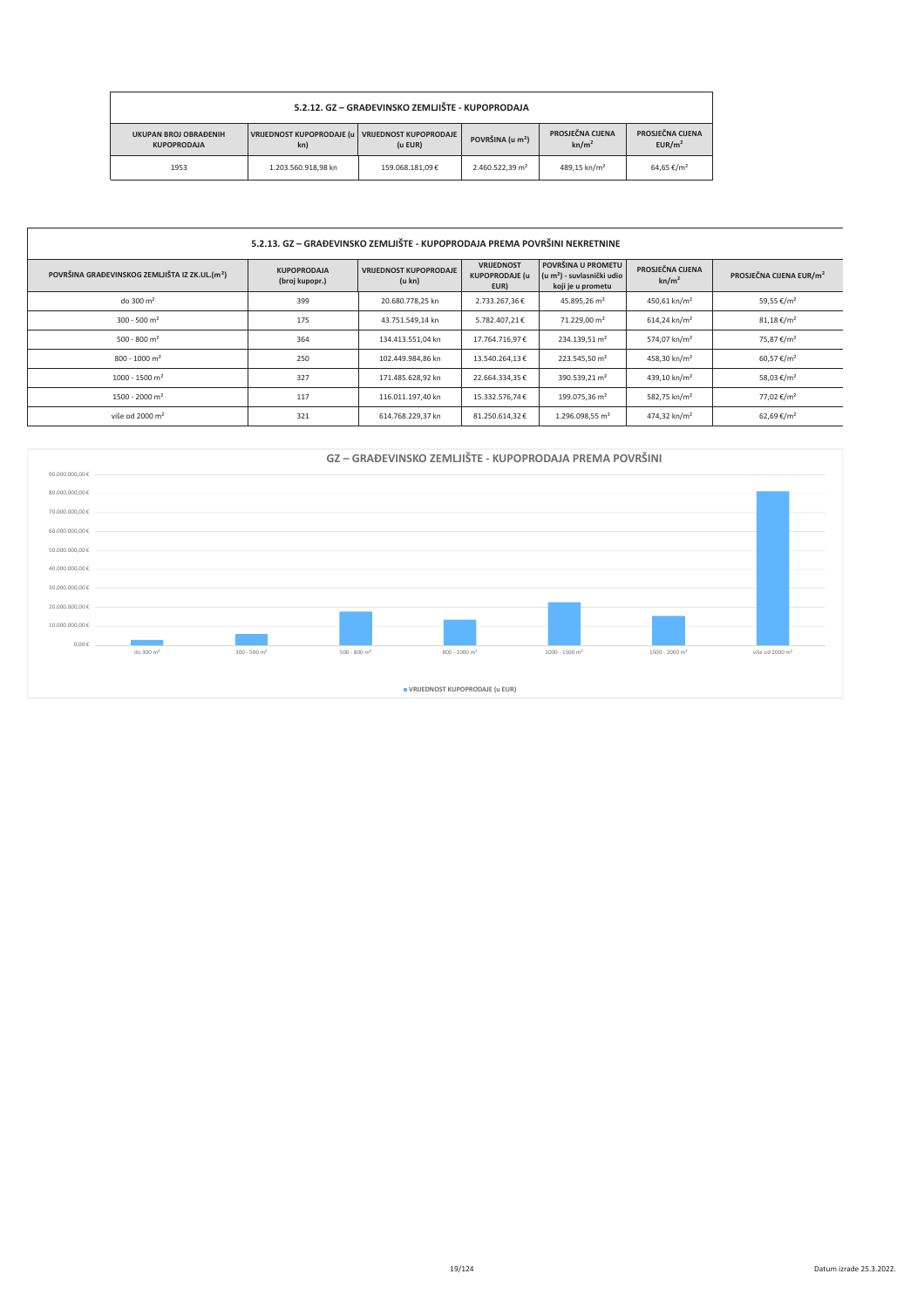| 5.2.12. GZ – GRAĐEVINSKO ZEMLJIŠTE - KUPOPRODAJA                                                                                                                                                                                                 |                     |                 |                             |                          |                        |  |  |  |
|--------------------------------------------------------------------------------------------------------------------------------------------------------------------------------------------------------------------------------------------------|---------------------|-----------------|-----------------------------|--------------------------|------------------------|--|--|--|
| PROSJEČNA CIJENA<br>PROSJEČNA CIJENA<br>VRIJEDNOST KUPOPRODAJE (u VRIJEDNOST KUPOPRODAJE<br><b>UKUPAN BROJ OBRAĐENIH</b><br>POVRŠINA (u m <sup>2</sup> )<br>kn/m <sup>2</sup><br>EUR/m <sup>2</sup><br>$(u$ EUR $)$<br><b>KUPOPRODAJA</b><br>kn) |                     |                 |                             |                          |                        |  |  |  |
| 1953                                                                                                                                                                                                                                             | 1.203.560.918.98 kn | 159.068.181.09€ | 2.460.522.39 m <sup>2</sup> | 489.15 kn/m <sup>2</sup> | 64.65 €/m <sup>2</sup> |  |  |  |

#### 5.2.13. GZ - GRAĐEVINSKO ZEMLJIŠTE - KUPOPRODAJA PREMA POVRŠINI NEKRETNINE

| POVRŠINA GRAĐEVINSKOG ZEMLJIŠTA IZ ZK.UL.(m <sup>2</sup> ) | <b>KUPOPRODAJA</b><br>(broj kupopr.) | <b>VRIJEDNOST KUPOPRODAJE</b><br>(u kn) | <b>VRIJEDNOST</b><br><b>KUPOPRODAJE (u</b><br>EUR) | POVRŠINA U PROMETU<br>$(u m2)$ - suvlasnički udio<br>koji je u prometu | PROSJEČNA CIJENA<br>kn/m <sup>2</sup> | PROSJEČNA CIJENA EUR/m <sup>2</sup> |
|------------------------------------------------------------|--------------------------------------|-----------------------------------------|----------------------------------------------------|------------------------------------------------------------------------|---------------------------------------|-------------------------------------|
| do 300 m <sup>2</sup>                                      | 399                                  | 20.680.778.25 kn                        | 2.733.267.36€                                      | 45.895.26 m <sup>2</sup>                                               | 450.61 kn/m <sup>2</sup>              | 59.55 €/m <sup>2</sup>              |
| $300 - 500$ m <sup>2</sup>                                 | 175                                  | 43.751.549.14 kn                        | 5.782.407.21€                                      | 71.229.00 m <sup>2</sup>                                               | 614.24 kn/m <sup>2</sup>              | $81,18 \in /m^2$                    |
| $500 - 800$ m <sup>2</sup>                                 | 364                                  | 134.413.551.04 kn                       | 17.764.716.97€                                     | 234.139.51 m <sup>2</sup>                                              | 574.07 kn/m <sup>2</sup>              | 75.87 €/m <sup>2</sup>              |
| $800 - 1000$ m <sup>2</sup>                                | 250                                  | 102.449.984.86 kn                       | 13.540.264.13€                                     | 223.545.50 m <sup>2</sup>                                              | 458.30 kn/m <sup>2</sup>              | 60.57 €/m <sup>2</sup>              |
| $1000 - 1500$ m <sup>2</sup>                               | 327                                  | 171.485.628.92 kn                       | 22.664.334.35€                                     | 390.539.21 m <sup>2</sup>                                              | 439.10 kn/m <sup>2</sup>              | 58,03 €/m <sup>2</sup>              |
| $1500 - 2000$ m <sup>2</sup>                               | 117                                  | 116.011.197.40 kn                       | 15.332.576.74€                                     | 199.075.36 m <sup>2</sup>                                              | 582.75 kn/m <sup>2</sup>              | 77.02 €/m <sup>2</sup>              |
| više od 2000 m <sup>2</sup>                                | 321                                  | 614.768.229.37 kn                       | 81.250.614.32€                                     | 1.296.098.55 m <sup>2</sup>                                            | 474,32 kn/m <sup>2</sup>              | 62,69 €/m <sup>2</sup>              |

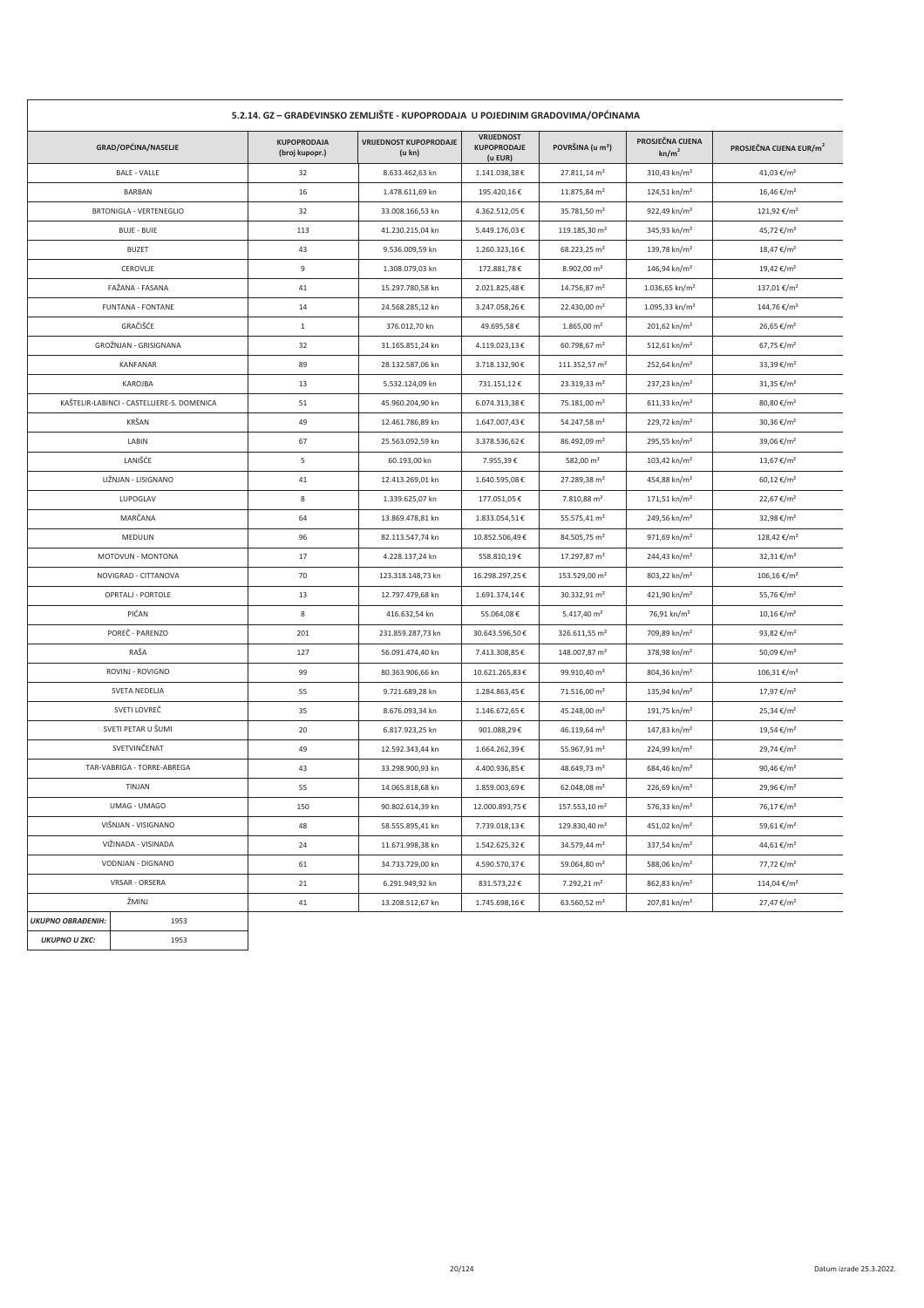| 5.2.14. GZ – GRAĐEVINSKO ZEMLJIŠTE - KUPOPRODAJA U POJEDINIM GRADOVIMA/OPĆINAMA |                                            |                                      |                                         |                                             |                              |                                       |                                     |  |
|---------------------------------------------------------------------------------|--------------------------------------------|--------------------------------------|-----------------------------------------|---------------------------------------------|------------------------------|---------------------------------------|-------------------------------------|--|
|                                                                                 | GRAD/OPĆINA/NASELJE                        | <b>KUPOPRODAJA</b><br>(broj kupopr.) | <b>VRIJEDNOST KUPOPRODAJE</b><br>(u kn) | VRIJEDNOST<br><b>KUPOPRODAJE</b><br>(u EUR) | POVRŠINA (u m <sup>2</sup> ) | PROSJEČNA CIJENA<br>kn/m <sup>2</sup> | PROSJEČNA CIJENA EUR/m <sup>2</sup> |  |
| <b>BALE - VALLE</b>                                                             |                                            | 32                                   | 8.633.462,63 kn                         | 1.141.038,38€                               | 27.811,14 m <sup>2</sup>     | 310,43 kn/m <sup>2</sup>              | 41,03 €/m <sup>2</sup>              |  |
|                                                                                 | <b>BARBAN</b>                              | 16                                   | 1.478.611,69 kn                         | 195.420,16€                                 | 11.875,84 m <sup>2</sup>     | 124,51 kn/m <sup>2</sup>              | 16,46 €/m <sup>2</sup>              |  |
|                                                                                 | BRTONIGLA - VERTENEGLIO                    | 32                                   | 33.008.166,53 kn                        | 4.362.512,05€                               | 35.781,50 m <sup>2</sup>     | 922,49 kn/m <sup>2</sup>              | 121,92 €/m <sup>2</sup>             |  |
|                                                                                 | <b>BUJE - BUIE</b>                         | 113                                  | 41.230.215,04 kn                        | 5.449.176,03€                               | 119.185,30 m <sup>2</sup>    | 345,93 kn/m <sup>2</sup>              | 45,72 €/m <sup>2</sup>              |  |
|                                                                                 | <b>BUZET</b>                               | 43                                   | 9.536.009,59 kn                         | 1.260.323,16€                               | 68.223,25 m <sup>2</sup>     | 139,78 kn/m <sup>2</sup>              | 18,47 €/m <sup>2</sup>              |  |
|                                                                                 | CEROVLIE                                   | 9                                    | 1.308.079,03 kn                         | 172.881,78€                                 | $8.902,00 \text{ m}^2$       | 146,94 kn/m <sup>2</sup>              | 19,42 €/m <sup>2</sup>              |  |
|                                                                                 | FAŽANA - FASANA                            | 41                                   | 15.297.780,58 kn                        | 2.021.825,48€                               | 14.756,87 m <sup>2</sup>     | 1.036,65 kn/m <sup>2</sup>            | 137,01 €/m <sup>2</sup>             |  |
|                                                                                 | <b>FUNTANA - FONTANE</b>                   | 14                                   | 24.568.285,12 kn                        | 3.247.058,26€                               | 22.430,00 m <sup>2</sup>     | 1.095,33 kn/m <sup>2</sup>            | 144,76 €/m <sup>2</sup>             |  |
|                                                                                 | GRAČIŠĆE                                   | $\mathbf{1}$                         | 376.012,70 kn                           | 49.695,58€                                  | $1.865,00 \text{ m}^2$       | 201,62 kn/m <sup>2</sup>              | 26,65 €/m <sup>2</sup>              |  |
|                                                                                 | GROŽNJAN - GRISIGNANA                      | 32                                   | 31.165.851,24 kn                        | 4.119.023,13€                               | 60.798,67 m <sup>2</sup>     | 512,61 kn/m <sup>2</sup>              | 67,75 €/m <sup>2</sup>              |  |
|                                                                                 | <b>KANFANAR</b>                            | 89                                   | 28.132.587,06 kn                        | 3.718.132,90€                               | 111.352,57 m <sup>2</sup>    | 252,64 kn/m <sup>2</sup>              | 33,39 €/m <sup>2</sup>              |  |
|                                                                                 | KAROJBA                                    | 13                                   | 5.532.124,09 kn                         | 731.151,12€                                 | 23.319,33 m <sup>2</sup>     | 237,23 kn/m <sup>2</sup>              | 31,35 €/m <sup>2</sup>              |  |
|                                                                                 | KAŠTELIR-LABINCI - CASTELLIERE-S. DOMENICA | 51                                   | 45.960.204,90 kn                        | 6.074.313,38€                               | 75.181,00 m <sup>2</sup>     | $611,33$ kn/m <sup>2</sup>            | 80,80 €/m <sup>2</sup>              |  |
|                                                                                 | KRŠAN                                      | 49                                   | 12.461.786,89 kn                        | 1.647.007,43€                               | 54.247,58 m <sup>2</sup>     | 229,72 kn/m <sup>2</sup>              | 30,36 €/m <sup>2</sup>              |  |
|                                                                                 | LABIN                                      | 67                                   | 25.563.092,59 kn                        | 3.378.536,62€                               | 86.492,09 m <sup>2</sup>     | 295,55 kn/m <sup>2</sup>              | 39,06 €/m <sup>2</sup>              |  |
|                                                                                 | LANIŠĆE                                    | 5                                    | 60.193,00 kn                            | 7.955,39€                                   | 582,00 m <sup>2</sup>        | 103,42 kn/m <sup>2</sup>              | 13,67 €/m <sup>2</sup>              |  |
|                                                                                 | LIŽNJAN - LISIGNANO                        | 41                                   | 12.413.269,01 kn                        | 1.640.595,08€                               | 27.289,38 m <sup>2</sup>     | 454,88 kn/m <sup>2</sup>              | 60,12 €/m <sup>2</sup>              |  |
|                                                                                 | LUPOGLAV                                   | 8                                    | 1.339.625,07 kn                         | 177.051,05€                                 | 7.810,88 m <sup>2</sup>      | 171,51 kn/m <sup>2</sup>              | 22,67 €/m <sup>2</sup>              |  |
|                                                                                 | MARČANA                                    | 64                                   | 13.869.478,81 kn                        | 1.833.054,51€                               | 55.575,41 m <sup>2</sup>     | 249,56 kn/m <sup>2</sup>              | 32,98 €/m <sup>2</sup>              |  |
|                                                                                 | MEDULIN                                    | 96                                   | 82.113.547,74 kn                        | 10.852.506,49€                              | 84.505,75 m <sup>2</sup>     | 971,69 kn/m <sup>2</sup>              | 128,42 €/m <sup>2</sup>             |  |
|                                                                                 | MOTOVUN - MONTONA                          | 17                                   | 4.228.137,24 kn                         | 558.810,19€                                 | 17.297,87 m <sup>2</sup>     | 244,43 kn/m <sup>2</sup>              | 32,31 €/m <sup>2</sup>              |  |
|                                                                                 | NOVIGRAD - CITTANOVA                       | 70                                   | 123.318.148,73 kn                       | 16.298.297,25€                              | 153.529,00 m <sup>2</sup>    | 803,22 kn/m <sup>2</sup>              | $106,16 \in$ /m <sup>2</sup>        |  |
|                                                                                 | OPRTALJ - PORTOLE                          | 13                                   | 12.797.479,68 kn                        | 1.691.374,14€                               | 30.332,91 m <sup>2</sup>     | 421,90 kn/m <sup>2</sup>              | 55,76 €/m <sup>2</sup>              |  |
|                                                                                 | PIĆAN                                      | 8                                    | 416.632,54 kn                           | 55.064,08€                                  | 5.417,40 m <sup>2</sup>      | 76,91 kn/m <sup>2</sup>               | $10,16 \text{€}/m^2$                |  |
|                                                                                 | POREČ - PARENZO                            | 201                                  | 231.859.287,73 kn                       | 30.643.596,50€                              | 326.611,55 m <sup>2</sup>    | 709,89 kn/m <sup>2</sup>              | 93,82 €/m <sup>2</sup>              |  |
|                                                                                 | RAŠA                                       | 127                                  | 56.091.474,40 kn                        | 7.413.308,85€                               | 148.007,87 m <sup>2</sup>    | 378,98 kn/m <sup>2</sup>              | 50,09 €/m <sup>2</sup>              |  |
|                                                                                 | ROVINJ - ROVIGNO                           | 99                                   | 80.363.906,66 kn                        | 10.621.265,83€                              | 99.910,40 m <sup>2</sup>     | 804,36 kn/m <sup>2</sup>              | $106,31 \notin /m^2$                |  |
|                                                                                 | SVETA NEDELJA                              | 55                                   | 9.721.689,28 kn                         | 1.284.863,45€                               | 71.516,00 m <sup>2</sup>     | $135,94$ kn/m <sup>2</sup>            | 17,97 €/m <sup>2</sup>              |  |
|                                                                                 | SVETI LOVREČ                               | 35                                   | 8.676.093,34 kn                         | 1.146.672,65€                               | 45.248,00 m <sup>2</sup>     | 191,75 kn/m <sup>2</sup>              | 25,34 €/m <sup>2</sup>              |  |
|                                                                                 | SVETI PETAR U ŠUMI                         | 20                                   | 6.817.923,25 kn                         | 901.088,29€                                 | 46.119,64 m <sup>2</sup>     | 147,83 kn/m <sup>2</sup>              | 19,54 €/m <sup>2</sup>              |  |
|                                                                                 | SVETVINČENAT                               | 49                                   | 12.592.343,44 kn                        | 1.664.262,39€                               | 55.967,91 m <sup>2</sup>     | 224,99 kn/m <sup>2</sup>              | 29,74 €/m <sup>2</sup>              |  |
|                                                                                 | TAR-VABRIGA - TORRE-ABREGA                 | 43                                   | 33.298.900,93 kn                        | 4.400.936,85€                               | 48.649,73 m <sup>2</sup>     | 684,46 kn/m <sup>2</sup>              | 90,46 €/m <sup>2</sup>              |  |
|                                                                                 | TINJAN                                     | 55                                   | 14.065.818,68 kn                        | 1.859.003,69€                               | 62.048.08 m <sup>2</sup>     | 226,69 kn/m <sup>2</sup>              | 29,96 €/m <sup>2</sup>              |  |
|                                                                                 | UMAG - UMAGO                               | 150                                  | 90.802.614,39 kn                        | 12.000.893,75€                              | 157.553,10 m <sup>2</sup>    | 576,33 kn/m <sup>2</sup>              | 76,17 €/m <sup>2</sup>              |  |
|                                                                                 | VIŠNJAN - VISIGNANO                        |                                      | 58.555.895,41 kn                        | 7.739.018,13€                               | 129.830,40 m <sup>2</sup>    | 451,02 kn/m <sup>2</sup>              | 59,61 €/m <sup>2</sup>              |  |
| VIŽINADA - VISINADA                                                             |                                            | 24                                   | 11.671.998,38 kn                        | 1.542.625,32€                               | 34.579,44 m <sup>2</sup>     | 337,54 kn/m <sup>2</sup>              | 44,61 €/m <sup>2</sup>              |  |
| VODNJAN - DIGNANO                                                               |                                            | 61                                   | 34.733.729,00 kn                        | 4.590.570,37€                               | 59.064,80 m <sup>2</sup>     | 588,06 kn/m <sup>2</sup>              | 77,72 €/m <sup>2</sup>              |  |
|                                                                                 | VRSAR - ORSERA                             | 21                                   | 6.291.949,92 kn                         | 831.573,22€                                 | 7.292,21 m <sup>2</sup>      | 862,83 kn/m <sup>2</sup>              | 114,04 €/m <sup>2</sup>             |  |
|                                                                                 | ŽMINJ                                      | $41\,$                               | 13.208.512,67 kn                        | 1.745.698,16€                               | 63.560,52 m <sup>2</sup>     | 207,81 kn/m <sup>2</sup>              | 27,47 €/m <sup>2</sup>              |  |
| <b>UKUPNO OBRAĐENIH:</b>                                                        | 1953                                       |                                      |                                         |                                             |                              |                                       |                                     |  |
| <b>UKUPNO U ZKC:</b>                                                            | 1953                                       |                                      |                                         |                                             |                              |                                       |                                     |  |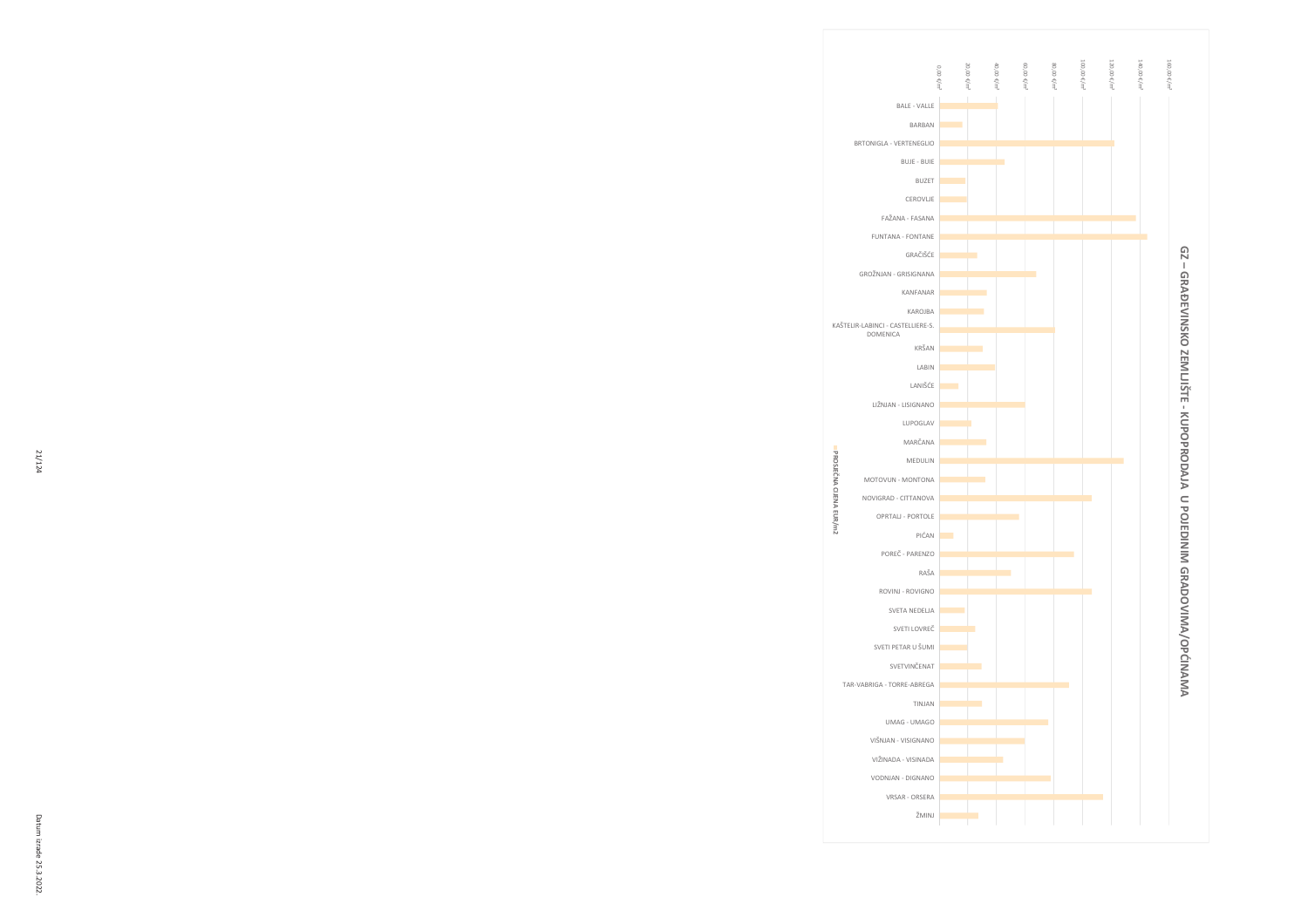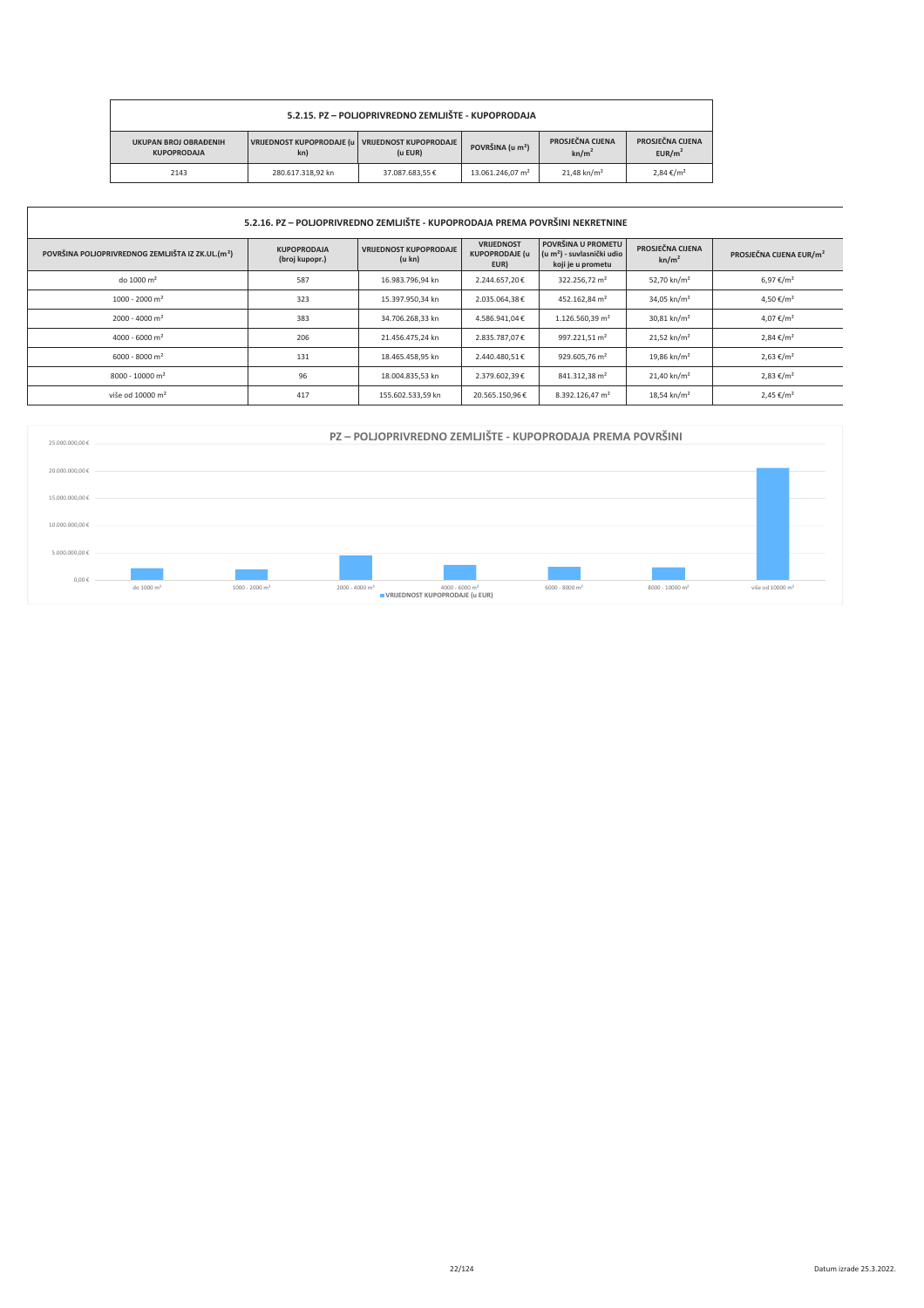| 5.2.15. PZ - POLJOPRIVREDNO ZEMLJIŠTE - KUPOPRODAJA                                                    |                              |                                       |                                        |                           |                     |  |  |  |
|--------------------------------------------------------------------------------------------------------|------------------------------|---------------------------------------|----------------------------------------|---------------------------|---------------------|--|--|--|
| VRIJEDNOST KUPOPRODAJE (u VRIJEDNOST KUPOPRODAJE<br><b>UKUPAN BROJ OBRAĐENIH</b><br><b>KUPOPRODAJA</b> | POVRŠINA (u m <sup>2</sup> ) | PROSJEČNA CIJENA<br>kn/m <sup>2</sup> | PROSJEČNA CIJENA<br>EUR/m <sup>2</sup> |                           |                     |  |  |  |
| 2143                                                                                                   | 280.617.318.92 kn            | 37.087.683.55€                        | 13.061.246.07 m <sup>2</sup>           | $21.48$ kn/m <sup>2</sup> | $2.84 \text{€/m}^2$ |  |  |  |

| 5.2.16. PZ – POLJOPRIVREDNO ZEMLJIŠTE - KUPOPRODAJA PREMA POVRŠINI NEKRETNINE |                                      |                                         |                                                    |                                                                                   |                                       |                                     |  |  |
|-------------------------------------------------------------------------------|--------------------------------------|-----------------------------------------|----------------------------------------------------|-----------------------------------------------------------------------------------|---------------------------------------|-------------------------------------|--|--|
| POVRŠINA POLJOPRIVREDNOG ZEMLJIŠTA IZ ZK.UL.(m <sup>2</sup> )                 | <b>KUPOPRODAJA</b><br>(broj kupopr.) | <b>VRIJEDNOST KUPOPRODAJE</b><br>(u kn) | <b>VRIJEDNOST</b><br><b>KUPOPRODAJE (u</b><br>EUR) | POVRŠINA U PROMETU<br>(u m <sup>2</sup> ) - suvlasnički udio<br>koji je u prometu | PROSJEČNA CIJENA<br>kn/m <sup>2</sup> | PROSJEČNA CIJENA EUR/m <sup>2</sup> |  |  |
| do 1000 m <sup>2</sup>                                                        | 587                                  | 16.983.796,94 kn                        | 2.244.657.20€                                      | 322.256,72 m <sup>2</sup>                                                         | 52,70 kn/m <sup>2</sup>               | 6,97 €/m <sup>2</sup>               |  |  |
| $1000 - 2000$ m <sup>2</sup>                                                  | 323                                  | 15.397.950,34 kn                        | 2.035.064,38€                                      | 452.162,84 m <sup>2</sup>                                                         | 34,05 kn/m <sup>2</sup>               | 4,50 €/m <sup>2</sup>               |  |  |
| $2000 - 4000$ m <sup>2</sup>                                                  | 383                                  | 34.706.268,33 kn                        | 4.586.941,04€                                      | 1.126.560,39 m <sup>2</sup>                                                       | $30,81$ kn/m <sup>2</sup>             | 4,07 €/m <sup>2</sup>               |  |  |
| 4000 - 6000 m <sup>2</sup>                                                    | 206                                  | 21.456.475.24 kn                        | 2.835.787,07€                                      | 997.221,51 m <sup>2</sup>                                                         | $21,52$ kn/m <sup>2</sup>             | $2,84 \in /m^2$                     |  |  |
| $6000 - 8000$ m <sup>2</sup>                                                  | 131                                  | 18.465.458,95 kn                        | 2.440.480,51€                                      | 929.605,76 m <sup>2</sup>                                                         | 19,86 kn/m <sup>2</sup>               | $2,63 \in /m^2$                     |  |  |
| $8000 - 10000$ m <sup>2</sup>                                                 | 96                                   | 18.004.835,53 kn                        | 2.379.602.39€                                      | 841.312.38 m <sup>2</sup>                                                         | $21.40$ kn/m <sup>2</sup>             | $2,83 \notin /m^2$                  |  |  |
| više od 10000 m <sup>2</sup>                                                  | 417                                  | 155.602.533,59 kn                       | 20.565.150,96€                                     | 8.392.126,47 m <sup>2</sup>                                                       | $18,54$ kn/m <sup>2</sup>             | $2,45 \in /m^2$                     |  |  |

| 25.000.000,00 € | PZ – POLJOPRIVREDNO ZEMLJIŠTE - KUPOPRODAJA PREMA POVRŠINI |                              |                              |                                                                                                                                                        |                              |                             |                              |  |  |  |
|-----------------|------------------------------------------------------------|------------------------------|------------------------------|--------------------------------------------------------------------------------------------------------------------------------------------------------|------------------------------|-----------------------------|------------------------------|--|--|--|
| 20.000.000,00 € |                                                            |                              |                              |                                                                                                                                                        |                              |                             |                              |  |  |  |
| 15.000.000,00 € |                                                            |                              |                              |                                                                                                                                                        |                              |                             |                              |  |  |  |
| 10.000.000,00 € |                                                            |                              |                              |                                                                                                                                                        |                              |                             |                              |  |  |  |
| 5.000.000,00 €  |                                                            |                              |                              |                                                                                                                                                        |                              |                             |                              |  |  |  |
| $0,00 \in$      | do 1000 m <sup>2</sup>                                     | $1000 - 2000$ m <sup>2</sup> | $2000 - 4000$ m <sup>2</sup> | $4000 - 6000$ m <sup>2</sup><br><b>UNDERVISION WAS A VALUE OF A VALUE OF A VALUE OF A VALUE OF A VALUE OF A VALUE OF A VALUE OF A VALUE OF A VALUE</b> | $6000 - 8000$ m <sup>2</sup> | 8000 - 10000 m <sup>2</sup> | više od 10000 m <sup>2</sup> |  |  |  |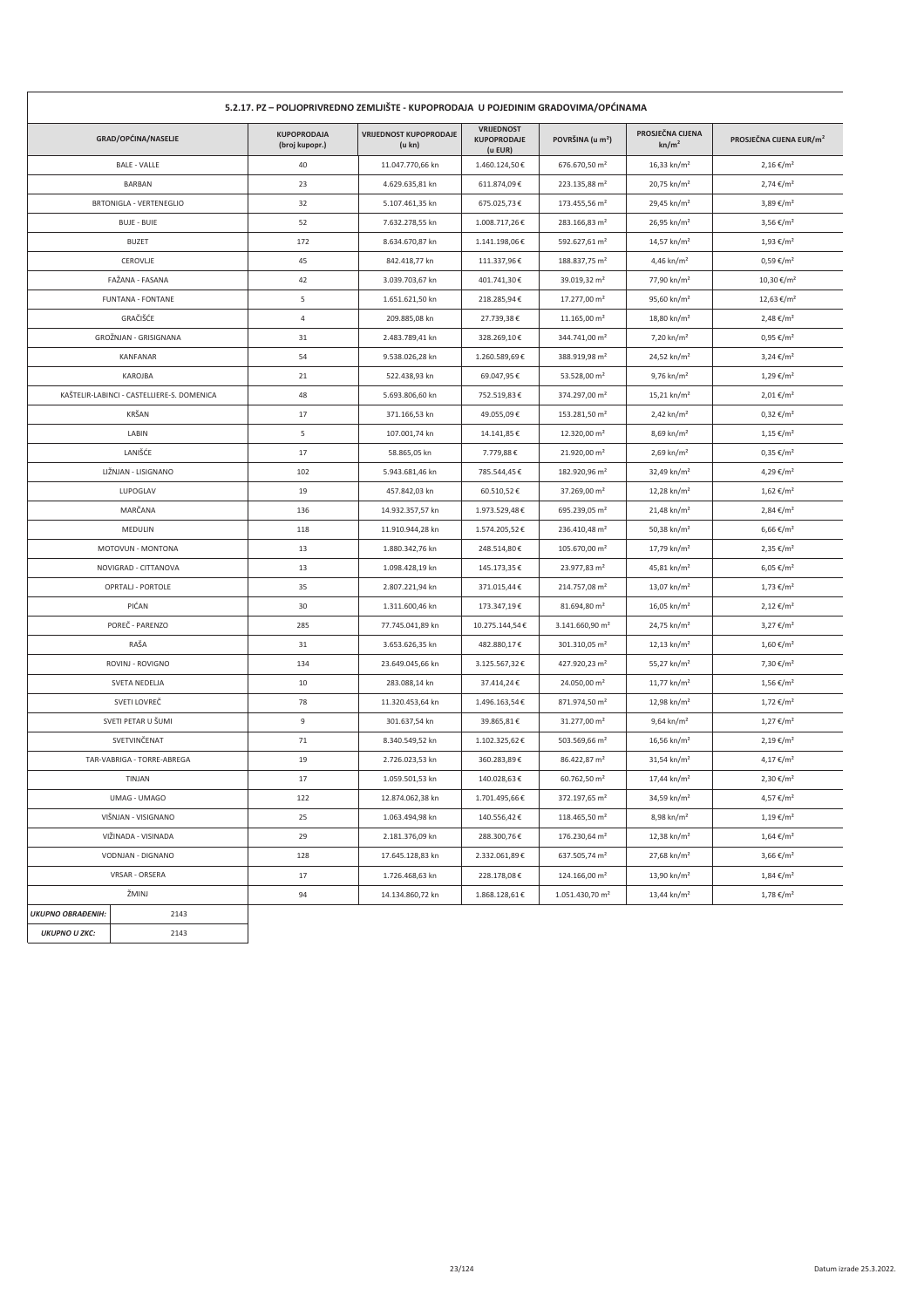| 5.2.17. PZ – POLJOPRIVREDNO ZEMLJIŠTE - KUPOPRODAJA U POJEDINIM GRADOVIMA/OPĆINAMA |                                            |                                      |                                         |                                                    |                              |                                       |                                     |  |
|------------------------------------------------------------------------------------|--------------------------------------------|--------------------------------------|-----------------------------------------|----------------------------------------------------|------------------------------|---------------------------------------|-------------------------------------|--|
|                                                                                    | GRAD/OPĆINA/NASELJE                        | <b>KUPOPRODAJA</b><br>(broj kupopr.) | <b>VRIJEDNOST KUPOPRODAJE</b><br>(u kn) | <b>VRIJEDNOST</b><br><b>KUPOPRODAJE</b><br>(u EUR) | POVRŠINA (u m <sup>2</sup> ) | PROSJEČNA CIJENA<br>kn/m <sup>2</sup> | PROSJEČNA CIJENA EUR/m <sup>2</sup> |  |
|                                                                                    | <b>BALE - VALLE</b>                        | 40                                   | 11.047.770,66 kn                        | 1.460.124,50€                                      | 676.670,50 m <sup>2</sup>    | 16,33 kn/m <sup>2</sup>               | $2,16 \in /m^2$                     |  |
| BARBAN                                                                             |                                            | 23                                   | 4.629.635,81 kn                         | 611.874,09€                                        | 223.135,88 m <sup>2</sup>    | 20,75 kn/m <sup>2</sup>               | 2,74 €/m <sup>2</sup>               |  |
|                                                                                    | <b>BRTONIGLA - VERTENEGLIO</b>             | 32                                   | 5.107.461,35 kn                         | 675.025,73€                                        | 173.455,56 m <sup>2</sup>    | 29,45 kn/m <sup>2</sup>               | 3,89 €/m <sup>2</sup>               |  |
|                                                                                    | <b>BUJE - BUIE</b>                         | 52                                   | 7.632.278,55 kn                         | 1.008.717,26€                                      | 283.166,83 m <sup>2</sup>    | 26,95 kn/m <sup>2</sup>               | 3,56 €/m <sup>2</sup>               |  |
|                                                                                    | <b>BUZET</b>                               | 172                                  | 8.634.670,87 kn                         | 1.141.198,06€                                      | 592.627,61 m <sup>2</sup>    | 14,57 kn/m <sup>2</sup>               | $1,93 \notin / m^2$                 |  |
|                                                                                    | CEROVLJE                                   | 45                                   | 842.418,77 kn                           | 111.337,96€                                        | 188.837,75 m <sup>2</sup>    | 4,46 kn/m <sup>2</sup>                | $0,59 \notin /m^2$                  |  |
|                                                                                    | FAŽANA - FASANA                            | 42                                   | 3.039.703,67 kn                         | 401.741,30€                                        | 39.019,32 m <sup>2</sup>     | 77,90 kn/m <sup>2</sup>               | 10,30 €/m <sup>2</sup>              |  |
|                                                                                    | <b>FUNTANA - FONTANE</b>                   | 5                                    | 1.651.621,50 kn                         | 218.285,94€                                        | 17.277,00 m <sup>2</sup>     | 95,60 kn/m <sup>2</sup>               | 12,63 €/m <sup>2</sup>              |  |
|                                                                                    | GRAČIŠĆE                                   | $\overline{4}$                       | 209.885,08 kn                           | 27.739,38€                                         | 11.165,00 m <sup>2</sup>     | 18,80 kn/m <sup>2</sup>               | 2,48 €/m <sup>2</sup>               |  |
|                                                                                    | GROŽNJAN - GRISIGNANA                      | 31                                   | 2.483.789,41 kn                         | 328.269,10€                                        | 344.741,00 m <sup>2</sup>    | 7,20 kn/m <sup>2</sup>                | $0,95 \notin /m^2$                  |  |
|                                                                                    | KANFANAR                                   | 54                                   | 9.538.026,28 kn                         | 1.260.589,69€                                      | 388.919,98 m <sup>2</sup>    | 24,52 kn/m <sup>2</sup>               | $3,24 \text{€}/m^2$                 |  |
|                                                                                    | KAROJBA                                    | 21                                   | 522.438,93 kn                           | 69.047,95€                                         | 53.528,00 m <sup>2</sup>     | $9,76 \text{ kn/m}^2$                 | $1,29 \notin / m^2$                 |  |
|                                                                                    | KAŠTELIR-LABINCI - CASTELLIERE-S. DOMENICA | 48                                   | 5.693.806,60 kn                         | 752.519,83€                                        | 374.297,00 m <sup>2</sup>    | $15,21$ kn/m <sup>2</sup>             | $2,01 \notin /m^2$                  |  |
|                                                                                    | KRŠAN                                      | 17                                   | 371.166,53 kn                           | 49.055,09€                                         | 153.281,50 m <sup>2</sup>    | $2,42$ kn/m <sup>2</sup>              | $0,32 \notin /m^2$                  |  |
|                                                                                    | LABIN                                      | 5                                    | 107.001,74 kn                           | 14.141,85€                                         | 12.320,00 m <sup>2</sup>     | $8,69$ kn/m <sup>2</sup>              | $1,15 \notin /m^2$                  |  |
|                                                                                    | LANIŠĆE                                    | 17                                   | 58.865,05 kn                            | 7.779,88€                                          | 21.920,00 m <sup>2</sup>     | $2,69$ kn/m <sup>2</sup>              | $0,35 \notin /m^2$                  |  |
|                                                                                    | LIŽNJAN - LISIGNANO                        | 102                                  | 5.943.681,46 kn                         | 785.544,45€                                        | 182.920,96 m <sup>2</sup>    | 32,49 kn/m <sup>2</sup>               | 4,29 €/m <sup>2</sup>               |  |
|                                                                                    | LUPOGLAV                                   | 19                                   | 457.842,03 kn                           | 60.510,52€                                         | 37.269,00 m <sup>2</sup>     | 12,28 kn/m <sup>2</sup>               | $1,62 \notin /m^2$                  |  |
|                                                                                    | MARČANA                                    | 136                                  | 14.932.357,57 kn                        | 1.973.529,48€                                      | 695.239,05 m <sup>2</sup>    | 21,48 kn/m <sup>2</sup>               | 2,84 €/m <sup>2</sup>               |  |
|                                                                                    | MEDULIN                                    | 118                                  | 11.910.944,28 kn                        | 1.574.205,52€                                      | 236.410,48 m <sup>2</sup>    | 50,38 kn/m <sup>2</sup>               | 6,66 €/m <sup>2</sup>               |  |
|                                                                                    | MOTOVUN - MONTONA                          | 13                                   | 1.880.342,76 kn                         | 248.514,80€                                        | 105.670,00 m <sup>2</sup>    | 17,79 kn/m <sup>2</sup>               | 2,35 €/m <sup>2</sup>               |  |
|                                                                                    | NOVIGRAD - CITTANOVA                       | 13                                   | 1.098.428,19 kn                         | 145.173,35€                                        | 23.977,83 m <sup>2</sup>     | 45,81 kn/m <sup>2</sup>               | 6,05 €/m <sup>2</sup>               |  |
|                                                                                    | OPRTALJ - PORTOLE                          | 35                                   | 2.807.221,94 kn                         | 371.015,44 €                                       | 214.757,08 m <sup>2</sup>    | 13,07 kn/m <sup>2</sup>               | $1,73 \notin / m^2$                 |  |
|                                                                                    | PIĆAN                                      | 30                                   | 1.311.600,46 kn                         | 173.347,19€                                        | 81.694,80 m <sup>2</sup>     | 16,05 kn/m <sup>2</sup>               | $2,12 \notin /m^2$                  |  |
|                                                                                    | POREČ - PARENZO                            | 285                                  | 77.745.041,89 kn                        | 10.275.144,54€                                     | 3.141.660,90 m <sup>2</sup>  | 24,75 kn/m <sup>2</sup>               | $3,27 \in /m^2$                     |  |
|                                                                                    | RAŠA                                       | 31                                   | 3.653.626,35 kn                         | 482.880,17€                                        | 301.310,05 m <sup>2</sup>    | 12,13 kn/m <sup>2</sup>               | $1,60 \in /m^2$                     |  |
|                                                                                    | ROVINJ - ROVIGNO                           | 134                                  | 23.649.045,66 kn                        | 3.125.567,32€                                      | 427.920,23 m <sup>2</sup>    | 55,27 kn/m <sup>2</sup>               | 7,30 €/m <sup>2</sup>               |  |
|                                                                                    | SVETA NEDELJA                              | 10                                   | 283.088,14 kn                           | 37.414,24€                                         | 24.050,00 m <sup>2</sup>     | $11,77$ kn/m <sup>2</sup>             | $1,56 \in /m^2$                     |  |
|                                                                                    | SVETI LOVREČ                               | 78                                   | 11.320.453,64 kn                        | 1.496.163,54€                                      | 871.974,50 m <sup>2</sup>    | 12,98 kn/m <sup>2</sup>               | 1,72 €/m <sup>2</sup>               |  |
|                                                                                    | SVETI PETAR U ŠUMI                         | 9                                    | 301.637,54 kn                           | 39.865,81€                                         | 31.277,00 m <sup>2</sup>     | 9,64 kn/m <sup>2</sup>                | $1,27 \in /m^2$                     |  |
|                                                                                    | SVETVINČENAT                               | 71                                   | 8.340.549,52 kn                         | 1.102.325,62€                                      | 503.569,66 m <sup>2</sup>    | 16,56 kn/m <sup>2</sup>               | $2,19 \notin / m^2$                 |  |
|                                                                                    | TAR-VABRIGA - TORRE-ABREGA                 | 19                                   | 2.726.023,53 kn                         | 360.283,89€                                        | 86.422,87 m <sup>2</sup>     | $31,54$ kn/m <sup>2</sup>             | 4,17 €/m <sup>2</sup>               |  |
|                                                                                    | TINJAN                                     | 17                                   | 1.059.501,53 kn                         | 140.028,63€                                        | 60.762,50 m <sup>2</sup>     | 17,44 kn/m <sup>2</sup>               | 2,30 €/m <sup>2</sup>               |  |
|                                                                                    | UMAG - UMAGO                               | 122                                  | 12.874.062,38 kn                        | 1.701.495,66€                                      | 372.197,65 m <sup>2</sup>    | 34,59 kn/m <sup>2</sup>               | 4,57 €/m <sup>2</sup>               |  |
| VIŠNJAN - VISIGNANO                                                                |                                            | 25                                   | 1.063.494,98 kn                         | 140.556,42€                                        | 118.465,50 m <sup>2</sup>    | 8,98 kn/m <sup>2</sup>                | $1,19 \notin /m^2$                  |  |
| VIŽINADA - VISINADA                                                                |                                            | 29                                   | 2.181.376,09 kn                         | 288.300,76€                                        | 176.230,64 m <sup>2</sup>    | 12,38 kn/m <sup>2</sup>               | $1,64 \in /m^2$                     |  |
| VODNJAN - DIGNANO                                                                  |                                            | 128                                  | 17.645.128,83 kn                        | 2.332.061,89€                                      | 637.505,74 m <sup>2</sup>    | 27,68 kn/m <sup>2</sup>               | 3,66 €/m <sup>2</sup>               |  |
|                                                                                    | VRSAR - ORSERA                             | 17                                   | 1.726.468,63 kn                         | 228.178,08€                                        | 124.166,00 m <sup>2</sup>    | 13,90 kn/m <sup>2</sup>               | $1,84 \notin /m^2$                  |  |
|                                                                                    | ŽMINJ                                      | 94                                   | 14.134.860,72 kn                        | $1.868.128,61\mathop{\mathrm{\mathsf{E}}}$         | 1.051.430,70 m <sup>2</sup>  | 13,44 kn/m <sup>2</sup>               | $1,78 \notin /m^2$                  |  |
| <b>UKUPNO OBRAĐENIH:</b>                                                           | 2143                                       |                                      |                                         |                                                    |                              |                                       |                                     |  |
| <b>UKUPNO U ZKC:</b>                                                               | 2143                                       |                                      |                                         |                                                    |                              |                                       |                                     |  |
|                                                                                    |                                            |                                      |                                         |                                                    |                              |                                       |                                     |  |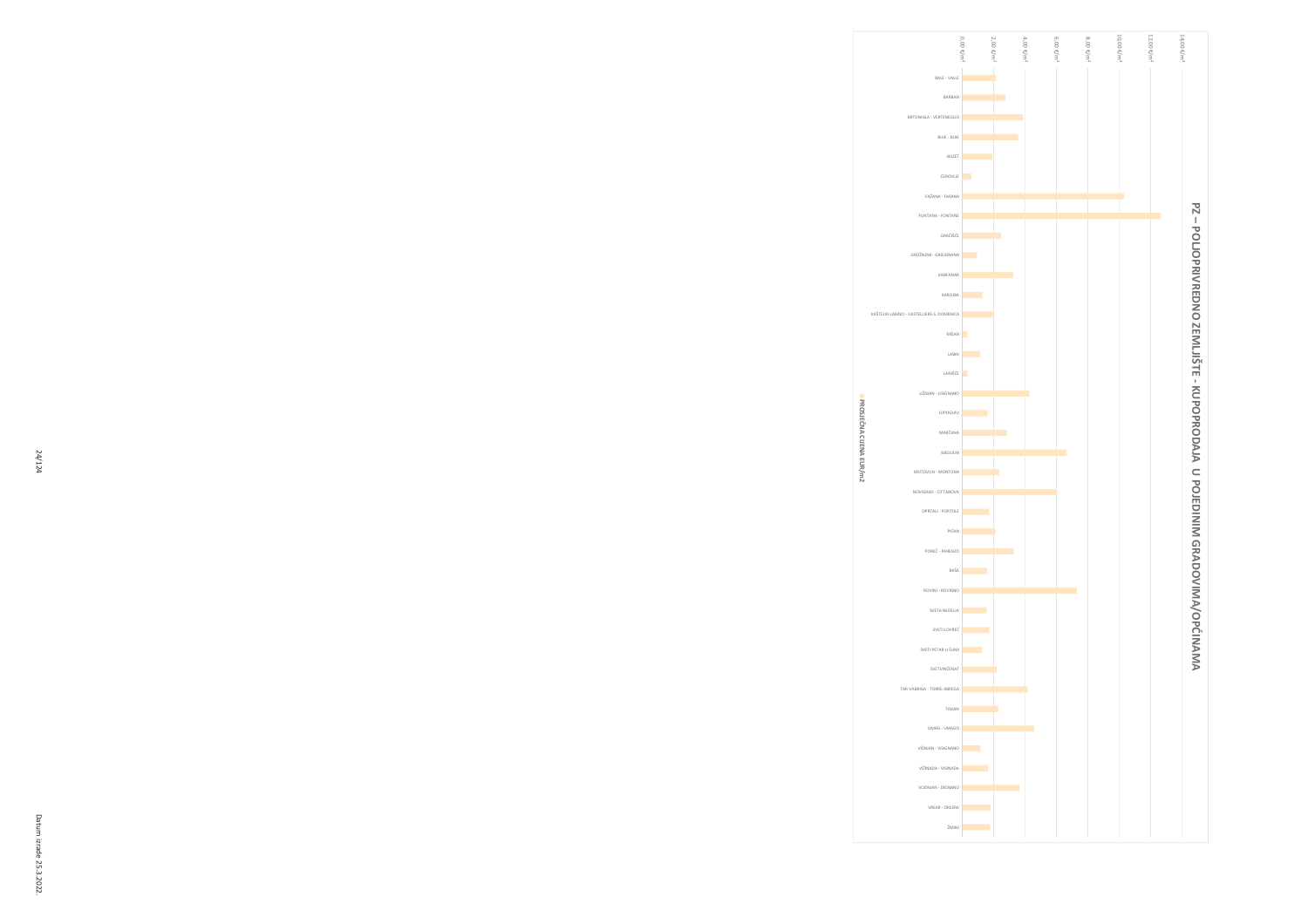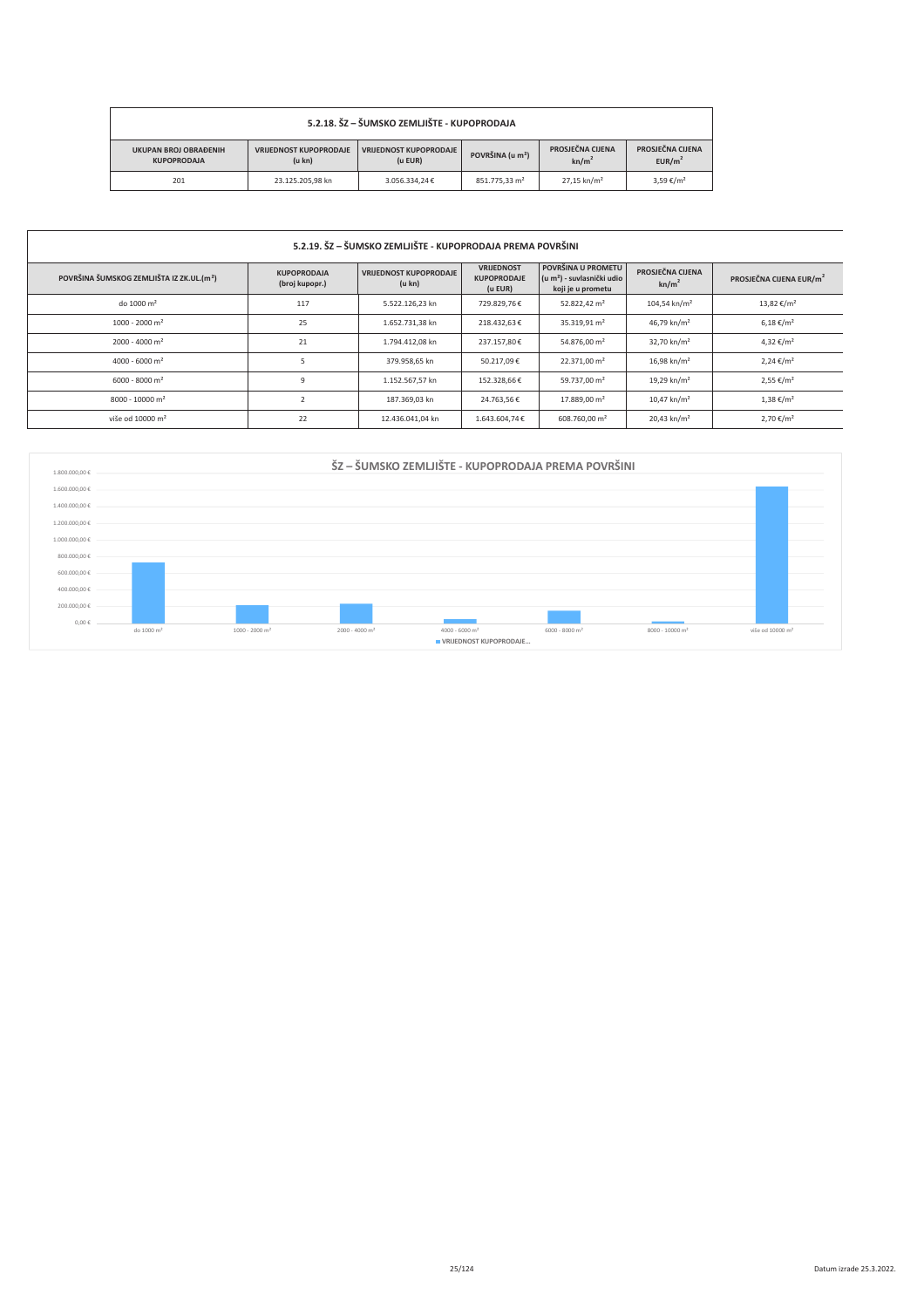| 5.2.18. ŠZ – ŠUMSKO ZEMLJIŠTE - KUPOPRODAJA                                                                                                                               |                  |               |                           |                                       |                                        |  |  |  |
|---------------------------------------------------------------------------------------------------------------------------------------------------------------------------|------------------|---------------|---------------------------|---------------------------------------|----------------------------------------|--|--|--|
| <b>VRIJEDNOST KUPOPRODAJE</b><br><b>VRIJEDNOST KUPOPRODAJE</b><br><b>UKUPAN BROJ OBRAĐENIH</b><br>POVRŠINA (u m <sup>2</sup> )<br>(u kn)<br>(u EUR)<br><b>KUPOPRODAJA</b> |                  |               |                           | PROSJEČNA CIJENA<br>kn/m <sup>2</sup> | PROSJEČNA CIJENA<br>EUR/m <sup>2</sup> |  |  |  |
| 201                                                                                                                                                                       | 23.125.205.98 kn | 3.056.334.24€ | 851.775.33 m <sup>2</sup> | $27,15$ kn/m <sup>2</sup>             | 3.59 $\epsilon/m^2$                    |  |  |  |

| 5.2.19. ŠZ – ŠUMSKO ZEMLJIŠTE - KUPOPRODAJA PREMA POVRŠINI |                                      |                                         |                                                      |                                                                                   |                                       |                                     |  |
|------------------------------------------------------------|--------------------------------------|-----------------------------------------|------------------------------------------------------|-----------------------------------------------------------------------------------|---------------------------------------|-------------------------------------|--|
| POVRŠINA ŠUMSKOG ZEMLJIŠTA IZ ZK.UL.(m <sup>2</sup> )      | <b>KUPOPRODAJA</b><br>(broj kupopr.) | <b>VRIJEDNOST KUPOPRODAJE</b><br>(u kn) | <b>VRIJEDNOST</b><br><b>KUPOPRODAJE</b><br>$(u$ EUR) | POVRŠINA U PROMETU<br>(u m <sup>2</sup> ) - suvlasnički udio<br>koji je u prometu | PROSJEČNA CIJENA<br>kn/m <sup>2</sup> | PROSJEČNA CIJENA EUR/m <sup>2</sup> |  |
| do 1000 m <sup>2</sup>                                     | 117                                  | 5.522.126,23 kn                         | 729.829,76€                                          | 52.822,42 m <sup>2</sup>                                                          | 104,54 kn/m <sup>2</sup>              | 13,82 €/m <sup>2</sup>              |  |
| $1000 - 2000$ m <sup>2</sup>                               | 25                                   | 1.652.731,38 kn                         | 218.432,63€                                          | 35.319,91 m <sup>2</sup>                                                          | 46,79 kn/m <sup>2</sup>               | $6,18 \in /m^2$                     |  |
| $2000 - 4000$ m <sup>2</sup>                               | 21                                   | 1.794.412,08 kn                         | 237.157,80€                                          | 54.876,00 m <sup>2</sup>                                                          | 32,70 kn/m <sup>2</sup>               | 4,32 €/m <sup>2</sup>               |  |
| 4000 - 6000 m <sup>2</sup>                                 |                                      | 379.958.65 kn                           | 50.217.09€                                           | 22.371,00 m <sup>2</sup>                                                          | 16,98 kn/m <sup>2</sup>               | $2,24 \in /m^2$                     |  |
| $6000 - 8000$ m <sup>2</sup>                               | q                                    | 1.152.567,57 kn                         | 152.328,66€                                          | 59.737,00 m <sup>2</sup>                                                          | 19,29 kn/m <sup>2</sup>               | $2,55 \notin /m^2$                  |  |
| $8000 - 10000$ m <sup>2</sup>                              |                                      | 187.369.03 kn                           | 24.763.56€                                           | 17,889.00 m <sup>2</sup>                                                          | $10.47$ kn/m <sup>2</sup>             | $1,38 \in /m^2$                     |  |
| više od 10000 m <sup>2</sup>                               | 22                                   | 12.436.041.04 kn                        | 1.643.604.74€                                        | 608.760.00 m <sup>2</sup>                                                         | 20,43 kn/m <sup>2</sup>               | $2,70 \in /m^2$                     |  |

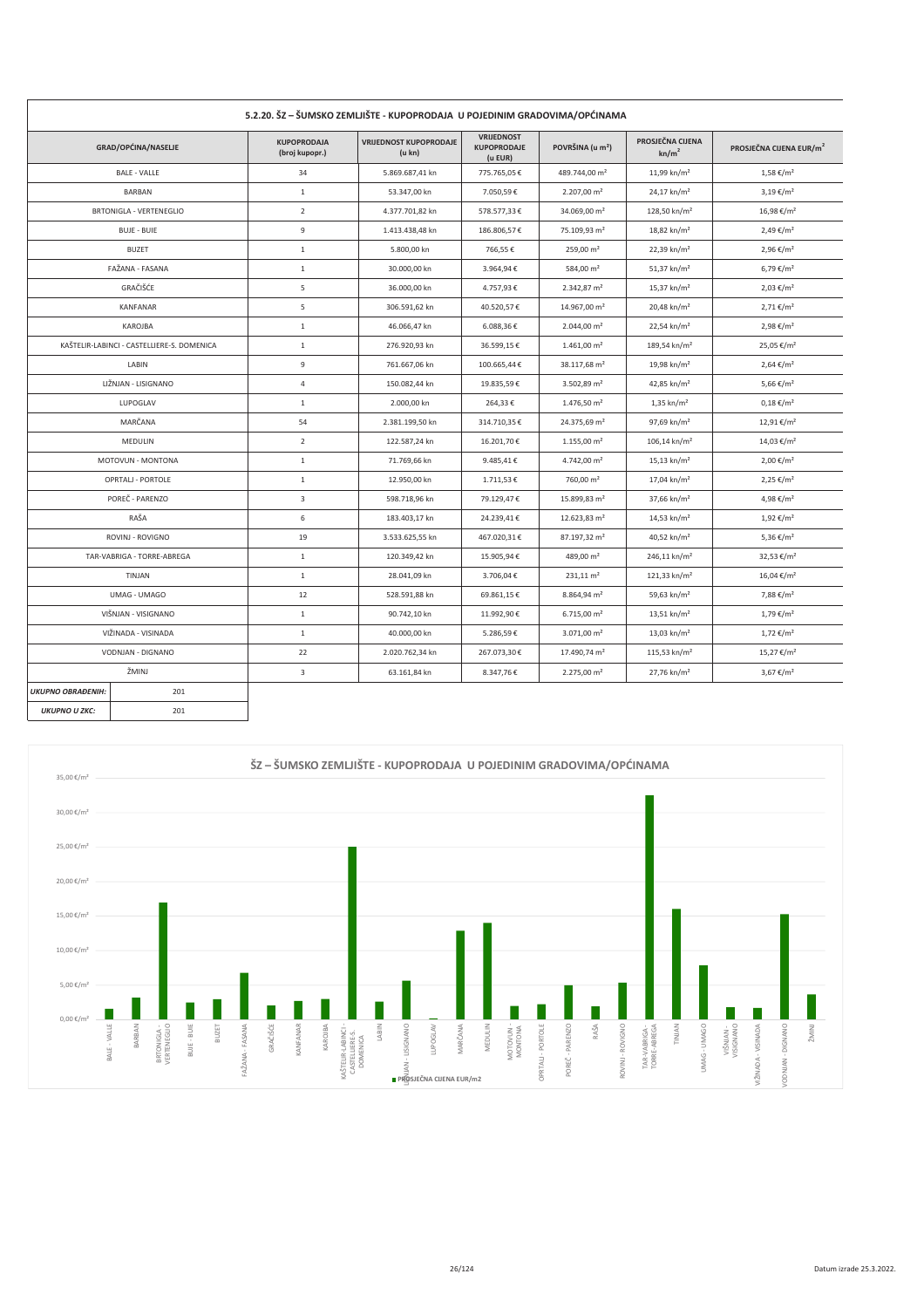|                          | 5.2.20. SZ – SUMSKO ZEMLJISTE - KUPOPRODAJA "U POJEDINIM GRADOVIMA/OPCINAMA" |                                      |                                         |                                             |                              |                                       |                                     |  |
|--------------------------|------------------------------------------------------------------------------|--------------------------------------|-----------------------------------------|---------------------------------------------|------------------------------|---------------------------------------|-------------------------------------|--|
|                          | GRAD/OPĆINA/NASELJE                                                          | <b>KUPOPRODAJA</b><br>(broj kupopr.) | <b>VRIJEDNOST KUPOPRODAJE</b><br>(u kn) | VRIJEDNOST<br><b>KUPOPRODAJE</b><br>(u EUR) | POVRŠINA (u m <sup>2</sup> ) | PROSJEČNA CIJENA<br>kn/m <sup>2</sup> | PROSJEČNA CIJENA EUR/m <sup>2</sup> |  |
|                          | <b>BALE - VALLE</b>                                                          | 34                                   | 5.869.687,41 kn                         | 775.765,05€                                 | 489.744,00 m <sup>2</sup>    | 11,99 kn/m <sup>2</sup>               | $1,58 \in /m^2$                     |  |
|                          | BARBAN                                                                       | $\mathbf{1}$                         | 53.347.00 kn                            | 7.050,59€                                   | 2.207,00 m <sup>2</sup>      | 24,17 kn/m <sup>2</sup>               | $3,19 \notin /m^2$                  |  |
|                          | BRTONIGLA - VERTENEGLIO                                                      | $\overline{2}$                       | 4.377.701,82 kn                         | 578.577,33€                                 | 34.069,00 m <sup>2</sup>     | 128,50 kn/m <sup>2</sup>              | 16,98 €/m <sup>2</sup>              |  |
|                          | <b>BUJE - BUIE</b>                                                           | 9                                    | 1.413.438,48 kn                         | 186.806,57€                                 | 75.109.93 m <sup>2</sup>     | 18,82 kn/m <sup>2</sup>               | $2,49 \notin /m^2$                  |  |
|                          | <b>BUZET</b>                                                                 | $\mathbf{1}$                         | 5.800,00 kn                             | 766,55€                                     | $259,00 \text{ m}^2$         | 22,39 kn/m <sup>2</sup>               | $2,96 \in /m^2$                     |  |
|                          | FAŽANA - FASANA                                                              | $\mathbf{1}$                         | 30.000,00 kn                            | 3.964,94€                                   | 584,00 m <sup>2</sup>        | 51,37 kn/m <sup>2</sup>               | 6,79 €/m <sup>2</sup>               |  |
|                          | GRAČIŠĆE                                                                     | 5                                    | 36.000,00 kn                            | 4.757,93€                                   | 2.342,87 m <sup>2</sup>      | 15,37 kn/m <sup>2</sup>               | $2,03 \notin /m^2$                  |  |
|                          | KANFANAR                                                                     | $\overline{5}$                       | 306.591,62 kn                           | 40.520,57€                                  | 14.967,00 m <sup>2</sup>     | 20,48 kn/m <sup>2</sup>               | $2,71 \notin /m^2$                  |  |
|                          | KAROJBA                                                                      | $\mathbf{1}$                         | 46.066,47 kn                            | 6.088,36€                                   | 2.044,00 m <sup>2</sup>      | 22,54 kn/m <sup>2</sup>               | $2,98 \notin /m^2$                  |  |
|                          | KAŠTELIR-LABINCI - CASTELLIERE-S. DOMENICA                                   | $\mathbf{1}$                         | 276.920,93 kn                           | 36.599,15€                                  | $1.461,00 \text{ m}^2$       | 189,54 kn/m <sup>2</sup>              | 25,05 €/m <sup>2</sup>              |  |
|                          | LABIN                                                                        | 9                                    | 761.667,06 kn                           | 100.665,44€                                 | 38.117,68 m <sup>2</sup>     | 19,98 kn/m <sup>2</sup>               | $2,64 \notin /m^2$                  |  |
|                          | LIŽNJAN - LISIGNANO                                                          | 4                                    | 150.082,44 kn                           | 19.835,59€                                  | 3.502,89 $m2$                | 42,85 kn/m <sup>2</sup>               | 5,66 €/m <sup>2</sup>               |  |
|                          | LUPOGLAV                                                                     | $\mathbf{1}$                         | 2.000,00 kn                             | 264,33€                                     | 1.476,50 m <sup>2</sup>      | $1,35 \text{ km/m}^2$                 | $0,18 \notin /m^2$                  |  |
|                          | MARČANA                                                                      | 54                                   | 2.381.199,50 kn                         | 314.710,35€                                 | 24.375,69 m <sup>2</sup>     | 97,69 kn/m <sup>2</sup>               | 12,91 €/m <sup>2</sup>              |  |
|                          | MEDULIN                                                                      | $\overline{2}$                       | 122.587,24 kn                           | 16.201,70€                                  | $1.155,00 \text{ m}^2$       | $106,14$ kn/m <sup>2</sup>            | 14,03 €/m <sup>2</sup>              |  |
|                          | MOTOVUN - MONTONA                                                            | $\mathbf{1}$                         | 71.769,66 kn                            | 9.485,41€                                   | 4.742,00 m <sup>2</sup>      | $15,13$ kn/m <sup>2</sup>             | 2,00 €/m <sup>2</sup>               |  |
|                          | OPRTALJ - PORTOLE                                                            | $\mathbf{1}$                         | 12.950,00 kn                            | 1.711,53€                                   | 760,00 m <sup>2</sup>        | $17,04$ kn/m <sup>2</sup>             | $2,25 \notin /m^2$                  |  |
|                          | POREČ - PARENZO                                                              | 3                                    | 598.718,96 kn                           | 79.129,47€                                  | 15.899,83 m <sup>2</sup>     | 37,66 kn/m <sup>2</sup>               | 4,98 €/m <sup>2</sup>               |  |
|                          | RAŠA                                                                         | 6                                    | 183.403,17 kn                           | 24.239,41€                                  | 12.623,83 $m2$               | 14,53 kn/m <sup>2</sup>               | $1,92 \notin /m^2$                  |  |
|                          | ROVINJ - ROVIGNO                                                             | 19                                   | 3.533.625,55 kn                         | 467.020,31€                                 | 87.197,32 m <sup>2</sup>     | 40,52 kn/m <sup>2</sup>               | 5,36 €/m <sup>2</sup>               |  |
|                          | TAR-VABRIGA - TORRE-ABREGA                                                   | $\mathbf{1}$                         | 120.349,42 kn                           | 15.905,94€                                  | 489,00 m <sup>2</sup>        | $246,11$ kn/m <sup>2</sup>            | 32,53 €/m <sup>2</sup>              |  |
|                          | TINJAN                                                                       | $\mathbf{1}$                         | 28.041,09 kn                            | 3.706,04€                                   | $231,11 \text{ m}^2$         | 121,33 kn/m <sup>2</sup>              | 16,04 €/m <sup>2</sup>              |  |
|                          | UMAG - UMAGO                                                                 | 12                                   | 528.591,88 kn                           | 69.861,15€                                  | 8.864,94 m <sup>2</sup>      | 59,63 kn/m <sup>2</sup>               | 7,88 €/m <sup>2</sup>               |  |
|                          | VIŠNJAN - VISIGNANO                                                          | $\mathbf{1}$                         | 90.742,10 kn                            | 11.992,90€                                  | $6.715,00 \text{ m}^2$       | $13,51$ kn/m <sup>2</sup>             | $1,79 \notin /m^2$                  |  |
|                          | VIŽINADA - VISINADA                                                          | $\mathbf{1}$                         | 40.000,00 kn                            | 5.286,59€                                   | $3.071,00 \text{ m}^2$       | 13,03 kn/m <sup>2</sup>               | $1,72 \notin /m^2$                  |  |
|                          | VODNJAN - DIGNANO                                                            | 22                                   | 2.020.762,34 kn                         | 267.073,30€                                 | 17.490,74 m <sup>2</sup>     | 115,53 kn/m <sup>2</sup>              | 15,27 €/m <sup>2</sup>              |  |
|                          | ŽMINJ                                                                        | $\overline{\mathbf{3}}$              | 63.161,84 kn                            | 8.347,76€                                   | 2.275,00 m <sup>2</sup>      | 27,76 kn/m <sup>2</sup>               | $3,67 \notin /m^2$                  |  |
| <b>UKUPNO OBRAĐENIH:</b> | 201                                                                          |                                      |                                         |                                             |                              |                                       |                                     |  |
| <b>UKUPNO U ZKC:</b>     | 201                                                                          |                                      |                                         |                                             |                              |                                       |                                     |  |

# E 2 20 ŠZ – ŠIIMSKO ZEMIJIŠTE – KIJPORRODAJA JI ROJEDINIM GRADOVIMA (ORĆINAMA

 $\overline{\phantom{a}}$ 

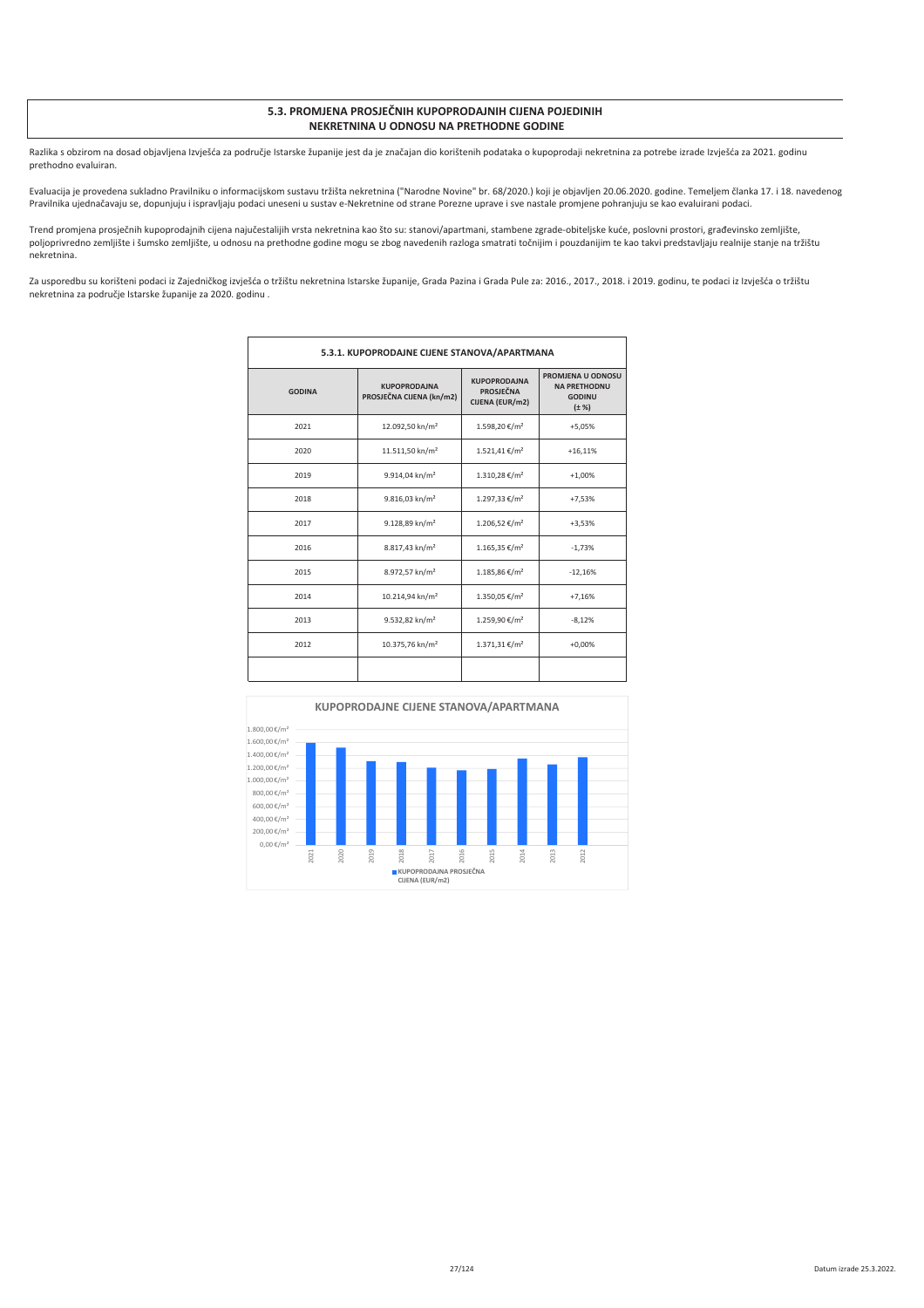#### 5.3. PROMJENA PROSJEČNIH KUPOPRODAJNIH CIJENA POJEDINIH **NEKRETNINA U ODNOSU NA PRETHODNE GODINE**

Razlika s obzirom na dosad objavljena Izvješća za područje Istarske županije jest da je značajan dio korištenih podataka o kupoprodaji nekretnina za potrebe izrade Izvješća za 2021. godinu prethodno evaluiran.

Evaluacija je provedena sukladno Pravilniku o informacijskom sustavu tržišta nekretnina ("Narodne Novine" br. 68/2020.) koji je objavljen 20.06.2020. godine. Temeljem članka 17. i 18. navedenog Pravilnika ujednačavaju se, dopunjuju i ispravljaju podaci uneseni u sustav e-Nekretnine od strane Porezne uprave i sve nastale promjene pohranjuju se kao evaluirani podaci.

Trend promjena prosječnih kupoprodajnih cijena najučestalijih vrsta nekretnina kao što su: stanovi/apartmani, stambene zgrade-obiteljske kuće, poslovni prostori, građevinsko zemljište, poljoprivredno zemljište i šumsko zemljište, u odnosu na prethodne godine mogu se zbog navedenih razloga smatrati točnijim i pouzdanijim te kao takvi predstavljaju realnije stanje na tržištu nekretnina

Za usporedbu su korišteni podaci iz Zajedničkog izvješća o tržištu nekretnina Istarske županije, Grada Pazina i Grada Pule za: 2016., 2017., 2018. i 2019. godinu, te podaci iz Izvješća o tržištu nekretnina za područje Istarske županije za 2020. godinu.

| 5.3.1. KUPOPRODAJNE CIJENE STANOVA/APARTMANA |                                                                                                        |                           |                                                                         |  |  |  |
|----------------------------------------------|--------------------------------------------------------------------------------------------------------|---------------------------|-------------------------------------------------------------------------|--|--|--|
| <b>GODINA</b>                                | <b>KUPOPRODAINA</b><br><b>KUPOPRODAJNA</b><br>PROSJEČNA<br>PROSJEČNA CIJENA (kn/m2)<br>CIJENA (EUR/m2) |                           | PROMJENA U ODNOSU<br><b>NA PRETHODNU</b><br><b>GODINU</b><br>$(\pm \%)$ |  |  |  |
| 2021                                         | 12.092,50 kn/m <sup>2</sup>                                                                            | 1.598,20 €/m <sup>2</sup> | $+5,05%$                                                                |  |  |  |
| 2020                                         | 11.511,50 kn/m <sup>2</sup>                                                                            | 1.521,41 €/m <sup>2</sup> | $+16,11%$                                                               |  |  |  |
| 2019                                         | 9.914,04 kn/m <sup>2</sup>                                                                             | 1.310,28 €/m <sup>2</sup> | $+1,00%$                                                                |  |  |  |
| 2018                                         | 9.816,03 kn/m <sup>2</sup>                                                                             | 1.297,33 €/m <sup>2</sup> | $+7,53%$                                                                |  |  |  |
| 2017                                         | 9.128,89 kn/m <sup>2</sup>                                                                             | 1.206,52 €/m <sup>2</sup> | $+3,53%$                                                                |  |  |  |
| 2016                                         | 8.817,43 kn/m <sup>2</sup>                                                                             | $1.165,35 \in /m^2$       | $-1,73%$                                                                |  |  |  |
| 2015                                         | 8.972,57 kn/m <sup>2</sup>                                                                             | 1.185,86 €/m <sup>2</sup> | $-12,16%$                                                               |  |  |  |
| 2014                                         | 10.214,94 kn/m <sup>2</sup>                                                                            | 1.350,05 €/m <sup>2</sup> | $+7,16%$                                                                |  |  |  |
| 2013                                         | 9.532,82 kn/m <sup>2</sup>                                                                             | 1.259,90 €/m <sup>2</sup> | $-8,12%$                                                                |  |  |  |
| 2012                                         | 10.375,76 kn/m <sup>2</sup>                                                                            | 1.371,31 €/m <sup>2</sup> | $+0,00%$                                                                |  |  |  |
|                                              |                                                                                                        |                           |                                                                         |  |  |  |

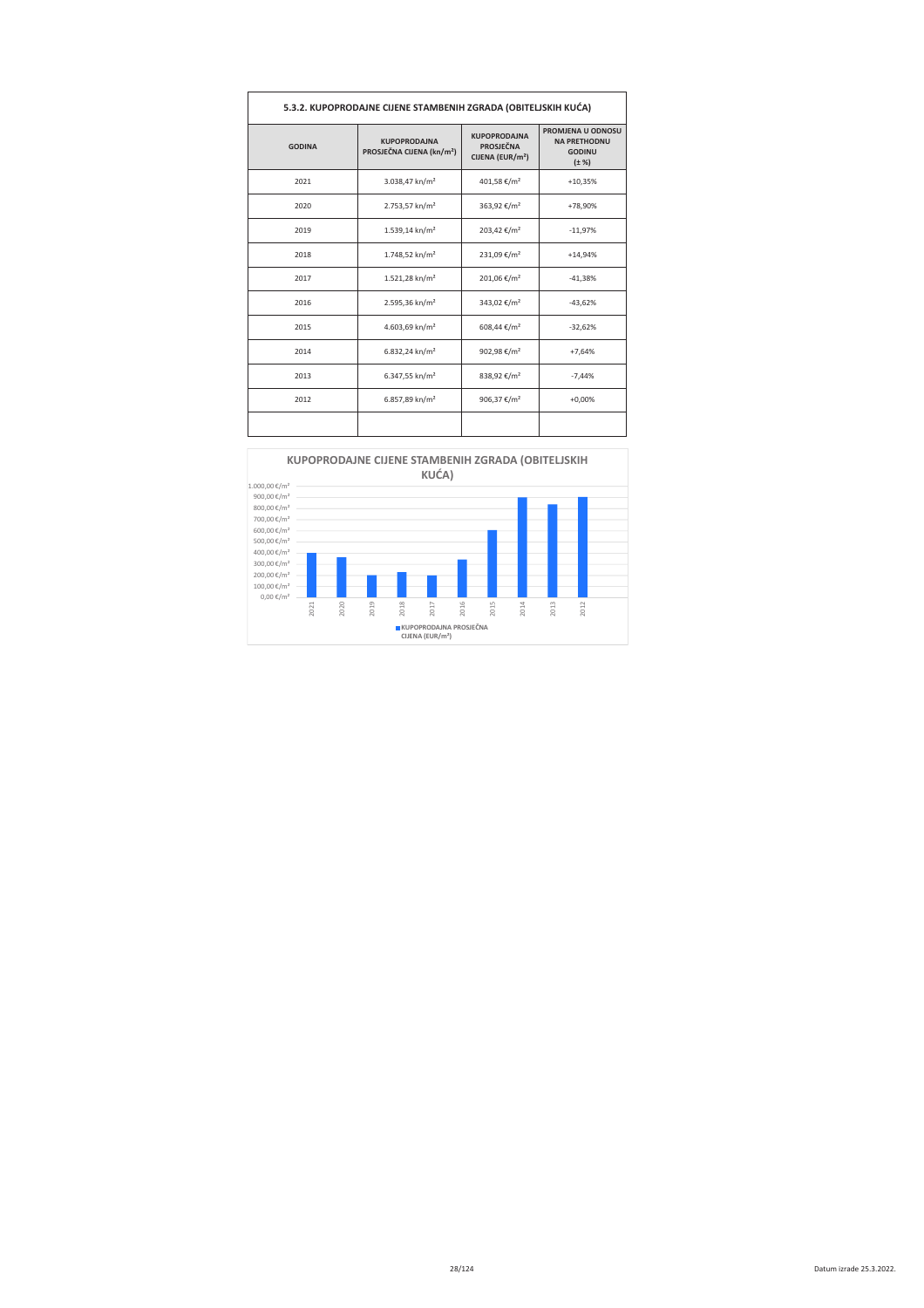| 5.3.2. KUPOPRODAJNE CIJENE STAMBENIH ZGRADA (OBITELJSKIH KUĆA) |                                                              |                                                                         |                                                                         |  |  |  |  |
|----------------------------------------------------------------|--------------------------------------------------------------|-------------------------------------------------------------------------|-------------------------------------------------------------------------|--|--|--|--|
| <b>GODINA</b>                                                  | <b>KUPOPRODAINA</b><br>PROSJEČNA CIJENA (kn/m <sup>2</sup> ) | <b>KUPOPRODAINA</b><br><b>PROSJEČNA</b><br>CIJENA (EUR/m <sup>2</sup> ) | PROMJENA U ODNOSU<br><b>NA PRETHODNU</b><br><b>GODINU</b><br>$(\pm \%)$ |  |  |  |  |
| 2021                                                           | 3.038,47 kn/m <sup>2</sup>                                   | 401,58 €/m <sup>2</sup>                                                 | $+10,35%$                                                               |  |  |  |  |
| 2020                                                           | 2.753,57 kn/m <sup>2</sup>                                   | 363,92 €/m <sup>2</sup>                                                 | +78,90%                                                                 |  |  |  |  |
| 2019                                                           | 1.539,14 kn/m <sup>2</sup>                                   | 203,42 €/m <sup>2</sup>                                                 | $-11,97%$                                                               |  |  |  |  |
| 2018                                                           | 1.748,52 kn/m <sup>2</sup>                                   | 231,09 €/m <sup>2</sup>                                                 | $+14,94%$                                                               |  |  |  |  |
| 2017                                                           | 1.521,28 kn/m <sup>2</sup>                                   | 201,06 €/m <sup>2</sup>                                                 | $-41,38%$                                                               |  |  |  |  |
| 2016                                                           | 2.595,36 kn/m <sup>2</sup>                                   | 343,02 €/m <sup>2</sup>                                                 | $-43,62%$                                                               |  |  |  |  |
| 2015                                                           | 4.603,69 kn/m <sup>2</sup>                                   | 608,44 €/m <sup>2</sup>                                                 | $-32,62%$                                                               |  |  |  |  |
| 2014                                                           | 6.832,24 kn/m <sup>2</sup>                                   | 902,98 €/m <sup>2</sup>                                                 | $+7,64%$                                                                |  |  |  |  |
| 2013                                                           | 6.347,55 kn/m <sup>2</sup>                                   | 838,92 €/m <sup>2</sup>                                                 | $-7,44%$                                                                |  |  |  |  |
| 2012                                                           | 6.857,89 kn/m <sup>2</sup>                                   | 906,37 $\epsilon/m^2$                                                   | $+0.00%$                                                                |  |  |  |  |
|                                                                |                                                              |                                                                         |                                                                         |  |  |  |  |



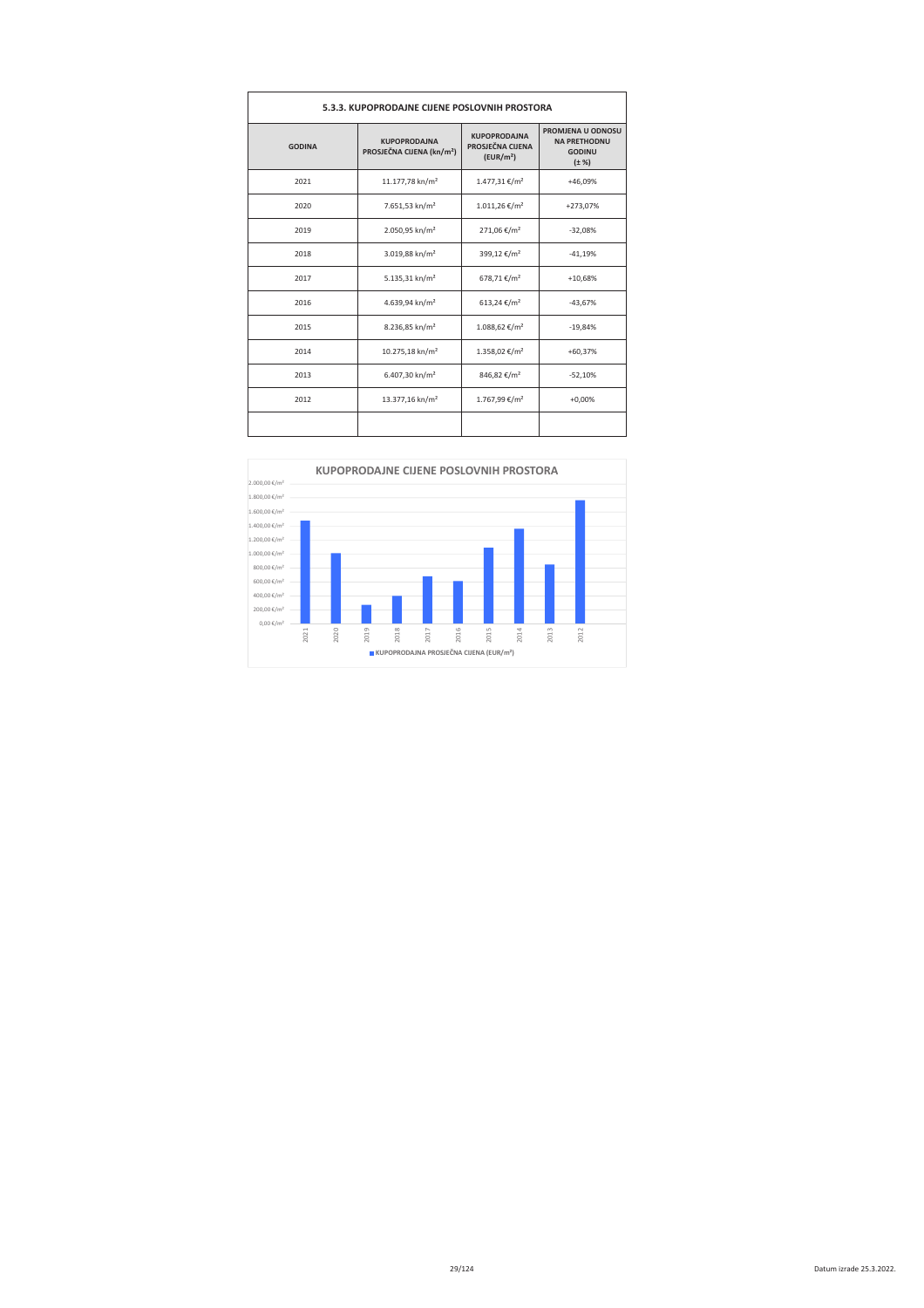| 5.3.3. KUPOPRODAJNE CIJENE POSLOVNIH PROSTORA |                                                                                                                                  |                           |                                                                         |  |  |  |
|-----------------------------------------------|----------------------------------------------------------------------------------------------------------------------------------|---------------------------|-------------------------------------------------------------------------|--|--|--|
| <b>GODINA</b>                                 | <b>KUPOPRODAINA</b><br><b>KUPOPRODAINA</b><br>PROSJEČNA CIJENA<br>PROSJEČNA CIJENA (kn/m <sup>2</sup> )<br>(EUR/m <sup>2</sup> ) |                           | PROMJENA U ODNOSU<br><b>NA PRETHODNU</b><br><b>GODINU</b><br>$(\pm \%)$ |  |  |  |
| 2021                                          | 11.177,78 kn/m <sup>2</sup>                                                                                                      | 1.477,31 €/m <sup>2</sup> | +46,09%                                                                 |  |  |  |
| 2020                                          | 7.651,53 kn/m <sup>2</sup>                                                                                                       | $1.011,26 \in /m^2$       | +273,07%                                                                |  |  |  |
| 2019                                          | 2.050,95 kn/m <sup>2</sup>                                                                                                       | 271,06 €/m <sup>2</sup>   | $-32,08%$                                                               |  |  |  |
| 2018                                          | 3.019,88 kn/m <sup>2</sup>                                                                                                       | 399,12 €/m <sup>2</sup>   | $-41,19%$                                                               |  |  |  |
| 2017                                          | 5.135,31 kn/m <sup>2</sup>                                                                                                       | 678,71 €/m <sup>2</sup>   | $+10.68%$                                                               |  |  |  |
| 2016                                          | 4.639,94 kn/m <sup>2</sup>                                                                                                       | 613,24 €/m <sup>2</sup>   | $-43,67%$                                                               |  |  |  |
| 2015                                          | 8.236,85 kn/m <sup>2</sup>                                                                                                       | 1.088,62 €/m <sup>2</sup> | $-19,84%$                                                               |  |  |  |
| 2014                                          | 10.275,18 kn/m <sup>2</sup>                                                                                                      | 1.358,02 €/m <sup>2</sup> | $+60,37%$                                                               |  |  |  |
| 2013                                          | 6.407,30 kn/m <sup>2</sup>                                                                                                       | 846,82 €/m <sup>2</sup>   | $-52,10%$                                                               |  |  |  |
| 2012                                          | 13.377,16 kn/m <sup>2</sup>                                                                                                      | 1.767.99 €/m <sup>2</sup> | $+0.00%$                                                                |  |  |  |
|                                               |                                                                                                                                  |                           |                                                                         |  |  |  |

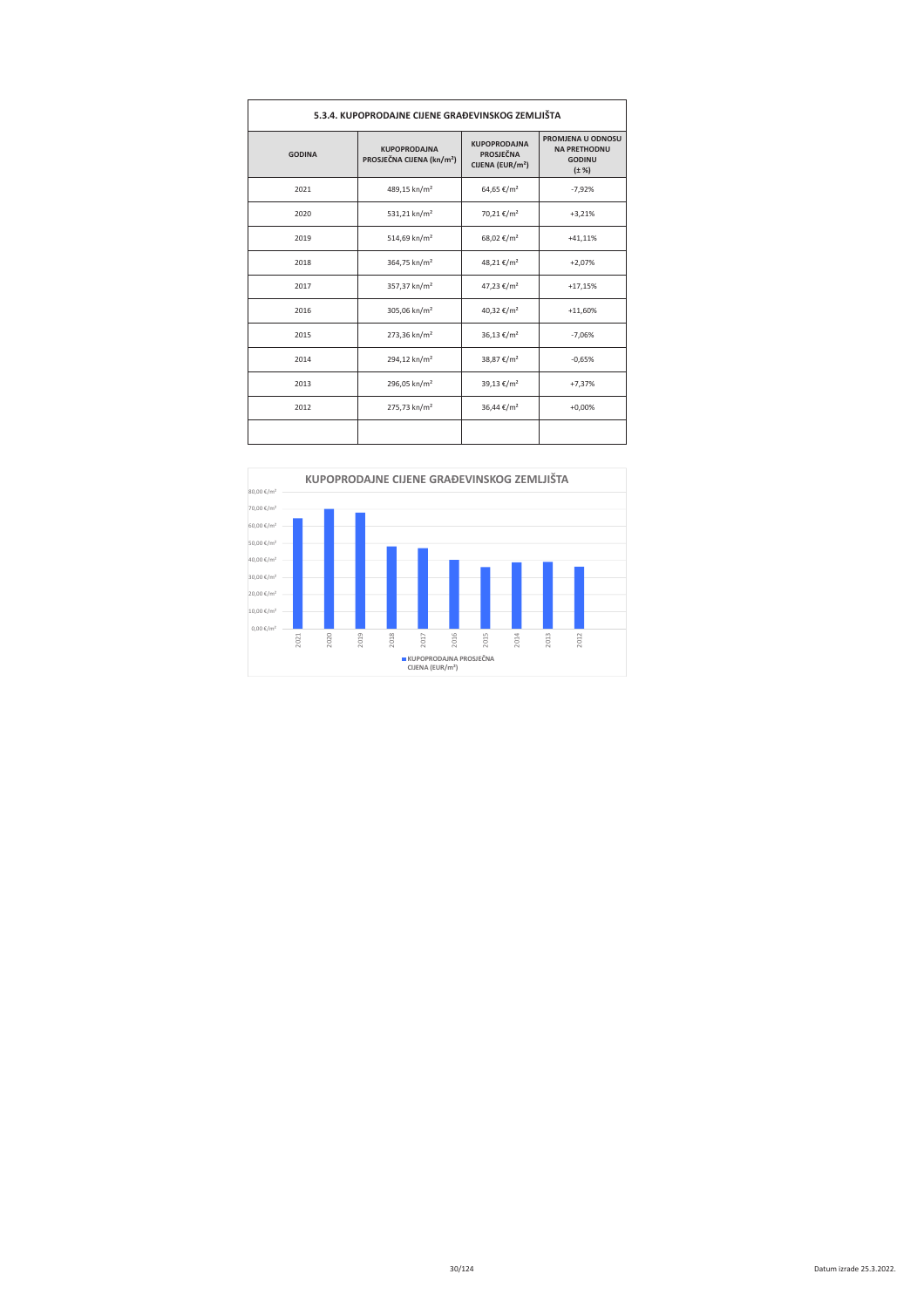| 5.3.4. KUPOPRODAJNE CIJENE GRAĐEVINSKOG ZEMLJIŠTA |                                                                                                                                         |                        |                                                                         |  |  |  |
|---------------------------------------------------|-----------------------------------------------------------------------------------------------------------------------------------------|------------------------|-------------------------------------------------------------------------|--|--|--|
| <b>GODINA</b>                                     | <b>KUPOPRODAINA</b><br><b>KUPOPRODAJNA</b><br><b>PROSJEČNA</b><br>PROSJEČNA CIJENA (kn/m <sup>2</sup> )<br>CIJENA (EUR/m <sup>2</sup> ) |                        | PROMJENA U ODNOSU<br><b>NA PRETHODNU</b><br><b>GODINU</b><br>$(\pm \%)$ |  |  |  |
| 2021                                              | 489,15 kn/m <sup>2</sup>                                                                                                                | 64,65 €/m <sup>2</sup> | $-7,92%$                                                                |  |  |  |
| 2020                                              | 531,21 kn/m <sup>2</sup>                                                                                                                | 70,21 €/m <sup>2</sup> | $+3,21%$                                                                |  |  |  |
| 2019                                              | 514,69 kn/m <sup>2</sup>                                                                                                                | 68,02 €/m <sup>2</sup> | $+41,11%$                                                               |  |  |  |
| 2018                                              | 364,75 kn/m <sup>2</sup>                                                                                                                | 48,21 €/m <sup>2</sup> | $+2,07%$                                                                |  |  |  |
| 2017                                              | 357,37 kn/m <sup>2</sup>                                                                                                                | 47,23 €/m <sup>2</sup> | $+17,15%$                                                               |  |  |  |
| 2016                                              | 305,06 kn/m <sup>2</sup>                                                                                                                | 40,32 €/m <sup>2</sup> | $+11,60%$                                                               |  |  |  |
| 2015                                              | 273,36 kn/m <sup>2</sup>                                                                                                                | 36,13 €/m <sup>2</sup> | $-7,06%$                                                                |  |  |  |
| 2014                                              | 294,12 kn/m <sup>2</sup>                                                                                                                | 38,87 €/m <sup>2</sup> | $-0,65%$                                                                |  |  |  |
| 2013                                              | 296,05 kn/m <sup>2</sup>                                                                                                                | 39,13 €/m <sup>2</sup> | $+7,37%$                                                                |  |  |  |
| 2012                                              | 275,73 kn/m <sup>2</sup>                                                                                                                | 36,44 €/m <sup>2</sup> | $+0,00%$                                                                |  |  |  |
|                                                   |                                                                                                                                         |                        |                                                                         |  |  |  |

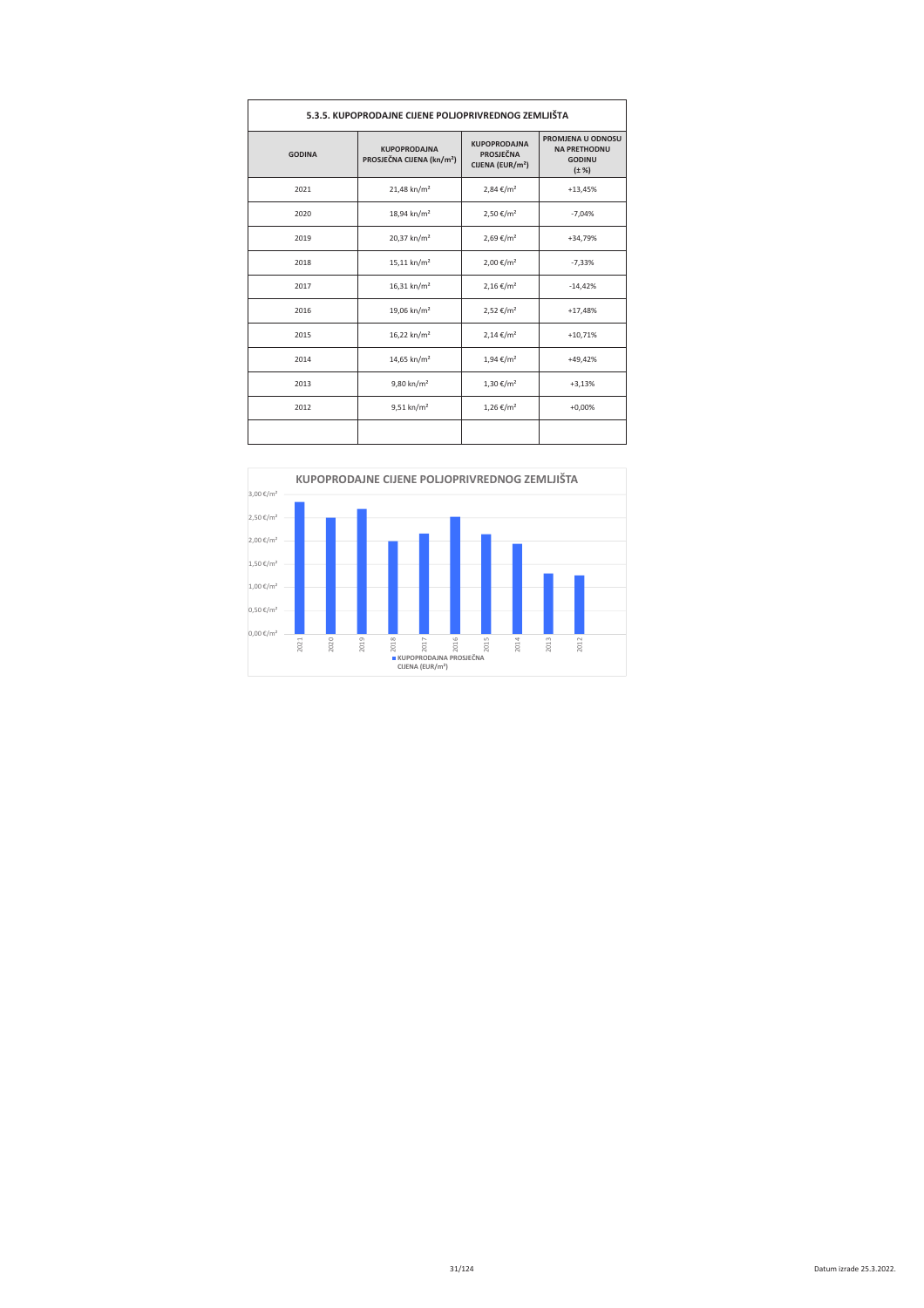| 5.3.5. KUPOPRODAJNE CIJENE POLJOPRIVREDNOG ZEMLJIŠTA |                                                                                                                                         |                            |                                                                         |  |  |  |
|------------------------------------------------------|-----------------------------------------------------------------------------------------------------------------------------------------|----------------------------|-------------------------------------------------------------------------|--|--|--|
| <b>GODINA</b>                                        | <b>KUPOPRODAJNA</b><br><b>KUPOPRODAJNA</b><br><b>PROSJEČNA</b><br>PROSJEČNA CIJENA (kn/m <sup>2</sup> )<br>CIJENA (EUR/m <sup>2</sup> ) |                            | PROMJENA U ODNOSU<br><b>NA PRETHODNU</b><br><b>GODINU</b><br>$(\pm \%)$ |  |  |  |
| 2021                                                 | 21,48 kn/m <sup>2</sup>                                                                                                                 | 2,84 €/m <sup>2</sup>      | $+13,45%$                                                               |  |  |  |
| 2020                                                 | 18,94 kn/m <sup>2</sup>                                                                                                                 | 2,50 €/m <sup>2</sup>      | $-7,04%$                                                                |  |  |  |
| 2019                                                 | 20,37 kn/m <sup>2</sup>                                                                                                                 | 2,69 €/m <sup>2</sup>      | +34,79%                                                                 |  |  |  |
| 2018                                                 | $15,11$ kn/m <sup>2</sup>                                                                                                               | 2,00 €/m <sup>2</sup>      | $-7,33%$                                                                |  |  |  |
| 2017                                                 | $16,31$ kn/m <sup>2</sup>                                                                                                               | $2,16 \in /m^2$            | $-14,42%$                                                               |  |  |  |
| 2016                                                 | 19,06 kn/m <sup>2</sup>                                                                                                                 | 2,52 €/m <sup>2</sup>      | $+17,48%$                                                               |  |  |  |
| 2015                                                 | 16,22 kn/m <sup>2</sup>                                                                                                                 | $2,14 \in /m^2$            | $+10,71%$                                                               |  |  |  |
| 2014                                                 | 14,65 kn/m <sup>2</sup>                                                                                                                 | $1,94 \in /m^2$            | $+49.42%$                                                               |  |  |  |
| 2013                                                 | $9,80 \text{ km/m}^2$                                                                                                                   | $1,30 \in /m^2$            | $+3,13%$                                                                |  |  |  |
| 2012                                                 | $9,51$ kn/m <sup>2</sup>                                                                                                                | $1,26 \in$ /m <sup>2</sup> | $+0,00%$                                                                |  |  |  |
|                                                      |                                                                                                                                         |                            |                                                                         |  |  |  |

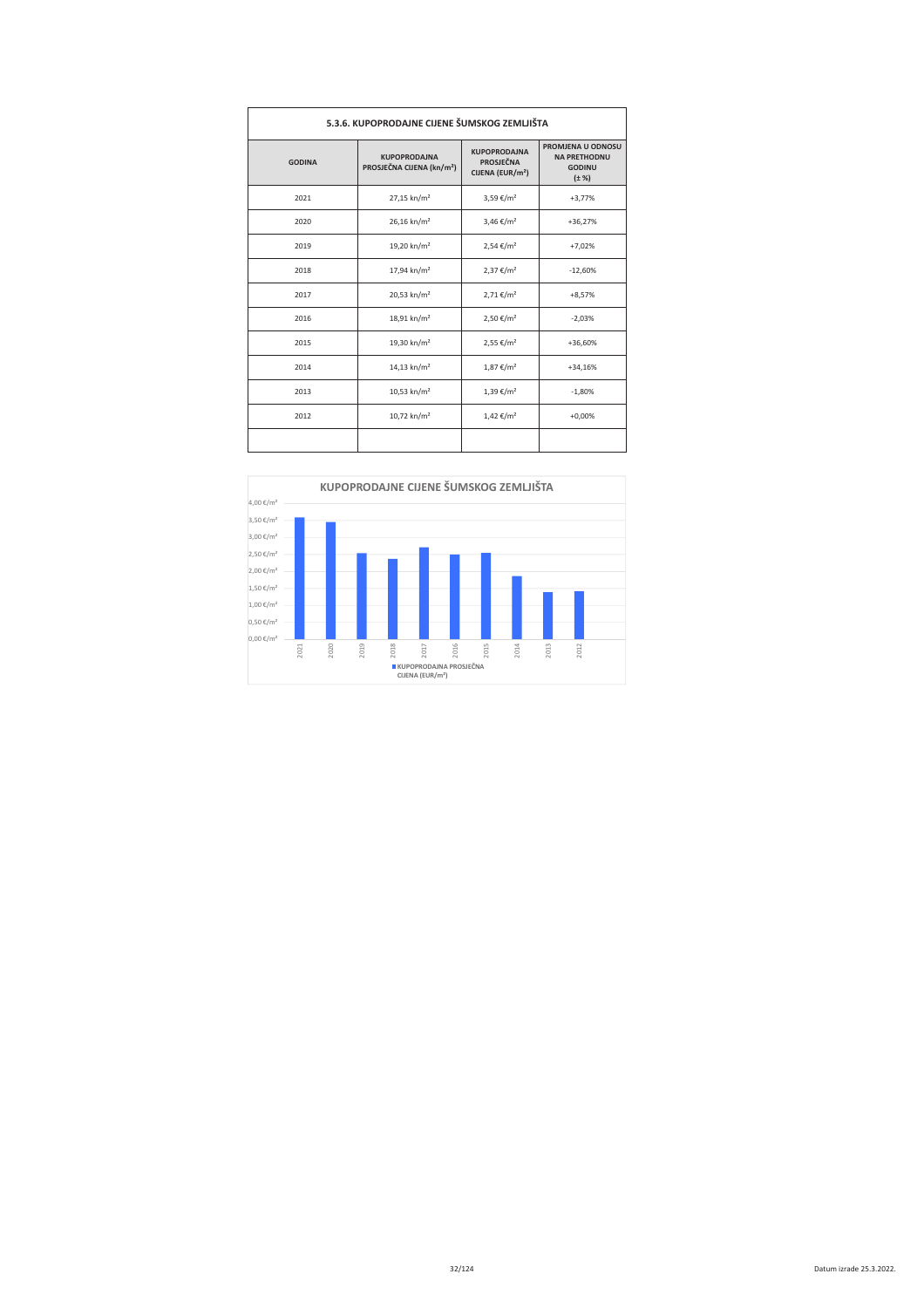| 5.3.6. KUPOPRODAJNE CIJENE ŠUMSKOG ZEMLJIŠTA |                                                              |                                                                         |                                                                         |  |  |  |
|----------------------------------------------|--------------------------------------------------------------|-------------------------------------------------------------------------|-------------------------------------------------------------------------|--|--|--|
| <b>GODINA</b>                                | <b>KUPOPRODAJNA</b><br>PROSJEČNA CIJENA (kn/m <sup>2</sup> ) | <b>KUPOPRODAINA</b><br><b>PROSJEČNA</b><br>CIJENA (EUR/m <sup>2</sup> ) | PROMJENA U ODNOSU<br><b>NA PRETHODNU</b><br><b>GODINU</b><br>$(\pm \%)$ |  |  |  |
| 2021                                         | 27,15 kn/m <sup>2</sup>                                      | 3,59 €/m <sup>2</sup>                                                   | $+3,77%$                                                                |  |  |  |
| 2020                                         | 26,16 kn/m <sup>2</sup>                                      | 3,46 €/m <sup>2</sup>                                                   | $+36,27%$                                                               |  |  |  |
| 2019                                         | 19,20 kn/m <sup>2</sup>                                      | $2,54 \in /m^2$                                                         | $+7,02%$                                                                |  |  |  |
| 2018                                         | 17,94 kn/m <sup>2</sup>                                      | $2,37 \notin /m^2$                                                      | $-12,60%$                                                               |  |  |  |
| 2017                                         | 20,53 kn/m <sup>2</sup>                                      | $2,71 \in /m^2$                                                         | $+8,57%$                                                                |  |  |  |
| 2016                                         | 18,91 kn/m <sup>2</sup>                                      | 2,50 €/m <sup>2</sup>                                                   | $-2,03%$                                                                |  |  |  |
| 2015                                         | 19,30 kn/m <sup>2</sup>                                      | 2,55 €/m <sup>2</sup>                                                   | +36,60%                                                                 |  |  |  |
| 2014                                         | $14,13$ kn/m <sup>2</sup>                                    | $1,87 \notin / m^2$                                                     | $+34,16%$                                                               |  |  |  |
| 2013                                         | 10,53 kn/ $m2$                                               | 1,39 €/m <sup>2</sup>                                                   | $-1,80%$                                                                |  |  |  |
| 2012                                         | 10,72 kn/m <sup>2</sup>                                      | $1,42 \notin /m^2$                                                      | $+0,00%$                                                                |  |  |  |
|                                              |                                                              |                                                                         |                                                                         |  |  |  |

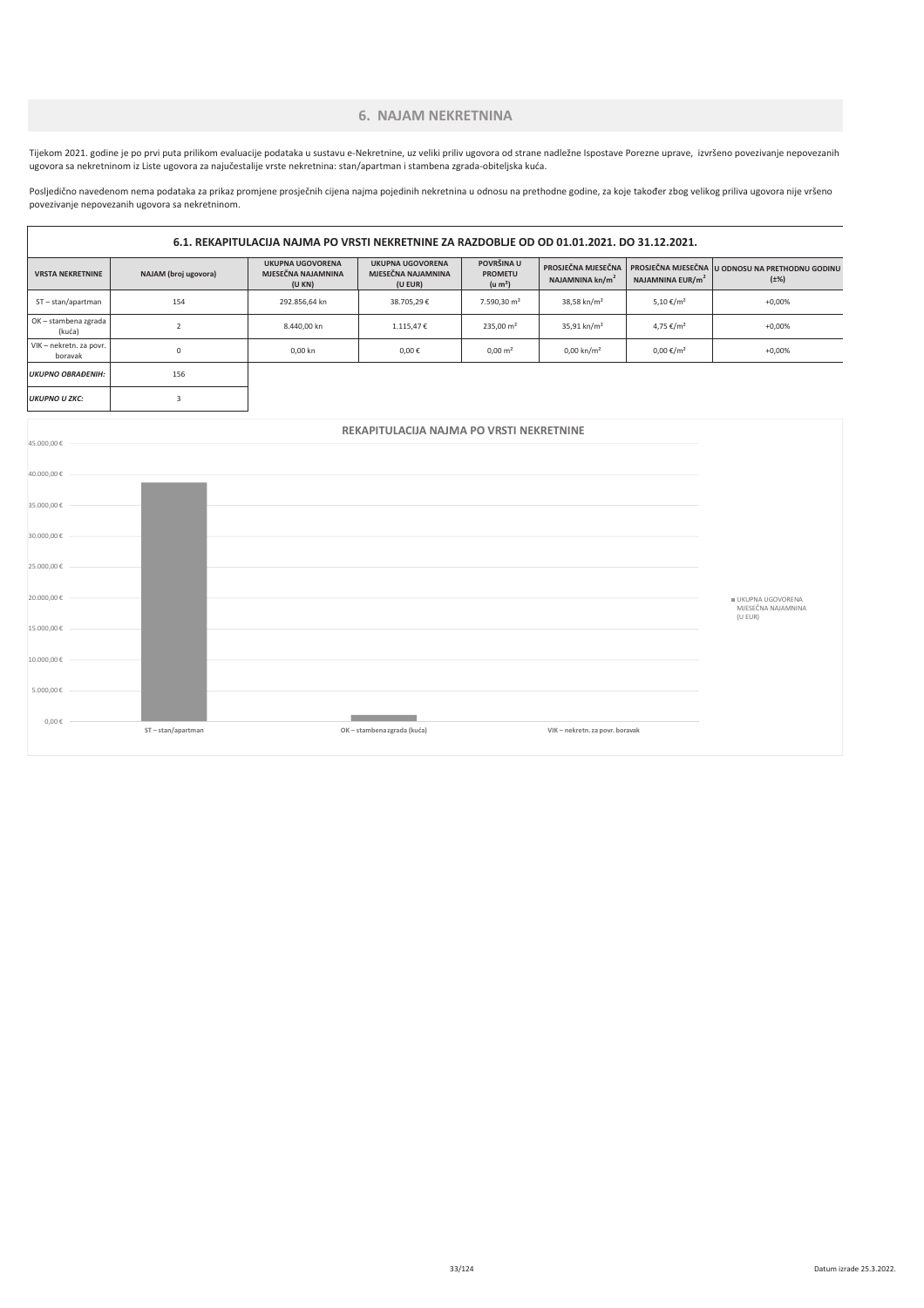# **6. NAJAM NEKRETNINA**

Tijekom 2021. godine je po prvi puta prilikom evaluacije podataka u sustavu e-Nekretnine, uz veliki priliv ugovora od strane nadležne Ispostave Porezne uprave, izvršeno povezivanje nepovezanih .<br>ugovora sa nekretninom iz Liste ugovora za najučestalije vrste nekretnina: stan/apartman i stambena zgrada-obiteljska kuća.

Posljedično navedenom nema podataka za prikaz promjene prosječnih cijena najma pojedinih nekretnina u odnosu na prethodne godine, za koje također zbog velikog priliva ugovora nije vršeno povezivanje nepovezanih ugovora sa nekretninom.

 $\overline{1}$ 

25.000,00

 $20.000,00 €$ 

15.000,00 €  $10.000,00 \in$ 

 $5.000,00$ 

 $0,00 \in$ 

 $ST - stan/anartman$ 

| 6.1. REKAPITULACIJA NAJMA PO VRSTI NEKRETNINE ZA RAZDOBLJE OD OD 01.01.2021. DO 31.12.2021. |                      |                                                        |                                                          |                                                     |                                                   |                              |                                                              |
|---------------------------------------------------------------------------------------------|----------------------|--------------------------------------------------------|----------------------------------------------------------|-----------------------------------------------------|---------------------------------------------------|------------------------------|--------------------------------------------------------------|
| <b>VRSTA NEKRETNINE</b>                                                                     | NAJAM (broj ugovora) | <b>UKUPNA UGOVORENA</b><br>MJESEČNA NAJAMNINA<br>(UKN) | <b>UKUPNA UGOVORENA</b><br>MJESEČNA NAJAMNINA<br>(U EUR) | POVRŠINA U<br><b>PROMETU</b><br>(u m <sup>2</sup> ) | PROSJEČNA MJESEČNA<br>NAJAMNINA kn/m <sup>2</sup> | NAJAMNINA EUR/m <sup>2</sup> | PROSJEČNA MJESEČNA U ODNOSU NA PRETHODNU GODINU<br>$(\pm\%)$ |
| ST-stan/apartman                                                                            | 154                  | 292.856,64 kn                                          | 38.705,29€                                               | 7.590,30 m <sup>2</sup>                             | 38,58 kn/m <sup>2</sup>                           | 5,10 €/m <sup>2</sup>        | $+0,00%$                                                     |
| OK - stambena zgrada<br>(kuća)                                                              | $\overline{2}$       | 8.440,00 kn                                            | 1.115,47€                                                | $235,00 \text{ m}^2$                                | 35,91 kn/m <sup>2</sup>                           | 4,75 €/m <sup>2</sup>        | $+0,00%$                                                     |
| VIK - nekretn. za povr.<br>boravak                                                          | 0                    | 0,00 kn                                                | 0,00€                                                    | $0,00 \text{ m}^2$                                  | $0,00 \text{ km/m}^2$                             | $0,00 \in /m^2$              | $+0,00%$                                                     |
| <b>UKUPNO OBRAĐENIH:</b>                                                                    | 156                  |                                                        |                                                          |                                                     |                                                   |                              |                                                              |
| <b>UKUPNO U ZKC:</b>                                                                        | $\overline{3}$       |                                                        |                                                          |                                                     |                                                   |                              |                                                              |
| 45.000,00€                                                                                  |                      |                                                        | REKAPITULACIJA NAJMA PO VRSTI NEKRETNINE                 |                                                     |                                                   |                              |                                                              |
| 40.000,00€                                                                                  |                      |                                                        |                                                          |                                                     |                                                   |                              |                                                              |
| 35.000,00€<br>30.000,00€                                                                    |                      |                                                        |                                                          |                                                     |                                                   |                              |                                                              |

**Contract Contract** 

OK – stambena zgrada (kuća)

÷.

VIK - nekretn za novr horavak

■ UKUPNA UGOVORENA<br>MJESEČNA NAJAMNINA (U EUR)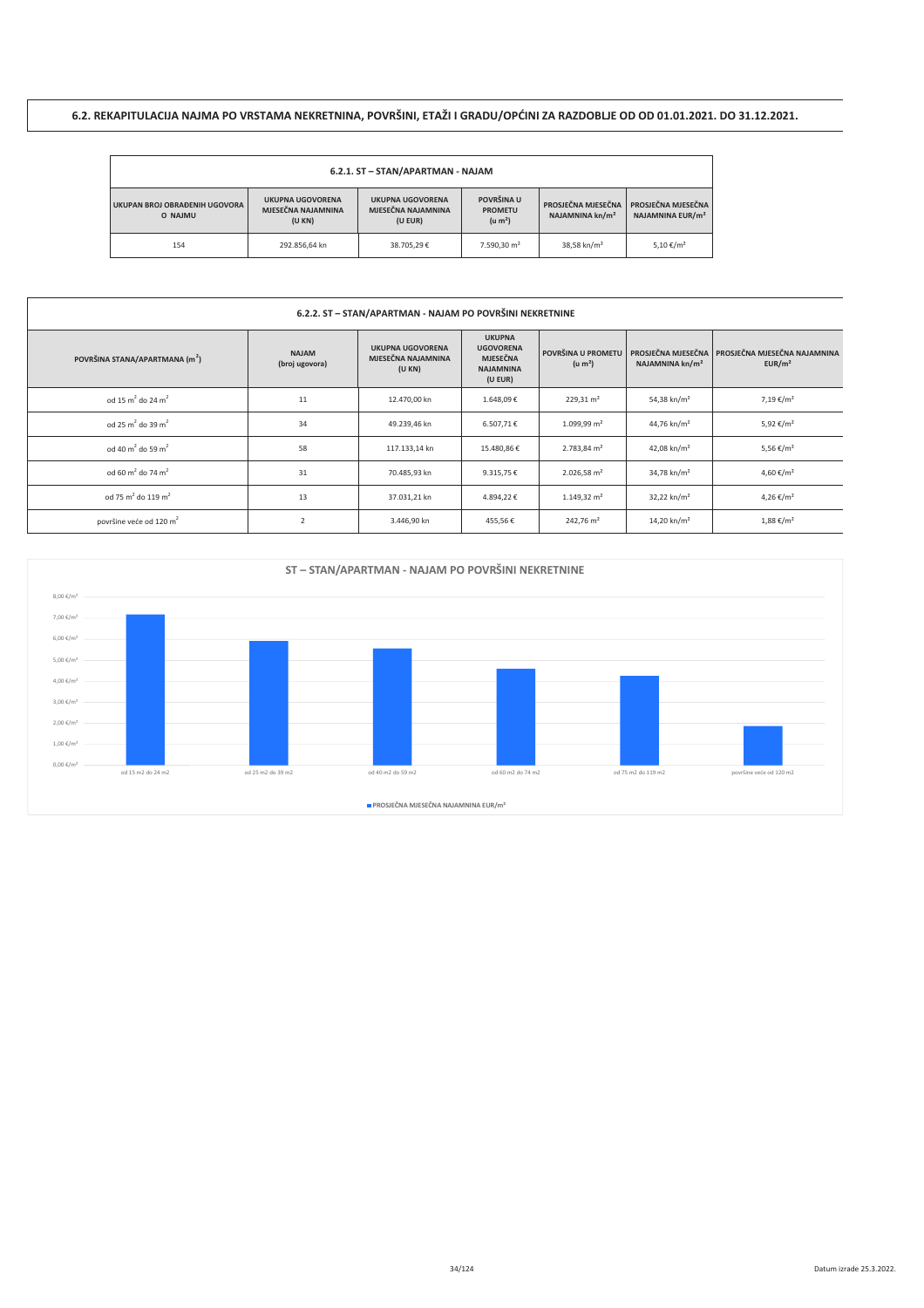# 6.2. REKAPITULACIJA NAJMA PO VRSTAMA NEKRETNINA, POVRŠINI, ETAŽI I GRADU/OPĆINI ZA RAZDOBLJE OD OD 01.01.2021. DO 31.12.2021.

| 6.2.1. ST - STAN/APARTMAN - NAJAM                                                                             |               |                                               |                                                     |                                                   |                                                    |  |  |
|---------------------------------------------------------------------------------------------------------------|---------------|-----------------------------------------------|-----------------------------------------------------|---------------------------------------------------|----------------------------------------------------|--|--|
| <b>UKUPNA UGOVORENA</b><br>UKUPAN BROJ OBRAĐENIH UGOVORA<br>MJESEČNA NAJAMNINA<br>O NAJMU<br>(U EUR)<br>(UKN) |               | <b>UKUPNA UGOVORENA</b><br>MJESEČNA NAJAMNINA | POVRŠINA U<br><b>PROMETU</b><br>(u m <sup>2</sup> ) | PROSJEČNA MJESEČNA<br>NAJAMNINA kn/m <sup>2</sup> | PROSJEČNA MJESEČNA<br>NAJAMNINA EUR/m <sup>2</sup> |  |  |
| 154                                                                                                           | 292.856.64 kn | 38.705.29€                                    | 7.590.30 m <sup>2</sup>                             | 38,58 kn/m <sup>2</sup>                           | 5,10 €/m <sup>2</sup>                              |  |  |

### 6.2.2. ST - STAN/APARTMAN - NAJAM PO POVRŠINI NEKRETNINE

| POVRŠINA STANA/APARTMANA (m <sup>2</sup> ) | <b>NAJAM</b><br>(broj ugovora) | <b>UKUPNA UGOVORENA</b><br>MJESEČNA NAJAMNINA<br>(U KN) | <b>UKUPNA</b><br><b>UGOVORENA</b><br><b>MJESEČNA</b><br><b>NAJAMNINA</b><br>(U EUR) | POVRŠINA U PROMETU<br>(u m <sup>2</sup> ) | NAJAMNINA kn/m <sup>2</sup> | <b>PROSJEČNA MJESEČNA   PROSJEČNA MJESEČNA NAJAMNINA</b><br>EUR/m <sup>2</sup> |
|--------------------------------------------|--------------------------------|---------------------------------------------------------|-------------------------------------------------------------------------------------|-------------------------------------------|-----------------------------|--------------------------------------------------------------------------------|
| od 15 m <sup>2</sup> do 24 m <sup>2</sup>  | 11                             | 12.470,00 kn                                            | 1.648,09€                                                                           | $229,31 \text{ m}^2$                      | 54,38 kn/m <sup>2</sup>     | 7,19 €/m <sup>2</sup>                                                          |
| od 25 m <sup>2</sup> do 39 m <sup>2</sup>  | 34                             | 49.239,46 kn                                            | 6.507,71€                                                                           | $1.099,99 \text{ m}^2$                    | 44,76 kn/m <sup>2</sup>     | 5,92 €/m <sup>2</sup>                                                          |
| od 40 m <sup>2</sup> do 59 m <sup>2</sup>  | 58                             | 117.133.14 kn                                           | 15.480,86€                                                                          | 2.783,84 m <sup>2</sup>                   | 42.08 kn/m <sup>2</sup>     | 5,56 €/m <sup>2</sup>                                                          |
| od 60 m <sup>2</sup> do 74 m <sup>2</sup>  | 31                             | 70.485,93 kn                                            | 9.315,75€                                                                           | $2.026,58$ m <sup>2</sup>                 | 34,78 kn/m <sup>2</sup>     | 4,60 €/m <sup>2</sup>                                                          |
| od 75 m <sup>2</sup> do 119 m <sup>2</sup> | 13                             | 37.031,21 kn                                            | 4.894,22€                                                                           | $1.149.32 \text{ m}^2$                    | $32.22$ kn/m <sup>2</sup>   | 4,26 €/m <sup>2</sup>                                                          |
| površine veće od 120 m <sup>2</sup>        |                                | 3.446,90 kn                                             | 455,56€                                                                             | 242,76 m <sup>2</sup>                     | 14,20 kn/m <sup>2</sup>     | $1,88 \notin / m^2$                                                            |

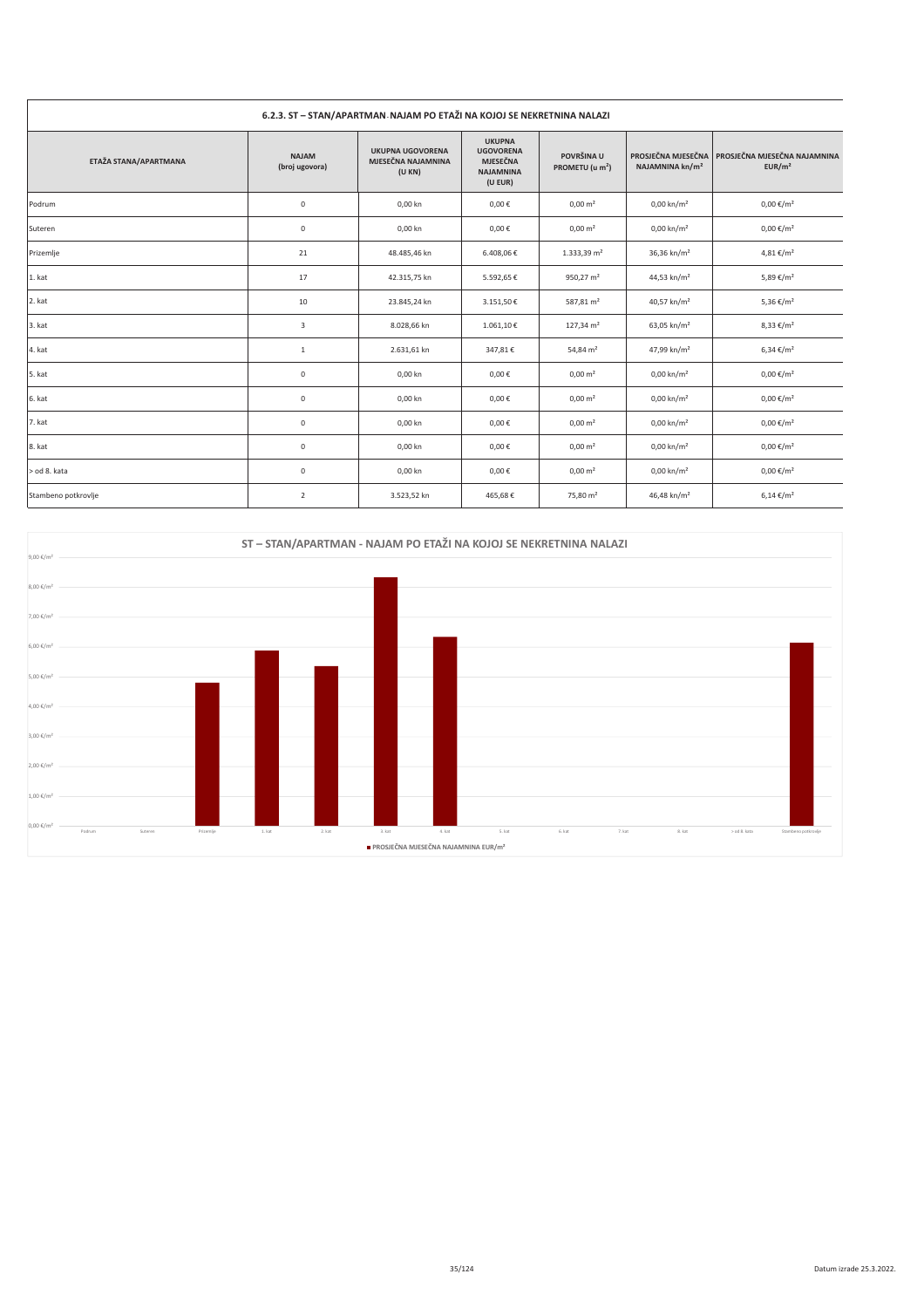| 6.2.3. ST - STAN/APARTMAN NAJAM PO ETAŽI NA KOJOJ SE NEKRETNINA NALAZI |                                |                                                        |                                                                                     |                                           |                             |                                                                         |  |
|------------------------------------------------------------------------|--------------------------------|--------------------------------------------------------|-------------------------------------------------------------------------------------|-------------------------------------------|-----------------------------|-------------------------------------------------------------------------|--|
| ETAŽA STANA/APARTMANA                                                  | <b>NAJAM</b><br>(broj ugovora) | <b>UKUPNA UGOVORENA</b><br>MJESEČNA NAJAMNINA<br>(UKN) | <b>UKUPNA</b><br><b>UGOVORENA</b><br><b>MJESEČNA</b><br><b>NAJAMNINA</b><br>(U EUR) | POVRŠINA U<br>PROMETU (u m <sup>2</sup> ) | NAJAMNINA kn/m <sup>2</sup> | PROSJEČNA MJESEČNA   PROSJEČNA MJESEČNA NAJAMNINA<br>EUR/m <sup>2</sup> |  |
| Podrum                                                                 | $\mathsf 0$                    | 0,00 kn                                                | $0,00 \in$                                                                          | $0,00 \text{ m}^2$                        | $0,00 \text{ km/m}^2$       | $0,00 \in /m^2$                                                         |  |
| Suteren                                                                | $\mathsf{O}\xspace$            | 0,00 kn                                                | $0,00 \in$                                                                          | $0,00 \text{ m}^2$                        | $0,00 \text{ km/m}^2$       | $0,00 \notin /m^2$                                                      |  |
| Prizemlje                                                              | 21                             | 48.485,46 kn                                           | 6.408,06€                                                                           | $1.333,39$ m <sup>2</sup>                 | 36,36 kn/m <sup>2</sup>     | $4,81 \notin /m^2$                                                      |  |
| 1. kat                                                                 | 17                             | 42.315,75 kn                                           | 5.592,65€                                                                           | 950,27 $m2$                               | 44,53 kn/m <sup>2</sup>     | 5,89 €/m <sup>2</sup>                                                   |  |
| 2. kat                                                                 | 10                             | 23.845,24 kn                                           | 3.151,50€                                                                           | 587,81 m <sup>2</sup>                     | 40,57 kn/m <sup>2</sup>     | 5,36 €/m <sup>2</sup>                                                   |  |
| 3. kat                                                                 | 3                              | 8.028,66 kn                                            | 1.061,10€                                                                           | $127,34 \text{ m}^2$                      | 63,05 kn/m <sup>2</sup>     | 8,33 €/m <sup>2</sup>                                                   |  |
| 4. kat                                                                 | $\mathbf{1}$                   | 2.631,61 kn                                            | 347,81€                                                                             | 54,84 m <sup>2</sup>                      | 47,99 kn/m <sup>2</sup>     | 6,34 €/m <sup>2</sup>                                                   |  |
| 5. kat                                                                 | $\mathsf 0$                    | 0,00 kn                                                | $0,00 \in$                                                                          | $0,00 \text{ m}^2$                        | $0,00 \text{ km/m}^2$       | $0,00 \in /m^2$                                                         |  |
| 6. kat                                                                 | $\mathsf 0$                    | 0,00 kn                                                | 0,00€                                                                               | $0,00 \text{ m}^2$                        | $0,00 \text{ km/m}^2$       | $0,00 \in /m^2$                                                         |  |
| 7. kat                                                                 | $\mathsf 0$                    | 0,00 kn                                                | $0,00 \in$                                                                          | $0,00 \text{ m}^2$                        | $0,00 \text{ km/m}^2$       | $0,00 \in /m^2$                                                         |  |
| 8. kat                                                                 | $\mathsf{O}\xspace$            | 0,00 kn                                                | $0,00 \in$                                                                          | $0,00 \text{ m}^2$                        | $0,00 \text{ km/m}^2$       | $0,00 \notin /m^2$                                                      |  |
| > od 8. kata                                                           | $\mathsf 0$                    | 0,00 kn                                                | $0,00 \in$                                                                          | $0,00 \text{ m}^2$                        | $0,00 \text{ km/m}^2$       | $0,00 \notin /m^2$                                                      |  |
| Stambeno potkrovlje                                                    | $\overline{2}$                 | 3.523,52 kn                                            | 465,68€                                                                             | 75,80 m <sup>2</sup>                      | 46,48 kn/m <sup>2</sup>     | $6,14 \in / m^2$                                                        |  |



#### Datum izrade 25.3.2022.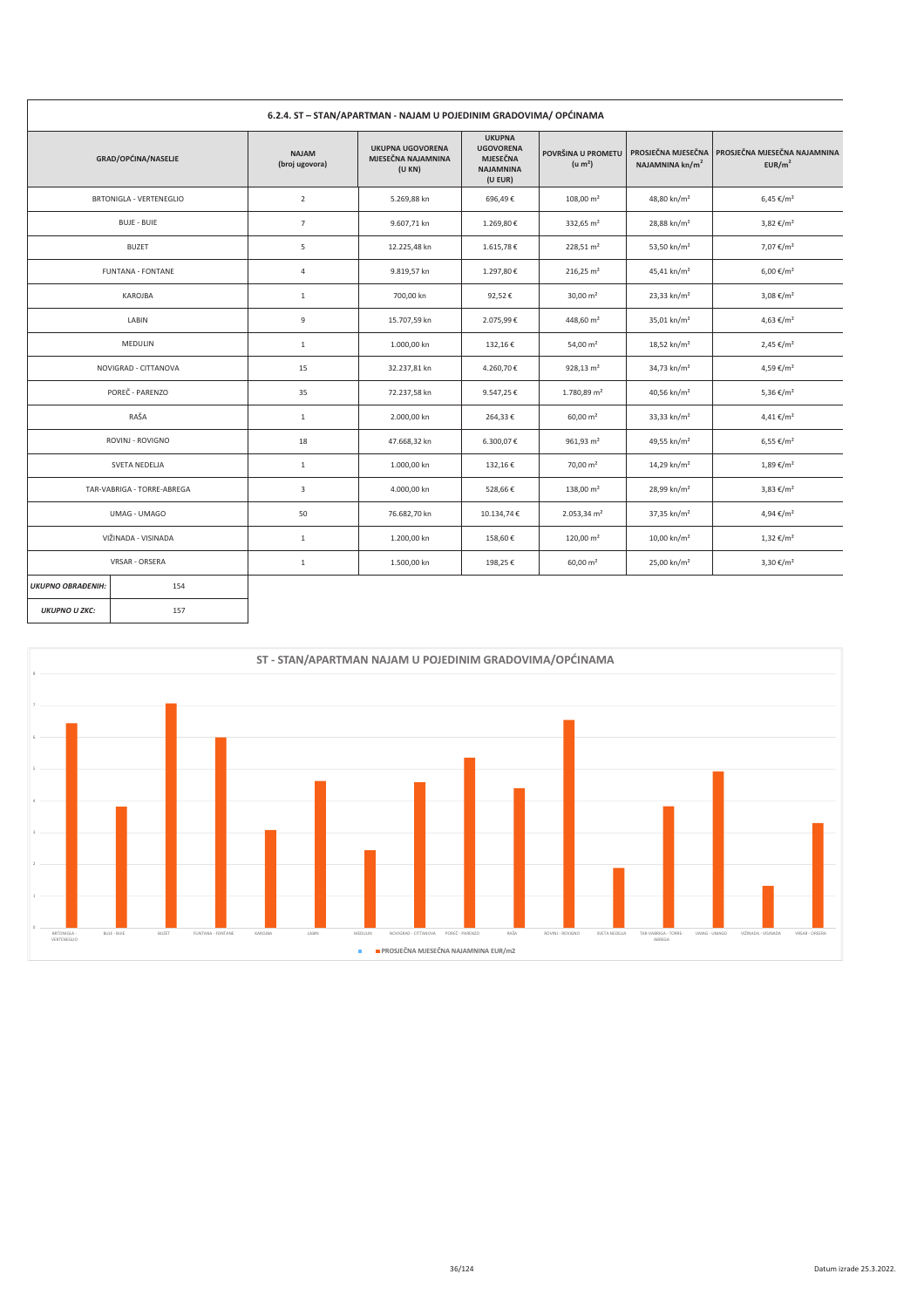|                          | 6.2.4. ST - STAN/APARTMAN - NAJAM U POJEDINIM GRADOVIMA/ OPĆINAMA |                                |                                                        |                                                                                     |                                           |                                                   |                                                    |
|--------------------------|-------------------------------------------------------------------|--------------------------------|--------------------------------------------------------|-------------------------------------------------------------------------------------|-------------------------------------------|---------------------------------------------------|----------------------------------------------------|
|                          | GRAD/OPĆINA/NASELJE                                               | <b>NAJAM</b><br>(broj ugovora) | <b>UKUPNA UGOVORENA</b><br>MJESEČNA NAJAMNINA<br>(UKN) | <b>UKUPNA</b><br><b>UGOVORENA</b><br><b>MJESEČNA</b><br><b>NAJAMNINA</b><br>(U EUR) | POVRŠINA U PROMETU<br>(u m <sup>2</sup> ) | PROSJEČNA MJESEČNA<br>NAJAMNINA kn/m <sup>2</sup> | PROSJEČNA MJESEČNA NAJAMNINA<br>EUR/m <sup>2</sup> |
|                          | BRTONIGLA - VERTENEGLIO                                           | $\overline{2}$                 | 5.269,88 kn                                            | 696,49€                                                                             | $108,00 \text{ m}^2$                      | 48,80 kn/m <sup>2</sup>                           | $6,45 \in$ /m <sup>2</sup>                         |
|                          | <b>BUJE - BUIE</b>                                                | $\overline{7}$                 | 9.607,71 kn                                            | 1.269,80€                                                                           | 332,65 m <sup>2</sup>                     | 28,88 kn/m <sup>2</sup>                           | 3,82 €/m <sup>2</sup>                              |
|                          | <b>BUZET</b>                                                      | 5                              | 12.225,48 kn                                           | 1.615,78€                                                                           | $228,51 \text{ m}^2$                      | 53,50 kn/m <sup>2</sup>                           | 7,07 €/m <sup>2</sup>                              |
|                          | <b>FUNTANA - FONTANE</b>                                          | $\sqrt{4}$                     | 9.819,57 kn                                            | 1.297,80€                                                                           | $216,25 \text{ m}^2$                      | 45,41 kn/m <sup>2</sup>                           | 6,00 €/m <sup>2</sup>                              |
|                          | KAROJBA                                                           | $1\,$                          | 700,00 kn                                              | 92,52€                                                                              | $30,00 \text{ m}^2$                       | 23,33 kn/m <sup>2</sup>                           | $3,08 \notin /m^2$                                 |
| LABIN                    |                                                                   | 9                              | 15.707,59 kn                                           | 2.075,99€                                                                           | 448,60 m <sup>2</sup>                     | 35,01 kn/m <sup>2</sup>                           | 4,63 €/m <sup>2</sup>                              |
| MEDULIN                  |                                                                   | $1\,$                          | 1.000,00 kn                                            | 132,16€                                                                             | 54,00 m <sup>2</sup>                      | 18,52 kn/m <sup>2</sup>                           | $2,45 \notin /m^2$                                 |
|                          | NOVIGRAD - CITTANOVA                                              | 15                             | 32.237,81 kn                                           | 4.260,70€                                                                           | $928,13 \text{ m}^2$                      | 34,73 kn/m <sup>2</sup>                           | 4,59 €/m <sup>2</sup>                              |
|                          | POREČ - PARENZO                                                   | 35                             | 72.237,58 kn                                           | 9.547,25€                                                                           | 1.780,89 m <sup>2</sup>                   | 40,56 kn/m <sup>2</sup>                           | 5,36 €/m <sup>2</sup>                              |
|                          | RAŠA                                                              | $\,$ 1 $\,$                    | 2.000,00 kn                                            | 264,33€                                                                             | $60,00 \text{ m}^2$                       | 33,33 kn/m <sup>2</sup>                           | $4,41 \notin /m^2$                                 |
|                          | ROVINJ - ROVIGNO                                                  | 18                             | 47.668,32 kn                                           | 6.300,07€                                                                           | $961,93 \text{ m}^2$                      | 49,55 kn/m <sup>2</sup>                           | $6,55 \in /m^2$                                    |
|                          | SVETA NEDELJA                                                     | $\,$ 1 $\,$                    | 1.000,00 kn                                            | 132,16€                                                                             | $70,00 \text{ m}^2$                       | 14,29 kn/m <sup>2</sup>                           | $1,89 \notin /m^2$                                 |
|                          | TAR-VABRIGA - TORRE-ABREGA                                        | 3                              | 4.000,00 kn                                            | 528,66€                                                                             | $138,00 \text{ m}^2$                      | 28,99 kn/m <sup>2</sup>                           | 3,83 €/m <sup>2</sup>                              |
|                          | UMAG - UMAGO                                                      | 50                             | 76.682,70 kn                                           | 10.134,74€                                                                          | $2.053,34$ m <sup>2</sup>                 | 37,35 kn/m <sup>2</sup>                           | 4,94 €/m <sup>2</sup>                              |
|                          | VIŽINADA - VISINADA                                               | $\,$ 1                         | 1.200,00 kn                                            | 158,60€                                                                             | $120,00 \text{ m}^2$                      | 10,00 kn/m <sup>2</sup>                           | $1,32 \notin /m^2$                                 |
|                          | VRSAR - ORSERA                                                    | $\,1\,$                        | 1.500,00 kn                                            | 198,25€                                                                             | $60,00 \text{ m}^2$                       | 25,00 kn/m <sup>2</sup>                           | 3,30 €/m <sup>2</sup>                              |
| <b>UKUPNO OBRAĐENIH:</b> | 154                                                               |                                |                                                        |                                                                                     |                                           |                                                   |                                                    |
| <b>UKUPNO U ZKC:</b>     | 157                                                               |                                |                                                        |                                                                                     |                                           |                                                   |                                                    |

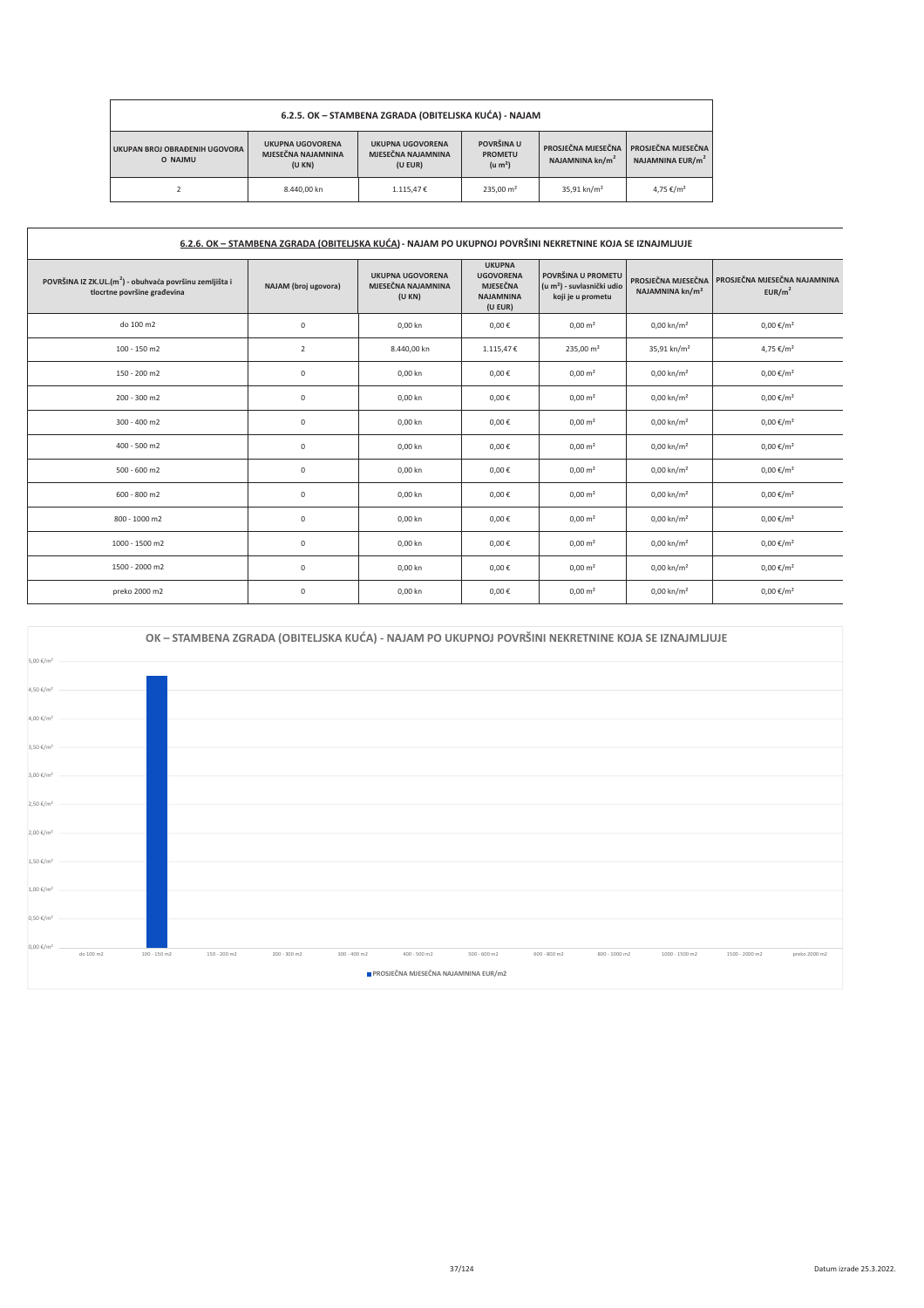| 6.2.5. OK - STAMBENA ZGRADA (OBITELJSKA KUĆA) - NAJAM |                                                                                                                                                                                                                                                                                    |           |                       |                         |                       |  |  |  |  |
|-------------------------------------------------------|------------------------------------------------------------------------------------------------------------------------------------------------------------------------------------------------------------------------------------------------------------------------------------|-----------|-----------------------|-------------------------|-----------------------|--|--|--|--|
| UKUPAN BROJ OBRAĐENIH UGOVORA<br>O NAIMU              | POVRŠINA U<br><b>UKUPNA UGOVORENA</b><br><b>UKUPNA UGOVORENA</b><br>PROSJEČNA MJESEČNA<br>PROSJEČNA MJESEČNA<br>MJESEČNA NAJAMNINA<br>MJESEČNA NAJAMNINA<br><b>PROMETU</b><br>NAJAMNINA EUR/m <sup>2</sup><br>NAJAMNINA $\text{kn/m}^2$<br>(u m <sup>2</sup> )<br>(UKN)<br>(U EUR) |           |                       |                         |                       |  |  |  |  |
|                                                       | 8.440.00 kn                                                                                                                                                                                                                                                                        | 1.115.47€ | 235.00 m <sup>2</sup> | 35,91 kn/m <sup>2</sup> | 4,75 €/m <sup>2</sup> |  |  |  |  |

**r** 

| 6.2.6. OK - STAMBENA ZGRADA (OBITELJSKA KUĆA) - NAJAM PO UKUPNOJ POVRŠINI NEKRETNINE KOJA SE IZNAJMLJUJE |                      |                                                        |                                                                                     |                                                                                   |                                                   |                                                    |  |
|----------------------------------------------------------------------------------------------------------|----------------------|--------------------------------------------------------|-------------------------------------------------------------------------------------|-----------------------------------------------------------------------------------|---------------------------------------------------|----------------------------------------------------|--|
| POVRŠINA IZ ZK.UL.(m <sup>2</sup> ) - obuhvaća površinu zemljišta i<br>tlocrtne površine građevina       | NAJAM (broj ugovora) | <b>UKUPNA UGOVORENA</b><br>MJESEČNA NAJAMNINA<br>(UKN) | <b>UKUPNA</b><br><b>UGOVORENA</b><br><b>MJESEČNA</b><br><b>NAJAMNINA</b><br>(U EUR) | POVRŠINA U PROMETU<br>(u m <sup>2</sup> ) - suvlasnički udio<br>koji je u prometu | PROSJEČNA MJESEČNA<br>NAJAMNINA kn/m <sup>2</sup> | PROSJEČNA MJESEČNA NAJAMNINA<br>EUR/m <sup>2</sup> |  |
| do 100 m2                                                                                                | $\mathsf 0$          | 0,00 kn                                                | $0,00 \in$                                                                          | $0,00 \text{ m}^2$                                                                | $0,00 \text{ km/m}^2$                             | $0,00 \notin /m^2$                                 |  |
| 100 - 150 m2                                                                                             | $\overline{2}$       | 8.440,00 kn                                            | 1.115,47€                                                                           | $235,00 \text{ m}^2$                                                              | 35,91 kn/m <sup>2</sup>                           | 4,75 €/m <sup>2</sup>                              |  |
| 150 - 200 m2                                                                                             | $\mathsf 0$          | 0,00 kn                                                | $0,00 \in$                                                                          | $0,00 \text{ m}^2$                                                                | $0,00 \text{ km/m}^2$                             | $0,00 \in /m^2$                                    |  |
| 200 - 300 m2                                                                                             | $\mathsf 0$          | 0,00 kn                                                | $0,00 \in$                                                                          | $0,00 \text{ m}^2$                                                                | $0,00 \text{ km/m}^2$                             | $0,00 \in /m^2$                                    |  |
| 300 - 400 m2                                                                                             | $\mathsf 0$          | 0,00 kn                                                | $0,00 \in$                                                                          | $0,00 \text{ m}^2$                                                                | $0,00 \text{ km/m}^2$                             | $0,00 \notin /m^2$                                 |  |
| 400 - 500 m2                                                                                             | $\mathsf 0$          | 0,00 kn                                                | $0,00 \in$                                                                          | $0,00 \text{ m}^2$                                                                | $0,00 \text{ km/m}^2$                             | $0,00 \notin /m^2$                                 |  |
| $500 - 600$ m2                                                                                           | $\mathsf 0$          | 0,00 kn                                                | 0,00€                                                                               | $0,00 \text{ m}^2$                                                                | $0,00 \text{ km/m}^2$                             | $0,00 \in /m^2$                                    |  |
| 600 - 800 m2                                                                                             | $\bf 0$              | 0,00 kn                                                | $0,00 \in$                                                                          | $0,00 \text{ m}^2$                                                                | $0,00 \text{ km/m}^2$                             | $0,00 \in /m^2$                                    |  |
| 800 - 1000 m2                                                                                            | $\bf 0$              | 0,00 kn                                                | 0,00€                                                                               | $0,00 \text{ m}^2$                                                                | $0,00 \text{ km/m}^2$                             | $0,00 \in /m^2$                                    |  |
| 1000 - 1500 m2                                                                                           | $\mathsf 0$          | 0,00 kn                                                | $0,00 \in$                                                                          | $0,00 \text{ m}^2$                                                                | $0,00 \text{ km/m}^2$                             | $0,00 \in /m^2$                                    |  |
| 1500 - 2000 m2                                                                                           | $\mathsf 0$          | 0,00 kn                                                | $0,00 \in$                                                                          | $0,00 \text{ m}^2$                                                                | $0,00 \text{ km/m}^2$                             | $0,00 \in /m^2$                                    |  |
| preko 2000 m2                                                                                            | $\mathsf 0$          | 0,00 kn                                                | $0,00 \in$                                                                          | $0,00 \text{ m}^2$                                                                | $0,00 \text{ km/m}^2$                             | $0,00 \in /m^2$                                    |  |

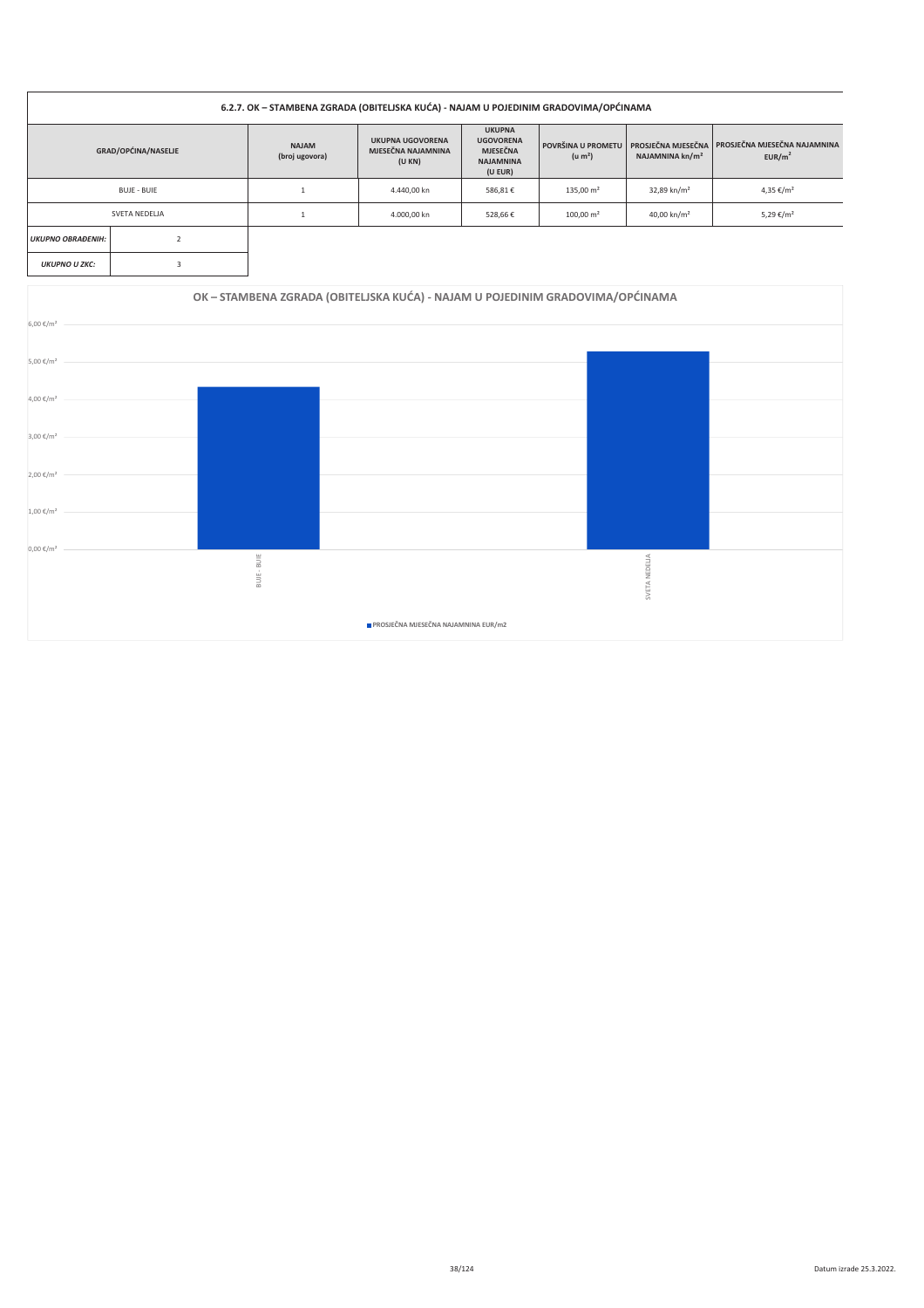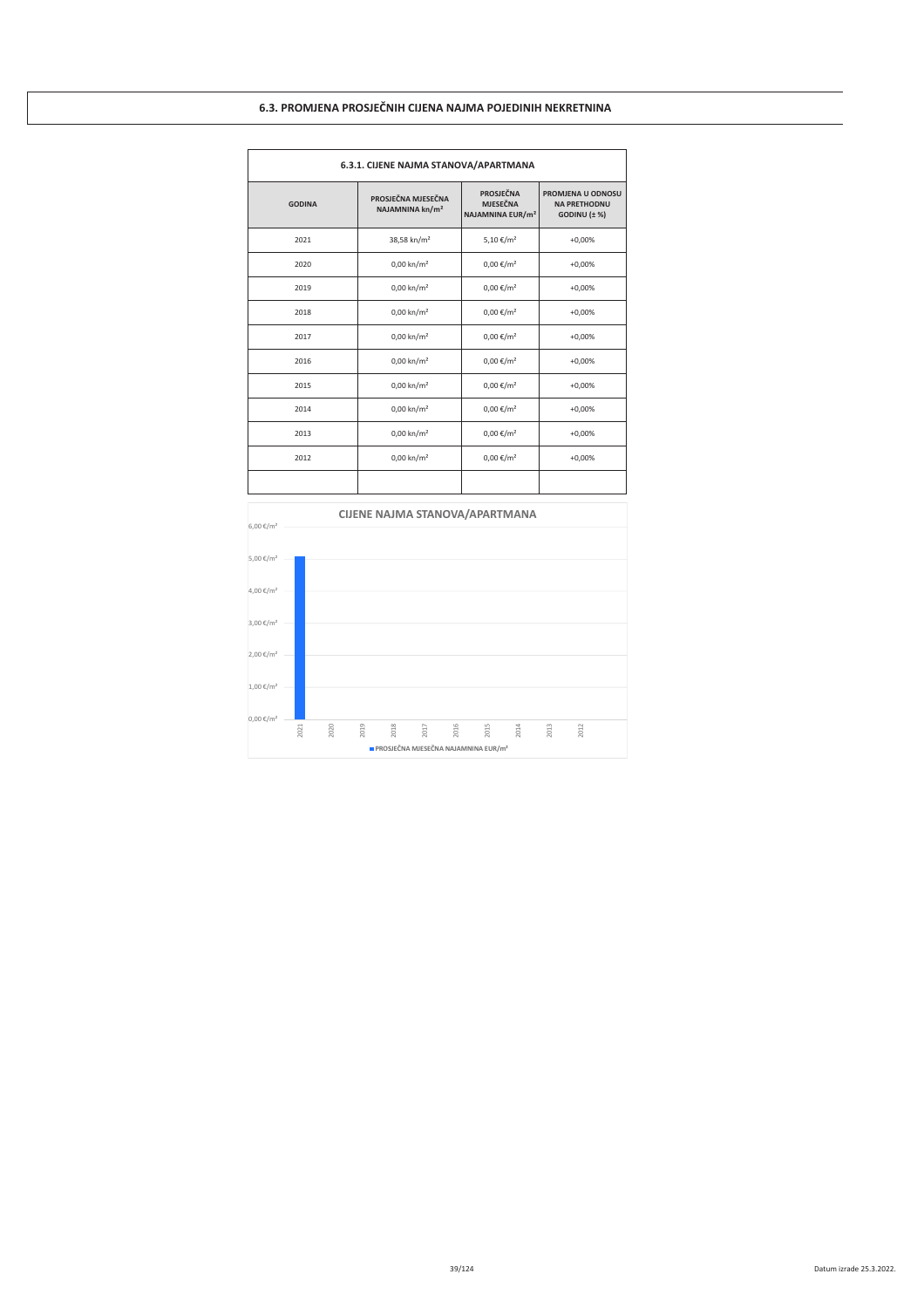# 6.3. PROMJENA PROSJEČNIH CIJENA NAJMA POJEDINIH NEKRETNINA

|               | 6.3.1. CIJENE NAJMA STANOVA/APARTMANA             |                                                              |                                                               |  |  |  |  |  |
|---------------|---------------------------------------------------|--------------------------------------------------------------|---------------------------------------------------------------|--|--|--|--|--|
| <b>GODINA</b> | PROSJEČNA MJESEČNA<br>NAJAMNINA kn/m <sup>2</sup> | PROSJEČNA<br><b>MJESEČNA</b><br>NAJAMNINA EUR/m <sup>2</sup> | PROMJENA U ODNOSU<br><b>NA PRETHODNU</b><br>GODINU $(\pm \%)$ |  |  |  |  |  |
| 2021          | 38,58 kn/m <sup>2</sup>                           | 5,10 €/m <sup>2</sup>                                        | $+0,00%$                                                      |  |  |  |  |  |
| 2020          | $0,00 \text{ km/m}^2$                             | $0,00 \in /m^2$                                              | $+0,00%$                                                      |  |  |  |  |  |
| 2019          | $0,00 \text{ km/m}^2$                             | $0,00 \in /m^2$                                              | $+0,00%$                                                      |  |  |  |  |  |
| 2018          | $0,00 \text{ km/m}^2$                             | $0,00 \in /m^2$                                              | $+0,00%$                                                      |  |  |  |  |  |
| 2017          | $0,00 \text{ km/m}^2$                             | $0,00 \in /m^2$                                              | $+0,00%$                                                      |  |  |  |  |  |
| 2016          | $0,00 \text{ km/m}^2$                             | $0,00 \in /m^2$                                              | $+0,00%$                                                      |  |  |  |  |  |
| 2015          | $0,00 \text{ km/m}^2$                             | $0,00 \in /m^2$                                              | $+0,00%$                                                      |  |  |  |  |  |
| 2014          | $0,00 \text{ km/m}^2$                             | $0,00 \in /m^2$                                              | $+0,00%$                                                      |  |  |  |  |  |
| 2013          | $0,00 \text{ km/m}^2$                             | $0,00 \in /m^2$                                              | $+0,00%$                                                      |  |  |  |  |  |
| 2012          | $0,00 \text{ km/m}^2$                             | $0,00 \in /m^2$                                              | $+0,00%$                                                      |  |  |  |  |  |
|               |                                                   |                                                              |                                                               |  |  |  |  |  |

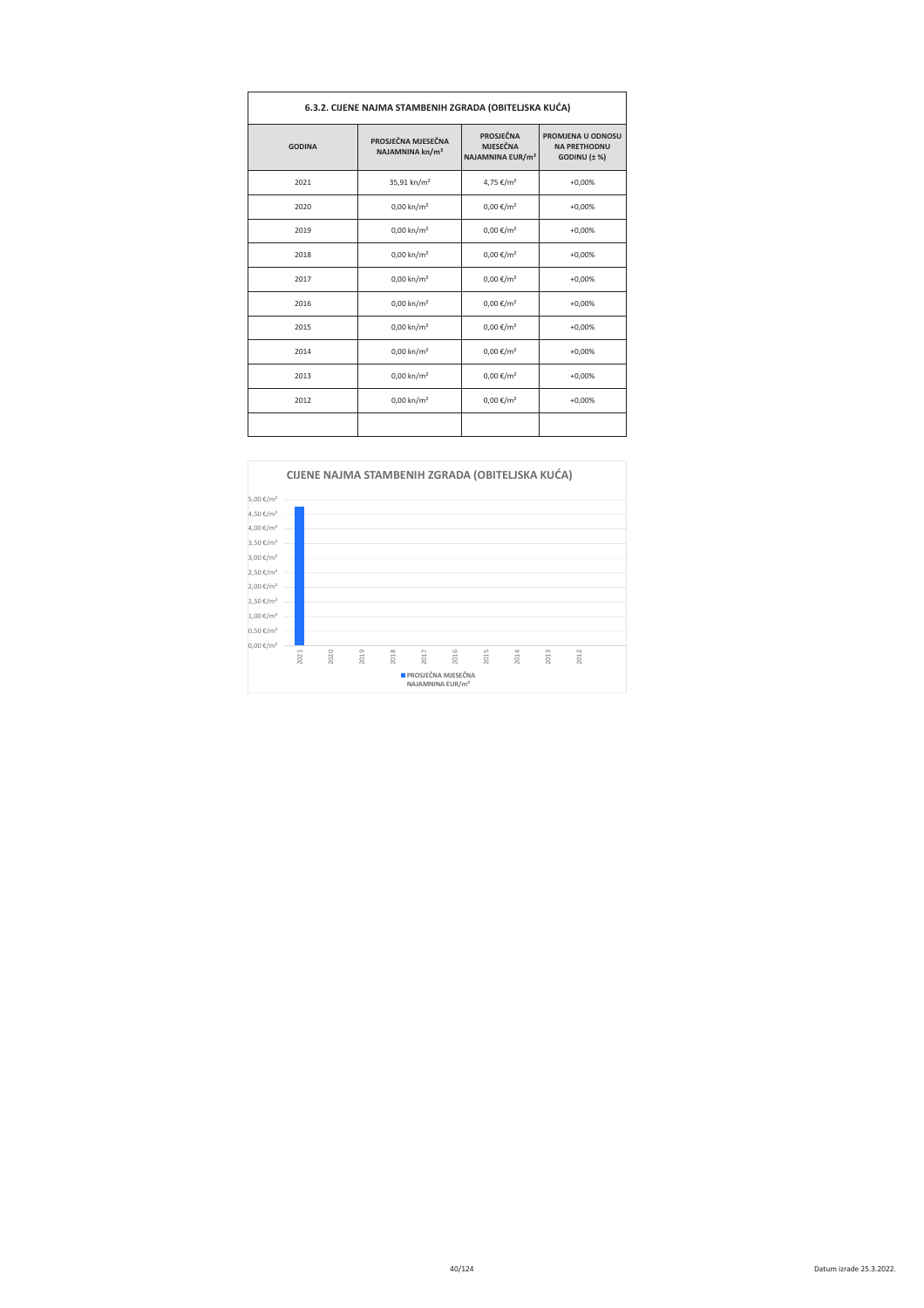| 6.3.2. CIJENE NAJMA STAMBENIH ZGRADA (OBITELJSKA KUĆA) |                                                   |                                                                     |                                                                        |  |  |  |  |  |
|--------------------------------------------------------|---------------------------------------------------|---------------------------------------------------------------------|------------------------------------------------------------------------|--|--|--|--|--|
| <b>GODINA</b>                                          | PROSJEČNA MJESEČNA<br>NAJAMNINA kn/m <sup>2</sup> | <b>PROSJEČNA</b><br><b>MJESEČNA</b><br>NAJAMNINA EUR/m <sup>2</sup> | <b>PROMJENA U ODNOSU</b><br><b>NA PRETHODNU</b><br>$GODINU$ $(\pm \%)$ |  |  |  |  |  |
| 2021                                                   | 35,91 kn/m <sup>2</sup>                           | 4,75 €/m <sup>2</sup>                                               | $+0,00%$                                                               |  |  |  |  |  |
| 2020                                                   | $0,00 \text{ km/m}^2$                             | $0,00 \in /m^2$                                                     | $+0,00%$                                                               |  |  |  |  |  |
| 2019                                                   | $0,00 \text{ km/m}^2$                             | $0,00 \in /m^2$                                                     | $+0,00%$                                                               |  |  |  |  |  |
| 2018                                                   | $0,00 \text{ km/m}^2$                             | $0,00 \in /m^2$                                                     | $+0,00%$                                                               |  |  |  |  |  |
| 2017                                                   | $0,00 \text{ km/m}^2$                             | $0,00 \in /m^2$                                                     | $+0,00%$                                                               |  |  |  |  |  |
| 2016                                                   | $0,00 \text{ km/m}^2$                             | $0,00 \in /m^2$                                                     | $+0,00%$                                                               |  |  |  |  |  |
| 2015                                                   | $0,00 \text{ km/m}^2$                             | $0,00 \in /m^2$                                                     | $+0,00%$                                                               |  |  |  |  |  |
| 2014                                                   | $0,00 \text{ km/m}^2$                             | $0,00 \in /m^2$                                                     | $+0,00%$                                                               |  |  |  |  |  |
| 2013                                                   | $0,00 \text{ km/m}^2$                             | $0,00 \in /m^2$                                                     | $+0,00%$                                                               |  |  |  |  |  |
| 2012                                                   | $0,00 \text{ km/m}^2$                             | $0,00 \in /m^2$                                                     | $+0,00%$                                                               |  |  |  |  |  |
|                                                        |                                                   |                                                                     |                                                                        |  |  |  |  |  |

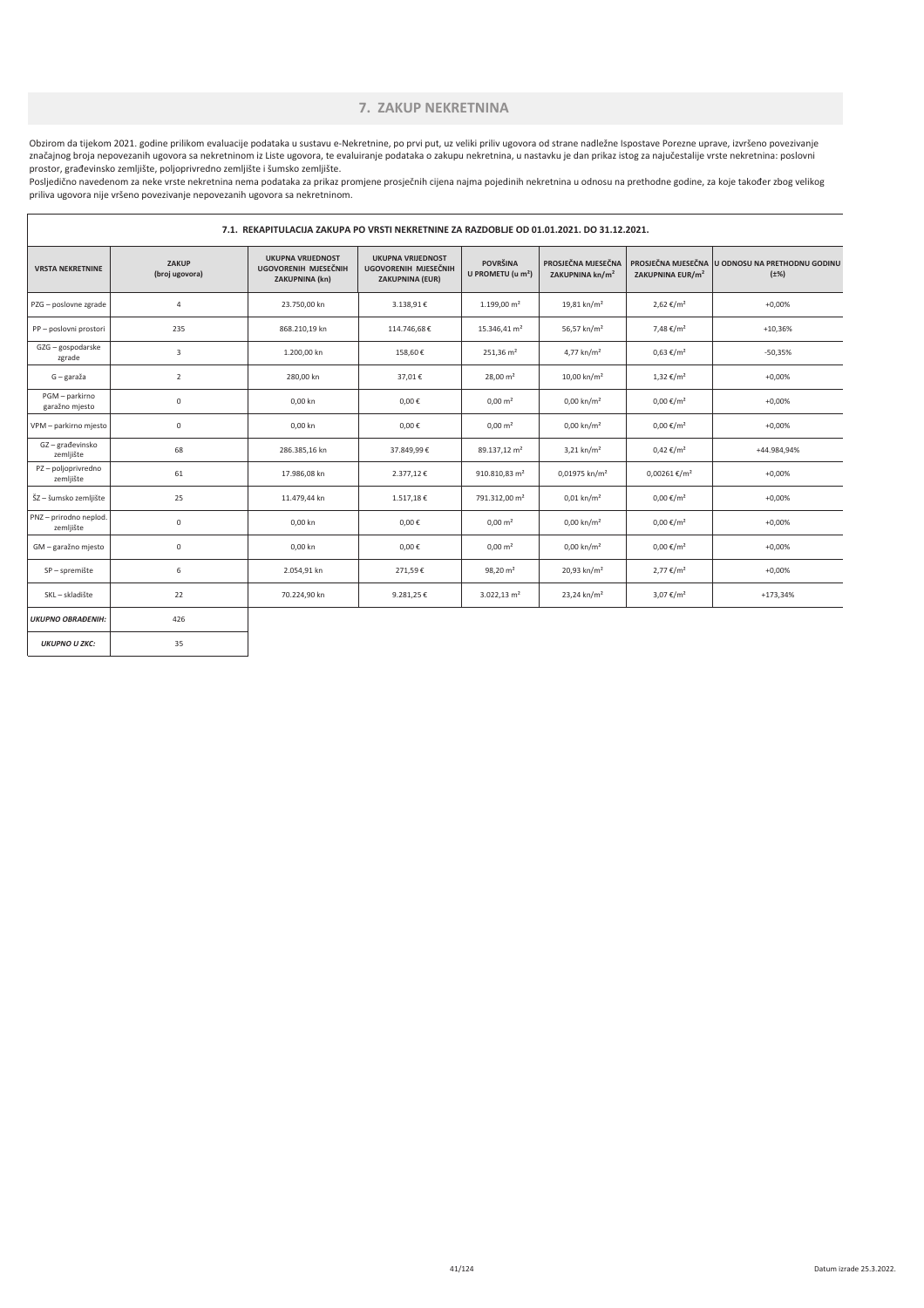#### **7. ZAKUP NEKRETNINA**

Obzirom da tijekom 2021. godine prilikom evaluacije podataka u sustavu e-Nekretnine, po prvi put, uz veliki priliv ugovora od strane nadležne Ispostave Porezne uprave, izvršeno povezivanje značajnog broja nepovezanih ugovora sa nekretninom iz Liste ugovora, te evaluiranje podataka o zakupu nekretnina, u nastavku je dan prikaz istog za najučestalije vrste nekretnina: poslovni prostor, građevinsko zemljište, poljoprivredno zemljište i šumsko zemljište.

Posljedično navedenom za neke vrste nekretnina nema podataka za prikaz promjene prosječnih cijena najma pojedinih nekretnina u odnosu na prethodne godine, za koje također zbog velikog priliva ugovora nije vršeno povezivanje nepovezanih ugovora sa nekretninom.

|                                     | 7.1. REKAPITULACIJA ZAKUPA PO VRSTI NEKRETNINE ZA RAZDOBLJE OD 01.01.2021. DO 31.12.2021. |                                                                    |                                                                            |                                                  |                                                   |                              |                                                              |  |
|-------------------------------------|-------------------------------------------------------------------------------------------|--------------------------------------------------------------------|----------------------------------------------------------------------------|--------------------------------------------------|---------------------------------------------------|------------------------------|--------------------------------------------------------------|--|
| <b>VRSTA NEKRETNINE</b>             | ZAKUP<br>(broj ugovora)                                                                   | <b>UKUPNA VRIJEDNOST</b><br>UGOVORENIH MJESEČNIH<br>ZAKUPNINA (kn) | <b>UKUPNA VRIJEDNOST</b><br>UGOVORENIH MJESEČNIH<br><b>ZAKUPNINA (EUR)</b> | <b>POVRŠINA</b><br>U PROMETU (u m <sup>2</sup> ) | PROSJEČNA MJESEČNA<br>ZAKUPNINA kn/m <sup>2</sup> | ZAKUPNINA EUR/m <sup>2</sup> | PROSJEČNA MJESEČNA U ODNOSU NA PRETHODNU GODINU<br>$(\pm\%)$ |  |
| PZG - poslovne zgrade               | 4                                                                                         | 23.750,00 kn                                                       | 3.138,91€                                                                  | $1.199,00 \text{ m}^2$                           | $19,81$ kn/m <sup>2</sup>                         | 2,62 €/m <sup>2</sup>        | $+0,00%$                                                     |  |
| PP - poslovni prostori              | 235                                                                                       | 868.210,19 kn                                                      | 114.746,68€                                                                | 15.346,41 m <sup>2</sup>                         | 56,57 kn/m <sup>2</sup>                           | 7,48 €/m <sup>2</sup>        | $+10,36%$                                                    |  |
| GZG - gospodarske<br>zgrade         | 3                                                                                         | 1.200,00 kn                                                        | 158,60€                                                                    | $251,36 \text{ m}^2$                             | 4,77 kn/m <sup>2</sup>                            | $0,63 \in$ /m <sup>2</sup>   | $-50,35%$                                                    |  |
| G – garaža                          | $\overline{2}$                                                                            | 280,00 kn                                                          | 37,01€                                                                     | $28,00 \text{ m}^2$                              | 10,00 kn/m <sup>2</sup>                           | $1,32 \in /m^2$              | $+0,00%$                                                     |  |
| PGM - parkirno<br>garažno mjesto    | $\mathsf{O}\xspace$                                                                       | 0,00 kn                                                            | $0,00 \in$                                                                 | $0,00 \, \text{m}^2$                             | $0,00 \text{ km/m}^2$                             | $0,00 \in /m^2$              | $+0,00%$                                                     |  |
| VPM - parkirno mjesto               | $\mathsf{O}\xspace$                                                                       | 0,00 kn                                                            | $0,00 \in$                                                                 | $0,00 \, \text{m}^2$                             | $0,00 \text{ km/m}^2$                             | $0,00 \in /m^2$              | $+0,00%$                                                     |  |
| GZ-građevinsko<br>zemljište         | 68                                                                                        | 286.385,16 kn                                                      | 37.849,99€                                                                 | 89.137,12 m <sup>2</sup>                         | $3,21$ kn/m <sup>2</sup>                          | $0,42 \notin /m^2$           | +44.984,94%                                                  |  |
| PZ-poljoprivredno<br>zemljište      | 61                                                                                        | 17.986,08 kn                                                       | 2.377,12€                                                                  | 910.810,83 m <sup>2</sup>                        | 0,01975 kn/m <sup>2</sup>                         | $0,00261 \text{€}/m^2$       | $+0,00%$                                                     |  |
| ŠZ - šumsko zemljište               | 25                                                                                        | 11.479,44 kn                                                       | 1.517,18€                                                                  | 791.312,00 m <sup>2</sup>                        | $0,01$ kn/m <sup>2</sup>                          | $0,00 \in /m^2$              | $+0,00%$                                                     |  |
| PNZ - prirodno neplod.<br>zemljište | 0                                                                                         | 0,00 kn                                                            | $0,00 \in$                                                                 | $0,00 \, \text{m}^2$                             | $0,00 \text{ km/m}^2$                             | $0,00 \in /m^2$              | $+0,00%$                                                     |  |
| GM - garažno mjesto                 | 0                                                                                         | 0,00 kn                                                            | $0,00 \in$                                                                 | $0,00 \, \text{m}^2$                             | $0,00 \text{ km/m}^2$                             | $0,00 \in /m^2$              | $+0,00%$                                                     |  |
| SP - spremište                      | 6                                                                                         | 2.054,91 kn                                                        | 271,59€                                                                    | $98,20 \text{ m}^2$                              | 20,93 kn/m <sup>2</sup>                           | $2,77 \in /m^2$              | $+0,00%$                                                     |  |
| SKL - skladište                     | 22                                                                                        | 70.224,90 kn                                                       | 9.281,25€                                                                  | $3.022, 13$ m <sup>2</sup>                       | 23,24 kn/m <sup>2</sup>                           | 3,07 €/m <sup>2</sup>        | $+173,34%$                                                   |  |
| <b>UKUPNO OBRAĐENIH:</b>            | 426                                                                                       |                                                                    |                                                                            |                                                  |                                                   |                              |                                                              |  |
| <b>UKUPNO U ZKC:</b>                | 35                                                                                        |                                                                    |                                                                            |                                                  |                                                   |                              |                                                              |  |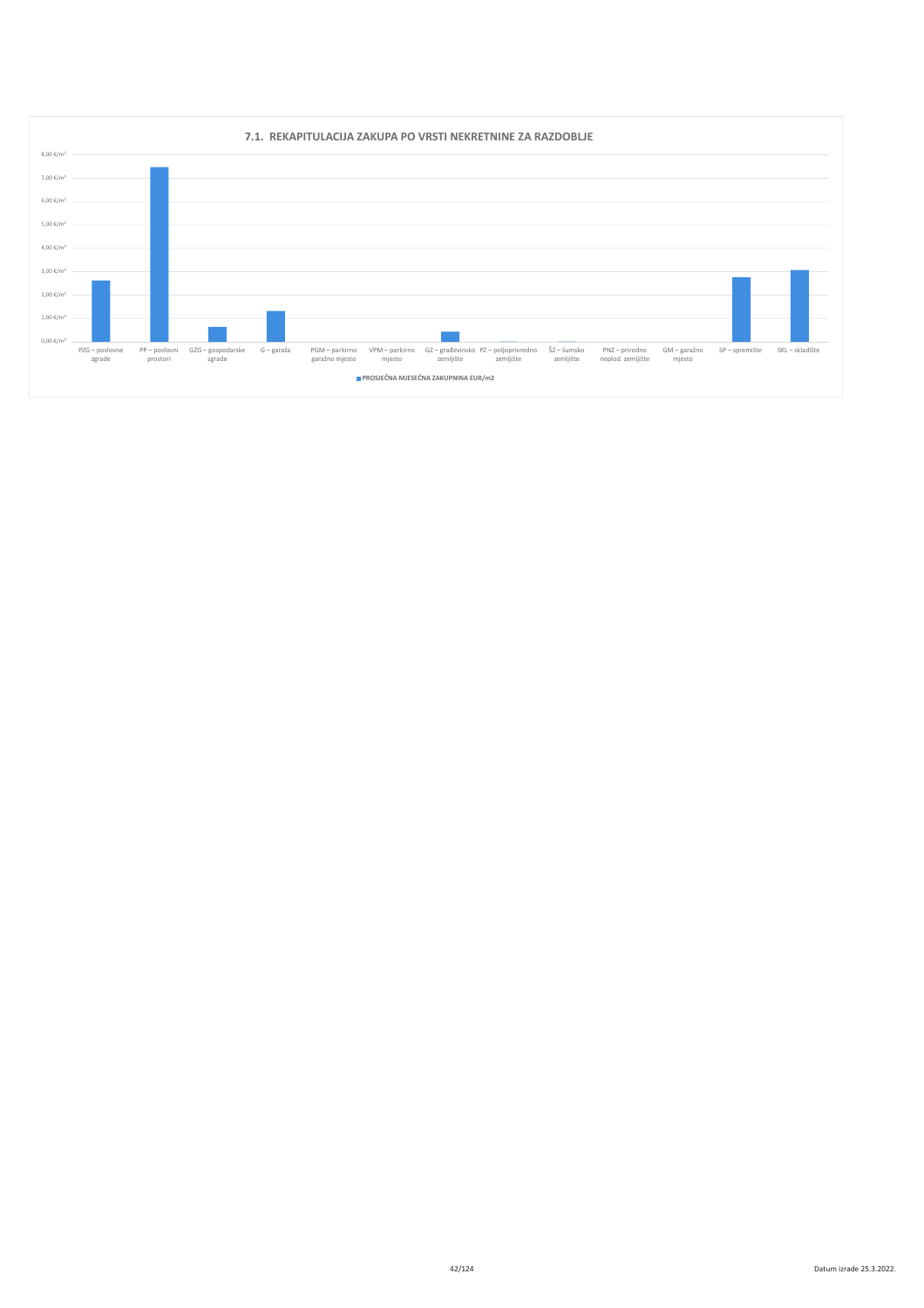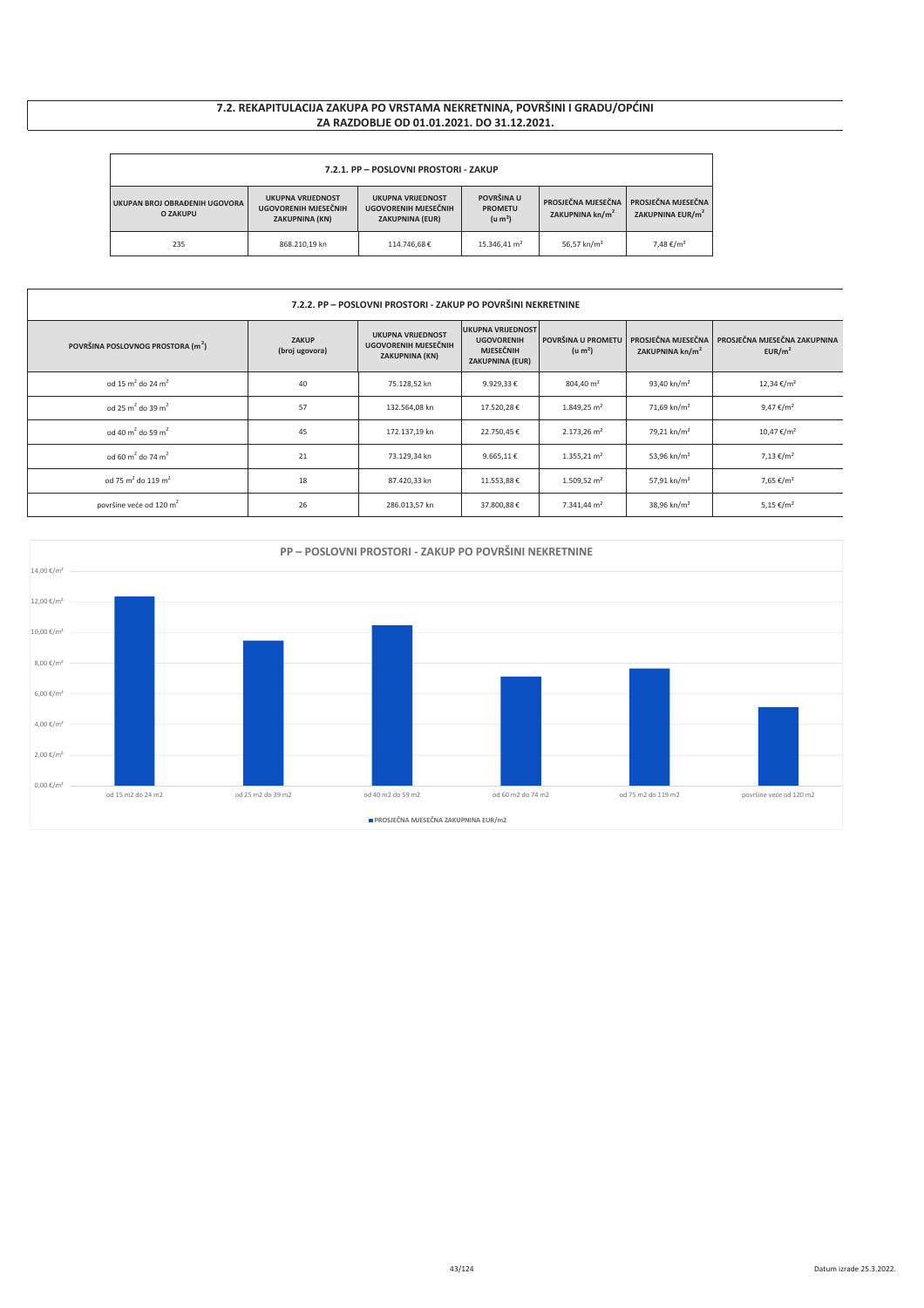### 7.2. REKAPITULACIJA ZAKUPA PO VRSTAMA NEKRETNINA, POVRŠINI I GRADU/OPĆINI ZA RAZDOBLJE OD 01.01.2021. DO 31.12.2021.

| 7.2.1. PP - POSLOVNI PROSTORI - ZAKUP                                                                                                                                                                                                                                                                                                                                  |               |             |                          |                         |                       |  |  |
|------------------------------------------------------------------------------------------------------------------------------------------------------------------------------------------------------------------------------------------------------------------------------------------------------------------------------------------------------------------------|---------------|-------------|--------------------------|-------------------------|-----------------------|--|--|
| POVRŠINA U<br><b>UKUPNA VRIJEDNOST</b><br><b>UKUPNA VRIJEDNOST</b><br>PROSJEČNA MJESEČNA<br>PROSJEČNA MJESEČNA<br>UKUPAN BROJ OBRAĐENIH UGOVORA<br>UGOVORENIH MJESEČNIH<br>UGOVORENIH MJESEČNIH<br><b>PROMETU</b><br>ZAKUPNINA kn/m <sup>2</sup><br>ZAKUPNINA EUR/m <sup>2</sup><br><b>O ZAKUPU</b><br>(u m <sup>2</sup> )<br>ZAKUPNINA (KN)<br><b>ZAKUPNINA (EUR)</b> |               |             |                          |                         |                       |  |  |
| 235                                                                                                                                                                                                                                                                                                                                                                    | 868.210.19 kn | 114.746.68€ | 15.346.41 m <sup>2</sup> | 56.57 kn/m <sup>2</sup> | 7,48 €/m <sup>2</sup> |  |  |

| 7.2.2. PP - POSLOVNI PROSTORI - ZAKUP PO POVRŠINI NEKRETNINE |                                |                                                                           |                                                                                             |                                           |                             |                                                                         |  |  |
|--------------------------------------------------------------|--------------------------------|---------------------------------------------------------------------------|---------------------------------------------------------------------------------------------|-------------------------------------------|-----------------------------|-------------------------------------------------------------------------|--|--|
| POVRŠINA POSLOVNOG PROSTORA (m <sup>2</sup> )                | <b>ZAKUP</b><br>(broj ugovora) | <b>UKUPNA VRIJEDNOST</b><br>UGOVORENIH MJESEČNIH<br><b>ZAKUPNINA (KN)</b> | <b>UKUPNA VRIJEDNOST</b><br><b>UGOVORENIH</b><br><b>MJESEČNIH</b><br><b>ZAKUPNINA (EUR)</b> | POVRŠINA U PROMETU<br>(u m <sup>2</sup> ) | ZAKUPNINA kn/m <sup>2</sup> | PROSJEČNA MJESEČNA   PROSJEČNA MJESEČNA ZAKUPNINA<br>EUR/m <sup>2</sup> |  |  |
| od 15 m <sup>2</sup> do 24 m <sup>2</sup>                    | 40                             | 75.128,52 kn                                                              | 9.929,33€                                                                                   | 804,40 m <sup>2</sup>                     | 93,40 kn/m <sup>2</sup>     | 12,34 €/m <sup>2</sup>                                                  |  |  |
| od 25 m <sup>2</sup> do 39 m <sup>2</sup>                    | 57                             | 132.564,08 kn                                                             | 17.520,28€                                                                                  | $1.849,25 \text{ m}^2$                    | 71,69 kn/m <sup>2</sup>     | 9,47 €/m <sup>2</sup>                                                   |  |  |
| od 40 m <sup>2</sup> do 59 m <sup>2</sup>                    | 45                             | 172.137,19 kn                                                             | 22.750,45€                                                                                  | $2.173,26$ m <sup>2</sup>                 | 79,21 kn/m <sup>2</sup>     | 10,47 €/m <sup>2</sup>                                                  |  |  |
| od 60 m <sup>2</sup> do 74 m <sup>2</sup>                    | 21                             | 73.129,34 kn                                                              | 9.665,11€                                                                                   | $1.355,21 \text{ m}^2$                    | 53,96 kn/m <sup>2</sup>     | 7,13 €/m <sup>2</sup>                                                   |  |  |
| od 75 m <sup>2</sup> do 119 m <sup>2</sup>                   | 18                             | 87.420,33 kn                                                              | 11.553,88€                                                                                  | $1.509,52 \text{ m}^2$                    | 57,91 kn/m <sup>2</sup>     | 7,65 €/m <sup>2</sup>                                                   |  |  |
| površine veće od 120 m <sup>2</sup>                          | 26                             | 286.013,57 kn                                                             | 37.800,88€                                                                                  | 7.341,44 m <sup>2</sup>                   | 38,96 kn/m <sup>2</sup>     | 5,15 €/m <sup>2</sup>                                                   |  |  |

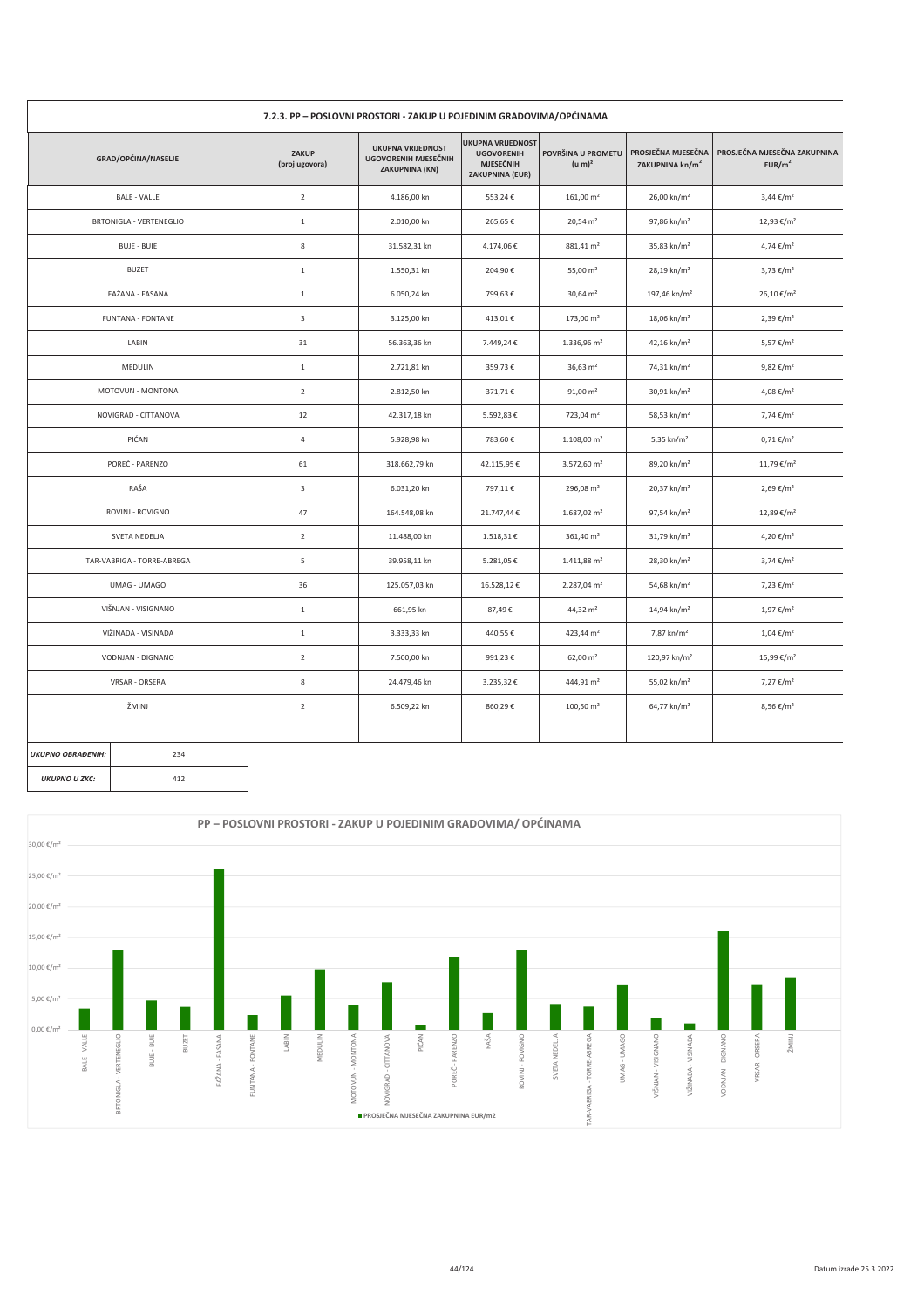|                          | 7.2.3. PP - POSLOVNI PROSTORI - ZAKUP U POJEDINIM GRADOVIMA/OPĆINAMA |                         |                                                                           |                                                                                             |                                          |                                                   |                                                    |  |  |
|--------------------------|----------------------------------------------------------------------|-------------------------|---------------------------------------------------------------------------|---------------------------------------------------------------------------------------------|------------------------------------------|---------------------------------------------------|----------------------------------------------------|--|--|
|                          | GRAD/OPĆINA/NASELJE                                                  | ZAKUP<br>(broj ugovora) | <b>UKUPNA VRIJEDNOST</b><br>UGOVORENIH MJESEČNIH<br><b>ZAKUPNINA (KN)</b> | <b>UKUPNA VRIJEDNOST</b><br><b>UGOVORENIH</b><br><b>MJESEČNIH</b><br><b>ZAKUPNINA (EUR)</b> | POVRŠINA U PROMETU<br>(u m) <sup>2</sup> | PROSJEČNA MJESEČNA<br>ZAKUPNINA kn/m <sup>2</sup> | PROSJEČNA MJESEČNA ZAKUPNINA<br>EUR/m <sup>2</sup> |  |  |
|                          | <b>BALE - VALLE</b>                                                  | $\overline{2}$          | 4.186,00 kn                                                               | 553,24€                                                                                     | $161,00 \text{ m}^2$                     | 26,00 kn/m <sup>2</sup>                           | $3,44 \in /m^2$                                    |  |  |
|                          | BRTONIGLA - VERTENEGLIO                                              | $\mathbf{1}$            | 2.010,00 kn                                                               | 265,65€                                                                                     | $20,54 \text{ m}^2$                      | 97,86 kn/m <sup>2</sup>                           | 12,93 €/m <sup>2</sup>                             |  |  |
|                          | <b>BUJE - BUIE</b>                                                   | 8                       | 31.582,31 kn                                                              | 4.174,06€                                                                                   | 881,41 m <sup>2</sup>                    | 35,83 kn/m <sup>2</sup>                           | 4,74 €/m <sup>2</sup>                              |  |  |
|                          | <b>BUZET</b>                                                         | $\mathbf{1}$            | 1.550,31 kn                                                               | 204,90€                                                                                     | 55,00 $m2$                               | 28,19 kn/m <sup>2</sup>                           | 3,73 €/m <sup>2</sup>                              |  |  |
|                          | FAŽANA - FASANA                                                      | $\mathbf{1}$            | 6.050,24 kn                                                               | 799,63€                                                                                     | $30,64 \text{ m}^2$                      | 197,46 kn/m <sup>2</sup>                          | 26,10 €/m <sup>2</sup>                             |  |  |
|                          | <b>FUNTANA - FONTANE</b>                                             | $\overline{\mathbf{3}}$ | 3.125,00 kn                                                               | 413,01€                                                                                     | 173,00 m <sup>2</sup>                    | 18,06 kn/m <sup>2</sup>                           | 2,39 €/m <sup>2</sup>                              |  |  |
|                          | LABIN                                                                | 31                      | 56.363,36 kn                                                              | 7.449,24€                                                                                   | 1.336,96 m <sup>2</sup>                  | 42,16 kn/m <sup>2</sup>                           | 5,57 €/m <sup>2</sup>                              |  |  |
|                          | MEDULIN                                                              | $\mathbf{1}$            | 2.721,81 kn                                                               | 359,73€                                                                                     | 36,63 $m2$                               | 74,31 kn/m <sup>2</sup>                           | 9,82 €/m <sup>2</sup>                              |  |  |
|                          | MOTOVUN - MONTONA                                                    | $\overline{2}$          | 2.812,50 kn                                                               | 371,71€                                                                                     | $91,00 \text{ m}^2$                      | 30,91 kn/m <sup>2</sup>                           | 4,08 €/m <sup>2</sup>                              |  |  |
|                          | NOVIGRAD - CITTANOVA                                                 | 12                      | 42.317,18 kn                                                              | 5.592,83€                                                                                   | $723,04 \text{ m}^2$                     | 58,53 kn/m <sup>2</sup>                           | 7,74 €/m <sup>2</sup>                              |  |  |
|                          | PIĆAN                                                                | $\overline{4}$          | 5.928,98 kn                                                               | 783,60€                                                                                     | $1.108,00 \text{ m}^2$                   | 5,35 kn/m <sup>2</sup>                            | $0,71 \notin /m^2$                                 |  |  |
|                          | POREČ - PARENZO                                                      | 61                      | 318.662,79 kn                                                             | 42.115,95€                                                                                  | 3.572,60 m <sup>2</sup>                  | 89,20 kn/m <sup>2</sup>                           | 11,79 €/m <sup>2</sup>                             |  |  |
|                          | RAŠA                                                                 | $\overline{3}$          | 6.031,20 kn                                                               | 797,11€                                                                                     | 296,08 $m2$                              | 20,37 kn/m <sup>2</sup>                           | 2,69 €/m <sup>2</sup>                              |  |  |
|                          | ROVINJ - ROVIGNO                                                     | 47                      | 164.548,08 kn                                                             | 21.747,44€                                                                                  | $1.687,02$ m <sup>2</sup>                | 97,54 kn/m <sup>2</sup>                           | 12,89 €/m <sup>2</sup>                             |  |  |
|                          | SVETA NEDELJA                                                        | $\overline{2}$          | 11.488,00 kn                                                              | 1.518,31€                                                                                   | $361,40 \text{ m}^2$                     | 31,79 kn/m <sup>2</sup>                           | 4,20 €/m <sup>2</sup>                              |  |  |
|                          | TAR-VABRIGA - TORRE-ABREGA                                           | 5                       | 39.958,11 kn                                                              | 5.281,05€                                                                                   | $1.411,88 \text{ m}^2$                   | 28,30 kn/m <sup>2</sup>                           | 3,74 €/m <sup>2</sup>                              |  |  |
|                          | UMAG - UMAGO                                                         | 36                      | 125.057,03 kn                                                             | 16.528,12€                                                                                  | 2.287,04 m <sup>2</sup>                  | 54,68 kn/m <sup>2</sup>                           | 7,23 €/m <sup>2</sup>                              |  |  |
|                          | VIŠNJAN - VISIGNANO                                                  | $\mathbf{1}$            | 661,95 kn                                                                 | 87,49€                                                                                      | 44,32 m <sup>2</sup>                     | 14,94 kn/m <sup>2</sup>                           | 1,97 €/m <sup>2</sup>                              |  |  |
|                          | VIŽINADA - VISINADA                                                  | $\mathbf 1$             | 3.333,33 kn                                                               | 440,55€                                                                                     | 423,44 m <sup>2</sup>                    | 7,87 kn/m <sup>2</sup>                            | $1,04 \notin /m^2$                                 |  |  |
|                          | VODNJAN - DIGNANO                                                    | $\overline{2}$          | 7.500,00 kn                                                               | 991,23€                                                                                     | $62,00 \text{ m}^2$                      | 120,97 kn/m <sup>2</sup>                          | 15,99 €/m <sup>2</sup>                             |  |  |
|                          | VRSAR - ORSERA                                                       | 8                       | 24.479,46 kn                                                              | 3.235,32€                                                                                   | 444,91 m <sup>2</sup>                    | 55,02 kn/m <sup>2</sup>                           | 7,27 €/m <sup>2</sup>                              |  |  |
|                          | ŽMINJ                                                                | $\overline{2}$          | 6.509,22 kn                                                               | 860,29€                                                                                     | $100,50 \text{ m}^2$                     | 64,77 kn/m <sup>2</sup>                           | 8,56 €/m <sup>2</sup>                              |  |  |
|                          |                                                                      |                         |                                                                           |                                                                                             |                                          |                                                   |                                                    |  |  |
| <b>UKUPNO OBRAĐENIH:</b> | 234                                                                  |                         |                                                                           |                                                                                             |                                          |                                                   |                                                    |  |  |
| <b>UKUPNO U ZKC:</b>     | 412                                                                  |                         |                                                                           |                                                                                             |                                          |                                                   |                                                    |  |  |

 $\mathsf{r}$ 

412

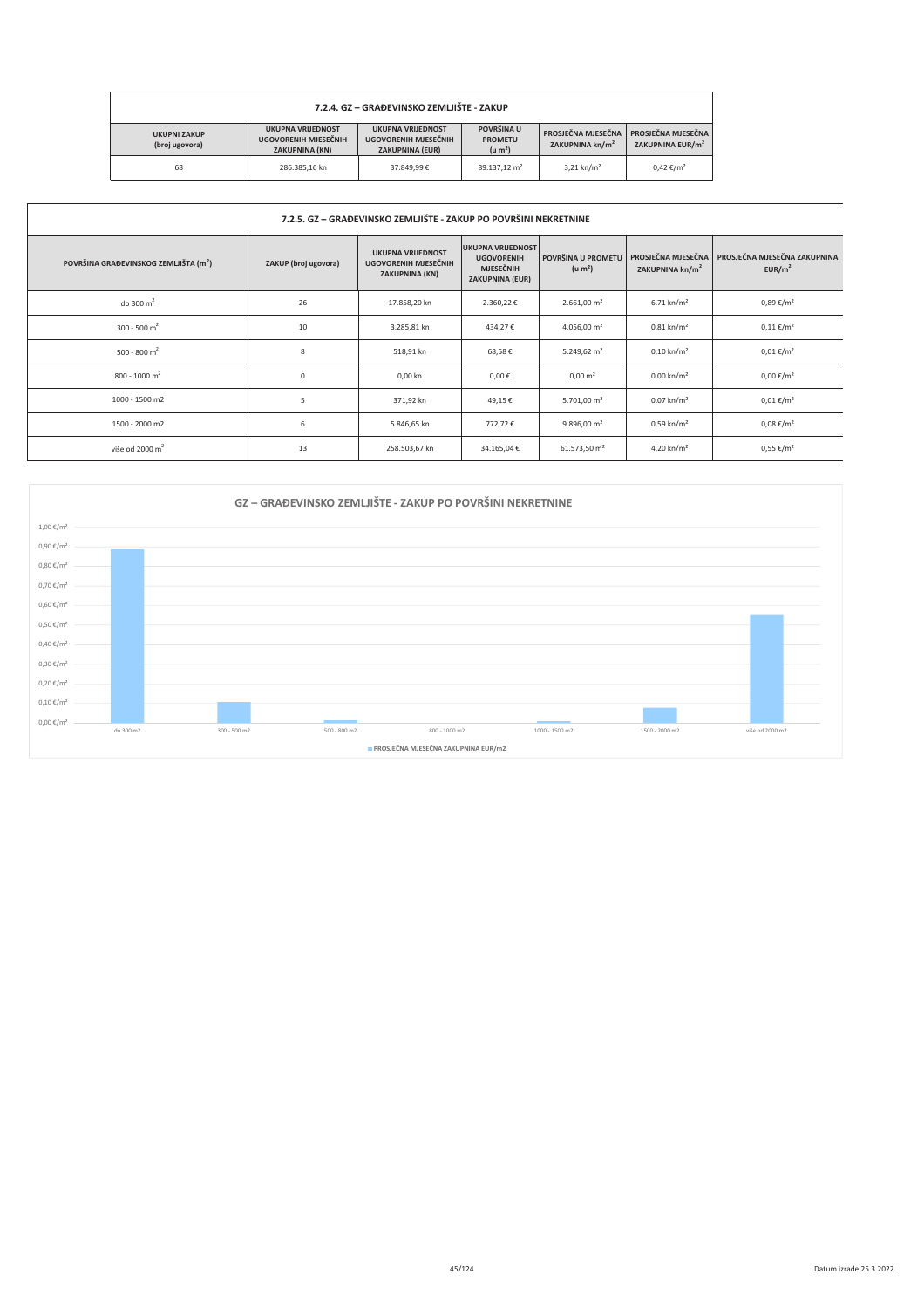| 7.2.4. GZ - GRAĐEVINSKO ZEMLJIŠTE - ZAKUP |                                                                           |                                                                           |                                                                                                                                                                |                          |                      |  |  |  |
|-------------------------------------------|---------------------------------------------------------------------------|---------------------------------------------------------------------------|----------------------------------------------------------------------------------------------------------------------------------------------------------------|--------------------------|----------------------|--|--|--|
| <b>UKUPNI ZAKUP</b><br>(broj ugovora)     | <b>UKUPNA VRIJEDNOST</b><br>UGOVORENIH MJESEČNIH<br><b>ZAKUPNINA (KN)</b> | <b>UKUPNA VRUEDNOST</b><br>UGOVORENIH MJESEČNIH<br><b>ZAKUPNINA (EUR)</b> | POVRŠINA U<br>PROSJEČNA MJESEČNA<br>PROSJEČNA MJESEČNA<br><b>PROMETU</b><br>ZAKUPNINA EUR/m <sup>2</sup><br>ZAKUPNINA kn/m <sup>2</sup><br>(u m <sup>2</sup> ) |                          |                      |  |  |  |
| 68                                        | 286.385.16 kn                                                             | 37,849,99€                                                                | 89.137.12 m <sup>2</sup>                                                                                                                                       | $3.21$ kn/m <sup>2</sup> | $0.42 \text{ €}/m^2$ |  |  |  |

| 7.2.5. GZ – GRAĐEVINSKO ZEMLJIŠTE - ZAKUP PO POVRŠINI NEKRETNINE |                      |                                                                           |                                                                                             |                                           |                                                   |                                                    |  |  |
|------------------------------------------------------------------|----------------------|---------------------------------------------------------------------------|---------------------------------------------------------------------------------------------|-------------------------------------------|---------------------------------------------------|----------------------------------------------------|--|--|
| POVRŠINA GRAĐEVINSKOG ZEMLJIŠTA (m <sup>2</sup> )                | ZAKUP (broj ugovora) | <b>UKUPNA VRIJEDNOST</b><br>UGOVORENIH MJESEČNIH<br><b>ZAKUPNINA (KN)</b> | <b>UKUPNA VRIJEDNOST</b><br><b>UGOVORENIH</b><br><b>MJESEČNIH</b><br><b>ZAKUPNINA (EUR)</b> | POVRŠINA U PROMETU<br>(u m <sup>2</sup> ) | PROSJEČNA MJESEČNA<br>ZAKUPNINA kn/m <sup>2</sup> | PROSJEČNA MJESEČNA ZAKUPNINA<br>EUR/m <sup>2</sup> |  |  |
| do 300 $m2$                                                      | 26                   | 17.858,20 kn                                                              | 2.360,22€                                                                                   | $2.661,00 \text{ m}^2$                    | $6,71 \text{ km/m}^2$                             | $0,89 \notin /m^2$                                 |  |  |
| 300 - 500 m <sup>2</sup>                                         | 10                   | 3.285,81 kn                                                               | 434,27€                                                                                     | 4.056,00 $\,$ m <sup>2</sup>              | $0.81 \text{ km/m}^2$                             | $0,11 \notin /m^2$                                 |  |  |
| 500 - 800 m <sup>2</sup>                                         | 8                    | 518,91 kn                                                                 | 68,58€                                                                                      | 5.249,62 $m2$                             | $0,10 \text{ km/m}^2$                             | $0,01 \in /m^2$                                    |  |  |
| $800 - 1000$ m <sup>2</sup>                                      | $\mathbf 0$          | 0,00 kn                                                                   | $0,00 \in$                                                                                  | $0,00 \text{ m}^2$                        | $0,00 \text{ km/m}^2$                             | $0,00 \in /m^2$                                    |  |  |
| 1000 - 1500 m2                                                   | 5                    | 371,92 kn                                                                 | 49,15€                                                                                      | $5.701,00 \text{ m}^2$                    | $0.07 \text{ km/m}^2$                             | $0,01 \in /m^2$                                    |  |  |
| 1500 - 2000 m2                                                   | 6                    | 5.846,65 kn                                                               | 772,72€                                                                                     | $9.896,00 \text{ m}^2$                    | $0,59 \text{ km/m}^2$                             | $0,08 \in /m^2$                                    |  |  |
| više od 2000 $m2$                                                | 13                   | 258.503,67 kn                                                             | 34.165,04€                                                                                  | 61.573,50 m <sup>2</sup>                  | 4,20 kn/m <sup>2</sup>                            | $0,55 \in /m^2$                                    |  |  |

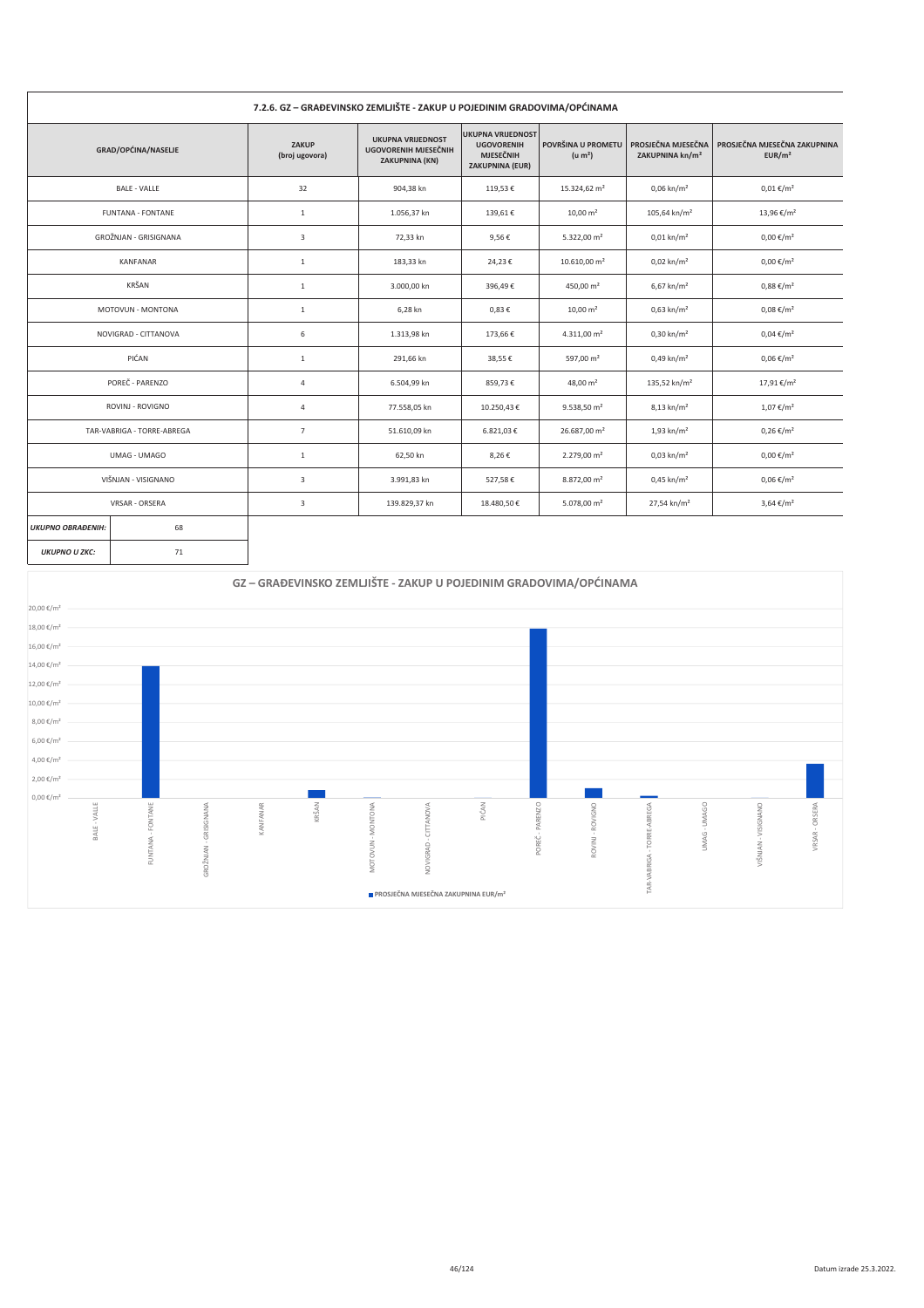| 7.2.6. GZ – GRADEVINSKO ZEMLJISTE - ZAKUP U POJEDINIM GRADOVIMA/OPCINAMA |                            |                         |                                                                    |                                                                                             |                                           |                                                   |                                                    |  |
|--------------------------------------------------------------------------|----------------------------|-------------------------|--------------------------------------------------------------------|---------------------------------------------------------------------------------------------|-------------------------------------------|---------------------------------------------------|----------------------------------------------------|--|
|                                                                          | GRAD/OPĆINA/NASELJE        | ZAKUP<br>(broj ugovora) | <b>UKUPNA VRIJEDNOST</b><br>UGOVORENIH MJESEČNIH<br>ZAKUPNINA (KN) | <b>UKUPNA VRIJEDNOST</b><br><b>UGOVORENIH</b><br><b>MJESEČNIH</b><br><b>ZAKUPNINA (EUR)</b> | POVRŠINA U PROMETU<br>(u m <sup>2</sup> ) | PROSJEČNA MJESEČNA<br>ZAKUPNINA kn/m <sup>2</sup> | PROSJEČNA MJESEČNA ZAKUPNINA<br>EUR/m <sup>2</sup> |  |
|                                                                          | <b>BALE - VALLE</b>        | 32                      | 904,38 kn                                                          | 119,53€                                                                                     | 15.324,62 m <sup>2</sup>                  | $0,06 \text{ km/m}^2$                             | $0,01 \notin /m^2$                                 |  |
|                                                                          | <b>FUNTANA - FONTANE</b>   | 1                       | 1.056,37 kn                                                        | 139,61€                                                                                     | $10,00 \text{ m}^2$                       | $105,64$ kn/m <sup>2</sup>                        | 13,96 €/m <sup>2</sup>                             |  |
|                                                                          | GROŽNJAN - GRISIGNANA      | 3                       | 72,33 kn                                                           | 9,56€                                                                                       | 5.322,00 $m2$                             | $0.01$ kn/m <sup>2</sup>                          | $0,00 \in /m^2$                                    |  |
|                                                                          | KANFANAR                   | $\mathbf{1}$            | 183,33 kn                                                          | 24,23€                                                                                      | 10.610,00 m <sup>2</sup>                  | $0.02 \text{ km/m}^2$                             | $0,00 \in /m^2$                                    |  |
|                                                                          | KRŠAN                      | $\mathbf{1}$            | 3.000,00 kn                                                        | 396,49€                                                                                     | 450,00 m <sup>2</sup>                     | $6,67$ kn/m <sup>2</sup>                          | $0,88 \notin /m^2$                                 |  |
|                                                                          | MOTOVUN - MONTONA          | $\mathbf{1}$            | 6,28 kn                                                            | $0,83 \in$                                                                                  | $10,00 \text{ m}^2$                       | $0,63 \text{ km/m}^2$                             | $0,08 \notin /m^2$                                 |  |
|                                                                          | NOVIGRAD - CITTANOVA       | 6                       | 1.313,98 kn                                                        | 173,66€                                                                                     | 4.311,00 $m2$                             | $0,30 \text{ km/m}^2$                             | $0,04 \notin /m^2$                                 |  |
|                                                                          | PIĆAN                      | $\mathbf{1}$            | 291,66 kn                                                          | 38,55€                                                                                      | 597,00 m <sup>2</sup>                     | $0,49 \text{ kn/m}^2$                             | $0,06 \in /m^2$                                    |  |
|                                                                          | POREČ - PARENZO            | $\overline{4}$          | 6.504,99 kn                                                        | 859,73€                                                                                     | 48,00 $m2$                                | 135,52 kn/m <sup>2</sup>                          | 17,91 €/m <sup>2</sup>                             |  |
|                                                                          | ROVINJ - ROVIGNO           | $\overline{4}$          | 77.558,05 kn                                                       | 10.250,43€                                                                                  | 9.538,50 m <sup>2</sup>                   | 8,13 kn/m <sup>2</sup>                            | $1,07 \in /m^2$                                    |  |
|                                                                          | TAR-VABRIGA - TORRE-ABREGA | $\overline{7}$          | 51.610,09 kn                                                       | 6.821,03€                                                                                   | 26.687,00 m <sup>2</sup>                  | $1,93$ kn/m <sup>2</sup>                          | $0,26 \in /m^2$                                    |  |
|                                                                          | UMAG - UMAGO               | $\mathbf{1}$            | 62,50 kn                                                           | 8,26€                                                                                       | $2.279,00 \text{ m}^2$                    | $0,03 \text{ km/m}^2$                             | $0,00 \in /m^2$                                    |  |
|                                                                          | VIŠNJAN - VISIGNANO        | 3                       | 3.991,83 kn                                                        | 527,58€                                                                                     | 8.872,00 m <sup>2</sup>                   | $0,45 \text{ km/m}^2$                             | $0,06 \in /m^2$                                    |  |
|                                                                          | VRSAR - ORSERA             | $\overline{\mathbf{3}}$ | 139.829,37 kn                                                      | 18.480,50€                                                                                  | 5.078,00 $m2$                             | 27,54 kn/m <sup>2</sup>                           | $3,64 \in /m^2$                                    |  |
| <b>UKUPNO OBRAĐENIH:</b>                                                 | 68                         |                         |                                                                    |                                                                                             |                                           |                                                   |                                                    |  |
| <b>UKUPNO U ZKC:</b>                                                     | 71                         |                         |                                                                    |                                                                                             |                                           |                                                   |                                                    |  |

#### GZ – GRAĐEVINSKO ZEMLJIŠTE - ZAKUP U POJEDINIM GRADOVIMA/OPĆINAMA  $20,00 \in /m^2$  $18,00 \text{ }\mathsf{f/m^2}$  $16,00 \in /m^2$ 14,00 €/m<sup>2</sup>  $12,00\ \mathrm{E}/\mathrm{m}^2$  $10,00\:\mathrm{K/m^2}$  $8,00 \in /m^2$  $6,00 \text{ } \text{\textsterling} / \text{m}^2$  $4,00 \in /m^2$  $2,00 \in /m^2$  $0,00 \in / m^2$ KRŠAN PIĆAN BALE - VALLE TAR-VABRIGA - TORRE-ABREGA JMAG-UMAGO VIŠNJAN - VISIGNANO GROŽNJAN - GRISIGNANA KANFANAR MOTOVUN-MONTONA NOVIGRAD - CITTANOVA POREČ - PARENZO ROVINJ - ROVIGNO FUNTANA - FONTANE VRSAR - ORSERA **■ PROSJEČNA MJESEČNA ZAKUPNINA EUR/m<sup>2</sup>**

#### **Contract** ÷.  $\sim$   $\sim$ **Contract Contract** the control of the control of the control of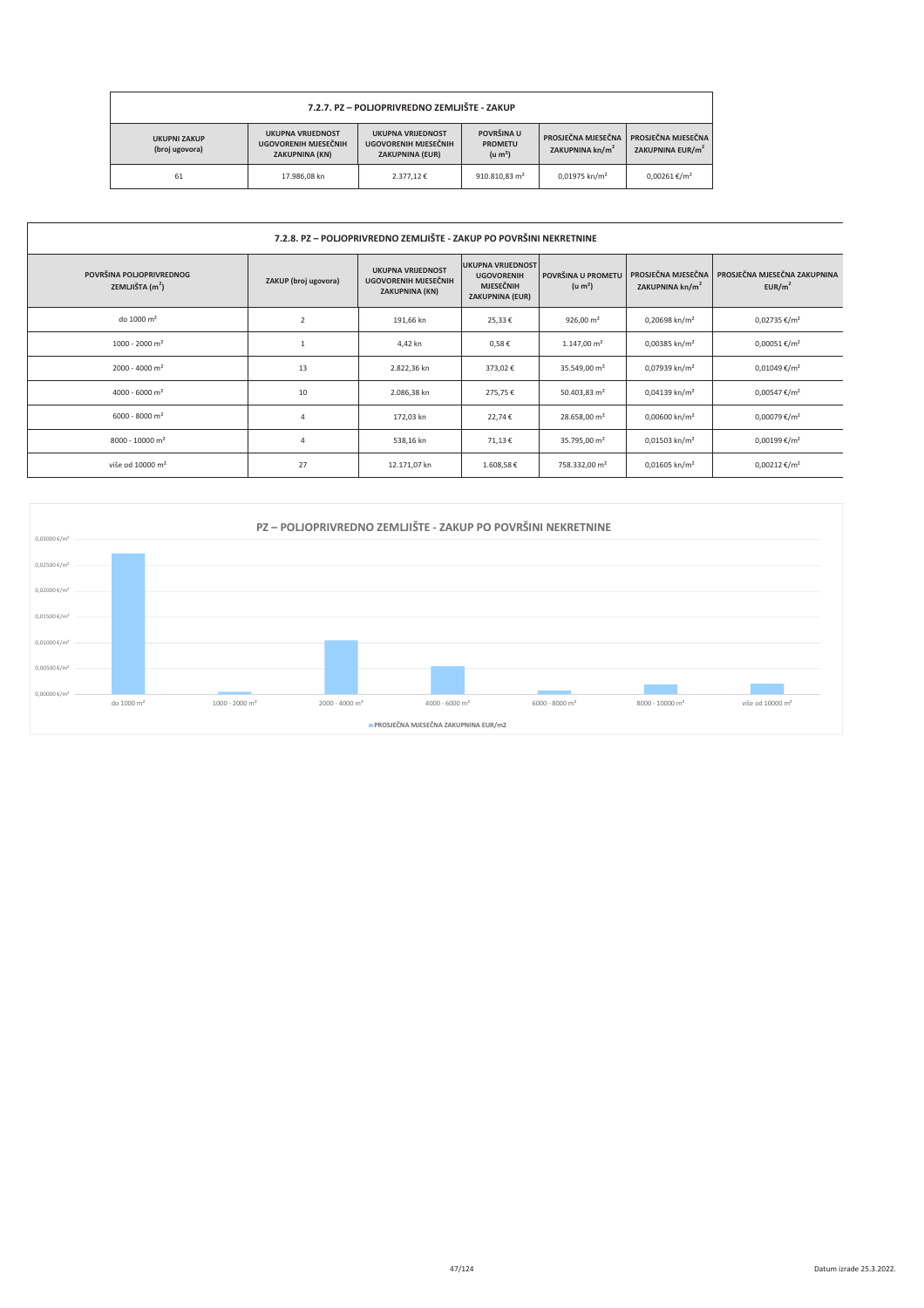| 7.2.7. PZ – POLJOPRIVREDNO ZEMLJIŠTE - ZAKUP                                                                                                                                                                                                                                                                 |              |                                                    |                           |                             |                        |  |
|--------------------------------------------------------------------------------------------------------------------------------------------------------------------------------------------------------------------------------------------------------------------------------------------------------------|--------------|----------------------------------------------------|---------------------------|-----------------------------|------------------------|--|
| POVRŠINA U<br><b>UKUPNA VRIJEDNOST</b><br><b>UKUPNA VRIJEDNOST</b><br>PROSJEČNA MJESEČNA<br><b>UKUPNI ZAKUP</b><br>UGOVORENIH MJESEČNIH<br>UGOVORENIH MJESEČNIH<br><b>PROMETU</b><br>ZAKUPNINA kn/m <sup>2</sup><br>(broj ugovora)<br>(u m <sup>2</sup> )<br><b>ZAKUPNINA (EUR)</b><br><b>ZAKUPNINA (KN)</b> |              | PROSJEČNA MJESEČNA<br>ZAKUPNINA EUR/m <sup>2</sup> |                           |                             |                        |  |
| 61                                                                                                                                                                                                                                                                                                           | 17.986.08 kn | 2.377.12€                                          | 910.810.83 m <sup>2</sup> | $0.01975$ kn/m <sup>2</sup> | $0.00261 \text{€}/m^2$ |  |

| 7.2.8. PZ – POLJOPRIVREDNO ZEMLJIŠTE - ZAKUP PO POVRŠINI NEKRETNINE |                      |                                                                    |                                                                                             |                                           |                                                   |                                                    |
|---------------------------------------------------------------------|----------------------|--------------------------------------------------------------------|---------------------------------------------------------------------------------------------|-------------------------------------------|---------------------------------------------------|----------------------------------------------------|
| POVRŠINA POLJOPRIVREDNOG<br>ZEMLJIŠTA $(m2)$                        | ZAKUP (broj ugovora) | <b>UKUPNA VRIJEDNOST</b><br>UGOVORENIH MJESEČNIH<br>ZAKUPNINA (KN) | <b>UKUPNA VRIJEDNOST</b><br><b>UGOVORENIH</b><br><b>MJESEČNIH</b><br><b>ZAKUPNINA (EUR)</b> | POVRŠINA U PROMETU<br>(u m <sup>2</sup> ) | PROSJEČNA MJESEČNA<br>ZAKUPNINA kn/m <sup>2</sup> | PROSJEČNA MJESEČNA ZAKUPNINA<br>EUR/m <sup>2</sup> |
| do 1000 m <sup>2</sup>                                              | 2                    | 191,66 kn                                                          | 25,33€                                                                                      | 926,00 $m2$                               | 0,20698 kn/m <sup>2</sup>                         | $0,02735 \in /m^2$                                 |
| $1000 - 2000$ m <sup>2</sup>                                        |                      | 4,42 kn                                                            | $0,58 \in$                                                                                  | $1.147,00 \text{ m}^2$                    | 0,00385 kn/m <sup>2</sup>                         | $0,00051 \text{€}/m^2$                             |
| $2000 - 4000$ m <sup>2</sup>                                        | 13                   | 2.822,36 kn                                                        | 373,02€                                                                                     | 35.549,00 m <sup>2</sup>                  | 0,07939 kn/m <sup>2</sup>                         | $0,01049 \text{€}/m^2$                             |
| 4000 - 6000 m <sup>2</sup>                                          | 10                   | 2.086,38 kn                                                        | 275,75€                                                                                     | 50.403,83 m <sup>2</sup>                  | $0,04139$ kn/m <sup>2</sup>                       | $0,00547 \in /m^2$                                 |
| $6000 - 8000$ m <sup>2</sup>                                        | Δ                    | 172,03 kn                                                          | 22,74€                                                                                      | 28.658,00 m <sup>2</sup>                  | $0,00600$ kn/m <sup>2</sup>                       | 0,00079 €/m <sup>2</sup>                           |
| 8000 - 10000 m <sup>2</sup>                                         | $\overline{4}$       | 538,16 kn                                                          | 71,13€                                                                                      | 35.795,00 m <sup>2</sup>                  | $0,01503$ kn/m <sup>2</sup>                       | $0,00199 \text{€}/m^2$                             |
| više od 10000 m <sup>2</sup>                                        | 27                   | 12.171,07 kn                                                       | 1.608,58€                                                                                   | 758.332,00 m <sup>2</sup>                 | $0,01605$ kn/m <sup>2</sup>                       | $0,00212 \text{ €}/m^2$                            |

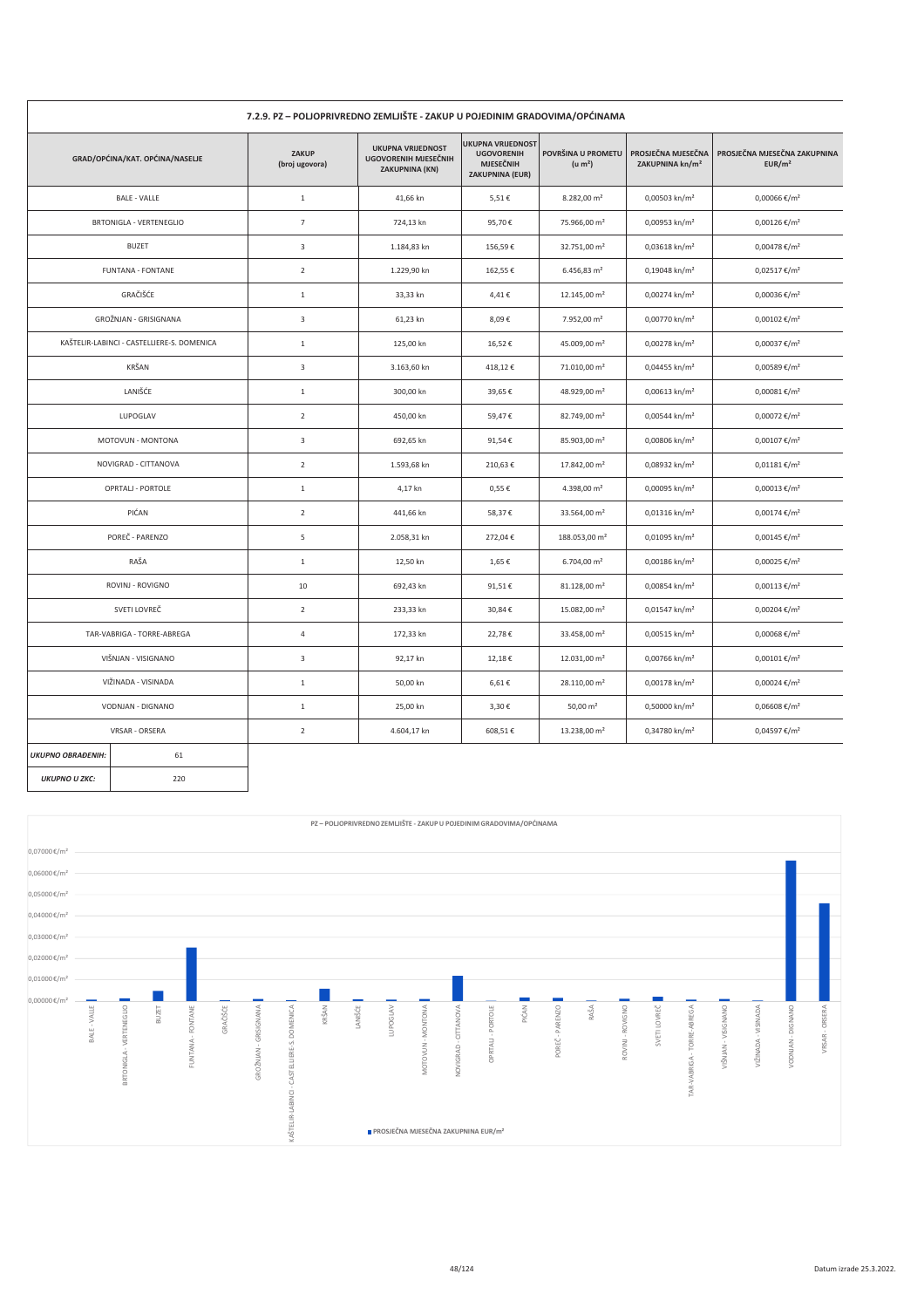| 7.2.9. PZ – POLJOPRIVREDNO ZEMLJIŠTE - ZAKUP U POJEDINIM GRADOVIMA/OPĆINAMA |                                            |                                |                                                                    |                                                                                             |                                           |                                                   |                                                    |
|-----------------------------------------------------------------------------|--------------------------------------------|--------------------------------|--------------------------------------------------------------------|---------------------------------------------------------------------------------------------|-------------------------------------------|---------------------------------------------------|----------------------------------------------------|
|                                                                             | GRAD/OPĆINA/KAT. OPĆINA/NASELJE            | <b>ZAKUP</b><br>(broj ugovora) | <b>UKUPNA VRIJEDNOST</b><br>UGOVORENIH MJESEČNIH<br>ZAKUPNINA (KN) | <b>UKUPNA VRIJEDNOST</b><br><b>UGOVORENIH</b><br><b>MJESEČNIH</b><br><b>ZAKUPNINA (EUR)</b> | POVRŠINA U PROMETU<br>(u m <sup>2</sup> ) | PROSJEČNA MJESEČNA<br>ZAKUPNINA kn/m <sup>2</sup> | PROSJEČNA MJESEČNA ZAKUPNINA<br>EUR/m <sup>2</sup> |
|                                                                             | <b>BALE - VALLE</b>                        | $1\,$                          | 41,66 kn                                                           | 5,51€                                                                                       | 8.282,00 m <sup>2</sup>                   | 0,00503 kn/m <sup>2</sup>                         | 0,00066 €/m <sup>2</sup>                           |
|                                                                             | <b>BRTONIGLA - VERTENEGLIO</b>             | $\overline{7}$                 | 724,13 kn                                                          | 95,70€                                                                                      | 75.966,00 m <sup>2</sup>                  | 0,00953 kn/m <sup>2</sup>                         | $0,00126$ €/m <sup>2</sup>                         |
|                                                                             | <b>BUZET</b>                               | $\overline{3}$                 | 1.184,83 kn                                                        | 156,59€                                                                                     | 32.751,00 m <sup>2</sup>                  | 0,03618 kn/m <sup>2</sup>                         | $0,00478 \text{ €}/m^2$                            |
|                                                                             | <b>FUNTANA - FONTANE</b>                   | $\overline{2}$                 | 1.229,90 kn                                                        | 162,55€                                                                                     | $6.456,83 \text{ m}^2$                    | 0,19048 kn/m <sup>2</sup>                         | $0,02517 \in /m^2$                                 |
|                                                                             | GRAČIŠĆE                                   | $\mathbf{1}$                   | 33,33 kn                                                           | 4,41€                                                                                       | 12.145,00 m <sup>2</sup>                  | 0,00274 kn/m <sup>2</sup>                         | 0,00036 €/m <sup>2</sup>                           |
|                                                                             | GROŽNJAN - GRISIGNANA                      | $\overline{3}$                 | 61,23 kn                                                           | 8,09€                                                                                       | 7.952,00 m <sup>2</sup>                   | 0,00770 kn/m <sup>2</sup>                         | $0,00102$ €/m <sup>2</sup>                         |
|                                                                             | KAŠTELIR-LABINCI - CASTELLIERE-S. DOMENICA | $\,1\,$                        | 125,00 kn                                                          | 16,52€                                                                                      | 45.009,00 m <sup>2</sup>                  | 0,00278 kn/m <sup>2</sup>                         | 0,00037 €/m <sup>2</sup>                           |
|                                                                             | KRŠAN                                      | $\mathsf 3$                    | 3.163,60 kn                                                        | 418,12€                                                                                     | 71.010,00 m <sup>2</sup>                  | 0,04455 kn/m <sup>2</sup>                         | 0,00589€/m <sup>2</sup>                            |
|                                                                             | LANIŠĆE                                    | $\,1\,$                        | 300,00 kn                                                          | 39,65€                                                                                      | 48.929,00 m <sup>2</sup>                  | 0,00613 kn/m <sup>2</sup>                         | $0,00081 \text{€}/m^2$                             |
|                                                                             | LUPOGLAV                                   | $\overline{2}$                 | 450,00 kn                                                          | 59,47€                                                                                      | 82.749,00 m <sup>2</sup>                  | 0,00544 kn/m <sup>2</sup>                         | 0,00072 €/m <sup>2</sup>                           |
|                                                                             | MOTOVUN - MONTONA                          | $\mathsf 3$                    | 692,65 kn                                                          | 91,54€                                                                                      | 85.903,00 m <sup>2</sup>                  | 0,00806 kn/m <sup>2</sup>                         | $0,00107$ €/m <sup>2</sup>                         |
|                                                                             | NOVIGRAD - CITTANOVA                       | $\overline{2}$                 | 1.593,68 kn                                                        | 210,63€                                                                                     | 17.842,00 m <sup>2</sup>                  | 0,08932 kn/m <sup>2</sup>                         | $0,01181 \text{€}/m^2$                             |
|                                                                             | OPRTALJ - PORTOLE                          | $\,1\,$                        | 4,17 kn                                                            | $0,55 \in$                                                                                  | 4.398,00 m <sup>2</sup>                   | 0,00095 kn/m <sup>2</sup>                         | $0,00013 \text{€}/m^2$                             |
|                                                                             | PIĆAN                                      | $\overline{2}$                 | 441,66 kn                                                          | 58,37€                                                                                      | 33.564,00 m <sup>2</sup>                  | $0,01316$ kn/m <sup>2</sup>                       | $0,00174 \text{ €}/m^2$                            |
|                                                                             | POREČ - PARENZO                            | 5                              | 2.058,31 kn                                                        | 272,04€                                                                                     | 188.053,00 m <sup>2</sup>                 | 0,01095 kn/m <sup>2</sup>                         | $0,00145 \in /m^2$                                 |
|                                                                             | RAŠA                                       | $1\,$                          | 12,50 kn                                                           | 1,65€                                                                                       | $6.704,00 \text{ m}^2$                    | 0,00186 kn/m <sup>2</sup>                         | 0,00025 €/m <sup>2</sup>                           |
|                                                                             | ROVINJ - ROVIGNO                           | 10                             | 692,43 kn                                                          | 91,51€                                                                                      | 81.128,00 m <sup>2</sup>                  | 0,00854 kn/m <sup>2</sup>                         | $0,00113 \text{ €}/m^2$                            |
|                                                                             | SVETI LOVREČ                               | $\overline{2}$                 | 233,33 kn                                                          | 30,84€                                                                                      | 15.082,00 m <sup>2</sup>                  | 0,01547 kn/m <sup>2</sup>                         | 0,00204 €/m <sup>2</sup>                           |
|                                                                             | TAR-VABRIGA - TORRE-ABREGA                 | $\overline{4}$                 | 172,33 kn                                                          | 22,78€                                                                                      | 33.458,00 m <sup>2</sup>                  | 0,00515 kn/m <sup>2</sup>                         | $0,00068 \text{€}/m^2$                             |
|                                                                             | VIŠNJAN - VISIGNANO                        | $\overline{\mathbf{3}}$        | 92,17 kn                                                           | 12,18€                                                                                      | 12.031,00 m <sup>2</sup>                  | 0,00766 kn/m <sup>2</sup>                         | $0,00101 \text{€}/m^2$                             |
|                                                                             | VIŽINADA - VISINADA                        | $1\,$                          | 50,00 kn                                                           | 6,61€                                                                                       | 28.110,00 m <sup>2</sup>                  | 0,00178 kn/m <sup>2</sup>                         | $0,00024 \text{€}/m^2$                             |
|                                                                             | VODNJAN - DIGNANO                          | $\,1\,$                        | 25,00 kn                                                           | 3,30€                                                                                       | 50,00 $m2$                                | 0,50000 kn/m <sup>2</sup>                         | $0,06608 \notin /m^2$                              |
|                                                                             | VRSAR - ORSERA                             | $\sqrt{2}$                     | 4.604,17 kn                                                        | 608,51€                                                                                     | 13.238,00 m <sup>2</sup>                  | 0,34780 kn/m <sup>2</sup>                         | $0,04597$ €/m <sup>2</sup>                         |
| <b>UKUPNO OBRAĐENIH:</b>                                                    | 61                                         |                                |                                                                    |                                                                                             |                                           |                                                   |                                                    |

UKUPNO U ZKC: 220

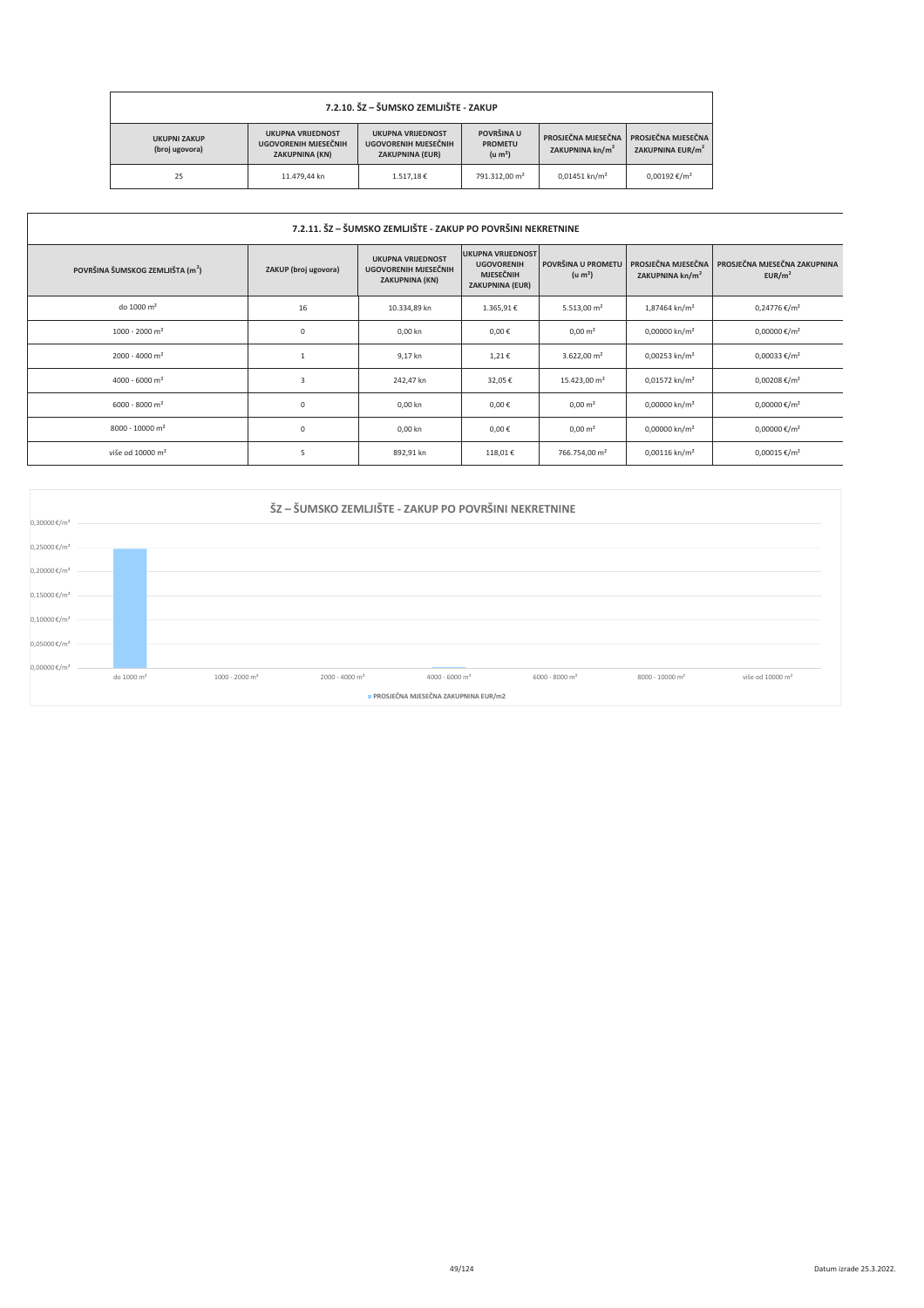| 7.2.10. ŠZ – ŠUMSKO ZEMLJIŠTE - ZAKUP |                                                                           |                                                                            |                                                     |                                                   |                                                    |
|---------------------------------------|---------------------------------------------------------------------------|----------------------------------------------------------------------------|-----------------------------------------------------|---------------------------------------------------|----------------------------------------------------|
| <b>UKUPNI ZAKUP</b><br>(broj ugovora) | <b>UKUPNA VRIJEDNOST</b><br>UGOVORENIH MJESEČNIH<br><b>ZAKUPNINA (KN)</b> | <b>UKUPNA VRIJEDNOST</b><br>UGOVORENIH MJESEČNIH<br><b>ZAKUPNINA (EUR)</b> | POVRŠINA U<br><b>PROMETU</b><br>(u m <sup>2</sup> ) | PROSJEČNA MJESEČNA<br>ZAKUPNINA kn/m <sup>2</sup> | PROSJEČNA MJESEČNA<br>ZAKUPNINA EUR/m <sup>2</sup> |
| 25                                    | 11.479.44 kn                                                              | 1.517.18€                                                                  | 791.312.00 m <sup>2</sup>                           | $0.01451$ kn/m <sup>2</sup>                       | $0.00192 \text{ €}/m^2$                            |

| 7.2.11. ŠZ – ŠUMSKO ZEMLJIŠTE - ZAKUP PO POVRŠINI NEKRETNINE |                      |                                                                    |                                                                                             |                                           |                                                   |                                                    |
|--------------------------------------------------------------|----------------------|--------------------------------------------------------------------|---------------------------------------------------------------------------------------------|-------------------------------------------|---------------------------------------------------|----------------------------------------------------|
| POVRŠINA ŠUMSKOG ZEMLJIŠTA (m <sup>2</sup> )                 | ZAKUP (broj ugovora) | <b>UKUPNA VRIJEDNOST</b><br>UGOVORENIH MJESEČNIH<br>ZAKUPNINA (KN) | <b>UKUPNA VRIJEDNOST</b><br><b>UGOVORENIH</b><br><b>MJESEČNIH</b><br><b>ZAKUPNINA (EUR)</b> | POVRŠINA U PROMETU<br>(u m <sup>2</sup> ) | PROSJEČNA MJESEČNA<br>ZAKUPNINA kn/m <sup>2</sup> | PROSJEČNA MJESEČNA ZAKUPNINA<br>EUR/m <sup>2</sup> |
| do 1000 m <sup>2</sup>                                       | 16                   | 10.334,89 kn                                                       | 1.365,91€                                                                                   | $5.513,00$ m <sup>2</sup>                 | 1,87464 kn/m <sup>2</sup>                         | $0,24776 \in /m^2$                                 |
| $1000 - 2000$ m <sup>2</sup>                                 | $\mathsf 0$          | 0,00 kn                                                            | $0,00 \in$                                                                                  | $0,00 \text{ m}^2$                        | $0,00000$ kn/m <sup>2</sup>                       | 0,00000 €/m <sup>2</sup>                           |
| $2000 - 4000$ m <sup>2</sup>                                 | $\overline{1}$       | 9,17 kn                                                            | 1,21€                                                                                       | $3.622,00 \text{ m}^2$                    | $0,00253$ kn/m <sup>2</sup>                       | 0,00033 €/m <sup>2</sup>                           |
| 4000 - 6000 m <sup>2</sup>                                   | 3                    | 242,47 kn                                                          | 32,05€                                                                                      | 15.423,00 m <sup>2</sup>                  | 0,01572 kn/m <sup>2</sup>                         | $0,00208 \text{€}/m^2$                             |
| $6000 - 8000$ m <sup>2</sup>                                 | $\mathbb O$          | 0,00 kn                                                            | $0,00 \in$                                                                                  | $0,00 \text{ m}^2$                        | 0,00000 kn/m <sup>2</sup>                         | 0,00000 €/m <sup>2</sup>                           |
| 8000 - 10000 m <sup>2</sup>                                  | $\mathsf 0$          | 0,00 kn                                                            | $0,00 \in$                                                                                  | $0,00 \text{ m}^2$                        | 0,00000 kn/m <sup>2</sup>                         | 0,00000 €/m <sup>2</sup>                           |
| više od 10000 m <sup>2</sup>                                 | 5                    | 892,91 kn                                                          | 118,01€                                                                                     | 766.754,00 m <sup>2</sup>                 | $0,00116$ kn/m <sup>2</sup>                       | $0,00015 \text{€}/m^2$                             |

|                                          | ŠZ – ŠUMSKO ZEMLJIŠTE - ZAKUP PO POVRŠINI NEKRETNINE |                              |                              |                            |                              |                             |                              |
|------------------------------------------|------------------------------------------------------|------------------------------|------------------------------|----------------------------|------------------------------|-----------------------------|------------------------------|
| $0,30000 \in /m^2$<br>$0,25000 \in /m^2$ |                                                      |                              |                              |                            |                              |                             |                              |
| $0,20000 \text{€}/m^2$                   |                                                      |                              |                              |                            |                              |                             |                              |
| $0,15000 \, \text{K/m}^2$                |                                                      |                              |                              |                            |                              |                             |                              |
| $0,10000 \, \epsilon/m^2$                |                                                      |                              |                              |                            |                              |                             |                              |
| $0,05000 \in /m^2$                       |                                                      |                              |                              |                            |                              |                             |                              |
| 0,00000€/m <sup>2</sup>                  | do 1000 m <sup>2</sup>                               | $1000 - 2000$ m <sup>2</sup> | $2000 - 4000$ m <sup>2</sup> | 4000 - 6000 m <sup>2</sup> | $6000 - 8000$ m <sup>2</sup> | 8000 - 10000 m <sup>2</sup> | više od 10000 m <sup>2</sup> |
|                                          | PROSJEČNA MJESEČNA ZAKUPNINA EUR/m2                  |                              |                              |                            |                              |                             |                              |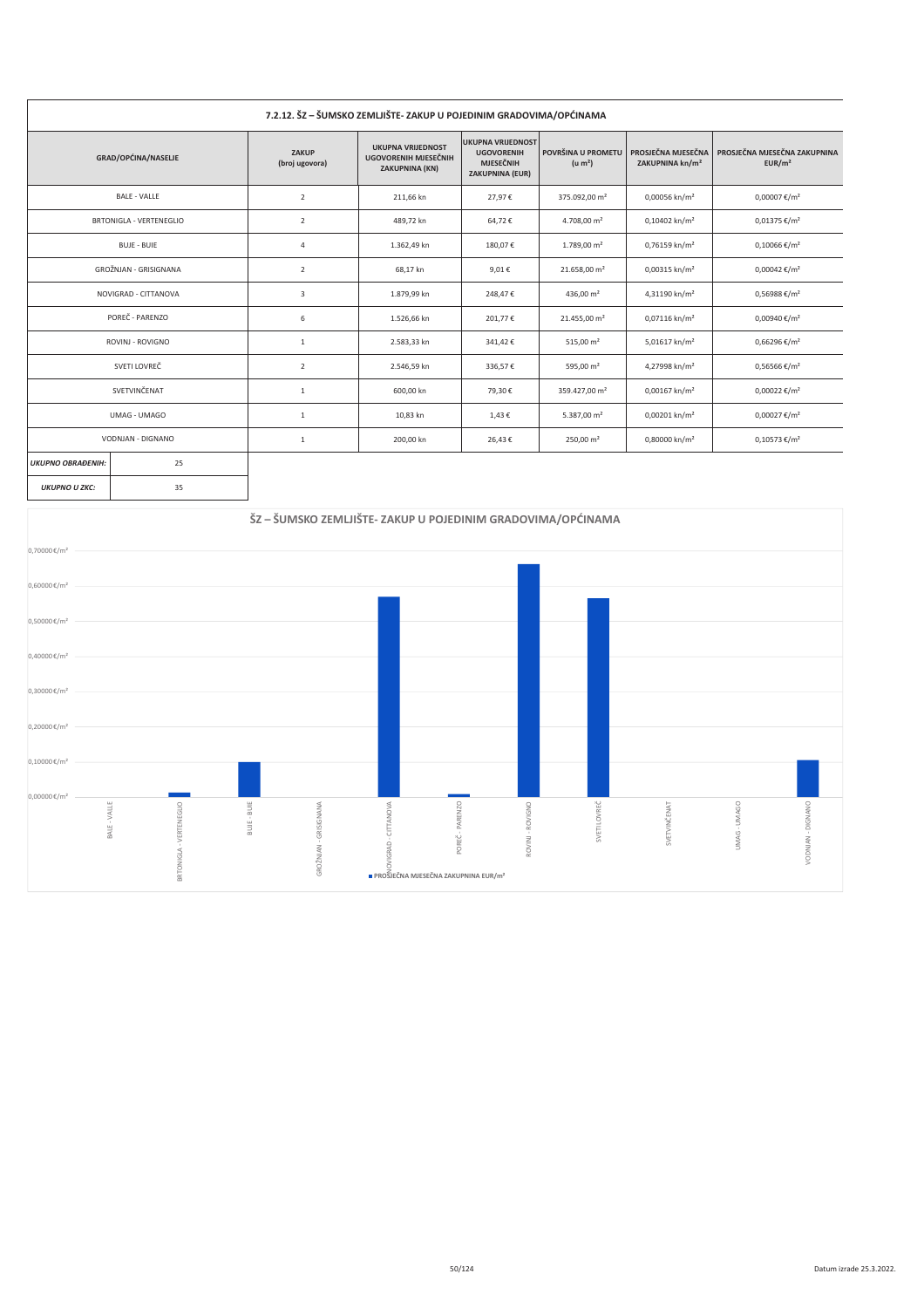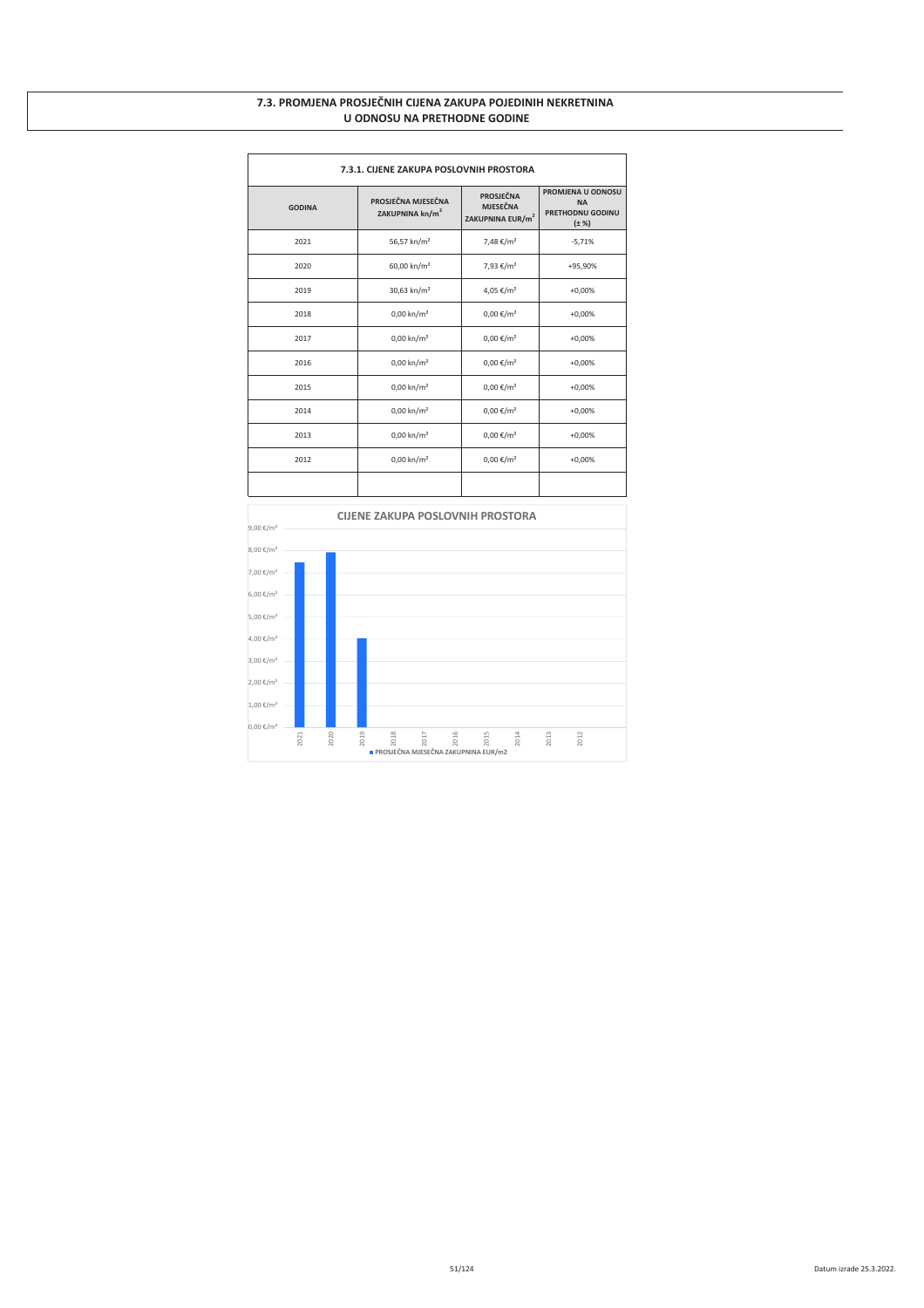#### 7.3. PROMJENA PROSJEČNIH CIJENA ZAKUPA POJEDINIH NEKRETNINA **U ODNOSU NA PRETHODNE GODINE**

| 7.3.1. CIJENE ZAKUPA POSLOVNIH PROSTORA |                                                                                                                          |                       |                                                                         |  |  |
|-----------------------------------------|--------------------------------------------------------------------------------------------------------------------------|-----------------------|-------------------------------------------------------------------------|--|--|
| <b>GODINA</b>                           | <b>PROSJEČNA</b><br>PROSJEČNA MJESEČNA<br><b>MJESEČNA</b><br>ZAKUPNINA kn/m <sup>2</sup><br>ZAKUPNINA EUR/m <sup>2</sup> |                       | PROMJENA U ODNOSU<br><b>NA</b><br><b>PRETHODNU GODINU</b><br>$(\pm \%)$ |  |  |
| 2021                                    | 56,57 kn/m <sup>2</sup>                                                                                                  | 7,48 €/m <sup>2</sup> | $-5,71%$                                                                |  |  |
| 2020                                    | 60,00 kn/m <sup>2</sup>                                                                                                  | 7,93 €/m <sup>2</sup> | +95,90%                                                                 |  |  |
| 2019                                    | 30,63 kn/m <sup>2</sup>                                                                                                  | 4,05 €/m <sup>2</sup> | $+0,00%$                                                                |  |  |
| 2018                                    | $0,00$ kn/m <sup>2</sup>                                                                                                 | $0,00 \in /m^2$       | $+0,00%$                                                                |  |  |
| 2017                                    | $0,00 \text{ km/m}^2$                                                                                                    | $0,00 \in /m^2$       | $+0,00%$                                                                |  |  |
| 2016                                    | $0,00$ kn/m <sup>2</sup>                                                                                                 | $0,00 \in /m^2$       | $+0,00%$                                                                |  |  |
| 2015                                    | $0,00$ kn/m <sup>2</sup>                                                                                                 | $0,00 \in /m^2$       | $+0,00%$                                                                |  |  |
| 2014                                    | $0,00$ kn/m <sup>2</sup>                                                                                                 | $0,00 \in /m^2$       | $+0,00%$                                                                |  |  |
| 2013                                    | $0,00$ kn/m <sup>2</sup>                                                                                                 | $0,00 \in /m^2$       | $+0,00%$                                                                |  |  |
| 2012                                    | $0,00$ kn/m <sup>2</sup>                                                                                                 | $0,00 \in /m^2$       | $+0,00%$                                                                |  |  |
|                                         |                                                                                                                          |                       |                                                                         |  |  |

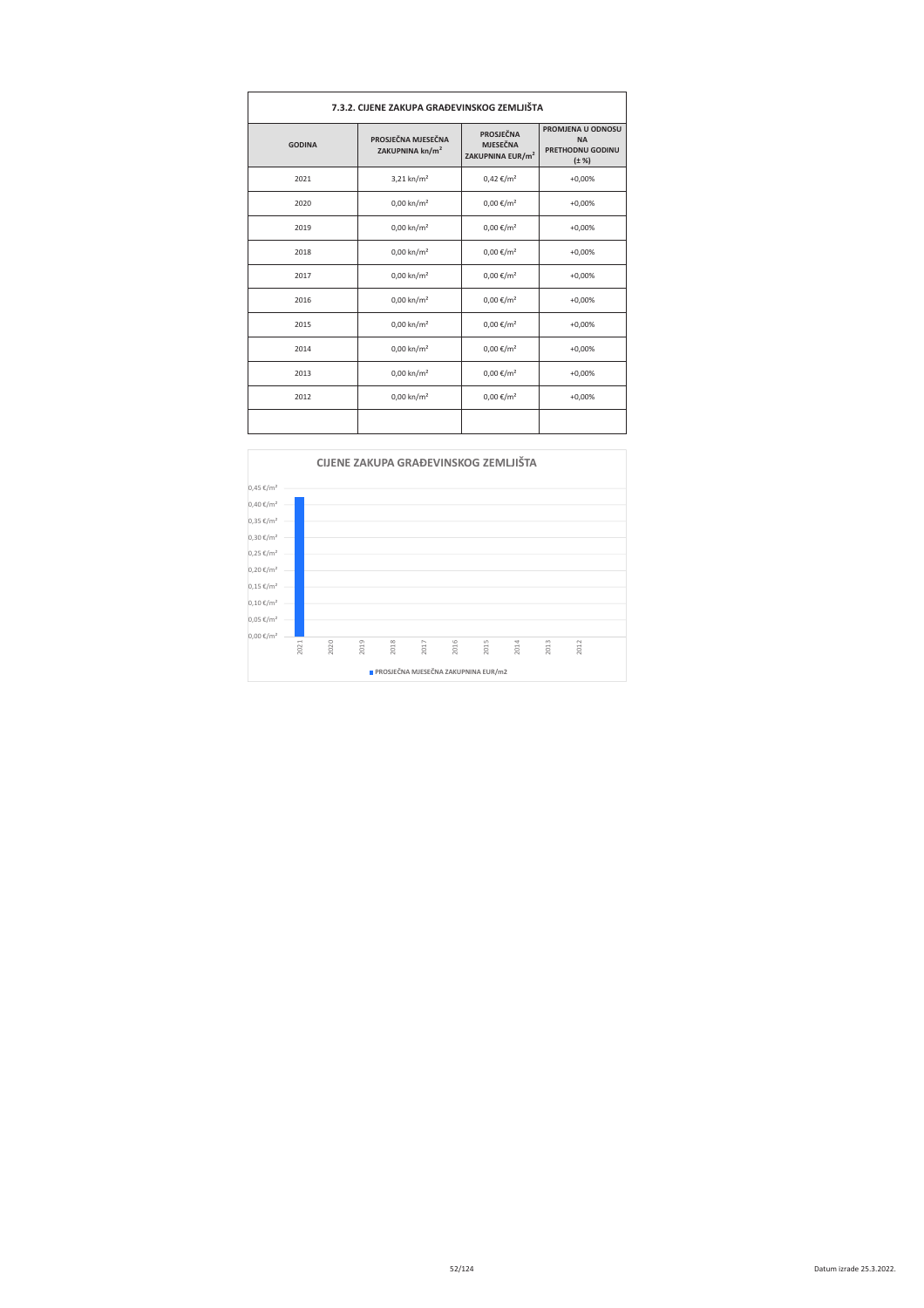| 7.3.2. CIJENE ZAKUPA GRAĐEVINSKOG ZEMLJIŠTA |                                                   |                                                                     |                                                                  |  |
|---------------------------------------------|---------------------------------------------------|---------------------------------------------------------------------|------------------------------------------------------------------|--|
| <b>GODINA</b>                               | PROSJEČNA MJESEČNA<br>ZAKUPNINA kn/m <sup>2</sup> | <b>PROSJEČNA</b><br><b>MJESEČNA</b><br>ZAKUPNINA EUR/m <sup>2</sup> | PROMJENA U ODNOSU<br><b>NA</b><br>PRETHODNU GODINU<br>$(\pm \%)$ |  |
| 2021                                        | $3,21$ kn/m <sup>2</sup>                          | $0,42 \notin /m^2$                                                  | $+0,00%$                                                         |  |
| 2020                                        | $0,00$ kn/m <sup>2</sup>                          | $0,00 \in /m^2$                                                     | $+0,00%$                                                         |  |
| 2019                                        | $0,00 \text{ km/m}^2$                             | $0,00 \in /m^2$                                                     | $+0,00%$                                                         |  |
| 2018                                        | $0,00$ kn/m <sup>2</sup>                          | $0,00 \in /m^2$                                                     | $+0,00%$                                                         |  |
| 2017                                        | $0,00$ kn/m <sup>2</sup>                          | $0,00 \in /m^2$                                                     | $+0,00%$                                                         |  |
| 2016                                        | $0,00 \text{ km/m}^2$                             | $0,00 \in /m^2$                                                     | $+0,00%$                                                         |  |
| 2015                                        | $0,00$ kn/m <sup>2</sup>                          | $0,00 \in /m^2$                                                     | $+0,00%$                                                         |  |
| 2014                                        | $0,00$ kn/m <sup>2</sup>                          | $0,00 \in /m^2$                                                     | $+0,00%$                                                         |  |
| 2013                                        | $0,00 \text{ km/m}^2$                             | $0,00 \in /m^2$                                                     | $+0,00%$                                                         |  |
| 2012                                        | $0,00 \text{ km/m}^2$                             | $0,00 \in /m^2$                                                     | $+0,00%$                                                         |  |
|                                             |                                                   |                                                                     |                                                                  |  |

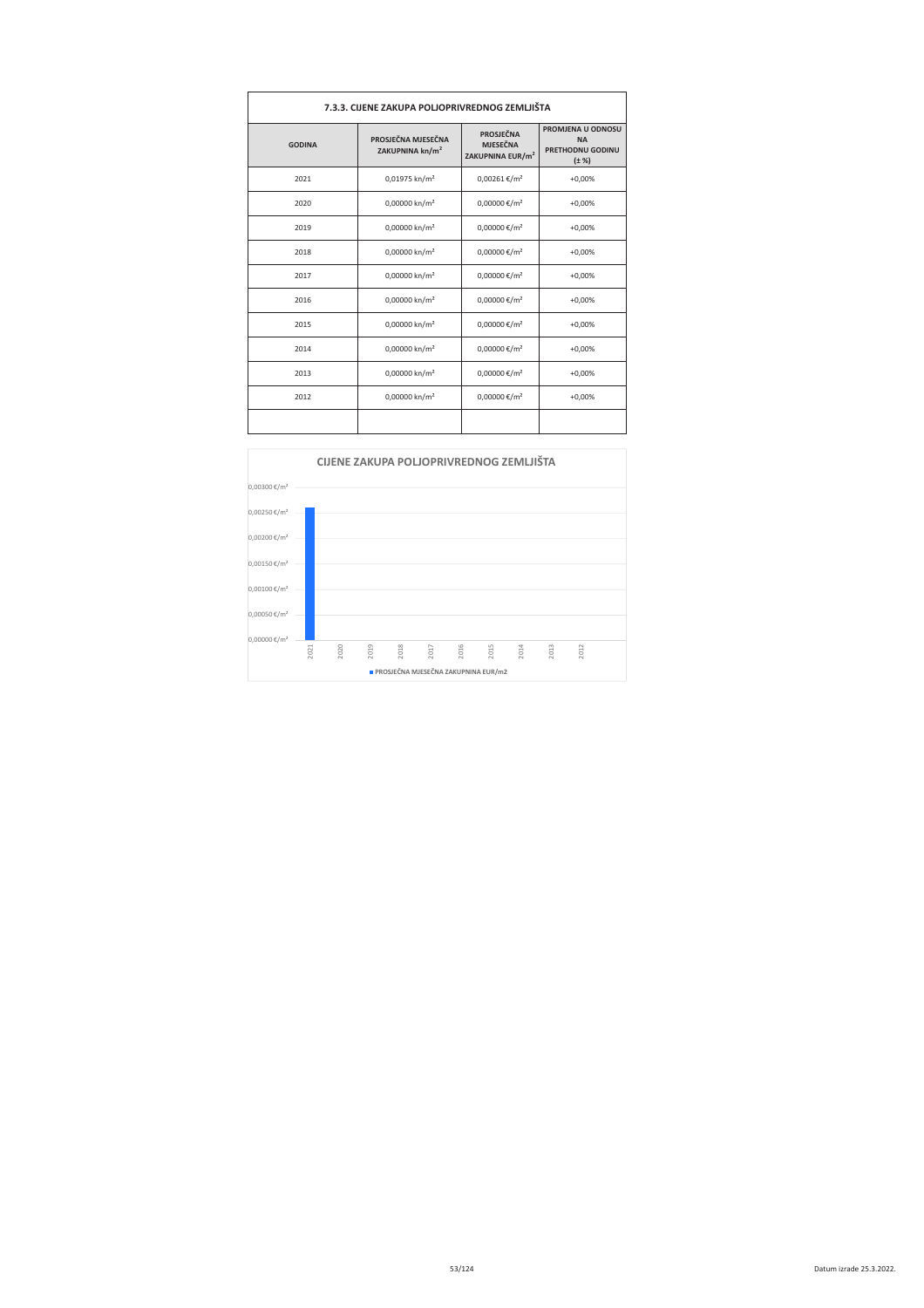| 7.3.3. CIJENE ZAKUPA POLJOPRIVREDNOG ZEMLJIŠTA |                                                   |                                                              |                                                                         |  |
|------------------------------------------------|---------------------------------------------------|--------------------------------------------------------------|-------------------------------------------------------------------------|--|
| <b>GODINA</b>                                  | PROSJEČNA MJESEČNA<br>ZAKUPNINA kn/m <sup>2</sup> | PROSJEČNA<br><b>MJESEČNA</b><br>ZAKUPNINA EUR/m <sup>2</sup> | PROMJENA U ODNOSU<br><b>NA</b><br><b>PRETHODNU GODINU</b><br>$(\pm \%)$ |  |
| 2021                                           | 0,01975 kn/m <sup>2</sup>                         | $0,00261 \text{€}/m^2$                                       | $+0,00%$                                                                |  |
| 2020                                           | 0,00000 kn/m <sup>2</sup>                         | 0,00000 €/m <sup>2</sup>                                     | $+0,00%$                                                                |  |
| 2019                                           | 0,00000 kn/m <sup>2</sup>                         | 0,00000 €/m <sup>2</sup>                                     | $+0,00%$                                                                |  |
| 2018                                           | 0,00000 kn/m <sup>2</sup>                         | 0,00000 €/m <sup>2</sup>                                     | $+0,00%$                                                                |  |
| 2017                                           | 0,00000 kn/m <sup>2</sup>                         | 0,00000 €/m <sup>2</sup>                                     | $+0,00%$                                                                |  |
| 2016                                           | 0,00000 kn/m <sup>2</sup>                         | 0,00000 €/m <sup>2</sup>                                     | $+0,00%$                                                                |  |
| 2015                                           | 0,00000 kn/m <sup>2</sup>                         | 0,00000 €/m <sup>2</sup>                                     | $+0,00%$                                                                |  |
| 2014                                           | 0,00000 kn/m <sup>2</sup>                         | 0,00000 €/m <sup>2</sup>                                     | $+0,00%$                                                                |  |
| 2013                                           | 0,00000 kn/m <sup>2</sup>                         | 0,00000 €/m <sup>2</sup>                                     | $+0,00%$                                                                |  |
| 2012                                           | 0,00000 kn/m <sup>2</sup>                         | 0,00000 €/m <sup>2</sup>                                     | $+0,00%$                                                                |  |
|                                                |                                                   |                                                              |                                                                         |  |

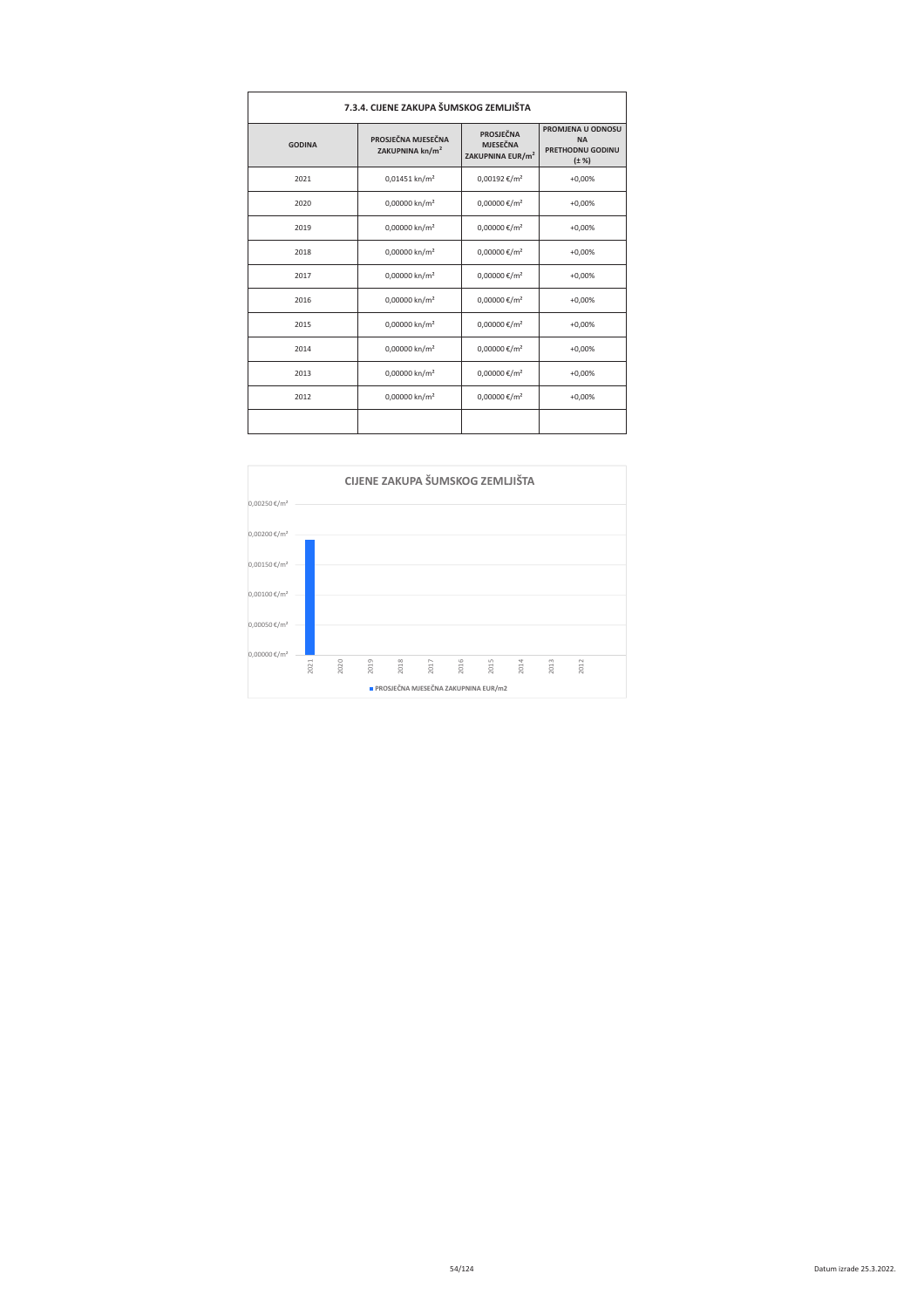| 7.3.4. CIJENE ZAKUPA ŠUMSKOG ZEMLJIŠTA |                                                   |                                                                     |                                                                         |  |  |
|----------------------------------------|---------------------------------------------------|---------------------------------------------------------------------|-------------------------------------------------------------------------|--|--|
| <b>GODINA</b>                          | PROSJEČNA MJESEČNA<br>ZAKUPNINA kn/m <sup>2</sup> | <b>PROSJEČNA</b><br><b>MJESEČNA</b><br>ZAKUPNINA EUR/m <sup>2</sup> | PROMJENA U ODNOSU<br><b>NA</b><br><b>PRETHODNU GODINU</b><br>$(\pm \%)$ |  |  |
| 2021                                   | 0,01451 kn/m <sup>2</sup>                         | $0,00192$ €/m <sup>2</sup>                                          | $+0,00%$                                                                |  |  |
| 2020                                   | 0,00000 kn/m <sup>2</sup>                         | 0,00000 €/m <sup>2</sup>                                            | $+0.00%$                                                                |  |  |
| 2019                                   | 0,00000 kn/m <sup>2</sup>                         | 0,00000 €/m <sup>2</sup>                                            | $+0,00%$                                                                |  |  |
| 2018                                   | 0,00000 kn/m <sup>2</sup>                         | 0,00000 €/m <sup>2</sup>                                            | $+0,00%$                                                                |  |  |
| 2017                                   | 0,00000 kn/m <sup>2</sup>                         | 0,00000 €/m <sup>2</sup>                                            | $+0,00%$                                                                |  |  |
| 2016                                   | 0,00000 kn/m <sup>2</sup>                         | 0,00000 €/m <sup>2</sup>                                            | $+0,00%$                                                                |  |  |
| 2015                                   | 0,00000 kn/m <sup>2</sup>                         | 0,00000 €/m <sup>2</sup>                                            | $+0,00%$                                                                |  |  |
| 2014                                   | 0,00000 kn/m <sup>2</sup>                         | 0,00000 €/m <sup>2</sup>                                            | $+0,00%$                                                                |  |  |
| 2013                                   | 0,00000 kn/m <sup>2</sup>                         | 0,00000 €/m <sup>2</sup>                                            | $+0,00%$                                                                |  |  |
| 2012                                   | 0,00000 kn/m <sup>2</sup>                         | 0,00000 €/m <sup>2</sup>                                            | $+0,00%$                                                                |  |  |
|                                        |                                                   |                                                                     |                                                                         |  |  |

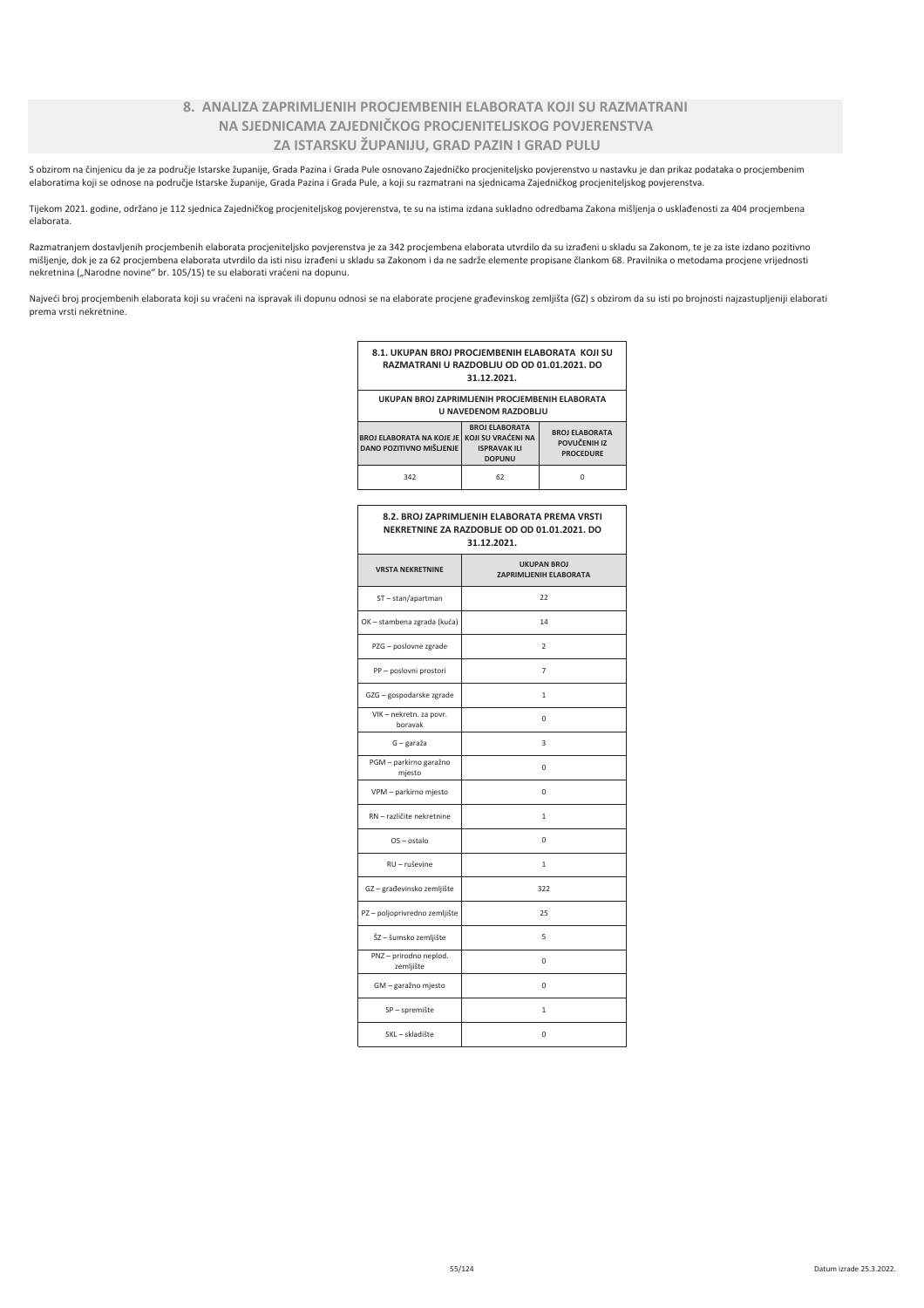# 8. ANALIZA ZAPRIMLJENIH PROCJEMBENIH ELABORATA KOJI SU RAZMATRANI NA SJEDNICAMA ZAJEDNIČKOG PROCJENITELJSKOG POVJERENSTVA ZA ISTARSKU ŽUPANIJU, GRAD PAZIN I GRAD PULU

S obzirom na činjenicu da je za područje Istarske županije, Grada Pazina i Grada Pule osnovano Zajedničko procjeniteljsko povjerenstvo u nastavku je dan prikaz podataka o procjembenim elaboratima koji se odnose na područje Istarske županije, Grada Pazina i Grada Pule, a koji su razmatrani na sjednicama Zajedničkog procjeniteljskog povjerenstva.

Tijekom 2021. godine, održano je 112 sjednica Zajedničkog procjeniteljskog povjerenstva, te su na istima izdana sukladno odredbama Zakona mišljenja o usklađenosti za 404 procjembena elaborata.

Razmatranjem dostavljenih procjembenih elaborata procjeniteljsko povjerenstva je za 342 procjembena elaborata utvrdilo da su izrađeni u skladu sa Zakonom, te je za iste izdano pozitivno mišljenje, dok je za 62 procjembena elaborata utvrdilo da isti nisu izrađeni u skladu sa Zakonom i da ne sadrže elemente propisane člankom 68. Pravilnika o metodama procjene vrijednosti nekretnina ("Narodne novine" br. 105/15) te su elaborati vraćeni na dopunu.

Najveći broj procjembenih elaborata koji su vraćeni na ispravak ili dopunu odnosi se na elaborate procjene građevinskog zemljišta (GZ) s obzirom da su isti po brojnosti najzastupljeniji elaborati prema vrsti nekretnine.

|                                                                                                             | RAZMATRANI U RAZDOBLJU OD OD 01.01.2021. DO<br>31.12.2021.                                                                                       |                                              |  |  |  |
|-------------------------------------------------------------------------------------------------------------|--------------------------------------------------------------------------------------------------------------------------------------------------|----------------------------------------------|--|--|--|
| UKUPAN BROJ ZAPRIMLJENIH PROCJEMBENIH ELABORATA                                                             | <b>U NAVEDENOM RAZDOBLIU</b>                                                                                                                     |                                              |  |  |  |
| <b>BROJ ELABORATA NA KOJE JE</b><br>DANO POZITIVNO MIŠLJENJE                                                | <b>BROJ ELABORATA</b><br><b>BROJ ELABORATA</b><br>KOJI SU VRAĆENI NA<br>POVUČENIH IZ<br><b>ISPRAVAK ILI</b><br><b>PROCEDURE</b><br><b>DOPUNU</b> |                                              |  |  |  |
| 342                                                                                                         | 62                                                                                                                                               | 0                                            |  |  |  |
| 8.2. BROJ ZAPRIMLJENIH ELABORATA PREMA VRSTI<br>NEKRETNINE ZA RAZDOBLJE OD OD 01.01.2021. DO<br>31.12.2021. |                                                                                                                                                  |                                              |  |  |  |
| <b>VRSTA NEKRETNINE</b>                                                                                     |                                                                                                                                                  | <b>UKUPAN BROJ</b><br>ZAPRIMLJENIH ELABORATA |  |  |  |
| ST-stan/apartman                                                                                            |                                                                                                                                                  | 22                                           |  |  |  |
| OK - stambena zgrada (kuća)                                                                                 |                                                                                                                                                  | 14                                           |  |  |  |
| PZG - poslovne zgrade                                                                                       |                                                                                                                                                  | $\overline{2}$                               |  |  |  |
| PP - poslovni prostori                                                                                      |                                                                                                                                                  | $\overline{7}$                               |  |  |  |
| GZG - gospodarske zgrade                                                                                    | $\mathbf{1}$                                                                                                                                     |                                              |  |  |  |
| VIK - nekretn. za povr.<br>boravak                                                                          |                                                                                                                                                  | 0                                            |  |  |  |
| G - garaža                                                                                                  |                                                                                                                                                  | 3                                            |  |  |  |
| PGM - parkirno garažno<br>mjesto                                                                            |                                                                                                                                                  | 0                                            |  |  |  |
| VPM - parkirno mjesto                                                                                       |                                                                                                                                                  | 0                                            |  |  |  |
| RN - različite nekretnine                                                                                   |                                                                                                                                                  | 1                                            |  |  |  |
| OS-ostalo                                                                                                   |                                                                                                                                                  | 0                                            |  |  |  |
| RU - ruševine                                                                                               |                                                                                                                                                  | 1                                            |  |  |  |
| GZ-građevinsko zemljište                                                                                    | 322                                                                                                                                              |                                              |  |  |  |
| PZ - poljoprivredno zemljište                                                                               | 25                                                                                                                                               |                                              |  |  |  |
| ŠZ - šumsko zemljište                                                                                       | 5                                                                                                                                                |                                              |  |  |  |
| PNZ - prirodno neplod.<br>zemljište                                                                         |                                                                                                                                                  | 0                                            |  |  |  |
| GM - garažno mjesto                                                                                         | $\mathbf 0$                                                                                                                                      |                                              |  |  |  |

 $\overline{1}$ 

 $\overline{0}$ 

8.1. UKUPAN BROJ PROCJEMBENIH ELABORATA KOJI SU

SP - spremište SKL – skladište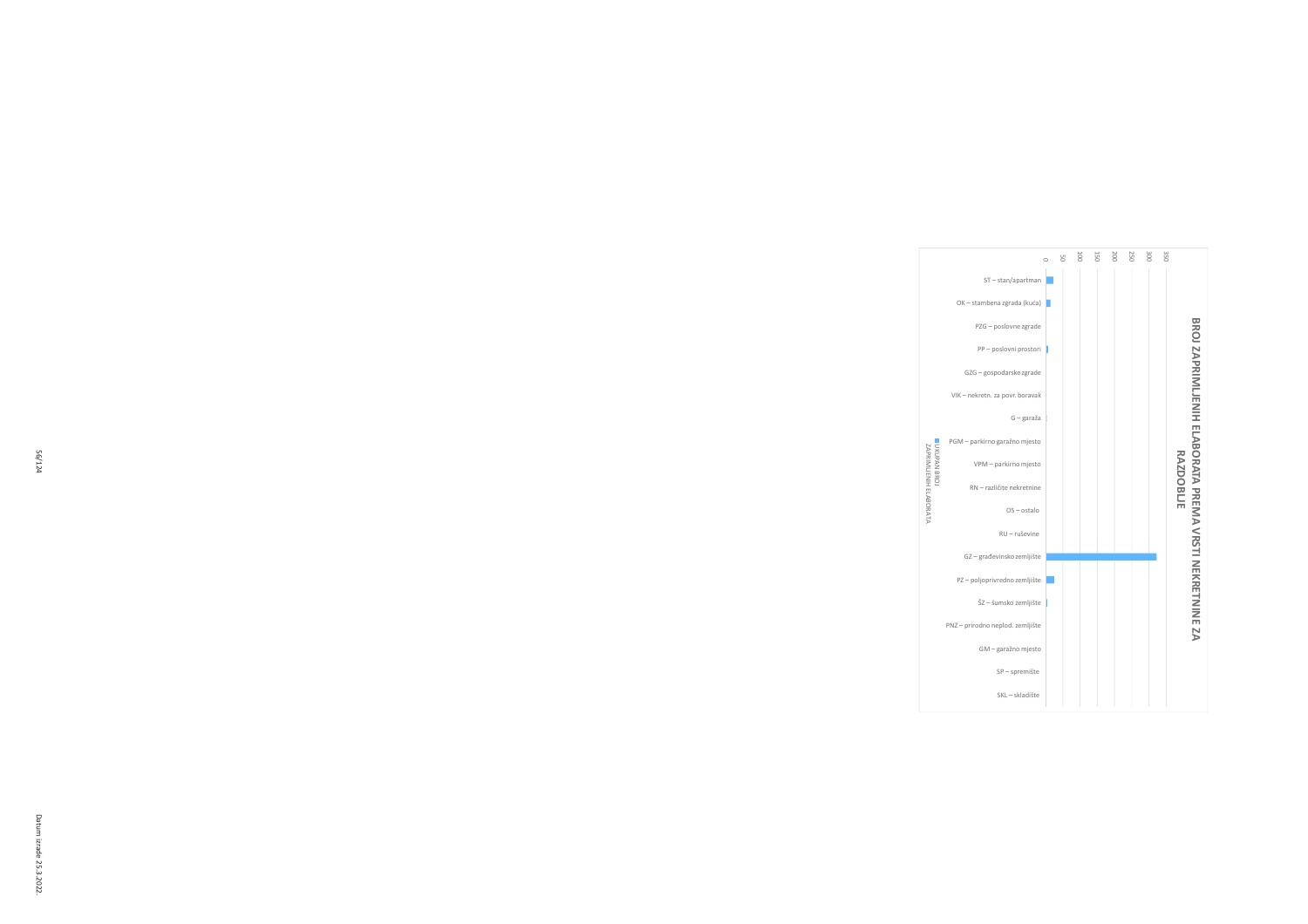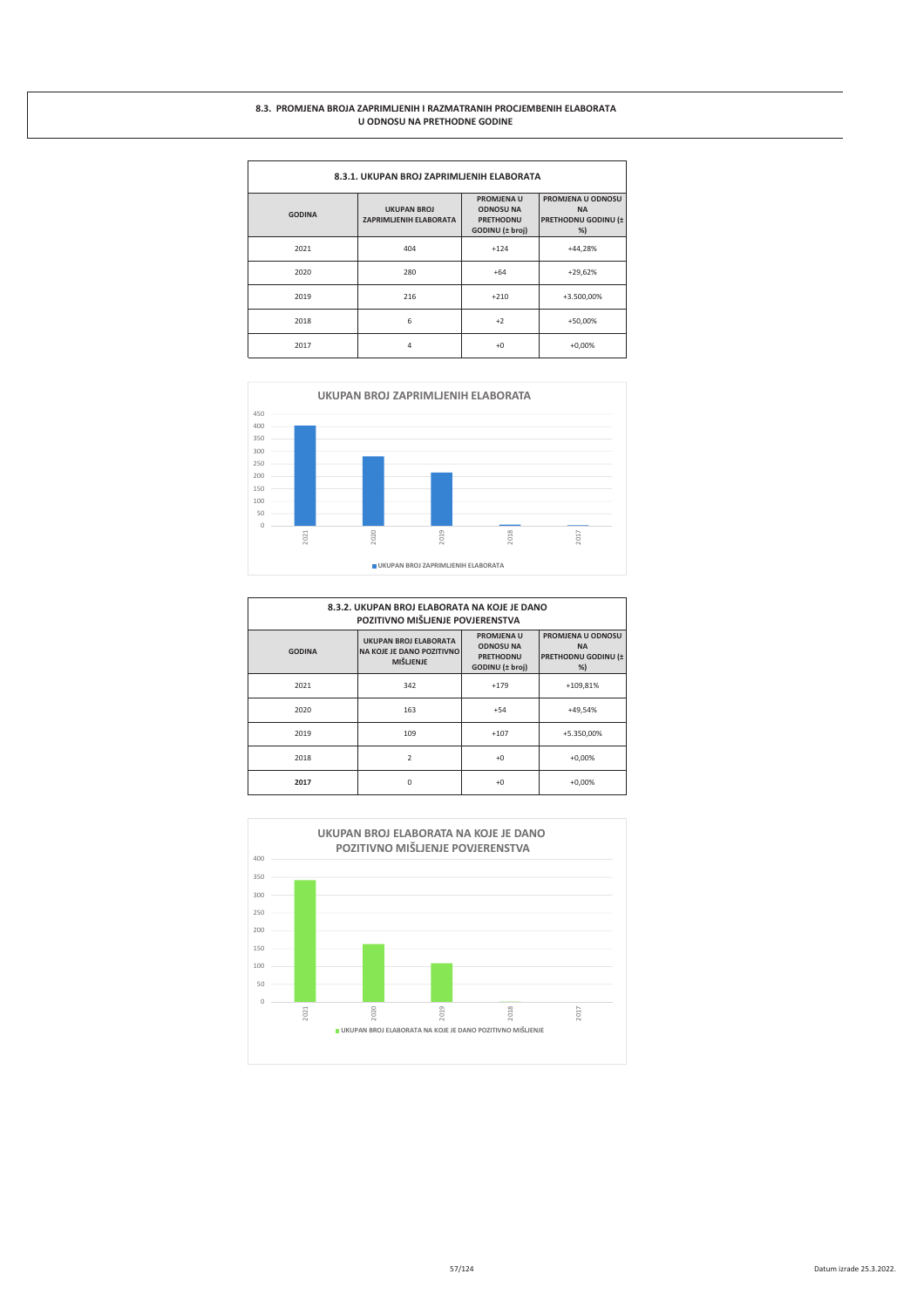#### 8.3. PROMJENA BROJA ZAPRIMLJENIH I RAZMATRANIH PROCJEMBENIH ELABORATA U ODNOSU NA PRETHODNE GODINE

| 8.3.1. UKUPAN BROJ ZAPRIMLJENIH ELABORATA |                                              |                                                                       |                                                             |  |  |
|-------------------------------------------|----------------------------------------------|-----------------------------------------------------------------------|-------------------------------------------------------------|--|--|
| <b>GODINA</b>                             | <b>UKUPAN BROJ</b><br>ZAPRIMLJENIH ELABORATA | PROMJENA U<br><b>ODNOSU NA</b><br><b>PRETHODNU</b><br>GODINU (± broj) | PROMJENA U ODNOSU<br><b>NA</b><br>PRETHODNU GODINU (±<br>%) |  |  |
| 2021                                      | 404                                          | $+124$                                                                | $+44,28%$                                                   |  |  |
| 2020                                      | 280                                          | $+64$                                                                 | $+29,62%$                                                   |  |  |
| 2019                                      | 216                                          | $+210$                                                                | +3.500,00%                                                  |  |  |
| 2018                                      | 6                                            | $+2$                                                                  | +50,00%                                                     |  |  |
| 2017                                      | 4                                            | $+0$                                                                  | $+0,00%$                                                    |  |  |



| 8.3.2. UKUPAN BROJ ELABORATA NA KOJE JE DANO<br>POZITIVNO MIŠLIENJE POVJERENSTVA |                                                                                      |                                                                              |                                                             |  |  |
|----------------------------------------------------------------------------------|--------------------------------------------------------------------------------------|------------------------------------------------------------------------------|-------------------------------------------------------------|--|--|
| <b>GODINA</b>                                                                    | <b>UKUPAN BROJ ELABORATA</b><br><b>NA KOJE JE DANO POZITIVNO</b><br><b>MIŠLJENJE</b> | <b>PROMJENA U</b><br><b>ODNOSU NA</b><br><b>PRETHODNU</b><br>GODINU (± broj) | PROMJENA U ODNOSU<br><b>NA</b><br>PRETHODNU GODINU (±<br>%) |  |  |
| 2021                                                                             | 342                                                                                  | $+179$                                                                       | +109,81%                                                    |  |  |
| 2020                                                                             | 163                                                                                  | $+54$                                                                        | +49,54%                                                     |  |  |
| 2019                                                                             | 109                                                                                  | $+107$                                                                       | +5.350,00%                                                  |  |  |
| 2018                                                                             | $\overline{\phantom{a}}$                                                             | $+0$                                                                         | $+0.00%$                                                    |  |  |
| 2017                                                                             | $\Omega$                                                                             | $+0$                                                                         | $+0,00%$                                                    |  |  |

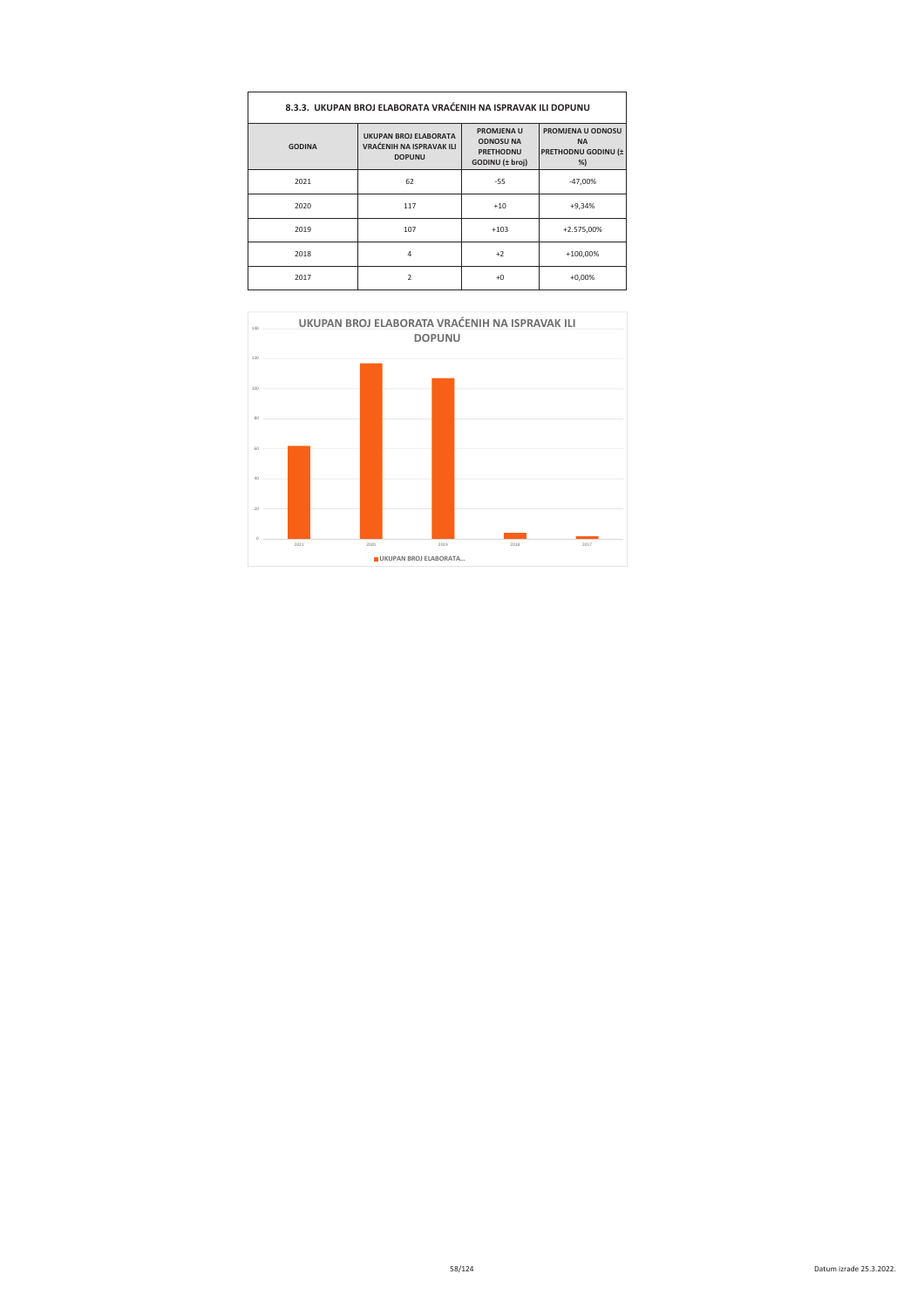| 8.3.3. UKUPAN BROJ ELABORATA VRAĆENIH NA ISPRAVAK ILI DOPUNU |                                                                                  |                                                                              |                                                             |  |
|--------------------------------------------------------------|----------------------------------------------------------------------------------|------------------------------------------------------------------------------|-------------------------------------------------------------|--|
| <b>GODINA</b>                                                | <b>UKUPAN BROJ ELABORATA</b><br><b>VRAĆENIH NA ISPRAVAK ILI</b><br><b>DOPUNU</b> | <b>PROMJENA U</b><br><b>ODNOSU NA</b><br><b>PRETHODNU</b><br>GODINU (± broj) | PROMJENA U ODNOSU<br><b>NA</b><br>PRETHODNU GODINU (±<br>%) |  |
| 2021                                                         | 62                                                                               | $-55$                                                                        | $-47.00%$                                                   |  |
| 2020                                                         | 117                                                                              | $+10$                                                                        | $+9,34%$                                                    |  |
| 2019                                                         | 107                                                                              | $+103$                                                                       | +2.575,00%                                                  |  |
| 2018                                                         | $\overline{4}$                                                                   | $+2$                                                                         | $+100,00\%$                                                 |  |
| 2017                                                         | $\mathcal{P}$                                                                    | $+0$                                                                         | $+0,00%$                                                    |  |

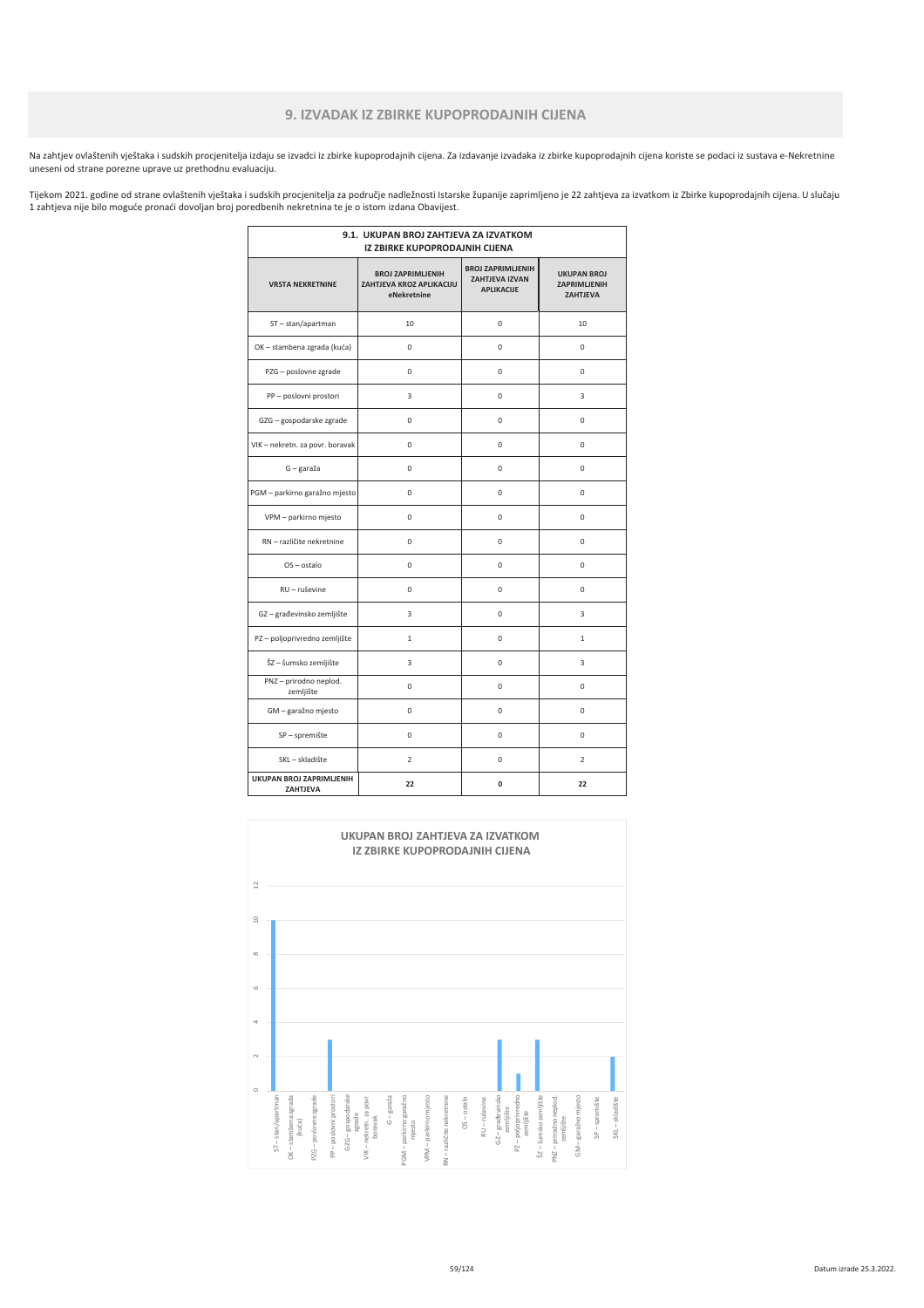# 9. IZVADAK IZ ZBIRKE KUPOPRODAJNIH CIJENA

Na zahtjev ovlaštenih vještaka i sudskih procjenitelja izdaju se izvadci iz zbirke kupoprodajnih cijena. Za izdavanje izvadaka iz zbirke kupoprodajnih cijena koriste se podaci iz sustava e-Nekretnine uneseni od strane porezne uprave uz prethodnu evaluaciju.

Tijekom 2021. godine od strane ovlaštenih vještaka i sudskih procjenitelja za područje nadležnosti Istarske županije zaprimljeno je 22 zahtjeva za izvatkom iz Zbirke kupoprodajnih cijena. U slučaju 1 zahtjeva nije bilo moguće pronaći dovoljan broj poredbenih nekretnina te je o istom izdana Obavijest.

| 9.1. UKUPAN BROJ ZAHTJEVA ZA IZVATKOM<br>IZ ZBIRKE KUPOPRODAJNIH CIJENA |                                                                     |                                                                |                                                              |  |
|-------------------------------------------------------------------------|---------------------------------------------------------------------|----------------------------------------------------------------|--------------------------------------------------------------|--|
| <b>VRSTA NEKRETNINE</b>                                                 | <b>BROJ ZAPRIMLJENIH</b><br>ZAHTJEVA KROZ APLIKACIJU<br>eNekretnine | <b>BROJ ZAPRIMLJENIH</b><br>ZAHTJEVA IZVAN<br><b>APLIKACUE</b> | <b>UKUPAN BROJ</b><br><b>ZAPRIMLJENIH</b><br><b>ZAHTJEVA</b> |  |
| ST-stan/apartman                                                        | 10                                                                  | $\mathbf 0$                                                    | 10                                                           |  |
| OK - stambena zgrada (kuća)                                             | $\Omega$                                                            | $\Omega$                                                       | 0                                                            |  |
| PZG - poslovne zgrade                                                   | $\mathbf 0$                                                         | $\mathbf 0$                                                    | 0                                                            |  |
| PP - poslovni prostori                                                  | 3                                                                   | 0                                                              | 3                                                            |  |
| GZG - gospodarske zgrade                                                | 0                                                                   | $\mathbf 0$                                                    | 0                                                            |  |
| VIK - nekretn. za povr. boravak                                         | $\Omega$                                                            | $\Omega$                                                       | 0                                                            |  |
| G - garaža                                                              | $\mathbf 0$                                                         | $\Omega$                                                       | 0                                                            |  |
| PGM - parkirno garažno mjesto                                           | 0                                                                   | $\mathbf 0$                                                    | 0                                                            |  |
| VPM - parkirno mjesto                                                   | 0                                                                   | $\mathbf 0$                                                    | 0                                                            |  |
| RN - različite nekretnine                                               | 0                                                                   | 0                                                              | 0                                                            |  |
| OS-ostalo                                                               | 0                                                                   | $\mathbf 0$                                                    | 0                                                            |  |
| RU - ruševine                                                           | $\Omega$                                                            | $\Omega$                                                       | $\Omega$                                                     |  |
| GZ-građevinsko zemljište                                                | 3                                                                   | 0                                                              | 3                                                            |  |
| PZ - poljoprivredno zemljište                                           | $\mathbf{1}$                                                        | 0                                                              | $\mathbf{1}$                                                 |  |
| ŠZ - šumsko zemljište                                                   | 3                                                                   | $\mathbf 0$                                                    | 3                                                            |  |
| PNZ - prirodno neplod.<br>zemljište                                     | $\Omega$                                                            | $\Omega$                                                       | $\Omega$                                                     |  |
| GM - garažno mjesto                                                     | 0                                                                   | $\mathbf 0$                                                    | 0                                                            |  |
| SP - spremište                                                          | 0                                                                   | 0                                                              | 0                                                            |  |
| SKL - skladište                                                         | $\overline{2}$                                                      | 0                                                              | $\overline{2}$                                               |  |
| UKUPAN BROJ ZAPRIMLJENIH<br>ZAHTJEVA                                    | 22                                                                  | 0                                                              | 22                                                           |  |

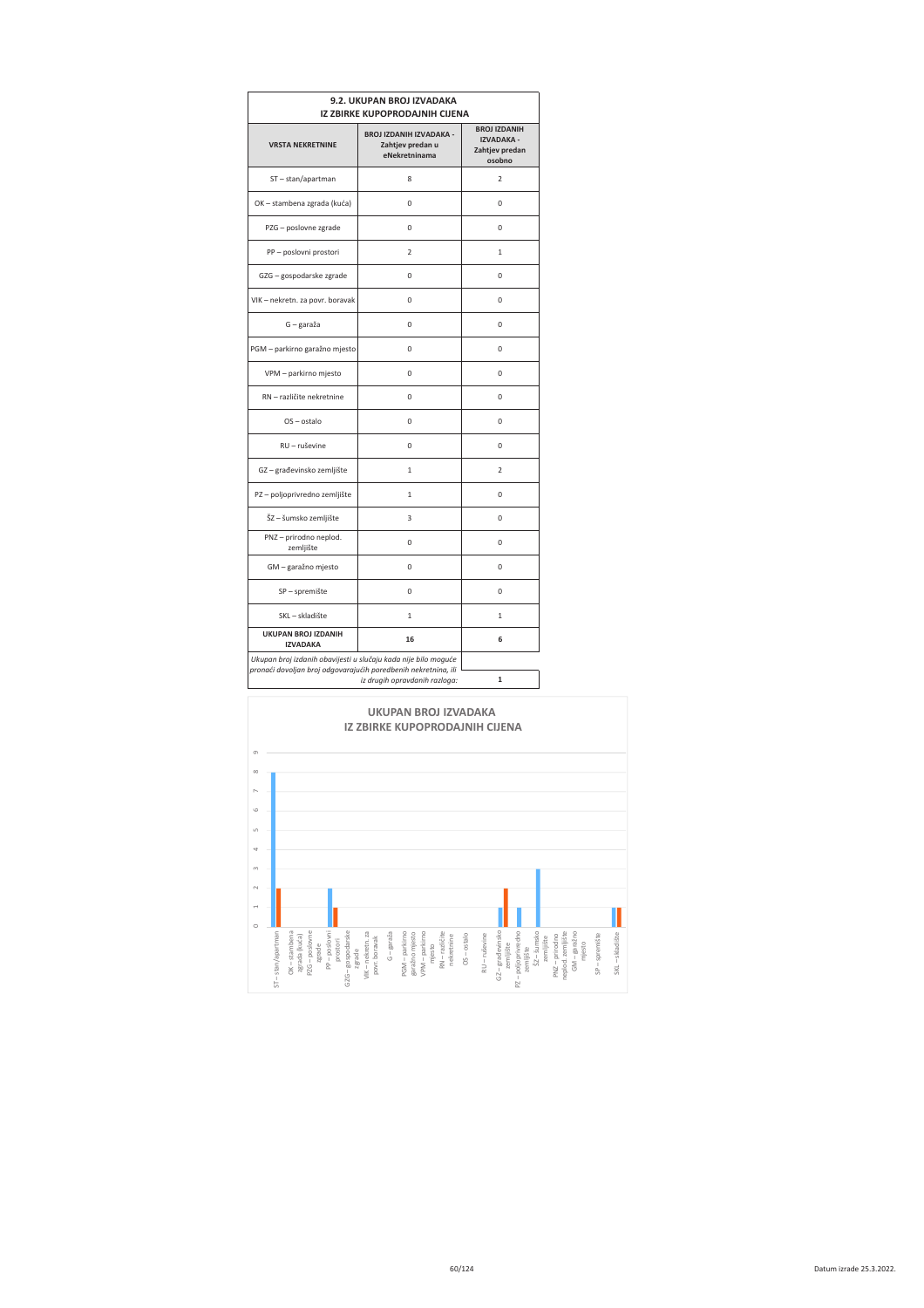| 9.2. UKUPAN BROJ IZVADAKA<br><b>IZ ZBIRKE KUPOPRODAJNIH CIJENA</b>                                                               |                                                                     |                                                                      |  |  |
|----------------------------------------------------------------------------------------------------------------------------------|---------------------------------------------------------------------|----------------------------------------------------------------------|--|--|
| <b>VRSTA NEKRETNINE</b>                                                                                                          | <b>BROJ IZDANIH IZVADAKA -</b><br>Zahtjev predan u<br>eNekretninama | <b>BROJ IZDANIH</b><br><b>IZVADAKA -</b><br>Zahtjev predan<br>osobno |  |  |
| ST-stan/apartman                                                                                                                 | $\overline{8}$                                                      | $\overline{2}$                                                       |  |  |
| OK - stambena zgrada (kuća)                                                                                                      | 0                                                                   | 0                                                                    |  |  |
| PZG - poslovne zgrade                                                                                                            | 0                                                                   | 0                                                                    |  |  |
| PP - poslovni prostori                                                                                                           | $\overline{2}$                                                      | 1                                                                    |  |  |
| GZG - gospodarske zgrade                                                                                                         | 0                                                                   | 0                                                                    |  |  |
| VIK - nekretn. za povr. boravak                                                                                                  | 0                                                                   | 0                                                                    |  |  |
| G - garaža                                                                                                                       | 0                                                                   | 0                                                                    |  |  |
| PGM - parkirno garažno mjesto                                                                                                    | 0                                                                   | 0                                                                    |  |  |
| VPM - parkirno mjesto                                                                                                            | 0                                                                   | 0                                                                    |  |  |
| RN - različite nekretnine                                                                                                        | 0                                                                   | 0                                                                    |  |  |
| $OS - ostalo$                                                                                                                    | 0                                                                   | 0                                                                    |  |  |
| RU - ruševine                                                                                                                    | 0                                                                   | 0                                                                    |  |  |
| GZ - građevinsko zemljište                                                                                                       | $\mathbf{1}$                                                        | $\overline{2}$                                                       |  |  |
| PZ - poljoprivredno zemljište                                                                                                    | $\mathbf{1}$                                                        | 0                                                                    |  |  |
| ŠZ - šumsko zemljište                                                                                                            | 3                                                                   | 0                                                                    |  |  |
| PNZ - prirodno neplod.<br>zemljište                                                                                              | 0                                                                   | 0                                                                    |  |  |
| GM - garažno mjesto                                                                                                              | 0                                                                   | 0                                                                    |  |  |
| SP - spremište                                                                                                                   | 0                                                                   | 0                                                                    |  |  |
| SKL - skladište                                                                                                                  | $\mathbf{1}$                                                        | $\mathbf{1}$                                                         |  |  |
| <b>UKUPAN BROJ IZDANIH</b><br><b>IZVADAKA</b>                                                                                    | 16                                                                  | 6                                                                    |  |  |
| Ukupan broj izdanih obavijesti u slučaju kada nije bilo moguće<br>pronaći dovoljan broj odgovarajućih poredbenih nekretnina, ili |                                                                     |                                                                      |  |  |
|                                                                                                                                  | $\mathbf{1}$                                                        |                                                                      |  |  |

#### UKUPAN BROJ IZVADAKA IZ ZBIRKE KUPOPRODAJNIH CIJENA

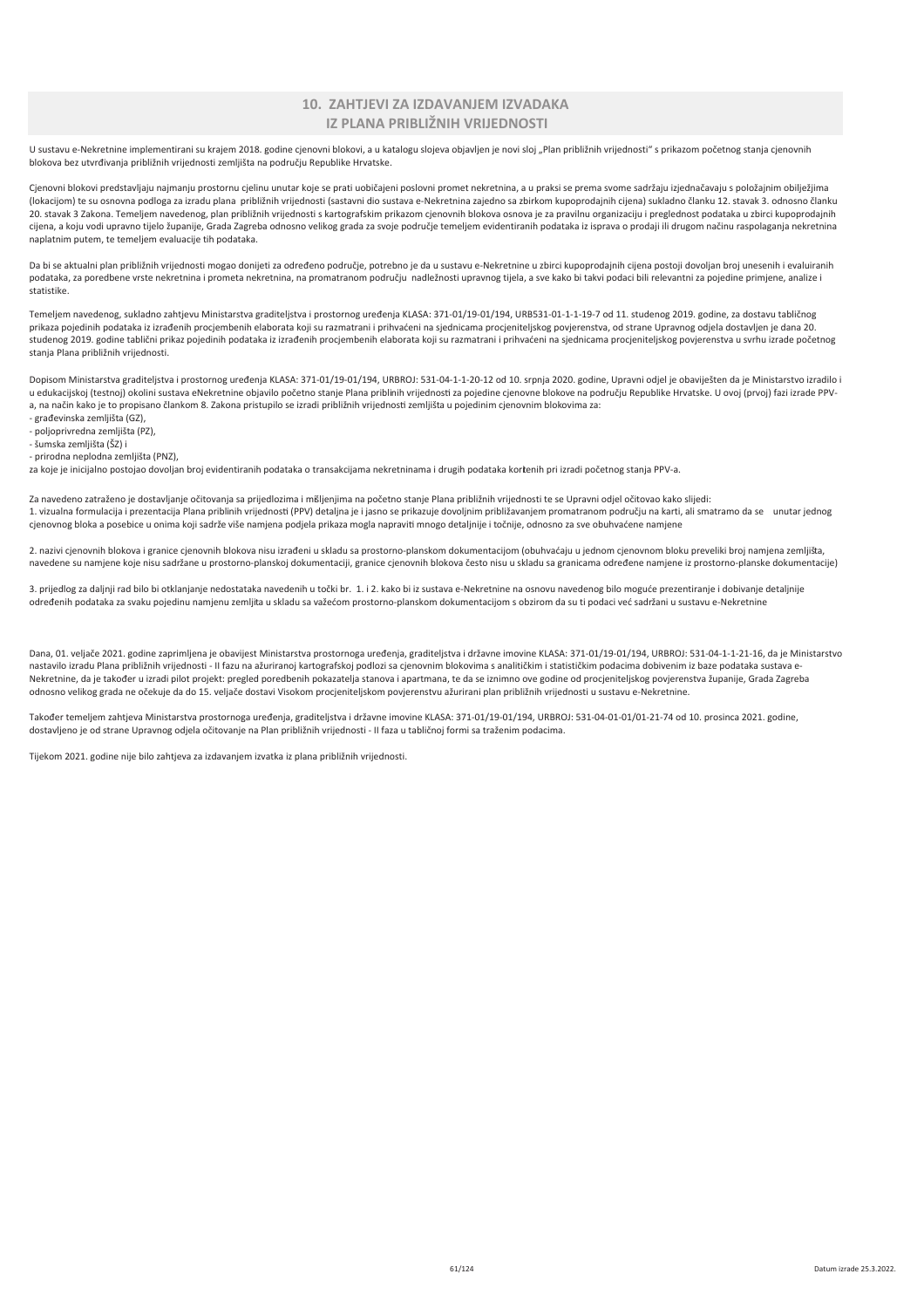### 10. ZAHTJEVI ZA IZDAVANJEM IZVADAKA IZ PLANA PRIBLIŽNIH VRIJEDNOSTI

U sustavu e-Nekretnine implementirani su krajem 2018. godine cjenovni blokovi, a u katalogu slojeva objavljen je novi sloj "Plan približnih vrijednosti" s prikazom početnog stanja cjenovnih blokova bez utvrđivanja približnih vrijednosti zemljišta na području Republike Hrvatske.

Cjenovni blokovi predstavljaju najmanju prostornu cjelinu unutar koje se prati uobičajeni poslovni promet nekretnina, a u praksi se prema svome sadržaju izjednačavaju s položajnim obilježjima (lokacijom) te su osnovna podloga za izradu plana približnih vrijednosti (sastavni dio sustava e-Nekretnina zajedno sa zbirkom kupoprodajnih cijena) sukladno članku 12. stavak 3. odnosno članku e analysis is a sensoring parameter and približnih vrijednosti s kartografskim prikazom cjenovnih blokova osnova je za pravilnu organizaciju i preglednost podataka u zbirci kupoprodajnih cijena, a koju vodi upravno tijelo županije, Grada Zagreba odnosno velikog grada za svoje područje temeljem evidentiranih podataka iz isprava o prodaji ili drugom načinu raspolaganja nekretnina naplatnim putem, te temeliem evaluacije tih podataka.

Da bi se aktualni plan približnih vrijednosti mogao donijeti za određeno područje, potrebno je da u sustavu e-Nekretnine u zbirci kupoprodajnih cijena postoji dovoljan broj unesenih i evaluiranih podataka, za poredbene vrste nekretnina i prometa nekretnina, na promatranom području nadležnosti upravnog tijela, a sve kako bi takvi podaci bili relevantni za pojedine primjene, analize i statistike

Temeljem navedenog, sukladno zahtjevu Ministarstva graditeljstva i prostornog uređenja KLASA: 371-01/19-01/194, URB531-01-1-1-19-7 od 11. studenog 2019. godine, za dostavu tabličnog prikaza pojedinih podataka iz izrađenih procjembenih elaborata koji su razmatrani i prihvaćeni na sjednicama procjeniteljskog povjerenstva, od strane Upravnog odjela dostavljen je dana 20. studenog 2019. godine tablični prikaz pojedinih podataka iz izrađenih procjembenih elaborata koji su razmatrani i prihvaćeni na sjednicama procjeniteljskog povjerenstva u svrhu izrade početnog stanja Plana približnih vrijednosti.

Dopisom Ministarstva graditeljstva i prostornog uređenja KLASA: 371-01/19-01/194, URBROJ: 531-04-1-1-20-12 od 10. srpnja 2020. godine, Upravni odjel je obaviješten da je Ministarstvo izradilo i u edukacijskoj (testnoj) okolini sustava eNekretnine objavilo početno stanje Plana priblinih vrijednosti za pojedine cjenovne blokove na području Republike Hrvatske. U ovoj (prvoj) fazi izrade PPVa, na način kako je to propisano člankom 8. Zakona pristupilo se izradi približnih vrijednosti zemljišta u pojedinim cjenovnim blokovima za:

- građevinska zemljišta (GZ),
- poljoprivredna zemljišta (PZ), - šumska zemljišta (ŠZ) i
- prirodna neplodna zemljišta (PNZ),

za koje je inicijalno postojao dovoljan broj evidentiranih podataka o transakcijama nekretninama i drugih podataka kortenih pri izradi početnog stanja PPV-a.

Za navedeno zatraženo je dostavljanje očitovanja sa prijedlozima i mišljenjima na početno stanje Plana približnih vrijednosti te se Upravni odjel očitovao kako slijedi: 1. vizualna formulacija i prezentacija Plana pribljnih vrijednosti (PPV) detalina je i jasno se prikazuje dovoljnim približavanjem promatranom području na karti, ali smatramo da se unutar jednog cienovnog bloka a posebice u onima koji sadrže više namiena podiela prikaza mogla napraviti mnogo detalinije i točnije, odnosno za sve obuhvaćene namiene

2. nazivi cjenovnih blokova i granice cjenovnih blokova nisu izrađeni u skladu sa prostorno-planskom dokumentacijom (obuhvaćaju u jednom cjenovnom bloku preveliki broj namjena zemljišta, navedene su namjene koje nisu sadržane u prostorno-planskoj dokumentaciji, granice cjenovnih blokova često nisu u skladu sa granicama određene namjene iz prostorno-planske dokumentacije)

3. prijedlog za daljnji rad bilo bi otklanjanje nedostataka navedenih u točki br. 1. i 2. kako bi iz sustava e-Nekretnine na osnovu navedenog bilo moguće prezentiranje i dobivanje detaljnije određenih podataka za svaku pojedinu namjenu zemljita u skladu sa važećom prostorno-planskom dokumentacijom s obzirom da su ti podaci već sadržani u sustavu e-Nekretnine

Dana, 01. veljače 2021. godine zaprimljena je obavijest Ministarstva prostornoga uređenja, graditeljstva i državne imovine KLASA: 371-01/19-01/194, URBROJ: 531-04-1-1-21-16, da je Ministarstvo nastavilo izradu Plana približnih vrijednosti - II fazu na ažuriranoj kartografskoj podlozi sa cjenovnim blokovima s analitičkim i statističkim podacima dobivenim iz baze podataka sustava e-Nekretnine, da je također u izradi pilot projekt: pregled poredbenih pokazatelja stanova i apartmana, te da se iznimno ove godine od procjeniteljskog povjerenstva županije, Grada Zagreba odnosno velikog grada ne očekuje da do 15. veljače dostavi Visokom procjeniteljskom povjerenstvu ažurirani plan približnih vrijednosti u sustavu e-Nekretnine.

Također temeljem zahtjeva Ministarstva prostornoga uređenja, graditeljstva i državne imovine KLASA: 371-01/19-01/194, URBROJ: 531-04-01-01/01-21-74 od 10. prosinca 2021. godine, dostavljeno je od strane Upravnog odjela očitovanje na Plan približnih vrijednosti - II faza u tabličnoj formi sa traženim podacima.

Tijekom 2021. godine nije bilo zahtjeva za izdavanjem izvatka iz plana približnih vrijednosti.